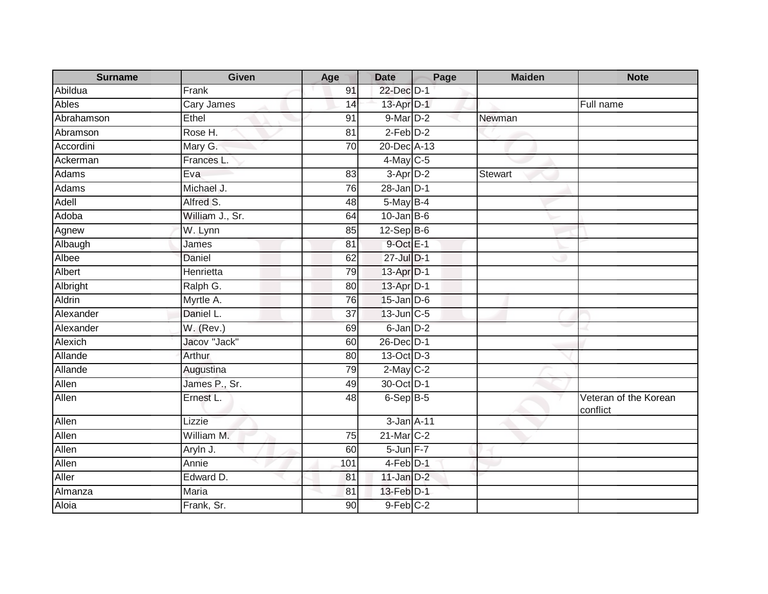| <b>Surname</b> | Given           | Age             | <b>Date</b>          | Page | <b>Maiden</b> | <b>Note</b>                       |
|----------------|-----------------|-----------------|----------------------|------|---------------|-----------------------------------|
| Abildua        | Frank           | 91              | 22-Dec D-1           |      |               |                                   |
| Ables          | Cary James      | 14              | 13-Apr D-1           |      |               | Full name                         |
| Abrahamson     | Ethel           | 91              | $9$ -Mar $D-2$       |      | Newman        |                                   |
| Abramson       | Rose H.         | 81              | $2$ -Feb $D-2$       |      |               |                                   |
| Accordini      | Mary G.         | 70              | 20-Dec A-13          |      |               |                                   |
| Ackerman       | Frances L.      |                 | $4$ -May C-5         |      |               |                                   |
| Adams          | Eva             | 83              | 3-Apr D-2            |      | Stewart       |                                   |
| Adams          | Michael J.      | 76              | $28 - Jan$ $D-1$     |      |               |                                   |
| Adell          | Alfred S.       | 48              | $5$ -May $B-4$       |      |               |                                   |
| Adoba          | William J., Sr. | 64              | $10$ -Jan B-6        |      |               |                                   |
| Agnew          | W. Lynn         | 85              | $12$ -Sep B-6        |      |               |                                   |
| Albaugh        | James           | 81              | $9$ -Oct $E-1$       |      |               |                                   |
| Albee          | Daniel          | 62              | 27-Jul D-1           |      |               |                                   |
| Albert         | Henrietta       | 79              | 13-Apr D-1           |      |               |                                   |
| Albright       | Ralph G.        | 80              | 13-Apr D-1           |      |               |                                   |
| Aldrin         | Myrtle A.       | 76              | $15$ -Jan $D-6$      |      |               |                                   |
| Alexander      | Daniel L.       | 37              | 13-Jun C-5           |      |               |                                   |
| Alexander      | $W.$ (Rev.)     | 69              | 6-Jan D-2            |      |               |                                   |
| Alexich        | Jacov "Jack"    | 60              | 26-Dec D-1           |      |               |                                   |
| Allande        | Arthur          | 80              | 13-Oct D-3           |      |               |                                   |
| Allande        | Augustina       | 79              | $2$ -May $C-2$       |      |               |                                   |
| Allen          | James P., Sr.   | 49              | 30-Oct D-1           |      |               |                                   |
| Allen          | Ernest L.       | 48              | $6-Sep$ B-5          |      |               | Veteran of the Korean<br>conflict |
| Allen          | Lizzie          |                 | 3-Jan A-11           |      |               |                                   |
| Allen          | William M.      | $\overline{75}$ | 21-Mar C-2           |      |               |                                   |
| Allen          | Aryln J.        | 60              | 5-Jun F-7            |      |               |                                   |
| Allen          | Annie           | 101             | 4-Feb <sup>D-1</sup> |      |               |                                   |
| Aller          | Edward D.       | 81              | $11$ -Jan $D-2$      |      |               |                                   |
| Almanza        | Maria           | 81              | 13-Feb D-1           |      |               |                                   |
| Aloia          | Frank, Sr.      | 90              | 9-Feb C-2            |      |               |                                   |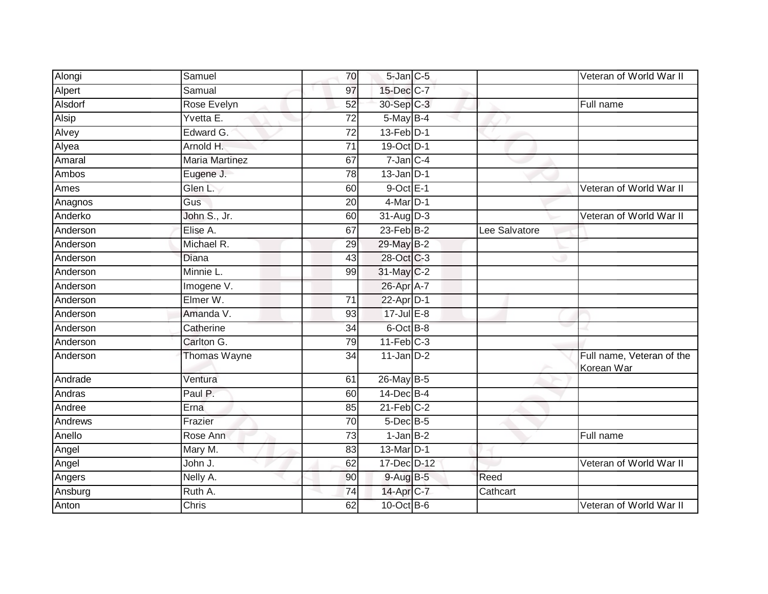| Alongi   | Samuel                | 70              | 5-Jan C-5          |               | Veteran of World War II                 |
|----------|-----------------------|-----------------|--------------------|---------------|-----------------------------------------|
| Alpert   | Samual                | 97              | 15-Dec C-7         |               |                                         |
| Alsdorf  | Rose Evelyn           | 52              | 30-Sep C-3         |               | Full name                               |
| Alsip    | Yvetta E.             | 72              | $5$ -May B-4       |               |                                         |
| Alvey    | Edward G.             | $\overline{72}$ | $13$ -Feb $D-1$    |               |                                         |
| Alyea    | Arnold H.             | $\overline{71}$ | 19-Oct D-1         |               |                                         |
| Amaral   | <b>Maria Martinez</b> | 67              | $7$ -Jan $C-4$     |               |                                         |
| Ambos    | Eugene J.             | 78              | $13$ -Jan D-1      |               |                                         |
| Ames     | Glen L.               | 60              | $9$ -Oct $E-1$     |               | Veteran of World War II                 |
| Anagnos  | Gus                   | 20              | $4$ -Mar $D-1$     |               |                                         |
| Anderko  | John S., Jr.          | 60              | $31-Aug$ D-3       |               | Veteran of World War II                 |
| Anderson | Elise A.              | 67              | 23-Feb B-2         | Lee Salvatore |                                         |
| Anderson | Michael R.            | 29              | 29-May B-2         |               |                                         |
| Anderson | Diana                 | 43              | 28-Oct C-3         |               |                                         |
| Anderson | Minnie L.             | 99              | 31-May C-2         |               |                                         |
| Anderson | Imogene V.            |                 | 26-Apr A-7         |               |                                         |
| Anderson | Elmer W.              | 71              | 22-Apr D-1         |               |                                         |
| Anderson | Amanda V.             | 93              | $17 -$ Jul $E - 8$ |               |                                         |
| Anderson | Catherine             | 34              | 6-Oct B-8          |               |                                         |
| Anderson | Carlton G.            | 79              | $11-Feb$ C-3       |               |                                         |
| Anderson | Thomas Wayne          | 34              | $11$ -Jan D-2      |               | Full name, Veteran of the<br>Korean War |
| Andrade  | Ventura               | 61              | 26-May B-5         |               |                                         |
| Andras   | Paul P.               | 60              | $14$ -Dec $B-4$    |               |                                         |
| Andree   | Erna                  | 85              | $21$ -Feb $C-2$    |               |                                         |
| Andrews  | Frazier               | $\overline{70}$ | $5$ -Dec $B$ -5    |               |                                         |
| Anello   | Rose Ann              | 73              | $1$ -Jan $B-2$     |               | Full name                               |
| Angel    | Mary M.               | 83              | 13-Mar D-1         |               |                                         |
| Angel    | John J.               | 62              | 17-Dec D-12        |               | Veteran of World War II                 |
| Angers   | Nelly A.              | 90              | $9-AugB-5$         | Reed          |                                         |
| Ansburg  | Ruth A.               | 74              | 14-Apr C-7         | Cathcart      |                                         |
| Anton    | Chris                 | 62              | $10$ -Oct B-6      |               | Veteran of World War II                 |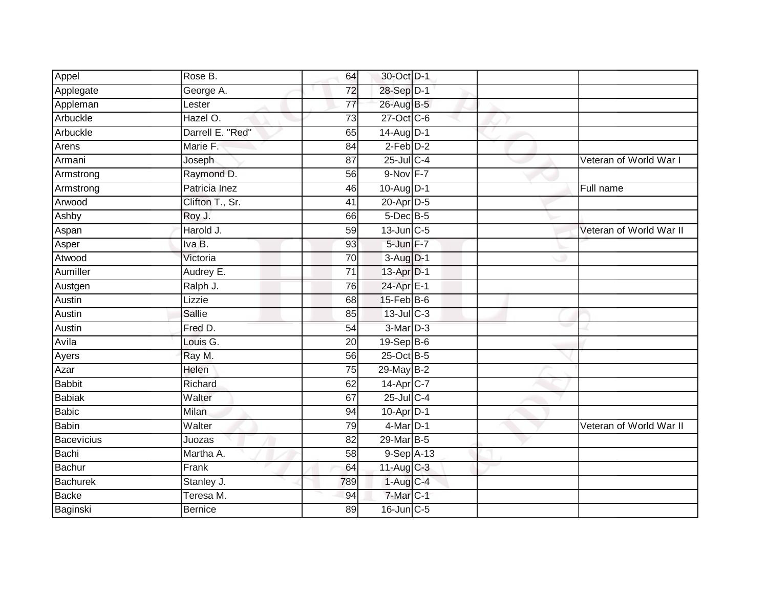| Appel             | Rose B.          | 64              | 30-Oct D-1       |  |                         |
|-------------------|------------------|-----------------|------------------|--|-------------------------|
| Applegate         | George A.        | 72              | 28-Sep D-1       |  |                         |
| Appleman          | Lester           | 77              | 26-Aug B-5       |  |                         |
| Arbuckle          | Hazel O.         | 73              | 27-Oct C-6       |  |                         |
| Arbuckle          | Darrell E. "Red" | 65              | 14-Aug D-1       |  |                         |
| Arens             | Marie F.         | 84              | $2$ -Feb $D-2$   |  |                         |
| Armani            | Joseph           | 87              | $25$ -Jul C-4    |  | Veteran of World War I  |
| Armstrong         | Raymond D.       | 56              | 9-Nov F-7        |  |                         |
| Armstrong         | Patricia Inez    | 46              | 10-Aug D-1       |  | Full name               |
| Arwood            | Clifton T., Sr.  | 41              | 20-Apr D-5       |  |                         |
| Ashby             | Roy J.           | 66              | $5$ -Dec $B$ -5  |  |                         |
| Aspan             | Harold J.        | 59              | $13$ -Jun $C-5$  |  | Veteran of World War II |
| Asper             | Iva B.           | 93              | 5-Jun F-7        |  |                         |
| Atwood            | Victoria         | 70              | $3-Aug$ $D-1$    |  |                         |
| Aumiller          | Audrey E.        | $\overline{71}$ | 13-Apr D-1       |  |                         |
| Austgen           | Ralph J.         | 76              | 24-Apr E-1       |  |                         |
| <b>Austin</b>     | Lizzie           | 68              | $15$ -Feb $B$ -6 |  |                         |
| Austin            | Sallie           | 85              | 13-Jul C-3       |  |                         |
| Austin            | Fred D.          | 54              | 3-Mar D-3        |  |                         |
| Avila             | Louis G.         | 20              | $19-Sep$ B-6     |  |                         |
| Ayers             | Ray M.           | 56              | 25-Oct B-5       |  |                         |
| Azar              | Helen            | $\overline{75}$ | 29-May B-2       |  |                         |
| <b>Babbit</b>     | Richard          | 62              | 14-Apr C-7       |  |                         |
| <b>Babiak</b>     | Walter           | 67              | 25-Jul C-4       |  |                         |
| <b>Babic</b>      | <b>Milan</b>     | 94              | $10-Apr$ D-1     |  |                         |
| <b>Babin</b>      | Walter           | 79              | $4$ -Mar $D-1$   |  | Veteran of World War II |
| <b>Bacevicius</b> | Juozas           | 82              | 29-Mar B-5       |  |                         |
| Bachi             | Martha A.        | 58              | $9-Sep$ A-13     |  |                         |
| <b>Bachur</b>     | Frank            | 64              | 11-Aug C-3       |  |                         |
| <b>Bachurek</b>   | Stanley J.       | 789             | $1-Aug$ C-4      |  |                         |
| <b>Backe</b>      | Teresa M.        | 94              | 7-Mar C-1        |  |                         |
| Baginski          | <b>Bernice</b>   | 89              | 16-Jun C-5       |  |                         |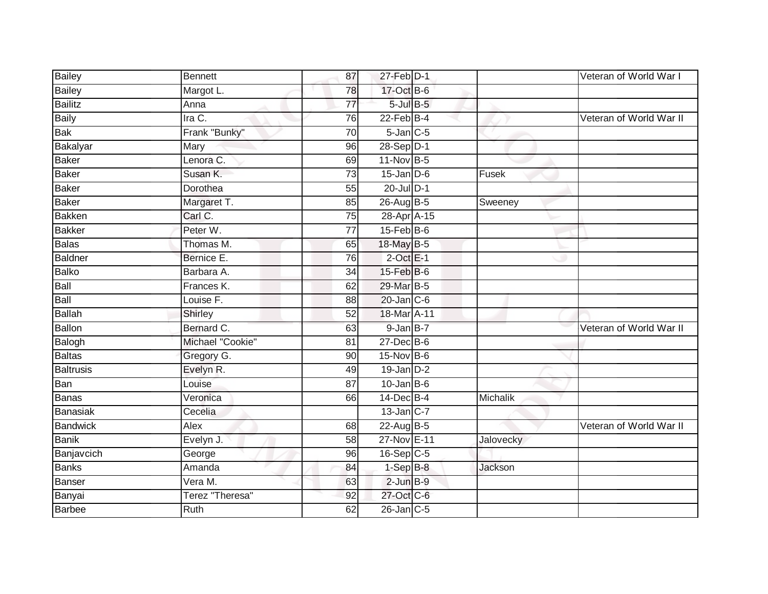| <b>Bailey</b>   | <b>Bennett</b>   | 87              | 27-Feb D-1       |           | Veteran of World War I  |
|-----------------|------------------|-----------------|------------------|-----------|-------------------------|
| <b>Bailey</b>   | Margot L.        | 78              | 17-Oct B-6       |           |                         |
| Bailitz         | Anna             | $\overline{77}$ | $5$ -Jul $B$ -5  |           |                         |
| Baily           | Ira C.           | 76              | $22$ -Feb $B-4$  |           | Veteran of World War II |
| <b>Bak</b>      | Frank "Bunky"    | $\overline{70}$ | $5$ -Jan $C$ -5  |           |                         |
| Bakalyar        | Mary             | 96              | 28-Sep D-1       |           |                         |
| <b>Baker</b>    | Lenora C.        | 69              | 11-Nov B-5       |           |                         |
| Baker           | Susan K.         | 73              | $15$ -Jan $D$ -6 | Fusek     |                         |
| Baker           | Dorothea         | 55              | $20$ -Jul $D-1$  |           |                         |
| Baker           | Margaret T.      | 85              | 26-Aug B-5       | Sweeney   |                         |
| <b>Bakken</b>   | Carl C.          | 75              | 28-Apr A-15      |           |                         |
| Bakker          | Peter W.         | 77              | $15$ -Feb $B$ -6 |           |                         |
| <b>Balas</b>    | Thomas M.        | 65              | 18-May B-5       |           |                         |
| <b>Baldner</b>  | Bernice E.       | 76              | $2$ -Oct $E-1$   |           |                         |
| Balko           | Barbara A.       | 34              | 15-Feb B-6       |           |                         |
| Ball            | Frances K.       | 62              | 29-Mar B-5       |           |                         |
| Ball            | Louise F.        | 88              | $20$ -Jan $C$ -6 |           |                         |
| Ballah          | Shirley          | 52              | 18-Mar A-11      |           |                         |
| Ballon          | Bernard C.       | 63              | 9-Jan B-7        |           | Veteran of World War II |
| Balogh          | Michael "Cookie" | $\overline{81}$ | $27$ -Dec $B$ -6 |           |                         |
| <b>Baltas</b>   | Gregory G.       | 90              | 15-Nov B-6       |           |                         |
| Baltrusis       | Evelyn R.        | 49              | $19$ -Jan $D-2$  |           |                         |
| Ban             | Louise           | 87              | $10$ -Jan B-6    |           |                         |
| Banas           | Veronica         | 66              | 14-Dec B-4       | Michalik  |                         |
| Banasiak        | Cecelia          |                 | $13$ -Jan C-7    |           |                         |
| <b>Bandwick</b> | Alex             | 68              | 22-Aug B-5       |           | Veteran of World War II |
| <b>Banik</b>    | Evelyn J.        | 58              | 27-Nov E-11      | Jalovecky |                         |
| Banjavcich      | George           | 96              | 16-Sep C-5       |           |                         |
| <b>Banks</b>    | Amanda           | 84              | $1-SepB-8$       | Jackson   |                         |
| Banser          | Vera M.          | 63              | $2$ -Jun $B-9$   |           |                         |
| Banyai          | Terez "Theresa"  | 92              | 27-Oct C-6       |           |                         |
| <b>Barbee</b>   | <b>Ruth</b>      | 62              | $26$ -Jan $C$ -5 |           |                         |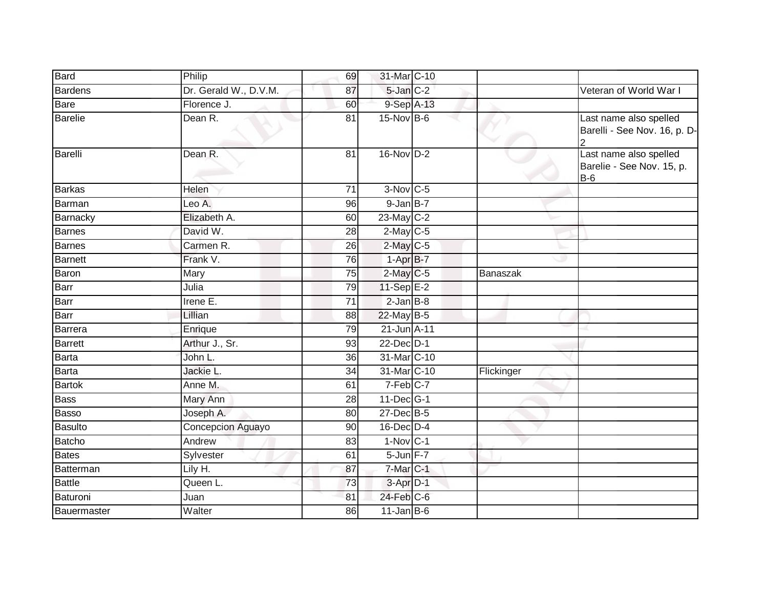| <b>Bard</b>    | Philip                | 69              | 31-Mar C-10           |                 |                                                              |
|----------------|-----------------------|-----------------|-----------------------|-----------------|--------------------------------------------------------------|
| Bardens        | Dr. Gerald W., D.V.M. | 87              | $5$ -Jan $C-2$        |                 | Veteran of World War I                                       |
| Bare           | Florence J.           | 60              | 9-Sep A-13            |                 |                                                              |
| Barelie        | Dean R.               | 81              | 15-Nov B-6            |                 | Last name also spelled<br>Barelli - See Nov. 16, p. D-       |
| Barelli        | Dean R.               | 81              | $16-NovD-2$           |                 | Last name also spelled<br>Barelie - See Nov. 15, p.<br>$B-6$ |
| <b>Barkas</b>  | <b>Helen</b>          | 71              | $3-Nov$ $C-5$         |                 |                                                              |
| Barman         | Leo A.                | 96              | $9$ -Jan $B-7$        |                 |                                                              |
| Barnacky       | Elizabeth A.          | 60              | 23-May C-2            |                 |                                                              |
| Barnes         | David W.              | $\overline{28}$ | $2$ -May C-5          |                 |                                                              |
| Barnes         | Carmen R.             | 26              | $2$ -May C-5          |                 |                                                              |
| <b>Barnett</b> | Frank V.              | 76              | $1-AprB-7$            |                 |                                                              |
| Baron          | Mary                  | $\overline{75}$ | $2$ -May C-5          | <b>Banaszak</b> |                                                              |
| Barr           | Julia                 | 79              | 11-Sep E-2            |                 |                                                              |
| Barr           | Irene E.              | $\overline{71}$ | $2$ -Jan $B-8$        |                 |                                                              |
| Barr           | Lillian               | 88              | 22-May B-5            |                 |                                                              |
| Barrera        | Enrique               | 79              | 21-Jun A-11           |                 |                                                              |
| Barrett        | Arthur J., Sr.        | 93              | 22-Dec D-1            |                 |                                                              |
| Barta          | John L.               | 36              | 31-Mar C-10           |                 |                                                              |
| Barta          | Jackie L.             | 34              | 31-Mar C-10           | Flickinger      |                                                              |
| Bartok         | Anne M.               | 61              | 7-Feb C-7             |                 |                                                              |
| <b>Bass</b>    | Mary Ann              | $\overline{28}$ | 11-Dec G-1            |                 |                                                              |
| <b>Basso</b>   | Joseph A.             | 80              | $27$ -Dec $B-5$       |                 |                                                              |
| Basulto        | Concepcion Aguayo     | 90              | 16-Dec D-4            |                 |                                                              |
| Batcho         | Andrew                | 83              | $1-Nov$ C-1           |                 |                                                              |
| <b>Bates</b>   | Sylvester             | 61              | 5-Jun F-7             |                 |                                                              |
| Batterman      | Lily H.               | 87              | 7-Mar C-1             |                 |                                                              |
| Battle         | Queen L.              | 73              | $3-Apr\overline{D-1}$ |                 |                                                              |
| Baturoni       | Juan                  | 81              | $24$ -Feb $C$ -6      |                 |                                                              |
| Bauermaster    | Walter                | 86              | $11$ -Jan B-6         |                 |                                                              |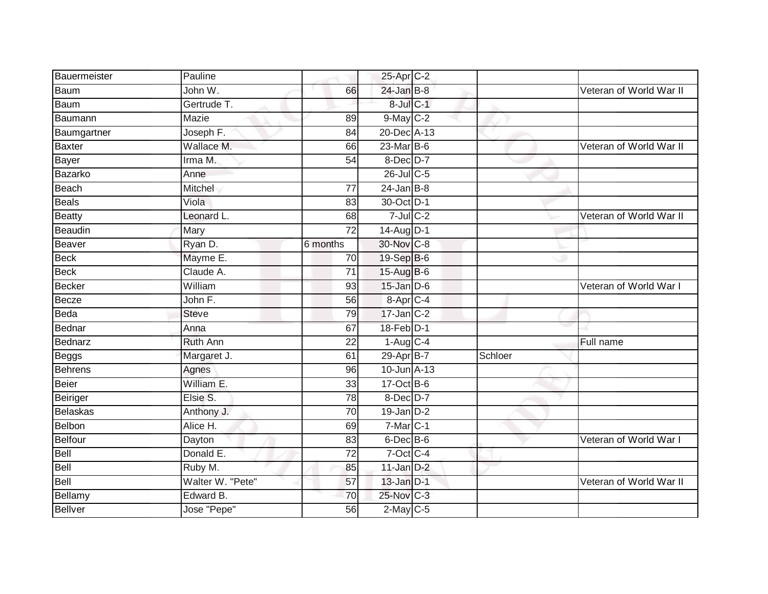| Bauermeister    | Pauline          |                 | 25-Apr C-2             |         |                         |
|-----------------|------------------|-----------------|------------------------|---------|-------------------------|
| Baum            | John W.          | 66              | $24$ -Jan B-8          |         | Veteran of World War II |
| <b>Baum</b>     | Gertrude T.      |                 | 8-Jul C-1              |         |                         |
| Baumann         | Mazie            | 89              | 9-May C-2              |         |                         |
| Baumgartner     | Joseph F.        | 84              | 20-Dec A-13            |         |                         |
| <b>Baxter</b>   | Wallace M.       | 66              | 23-Mar B-6             |         | Veteran of World War II |
| Bayer           | Irma M.          | 54              | 8-Dec D-7              |         |                         |
| Bazarko         | Anne             |                 | 26-Jul C-5             |         |                         |
| Beach           | Mitchel          | 77              | $24$ -Jan B-8          |         |                         |
| <b>Beals</b>    | Viola            | 83              | 30-Oct D-1             |         |                         |
| <b>Beatty</b>   | Leonard L.       | 68              | $7$ -Jul $C-2$         |         | Veteran of World War II |
| Beaudin         | Mary             | 72              | 14-Aug D-1             |         |                         |
| <b>Beaver</b>   | Ryan D.          | 6 months        | 30-Nov C-8             |         |                         |
| <b>Beck</b>     | Mayme E.         | 70              | 19-Sep B-6             |         |                         |
| <b>Beck</b>     | Claude A.        | $\overline{71}$ | 15-Aug B-6             |         |                         |
| Becker          | William          | 93              | $15$ -Jan $D-6$        |         | Veteran of World War I  |
| Becze           | John F.          | 56              | 8-Apr C-4              |         |                         |
| Beda            | <b>Steve</b>     | 79              | 17-Jan C-2             |         |                         |
| Bednar          | Anna             | 67              | 18-Feb D-1             |         |                         |
| Bednarz         | <b>Ruth Ann</b>  | $\overline{22}$ | $1-Aug$ <sub>C-4</sub> |         | Full name               |
| <b>Beggs</b>    | Margaret J.      | 61              | 29-Apr B-7             | Schloer |                         |
| <b>Behrens</b>  | Agnes            | 96              | 10-Jun A-13            |         |                         |
| Beier           | William E.       | 33              | $17-Oct$ B-6           |         |                         |
| Beiriger        | Elsie S.         | 78              | 8-Dec D-7              |         |                         |
| <b>Belaskas</b> | Anthony J.       | 70              | $19$ -Jan $D-2$        |         |                         |
| Belbon          | Alice H.         | 69              | $7$ -Mar $C-1$         |         |                         |
| <b>Belfour</b>  | Dayton           | 83              | $6$ -Dec $B$ -6        |         | Veteran of World War I  |
| Bell            | Donald E.        | 72              | 7-Oct C-4              |         |                         |
| <b>Bell</b>     | Ruby M.          | 85              | $11$ -Jan D-2          |         |                         |
| Bell            | Walter W. "Pete" | 57              | $13$ -Jan $D-1$        |         | Veteran of World War II |
| Bellamy         | Edward B.        | 70              | 25-Nov C-3             |         |                         |
| <b>Bellver</b>  | Jose "Pepe"      | $\overline{56}$ | $2$ -May $C$ -5        |         |                         |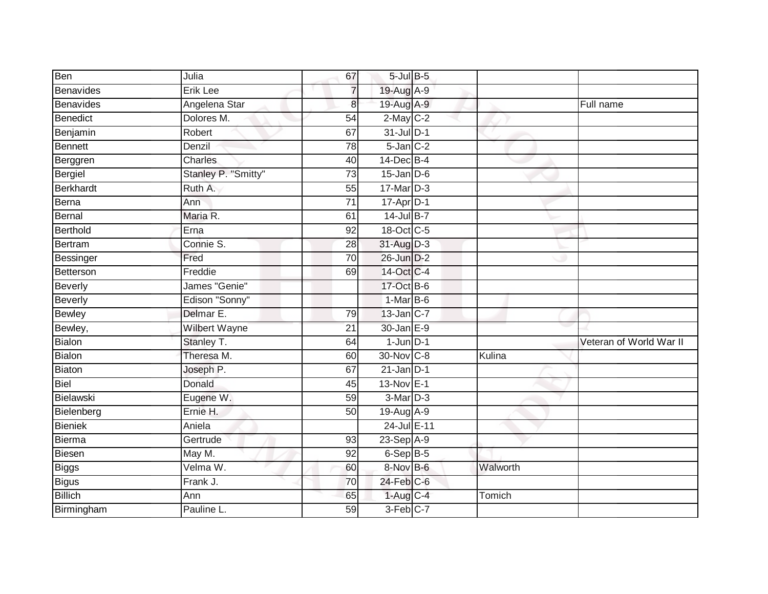| Ben              | Julia               | 67              | $5$ -Jul $B$ -5 |          |                         |
|------------------|---------------------|-----------------|-----------------|----------|-------------------------|
| Benavides        | Erik Lee            | $\overline{7}$  | 19-Aug A-9      |          |                         |
| <b>Benavides</b> | Angelena Star       | $\bf{8}$        | 19-Aug A-9      |          | Full name               |
| Benedict         | Dolores M.          | $\overline{54}$ | $2$ -May $C-2$  |          |                         |
| Benjamin         | Robert              | 67              | $31$ -Jul $D-1$ |          |                         |
| Bennett          | Denzil              | 78              | $5 - Jan$ $C-2$ |          |                         |
| Berggren         | Charles             | 40              | 14-Dec B-4      |          |                         |
| Bergiel          | Stanley P. "Smitty" | 73              | $15$ -Jan D-6   |          |                         |
| Berkhardt        | Ruth A.             | 55              | $17$ -Mar $D-3$ |          |                         |
| Berna            | Ann                 | $\overline{71}$ | 17-Apr D-1      |          |                         |
| Bernal           | Maria R.            | 61              | $14$ -Jul B-7   |          |                         |
| Berthold         | Erna                | 92              | 18-Oct C-5      |          |                         |
| Bertram          | Connie S.           | 28              | 31-Aug D-3      |          |                         |
| Bessinger        | Fred                | 70              | 26-Jun D-2      |          |                         |
| Betterson        | Freddie             | 69              | 14-Oct C-4      |          |                         |
| <b>Beverly</b>   | James "Genie"       |                 | 17-Oct B-6      |          |                         |
| <b>Beverly</b>   | Edison "Sonny"      |                 | $1-MarB-6$      |          |                         |
| Bewley           | Delmar E.           | 79              | 13-Jan C-7      |          |                         |
| Bewley,          | Wilbert Wayne       | 21              | 30-Jan E-9      |          |                         |
| <b>Bialon</b>    | Stanley T.          | 64              | $1$ -Jun $D-1$  |          | Veteran of World War II |
| <b>Bialon</b>    | Theresa M.          | 60              | 30-Nov C-8      | Kulina   |                         |
| Biaton           | Joseph P.           | 67              | $21$ -Jan D-1   |          |                         |
| <b>Biel</b>      | Donald              | 45              | 13-Nov E-1      |          |                         |
| Bielawski        | Eugene W.           | 59              | 3-Mar D-3       |          |                         |
| Bielenberg       | Ernie H.            | 50              | 19-Aug A-9      |          |                         |
| <b>Bieniek</b>   | Aniela              |                 | 24-Jul E-11     |          |                         |
| Bierma           | Gertrude            | 93              | $23-Sep$ A-9    |          |                         |
| <b>Biesen</b>    | May M.              | 92              | $6-Sep$ B-5     |          |                         |
| <b>Biggs</b>     | Velma W.            | 60              | 8-Nov B-6       | Walworth |                         |
| <b>Bigus</b>     | Frank J.            | 70              | $24$ -Feb $C-6$ |          |                         |
| <b>Billich</b>   | Ann                 | 65              | $1-AugC-4$      | Tomich   |                         |
| Birmingham       | Pauline L.          | 59              | 3-Feb C-7       |          |                         |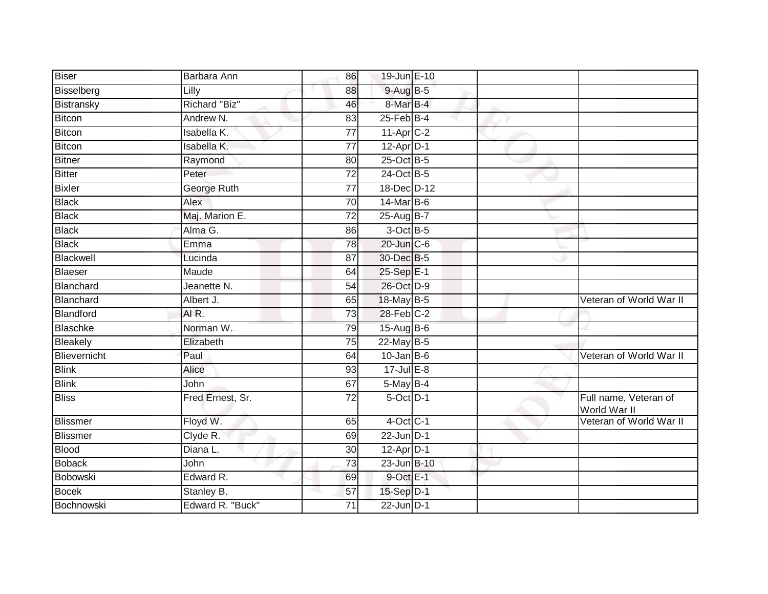| <b>Biser</b>    | Barbara Ann      | 86              | 19-Jun E-10            |  |                                       |
|-----------------|------------------|-----------------|------------------------|--|---------------------------------------|
| Bisselberg      | Lilly            | 88              | 9-Aug B-5              |  |                                       |
| Bistransky      | Richard "Biz"    | 46              | 8-Mar B-4              |  |                                       |
| Bitcon          | Andrew N.        | 83              | $25$ -Feb $B$ -4       |  |                                       |
| Bitcon          | Isabella K.      | $\overline{77}$ | $11-Apr$ $C-2$         |  |                                       |
| Bitcon          | Isabella K.      | $\overline{77}$ | $12-Apr\overline{D-1}$ |  |                                       |
| <b>Bitner</b>   | Raymond          | 80              | 25-Oct B-5             |  |                                       |
| Bitter          | Peter            | $\overline{72}$ | 24-Oct B-5             |  |                                       |
| <b>Bixler</b>   | George Ruth      | 77              | 18-Dec D-12            |  |                                       |
| <b>Black</b>    | Alex             | $\overline{70}$ | 14-Mar B-6             |  |                                       |
| <b>Black</b>    | Maj. Marion E.   | $\overline{72}$ | 25-Aug B-7             |  |                                       |
| <b>Black</b>    | Alma G.          | 86              | $3$ -Oct B-5           |  |                                       |
| <b>Black</b>    | Emma             | 78              | $20$ -Jun $C-6$        |  |                                       |
| Blackwell       | Lucinda          | 87              | 30-Dec B-5             |  |                                       |
| <b>Blaeser</b>  | Maude            | 64              | 25-Sep E-1             |  |                                       |
| Blanchard       | Jeanette N.      | 54              | 26-Oct D-9             |  |                                       |
| Blanchard       | Albert J.        | 65              | 18-May B-5             |  | Veteran of World War II               |
| Blandford       | AIR.             | $\overline{73}$ | $28$ -Feb $C-2$        |  |                                       |
| Blaschke        | Norman W.        | 79              | 15-Aug B-6             |  |                                       |
| Bleakely        | Elizabeth        | 75              | $22$ -May B-5          |  |                                       |
| Blievernicht    | Paul             | 64              | $10$ -Jan $B$ -6       |  | Veteran of World War II               |
| <b>Blink</b>    | <b>Alice</b>     | 93              | $17 -$ Jul $E - 8$     |  |                                       |
| <b>Blink</b>    | John             | 67              | $5$ -May $B-4$         |  |                                       |
| <b>Bliss</b>    | Fred Ernest, Sr. | 72              | 5-Oct D-1              |  | Full name, Veteran of<br>World War II |
| <b>Blissmer</b> | Floyd W.         | 65              | $4$ -Oct C-1           |  | Veteran of World War II               |
| Blissmer        | Clyde R.         | 69              | $22$ -Jun $D-1$        |  |                                       |
| Blood           | Diana L.         | 30              | $12-Apr$ D-1           |  |                                       |
| <b>Boback</b>   | John             | 73              | 23-Jun B-10            |  |                                       |
| Bobowski        | Edward R.        | 69              | 9-Oct E-1              |  |                                       |
| <b>Bocek</b>    | Stanley B.       | 57              | 15-Sep D-1             |  |                                       |
| Bochnowski      | Edward R. "Buck" | 71              | $22$ -Jun $D-1$        |  |                                       |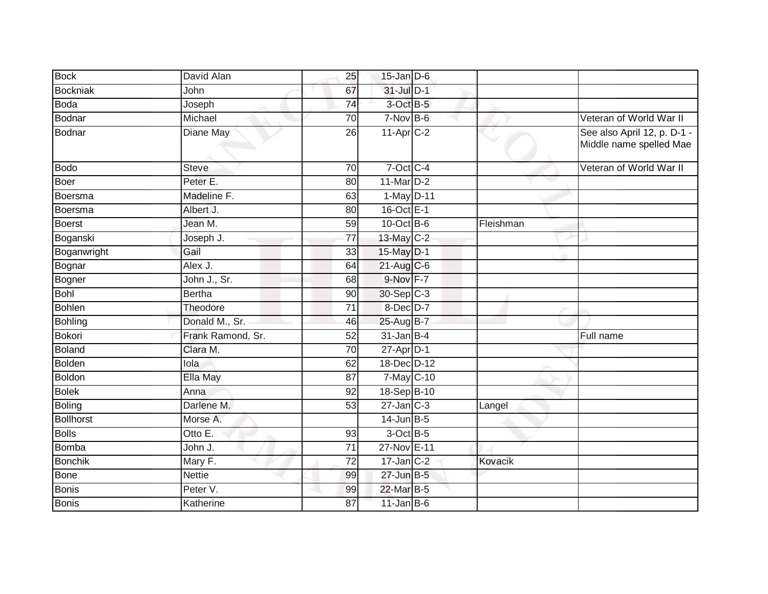| <b>Bock</b>      | David Alan        | 25              | $15$ -Jan $D-6$ |           |                                                        |
|------------------|-------------------|-----------------|-----------------|-----------|--------------------------------------------------------|
| <b>Bockniak</b>  | John              | 67              | $31$ -Jul D-1   |           |                                                        |
| <b>Boda</b>      | Joseph            | 74              | 3-Oct B-5       |           |                                                        |
| Bodnar           | Michael           | 70              | $7-Nov$ B-6     |           | Veteran of World War II                                |
| Bodnar           | Diane May         | $\overline{26}$ | 11-Apr C-2      |           | See also April 12, p. D-1 -<br>Middle name spelled Mae |
| <b>Bodo</b>      | <b>Steve</b>      | 70              | 7-Oct C-4       |           | Veteran of World War II                                |
| <b>Boer</b>      | Peter E.          | 80              | $11$ -Mar $D-2$ | e e       |                                                        |
| Boersma          | Madeline F.       | 63              | 1-May D-11      |           |                                                        |
| Boersma          | Albert J.         | 80              | 16-Oct E-1      |           |                                                        |
| Boerst           | Jean M.           | 59              | $10$ -Oct B-6   | Fleishman |                                                        |
| Boganski         | Joseph J.         | $\overline{77}$ | 13-May C-2      |           |                                                        |
| Boganwright      | Gail              | 33              | 15-May D-1      |           |                                                        |
| Bognar           | Alex J.           | 64              | $21$ -Aug C-6   |           |                                                        |
| Bogner           | John J., Sr.      | 68              | 9-Nov F-7       |           |                                                        |
| <b>Bohl</b>      | <b>Bertha</b>     | 90              | 30-Sep C-3      |           |                                                        |
| <b>Bohlen</b>    | Theodore          | $\overline{71}$ | 8-Dec D-7       |           |                                                        |
| Bohling          | Donald M., Sr.    | 46              | 25-Aug B-7      |           |                                                        |
| <b>Bokori</b>    | Frank Ramond, Sr. | 52              | $31$ -Jan B-4   |           | Full name                                              |
| <b>Boland</b>    | Clara M.          | 70              | $27$ -Apr $D-1$ |           |                                                        |
| <b>Bolden</b>    | lola              | 62              | 18-Dec D-12     |           |                                                        |
| <b>Boldon</b>    | Ella May          | 87              | 7-May C-10      |           |                                                        |
| <b>Bolek</b>     | Anna              | 92              | 18-Sep B-10     |           |                                                        |
| <b>Boling</b>    | Darlene M.        | 53              | $27$ -Jan $C-3$ | Langel    |                                                        |
| <b>Bollhorst</b> | Morse A.          |                 | $14$ -Jun $B-5$ |           |                                                        |
| <b>Bolls</b>     | Otto $E$ .        | 93              | $3$ -Oct $B$ -5 |           |                                                        |
| <b>Bomba</b>     | John J.           | 71              | 27-Nov E-11     |           |                                                        |
| <b>Bonchik</b>   | Mary F.           | $\overline{72}$ | $17$ -Jan $C-2$ | Kovacik   |                                                        |
| <b>Bone</b>      | <b>Nettie</b>     | 99              | $27$ -Jun $B-5$ |           |                                                        |
| <b>Bonis</b>     | Peter V.          | 99              | 22-Mar B-5      |           |                                                        |
| <b>Bonis</b>     | Katherine         | 87              | $11$ -Jan B-6   |           |                                                        |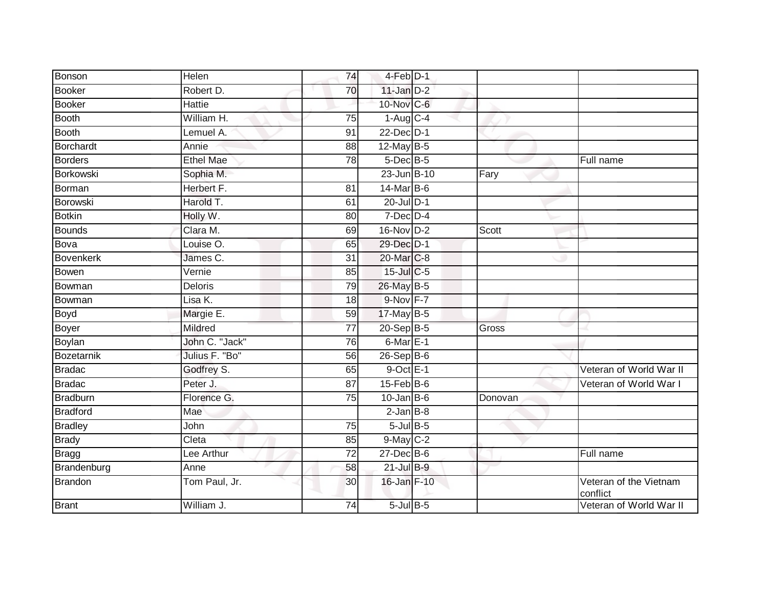| Bonson           | Helen            | 74              | 4-Feb D-1        |         |                                    |
|------------------|------------------|-----------------|------------------|---------|------------------------------------|
| Booker           | Robert D.        | 70              | $11$ -Jan $D-2$  |         |                                    |
| <b>Booker</b>    | <b>Hattie</b>    |                 | 10-Nov C-6       |         |                                    |
| Booth            | William H.       | 75              | $1-Aug$ $C-4$    |         |                                    |
| Booth            | Lemuel A.        | $\overline{91}$ | $22$ -Dec $D-1$  |         |                                    |
| Borchardt        | Annie            | 88              | 12-May B-5       |         |                                    |
| <b>Borders</b>   | <b>Ethel Mae</b> | 78              | $5$ -Dec $B$ -5  |         | Full name                          |
| Borkowski        | Sophia M.        |                 | 23-Jun B-10      | Fary    |                                    |
| Borman           | Herbert F.       | 81              | 14-Mar B-6       |         |                                    |
| <b>Borowski</b>  | Harold T.        | 61              | 20-Jul D-1       |         |                                    |
| <b>Botkin</b>    | Holly W.         | 80              | $7$ -Dec $D-4$   |         |                                    |
| Bounds           | Clara M.         | 69              | 16-Nov D-2       | Scott   |                                    |
| Bova             | Louise O.        | 65              | 29-Dec D-1       |         |                                    |
| <b>Bovenkerk</b> | James C.         | 31              | 20-Mar C-8       |         |                                    |
| Bowen            | Vernie           | 85              | 15-Jul C-5       |         |                                    |
| Bowman           | <b>Deloris</b>   | 79              | 26-May B-5       |         |                                    |
| Bowman           | Lisa K.          | 18              | $9-Nov$ F-7      |         |                                    |
| Boyd             | Margie E.        | 59              | $17$ -May B-5    |         |                                    |
| Boyer            | Mildred          | 77              | 20-Sep B-5       | Gross   |                                    |
| Boylan           | John C. "Jack"   | 76              | 6-Mar E-1        |         |                                    |
| Bozetarnik       | Julius F. "Bo"   | 56              | 26-Sep B-6       |         |                                    |
| <b>Bradac</b>    | Godfrey S.       | 65              | $9$ -Oct $E-1$   |         | Veteran of World War II            |
| <b>Bradac</b>    | Peter J.         | 87              | $15$ -Feb $B$ -6 |         | Veteran of World War I             |
| <b>Bradburn</b>  | Florence G.      | $\overline{75}$ | $10$ -Jan B-6    | Donovan |                                    |
| <b>Bradford</b>  | Mae              |                 | $2$ -Jan $B-8$   |         |                                    |
| <b>Bradley</b>   | John             | 75              | $5$ -Jul $B$ -5  |         |                                    |
| <b>Brady</b>     | Cleta            | 85              | $9$ -May $C-2$   |         |                                    |
| <b>Bragg</b>     | Lee Arthur       | 72              | 27-Dec B-6       |         | Full name                          |
| Brandenburg      | Anne             | 58              | $21$ -Jul $B-9$  |         |                                    |
| Brandon          | Tom Paul, Jr.    | 30              | 16-Jan F-10      |         | Veteran of the Vietnam<br>conflict |
| <b>Brant</b>     | William J.       | 74              | $5$ -Jul $B$ -5  |         | Veteran of World War II            |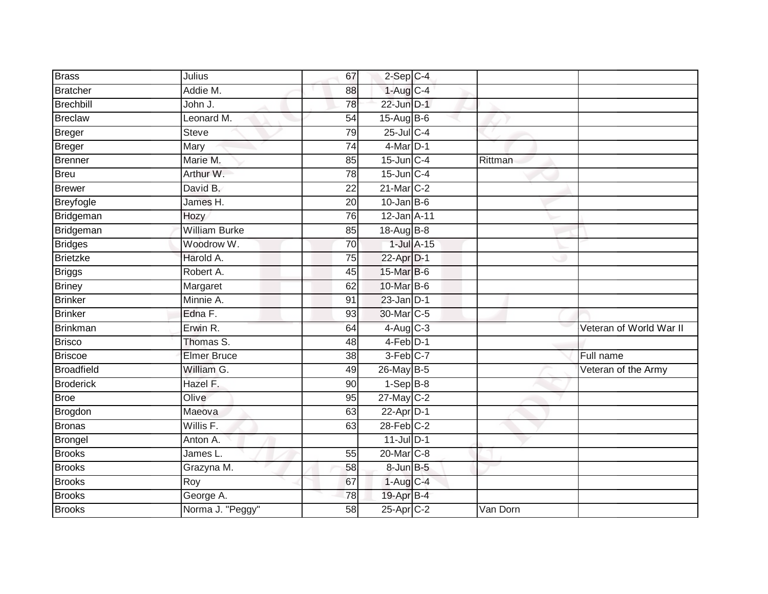| <b>Brass</b>      | Julius               | 67              | $2-Sep$ C-4           |          |                         |
|-------------------|----------------------|-----------------|-----------------------|----------|-------------------------|
| Bratcher          | Addie M.             | 88              | $1-Aug$ C-4           |          |                         |
| Brechbill         | John J.              | 78              | 22-Jun D-1            |          |                         |
| <b>Breclaw</b>    | Leonard M.           | 54              | $15-Aug$ B-6          |          |                         |
| Breger            | <b>Steve</b>         | 79              | 25-Jul C-4            |          |                         |
| Breger            | Mary                 | 74              | $4$ -Mar $D-1$        |          |                         |
| <b>Brenner</b>    | Marie M.             | 85              | $15$ -Jun $C-4$       | Rittman  |                         |
| Breu              | Arthur W.            | 78              | $15$ -Jun $C-4$       |          |                         |
| Brewer            | David B.             | 22              | $21$ -Mar $C-2$       |          |                         |
| Breyfogle         | James H.             | $\overline{20}$ | $10$ -Jan B-6         |          |                         |
| Bridgeman         | Hozy                 | 76              | 12-Jan A-11           |          |                         |
| Bridgeman         | <b>William Burke</b> | 85              | 18-Aug B-8            |          |                         |
| <b>Bridges</b>    | Woodrow W.           | 70              | $1$ -Jul $A-15$       |          |                         |
| <b>Brietzke</b>   | Harold A.            | 75              | 22-Apr D-1            |          |                         |
| <b>Briggs</b>     | Robert A.            | 45              | 15-Mar B-6            |          |                         |
| <b>Briney</b>     | Margaret             | 62              | 10-Mar B-6            |          |                         |
| <b>Brinker</b>    | Minnie A.            | 91              | $23$ -Jan $D-1$       |          |                         |
| <b>Brinker</b>    | Edna F.              | 93              | 30-Mar C-5            |          |                         |
| Brinkman          | Erwin R.             | 64              | $4$ -Aug C-3          |          | Veteran of World War II |
| <b>Brisco</b>     | Thomas S.            | 48              | $4-Feb$ D-1           |          |                         |
| <b>Briscoe</b>    | <b>Elmer Bruce</b>   | 38              | 3-Feb C-7             |          | Full name               |
| <b>Broadfield</b> | William G.           | 49              | 26-May B-5            |          | Veteran of the Army     |
| <b>Broderick</b>  | Hazel F.             | 90              | $1-Sep$ B-8           |          |                         |
| <b>Broe</b>       | Olive                | 95              | $27$ -May C-2         |          |                         |
| Brogdon           | Maeova               | 63              | $22$ -Apr $D-1$       |          |                         |
| <b>Bronas</b>     | Willis F.            | 63              | $28$ -Feb $C-2$       |          |                         |
| Brongel           | Anton A.             |                 | $11$ -Jul $D-1$       |          |                         |
| <b>Brooks</b>     | James L.             | 55              | 20-Mar <sub>C-8</sub> |          |                         |
| <b>Brooks</b>     | Grazyna M.           | 58              | $8$ -Jun $B$ -5       |          |                         |
| <b>Brooks</b>     | Roy                  | 67              | $1-Aug$ C-4           |          |                         |
| <b>Brooks</b>     | George A.            | 78              | 19-Apr B-4            |          |                         |
| <b>Brooks</b>     | Norma J. "Peggy"     | $\overline{58}$ | $25$ -Apr $C-2$       | Van Dorn |                         |
|                   |                      |                 |                       |          |                         |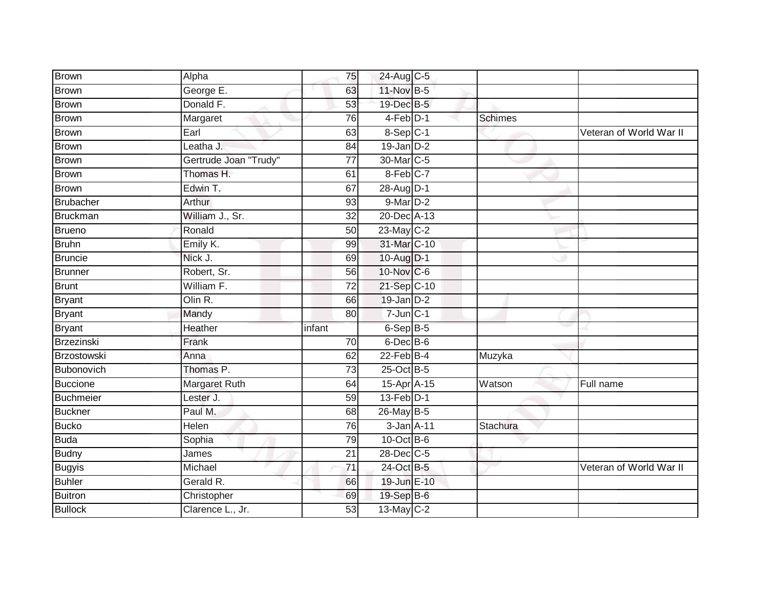| Donald F.             | 53                 |          |                                                                                                                                                                                                                                                                                                                                                                                                                                                                                                               |                         |
|-----------------------|--------------------|----------|---------------------------------------------------------------------------------------------------------------------------------------------------------------------------------------------------------------------------------------------------------------------------------------------------------------------------------------------------------------------------------------------------------------------------------------------------------------------------------------------------------------|-------------------------|
| Margaret              | 76                 |          | <b>Schimes</b>                                                                                                                                                                                                                                                                                                                                                                                                                                                                                                |                         |
| Earl                  | 63                 |          |                                                                                                                                                                                                                                                                                                                                                                                                                                                                                                               | Veteran of World War II |
| Leatha J.             | 84                 |          |                                                                                                                                                                                                                                                                                                                                                                                                                                                                                                               |                         |
| Gertrude Joan "Trudy" | 77                 |          |                                                                                                                                                                                                                                                                                                                                                                                                                                                                                                               |                         |
| Thomas H.             | 61                 |          |                                                                                                                                                                                                                                                                                                                                                                                                                                                                                                               |                         |
| Edwin T.              | 67                 |          |                                                                                                                                                                                                                                                                                                                                                                                                                                                                                                               |                         |
| Arthur                | 93                 |          |                                                                                                                                                                                                                                                                                                                                                                                                                                                                                                               |                         |
| William J., Sr.       | 32                 |          |                                                                                                                                                                                                                                                                                                                                                                                                                                                                                                               |                         |
| Ronald                | 50                 |          |                                                                                                                                                                                                                                                                                                                                                                                                                                                                                                               |                         |
| Emily K.              | 99                 |          |                                                                                                                                                                                                                                                                                                                                                                                                                                                                                                               |                         |
| Nick J.               | 69                 |          |                                                                                                                                                                                                                                                                                                                                                                                                                                                                                                               |                         |
| Robert, Sr.           | 56                 |          |                                                                                                                                                                                                                                                                                                                                                                                                                                                                                                               |                         |
| William F.            | $\overline{72}$    |          |                                                                                                                                                                                                                                                                                                                                                                                                                                                                                                               |                         |
| Olin R.               | 66                 |          |                                                                                                                                                                                                                                                                                                                                                                                                                                                                                                               |                         |
| Mandy                 | 80                 |          |                                                                                                                                                                                                                                                                                                                                                                                                                                                                                                               |                         |
| Heather               | infant             |          |                                                                                                                                                                                                                                                                                                                                                                                                                                                                                                               |                         |
| Frank                 | 70                 |          |                                                                                                                                                                                                                                                                                                                                                                                                                                                                                                               |                         |
| Anna                  | 62                 |          | Muzyka                                                                                                                                                                                                                                                                                                                                                                                                                                                                                                        |                         |
| Thomas P.             | $\overline{73}$    |          |                                                                                                                                                                                                                                                                                                                                                                                                                                                                                                               |                         |
| Margaret Ruth         | 64                 |          | Watson                                                                                                                                                                                                                                                                                                                                                                                                                                                                                                        | Full name               |
| Lester J.             | 59                 |          |                                                                                                                                                                                                                                                                                                                                                                                                                                                                                                               |                         |
| Paul M.               | 68                 |          |                                                                                                                                                                                                                                                                                                                                                                                                                                                                                                               |                         |
| Helen                 | 76                 |          | Stachura                                                                                                                                                                                                                                                                                                                                                                                                                                                                                                      |                         |
| Sophia                | 79                 |          |                                                                                                                                                                                                                                                                                                                                                                                                                                                                                                               |                         |
| James                 | 21                 |          |                                                                                                                                                                                                                                                                                                                                                                                                                                                                                                               |                         |
| Michael               | 71                 |          |                                                                                                                                                                                                                                                                                                                                                                                                                                                                                                               | Veteran of World War II |
| Gerald R.             | 66                 |          |                                                                                                                                                                                                                                                                                                                                                                                                                                                                                                               |                         |
| Christopher           | 69                 |          |                                                                                                                                                                                                                                                                                                                                                                                                                                                                                                               |                         |
| Clarence L., Jr.      | 53                 |          |                                                                                                                                                                                                                                                                                                                                                                                                                                                                                                               |                         |
|                       | Alpha<br>George E. | 75<br>63 | 24-Aug C-5<br>11-Nov B-5<br>19-Dec B-5<br>$4-Feb$ D-1<br>$8-Sep$ C-1<br>$19$ -Jan $D-2$<br>30-Mar <sub>IC-5</sub><br>8-Feb C-7<br>28-Aug D-1<br>$9-MarD-2$<br>20-Dec A-13<br>23-May C-2<br>31-Mar C-10<br>10-Aug D-1<br>10-Nov C-6<br>21-Sep C-10<br>$19$ -Jan $D-2$<br>$7 - Jun$ $C - 1$<br>$6-Sep$ B-5<br>$6$ -Dec $B$ -6<br>$22$ -Feb $B-4$<br>25-Oct B-5<br>15-Apr A-15<br>13-Feb D-1<br>26-May B-5<br>3-Jan A-11<br>$10$ -Oct B-6<br>28-Dec C-5<br>24-Oct B-5<br>19-Jun E-10<br>19-Sep B-6<br>13-May C-2 |                         |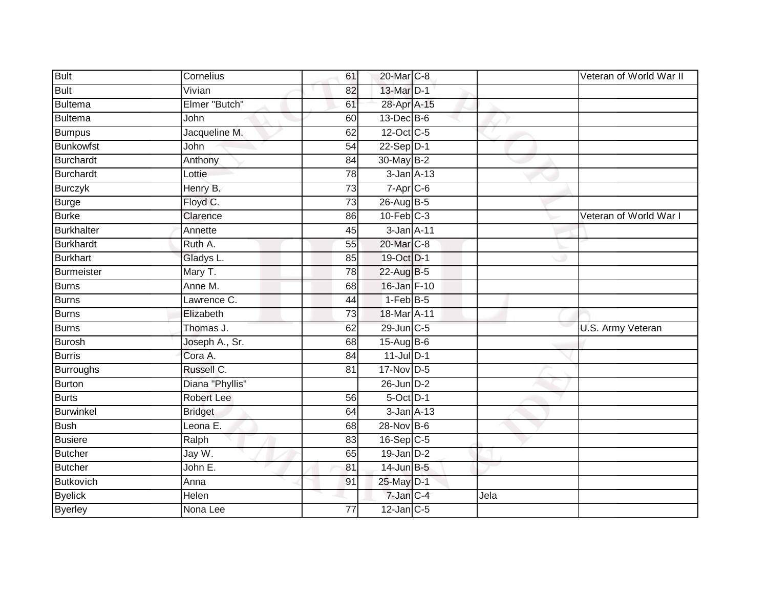| <b>Bult</b>       | Cornelius         | 61              | 20-Mar C-8       |      | Veteran of World War II |
|-------------------|-------------------|-----------------|------------------|------|-------------------------|
| <b>Bult</b>       | Vivian            | 82              | 13-Mar D-1       |      |                         |
| Bultema           | Elmer "Butch"     | 61              | 28-Apr A-15      |      |                         |
| Bultema           | John              | 60              | $13$ -Dec $B$ -6 |      |                         |
| <b>Bumpus</b>     | Jacqueline M.     | 62              | 12-Oct C-5       |      |                         |
| <b>Bunkowfst</b>  | John              | 54              | $22-Sep$ D-1     |      |                         |
| Burchardt         | Anthony           | 84              | 30-May B-2       |      |                         |
| Burchardt         | Lottie            | 78              | $3$ -Jan $A-13$  |      |                         |
| <b>Burczyk</b>    | Henry B.          | 73              | $7-Apr$ C-6      |      |                         |
| <b>Burge</b>      | Floyd C.          | $\overline{73}$ | 26-Aug B-5       |      |                         |
| <b>Burke</b>      | Clarence          | 86              | $10$ -Feb $C-3$  |      | Veteran of World War I  |
| <b>Burkhalter</b> | Annette           | 45              | 3-Jan A-11       |      |                         |
| <b>Burkhardt</b>  | Ruth A.           | 55              | 20-Mar C-8       |      |                         |
| <b>Burkhart</b>   | Gladys L.         | 85              | 19-Oct D-1       |      |                         |
| Burmeister        | Mary T.           | 78              | 22-Aug B-5       |      |                         |
| Burns             | Anne M.           | 68              | 16-Jan F-10      |      |                         |
| Burns             | Lawrence C.       | 44              | $1-FebB-5$       |      |                         |
| Burns             | Elizabeth         | 73              | 18-Mar A-11      |      |                         |
| Burns             | Thomas J.         | 62              | 29-Jun C-5       |      | U.S. Army Veteran       |
| <b>Burosh</b>     | Joseph A., Sr.    | 68              | $15-Aug$ B-6     |      |                         |
| <b>Burris</b>     | Cora A.           | 84              | $11$ -Jul $D-1$  |      |                         |
| Burroughs         | Russell C.        | 81              | $17$ -Nov D-5    |      |                         |
| Burton            | Diana "Phyllis"   |                 | $26$ -Jun $D-2$  |      |                         |
| Burts             | <b>Robert Lee</b> | 56              | $5$ -Oct $D-1$   |      |                         |
| Burwinkel         | <b>Bridget</b>    | 64              | $3$ -Jan $A-13$  |      |                         |
| <b>Bush</b>       | Leona E.          | 68              | 28-Nov B-6       |      |                         |
| <b>Busiere</b>    | Ralph             | 83              | 16-Sep C-5       |      |                         |
| Butcher           | Jay W.            | 65              | $19$ -Jan $D-2$  |      |                         |
| Butcher           | John E.           | 81              | 14-Jun B-5       |      |                         |
| Butkovich         | Anna              | 91              | 25-May D-1       |      |                         |
| <b>Byelick</b>    | Helen             |                 | 7-Jan C-4        | Jela |                         |
| <b>Byerley</b>    | Nona Lee          | 77              | $12$ -Jan $C-5$  |      |                         |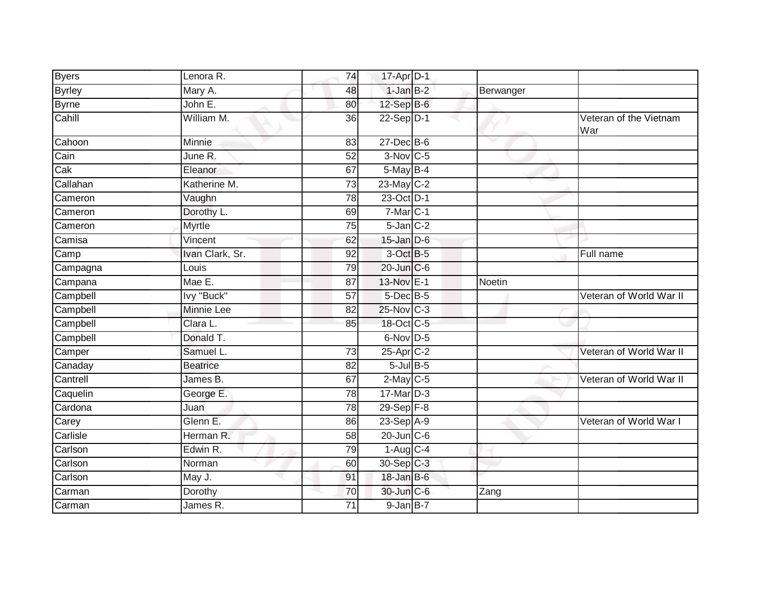| <b>Byers</b>  | Lenora R.       | 74              | 17-Apr D-1             |               |                               |
|---------------|-----------------|-----------------|------------------------|---------------|-------------------------------|
| <b>Byrley</b> | Mary A.         | 48              | $1-JanB-2$             | Berwanger     |                               |
| <b>Byrne</b>  | John E.         | 80              | $12$ -Sep B-6          |               |                               |
| Cahill        | William M.      | 36              | 22-Sep D-1             |               | Veteran of the Vietnam<br>War |
| Cahoon        | Minnie          | 83              | $27$ -Dec $B$ -6       |               |                               |
| Cain          | June R.         | $\overline{52}$ | 3-Nov C-5              |               |                               |
| Cak           | Eleanor         | 67              | $5$ -May $B-4$         |               |                               |
| Callahan      | Katherine M.    | $\overline{73}$ | 23-May C-2             |               |                               |
| Cameron       | Vaughn          | 78              | 23-Oct D-1             |               |                               |
| Cameron       | Dorothy L.      | 69              | $7-Mar$ C-1            |               |                               |
| Cameron       | <b>Myrtle</b>   | 75              | $5$ -Jan $C-2$         |               |                               |
| Camisa        | Vincent         | 62              | $15$ -Jan $D-6$        |               |                               |
| Camp          | Ivan Clark, Sr. | 92              | 3-Oct B-5              |               | Full name                     |
| Campagna      | Louis           | 79              | 20-Jun C-6             |               |                               |
| Campana       | Mae E.          | 87              | 13-Nov E-1             | <b>Noetin</b> |                               |
| Campbell      | Ivy "Buck"      | 57              | $5$ -Dec $B$ -5        |               | Veteran of World War II       |
| Campbell      | Minnie Lee      | 82              | 25-Nov C-3             |               |                               |
| Campbell      | Clara L.        | 85              | 18-Oct C-5             |               |                               |
| Campbell      | Donald T.       |                 | $6$ -Nov $D-5$         |               |                               |
| Camper        | Samuel L.       | 73              | 25-Apr C-2             |               | Veteran of World War II       |
| Canaday       | <b>Beatrice</b> | 82              | $5$ -Jul $B$ -5        |               |                               |
| Cantrell      | James B.        | 67              | $2$ -May C-5           |               | Veteran of World War II       |
| Caquelin      | George E.       | 78              | 17-Mar D-3             |               |                               |
| Cardona       | Juan            | 78              | 29-Sep F-8             |               |                               |
| Carey         | Glenn E.        | 86              | 23-Sep A-9             |               | Veteran of World War I        |
| Carlisle      | Herman R.       | 58              | $20$ -Jun $C$ -6       |               |                               |
| Carlson       | Edwin R.        | 79              | $1-Aug$ <sub>C-4</sub> |               |                               |
| Carlson       | Norman          | 60              | 30-Sep C-3             |               |                               |
| Carlson       | May J.          | 91              | $18$ -Jan B-6          |               |                               |
| Carman        | Dorothy         | 70              | 30-Jun C-6             | Zang          |                               |
| Carman        | James R.        | 71              | $9$ -Jan $B-7$         |               |                               |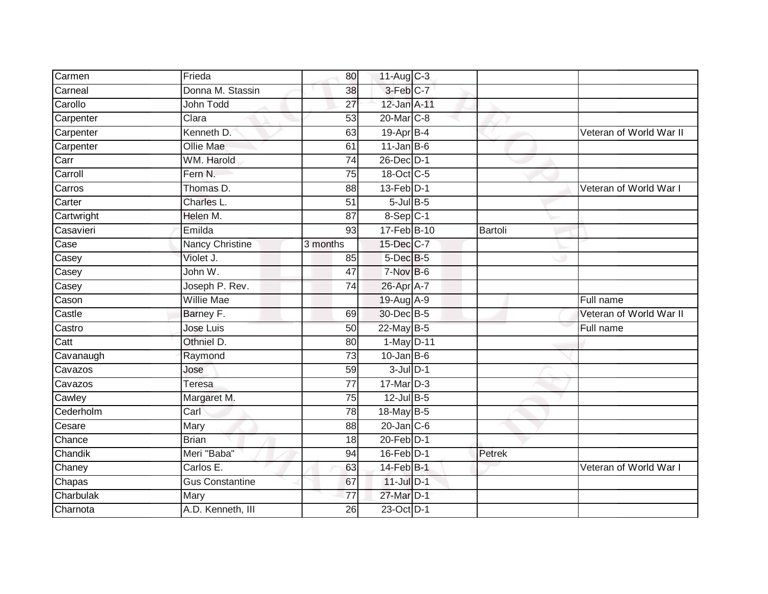|            | Frieda                 | 80              | 11-Aug C-3             |         |                         |
|------------|------------------------|-----------------|------------------------|---------|-------------------------|
| Carmen     |                        |                 |                        |         |                         |
| Carneal    | Donna M. Stassin       | 38              | 3-Feb C-7              |         |                         |
| Carollo    | John Todd              | $\overline{27}$ | 12-Jan A-11            |         |                         |
| Carpenter  | Clara                  | 53              | 20-Mar C-8             |         |                         |
| Carpenter  | Kenneth D.             | 63              | 19-Apr B-4             |         | Veteran of World War II |
| Carpenter  | <b>Ollie Mae</b>       | 61              | $11$ -Jan B-6          |         |                         |
| Carr       | WM. Harold             | 74              | 26-Dec D-1             |         |                         |
| Carroll    | Fern N.                | 75              | 18-Oct C-5             |         |                         |
| Carros     | Thomas D.              | 88              | $13$ -Feb $D-1$        |         | Veteran of World War I  |
| Carter     | Charles L.             | $\overline{51}$ | $5$ -Jul $B$ -5        |         |                         |
| Cartwright | Helen M.               | 87              | $8-Sep$ <sub>C-1</sub> |         |                         |
| Casavieri  | Emilda                 | 93              | 17-Feb B-10            | Bartoli |                         |
| Case       | <b>Nancy Christine</b> | 3 months        | 15-Dec C-7             |         |                         |
| Casey      | Violet J.              | 85              | 5-Dec B-5              |         |                         |
| Casey      | John W.                | $\overline{47}$ | 7-Nov B-6              |         |                         |
| Casey      | Joseph P. Rev.         | 74              | 26-Apr A-7             |         |                         |
| Cason      | <b>Willie Mae</b>      |                 | 19-Aug A-9             |         | Full name               |
| Castle     | Barney F.              | 69              | 30-Dec B-5             |         | Veteran of World War II |
| Castro     | Jose Luis              | 50              | 22-May B-5             |         | Full name               |
| Catt       | Othniel D.             | 80              | $1-May$ D-11           |         |                         |
| Cavanaugh  | Raymond                | 73              | $10$ -Jan B-6          |         |                         |
| Cavazos    | Jose                   | 59              | $3$ -Jul $D-1$         |         |                         |
| Cavazos    | <b>Teresa</b>          | 77              | $17$ -Mar $D-3$        |         |                         |
| Cawley     | Margaret M.            | 75              | $12$ -Jul B-5          |         |                         |
| Cederholm  | Carl                   | 78              | 18-May B-5             |         |                         |
| Cesare     | Mary                   | 88              | $20$ -Jan $C$ -6       |         |                         |
| Chance     | <b>Brian</b>           | 18              | $20$ -Feb $D-1$        |         |                         |
| Chandik    | Meri "Baba"            | 94              | $16$ -Feb $D-1$        | Petrek  |                         |
| Chaney     | Carlos E.              | 63              | $14$ -Feb $B-1$        |         | Veteran of World War I  |
| Chapas     | <b>Gus Constantine</b> | 67              | $11$ -Jul $D-1$        |         |                         |
| Charbulak  | Mary                   | 77              | 27-Mar D-1             |         |                         |
| Charnota   | A.D. Kenneth, III      | 26              | 23-Oct D-1             |         |                         |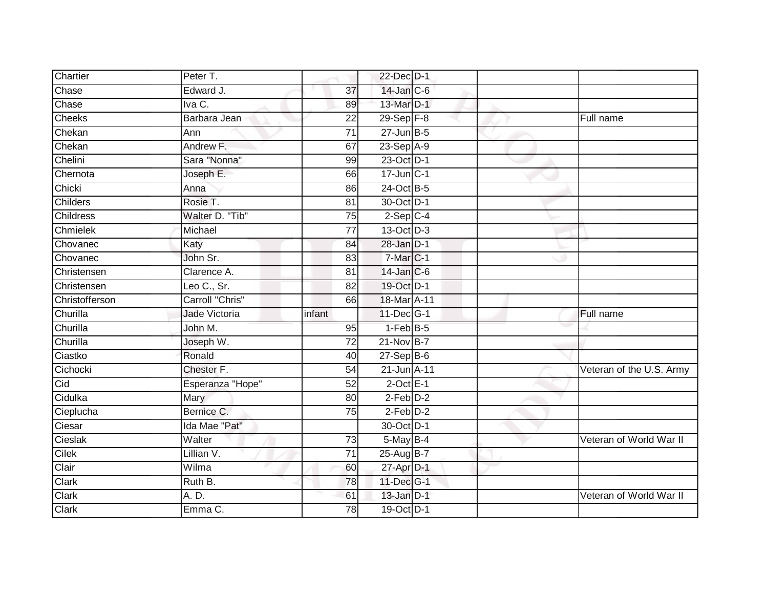| Chartier       | Peter T.         |                 | 22-Dec D-1        |  |                          |
|----------------|------------------|-----------------|-------------------|--|--------------------------|
| Chase          | Edward J.        | $\overline{37}$ | 14-Jan C-6        |  |                          |
| Chase          | Iva C.           | 89              | 13-Mar D-1        |  |                          |
| Cheeks         | Barbara Jean     | $\overline{22}$ | 29-Sep F-8        |  | Full name                |
| Chekan         | Ann              | $\overline{71}$ | $27 - Jun$ B-5    |  |                          |
| Chekan         | Andrew F.        | 67              | 23-Sep A-9        |  |                          |
| Chelini        | Sara "Nonna"     | 99              | 23-Oct D-1        |  |                          |
| Chernota       | Joseph E.        | 66              | 17-Jun C-1        |  |                          |
| Chicki         | Anna             | 86              | 24-Oct B-5        |  |                          |
| Childers       | Rosie T.         | 81              | 30-Oct D-1        |  |                          |
| Childress      | Walter D. "Tib"  | $\overline{75}$ | $2-Sep$ C-4       |  |                          |
| Chmielek       | Michael          | 77              | 13-Oct D-3        |  |                          |
| Chovanec       | Katy             | 84              | $28$ -Jan $D-1$   |  |                          |
| Chovanec       | John Sr.         | 83              | 7-Mar C-1         |  |                          |
| Christensen    | Clarence A.      | $\overline{81}$ | 14-Jan C-6        |  |                          |
| Christensen    | Leo C., Sr.      | 82              | 19-Oct D-1        |  |                          |
| Christofferson | Carroll "Chris"  | 66              | 18-Mar A-11       |  |                          |
| Churilla       | Jade Victoria    | infant          | $11$ -Dec $ G-1 $ |  | Full name                |
| Churilla       | John M.          | 95              | $1-FebB-5$        |  |                          |
| Churilla       | Joseph W.        | $\overline{72}$ | $21-Nov$ B-7      |  |                          |
| Ciastko        | Ronald           | 40              | $27-Sep$ B-6      |  |                          |
| Cichocki       | Chester F.       | 54              | 21-Jun A-11       |  | Veteran of the U.S. Army |
| Cid            | Esperanza "Hope" | 52              | $2$ -Oct $E-1$    |  |                          |
| Cidulka        | Mary             | 80              | $2$ -Feb $D-2$    |  |                          |
| Cieplucha      | Bernice C.       | 75              | $2-Feb$ D-2       |  |                          |
| Ciesar         | Ida Mae "Pat"    |                 | 30-Oct D-1        |  |                          |
| Cieslak        | Walter           | 73              | 5-May B-4         |  | Veteran of World War II  |
| Cilek          | Lillian V.       | 71              | 25-Aug B-7        |  |                          |
| Clair          | Wilma            | 60              | 27-Apr D-1        |  |                          |
| Clark          | Ruth B.          | 78              | 11-Dec G-1        |  |                          |
| Clark          | A. D.            | 61              | $13$ -Jan $D-1$   |  | Veteran of World War II  |
| Clark          | Emma C.          | 78              | 19-Oct D-1        |  |                          |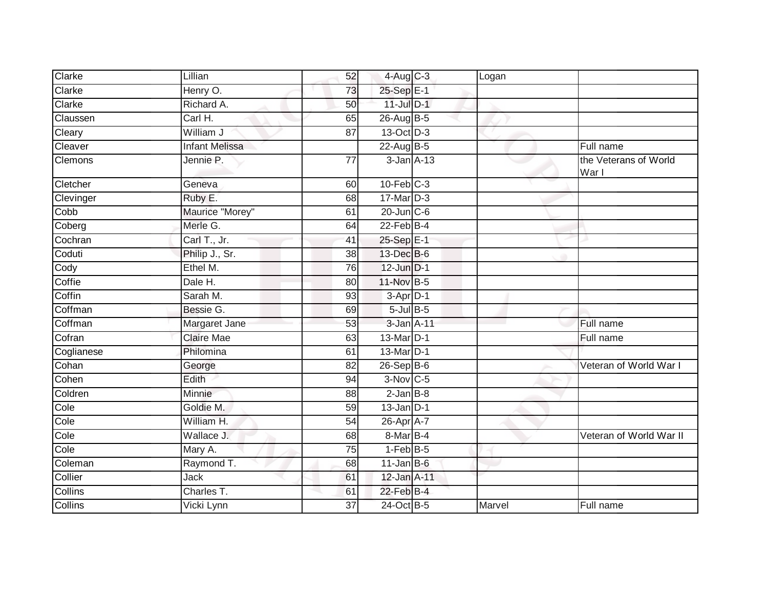| Clarke     | Lillian               | 52              | $4$ -Aug C-3    | Logan  |                                |
|------------|-----------------------|-----------------|-----------------|--------|--------------------------------|
| Clarke     | Henry O.              | 73              | 25-Sep E-1      |        |                                |
| Clarke     | Richard A.            | 50              | 11-Jul D-1      |        |                                |
| Claussen   | Carl H.               | 65              | 26-Aug B-5      |        |                                |
| Cleary     | William J             | $\overline{87}$ | 13-Oct D-3      |        |                                |
| Cleaver    | <b>Infant Melissa</b> |                 | $22-AugB-5$     |        | Full name                      |
| Clemons    | Jennie P.             | 77              | 3-Jan A-13      |        | the Veterans of World<br>War I |
| Cletcher   | Geneva                | 60              | $10$ -Feb $C-3$ |        |                                |
| Clevinger  | Ruby E.               | 68              | $17$ -Mar $D-3$ |        |                                |
| Cobb       | Maurice "Morey"       | 61              | $20$ -Jun $C-6$ |        |                                |
| Coberg     | Merle G.              | 64              | $22$ -Feb $B-4$ |        |                                |
| Cochran    | Carl T., Jr.          | 41              | 25-Sep E-1      |        |                                |
| Coduti     | Philip J., Sr.        | $\overline{38}$ | 13-Dec B-6      |        |                                |
| Cody       | Ethel M.              | 76              | 12-Jun D-1      |        |                                |
| Coffie     | Dale H.               | 80              | 11-Nov B-5      |        |                                |
| Coffin     | Sarah M.              | 93              | $3-Apr$ D-1     |        |                                |
| Coffman    | Bessie G.             | 69              | $5$ -Jul $B$ -5 |        |                                |
| Coffman    | Margaret Jane         | 53              | 3-Jan A-11      |        | Full name                      |
| Cofran     | <b>Claire Mae</b>     | 63              | 13-Mar D-1      |        | <b>Eull</b> name               |
| Coglianese | Philomina             | 61              | 13-Mar D-1      |        |                                |
| Cohan      | George                | 82              | $26-Sep$ B-6    |        | Veteran of World War I         |
| Cohen      | Edith                 | 94              | 3-Nov C-5       |        |                                |
| Coldren    | Minnie                | 88              | $2$ -Jan $B-8$  |        |                                |
| Cole       | Goldie M.             | 59              | $13$ -Jan $D-1$ |        |                                |
| Cole       | William H.            | 54              | 26-Apr A-7      |        |                                |
| Cole       | Wallace J.            | 68              | 8-Mar B-4       |        | Veteran of World War II        |
| Cole       | Mary A.               | 75              | $1-FebB-5$      |        |                                |
| Coleman    | Raymond T.            | 68              | $11$ -Jan B-6   |        |                                |
| Collier    | Jack                  | 61              | 12-Jan A-11     |        |                                |
| Collins    | Charles T.            | 61              | $22$ -Feb $B-4$ |        |                                |
| Collins    | Vicki Lynn            | 37              | 24-Oct B-5      | Marvel | Full name                      |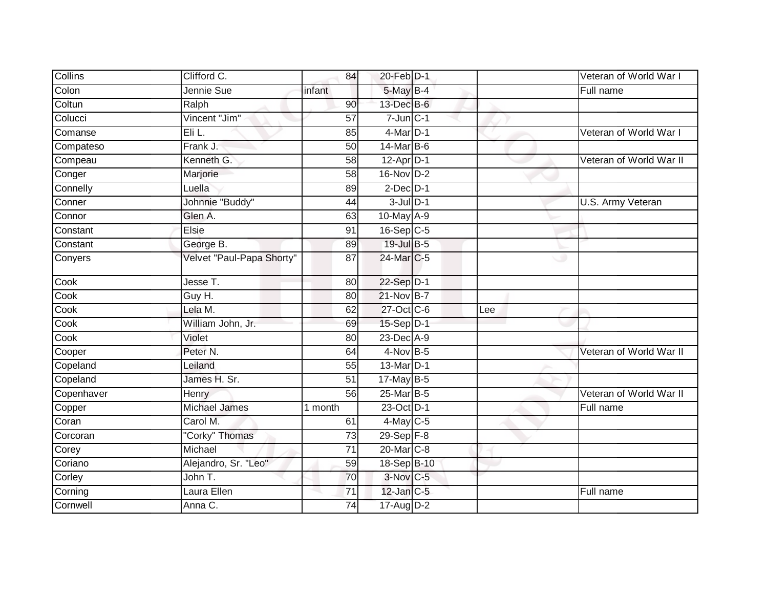| Collins    | Clifford C.               | 84              | 20-Feb D-1              |     | Veteran of World War I  |
|------------|---------------------------|-----------------|-------------------------|-----|-------------------------|
| Colon      | Jennie Sue                | infant          | 5-May B-4               |     | Full name               |
| Coltun     | Ralph                     | 90              | 13-Dec B-6              |     |                         |
| Colucci    | Vincent "Jim"             | 57              | $7$ -Jun $C-1$          |     |                         |
| Comanse    | Eli L.                    | 85              | $4$ -Mar $D-1$          |     | Veteran of World War I  |
| Compateso  | Frank J.                  | 50              | 14-Mar B-6              |     |                         |
| Compeau    | Kenneth G.                | 58              | $12$ -Apr $D-1$         |     | Veteran of World War II |
| Conger     | Marjorie                  | 58              | $16-NovD-2$             |     |                         |
| Connelly   | Luella                    | 89              | $2$ -Dec $D-1$          |     |                         |
| Conner     | Johnnie "Buddy"           | 44              | $3$ -Jul $D-1$          |     | U.S. Army Veteran       |
| Connor     | Glen A.                   | 63              | 10-May A-9              |     |                         |
| Constant   | Elsie                     | 91              | $16-Sep$ <sub>C-5</sub> |     |                         |
| Constant   | George B.                 | 89              | 19-Jul B-5              |     |                         |
| Conyers    | Velvet "Paul-Papa Shorty" | 87              | 24-Mar C-5              | پ   |                         |
| Cook       | Jesse T.                  | 80              | 22-Sep D-1              |     |                         |
| Cook       | Guy H.                    | 80              | 21-Nov B-7              |     |                         |
| Cook       | Lela M.                   | 62              | 27-Oct C-6              | Lee |                         |
| Cook       | William John, Jr.         | 69              | 15-Sep D-1              |     |                         |
| Cook       | Violet                    | 80              | 23-Dec A-9              |     |                         |
| Cooper     | Peter N.                  | 64              | $4$ -Nov B-5            |     | Veteran of World War II |
| Copeland   | Leiland                   | 55              | 13-Mar D-1              |     |                         |
| Copeland   | James H. Sr.              | 51              | $17$ -May B-5           |     |                         |
| Copenhaver | Henry                     | 56              | 25-Mar B-5              |     | Veteran of World War II |
| Copper     | Michael James             | 1 month         | 23-Oct D-1              |     | Full name               |
| Coran      | Carol M.                  | 61              | $4$ -May C-5            |     |                         |
| Corcoran   | "Corky" Thomas            | 73              | $29-Sep$ $F-8$          |     |                         |
| Corey      | Michael                   | $\overline{71}$ | 20-Mar C-8              |     |                         |
| Coriano    | Alejandro, Sr. "Leo"      | 59              | 18-Sep B-10             |     |                         |
| Corley     | John T.                   | 70              | 3-Nov C-5               |     |                         |
| Corning    | Laura Ellen               | 71              | $12$ -Jan $C-5$         |     | Full name               |
| Cornwell   | Anna C.                   | 74              | 17-Aug D-2              |     |                         |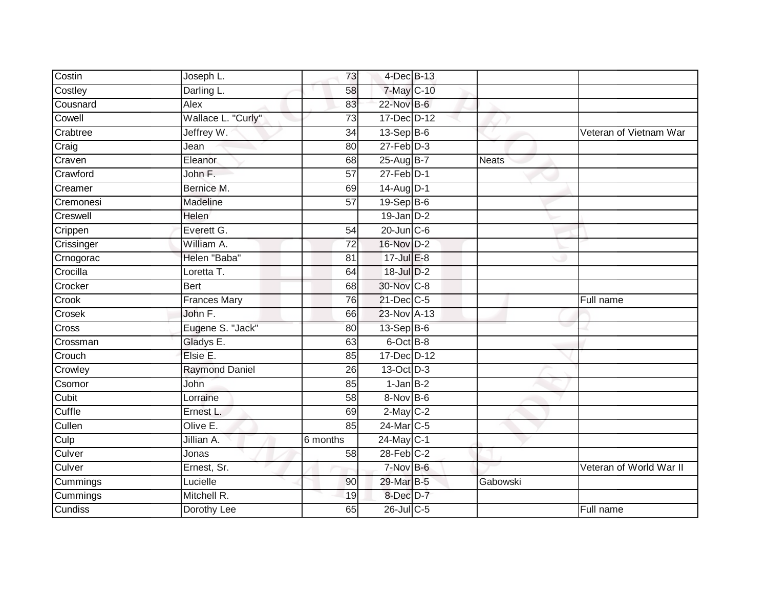| Costin     | Joseph L.             | 73              | 4-Dec B-13             |              |                         |
|------------|-----------------------|-----------------|------------------------|--------------|-------------------------|
| Costley    | Darling L.            | 58              | 7-May C-10             |              |                         |
| Cousnard   | Alex                  | 83              | 22-Nov B-6             |              |                         |
| Cowell     | Wallace L. "Curly"    | $\overline{73}$ | 17-Dec D-12            |              |                         |
| Crabtree   | Jeffrey W.            | $\overline{34}$ | $13-SepB-6$            |              | Veteran of Vietnam War  |
| Craig      | Jean                  | 80              | $27$ -Feb $D-3$        |              |                         |
| Craven     | Eleanor               | 68              | 25-Aug B-7             | <b>Neats</b> |                         |
| Crawford   | John F.               | 57              | $27$ -Feb $D-1$        |              |                         |
| Creamer    | Bernice M.            | 69              | 14-Aug D-1             |              |                         |
| Cremonesi  | Madeline              | $\overline{57}$ | 19-Sep B-6             |              |                         |
| Creswell   | Helen                 |                 | $19$ -Jan $D-2$        |              |                         |
| Crippen    | Everett G.            | 54              | $20$ -Jun $C-6$        |              |                         |
| Crissinger | William A.            | 72              | 16-Nov D-2             |              |                         |
| Crnogorac  | Helen "Baba"          | 81              | $17 -$ Jul $E - 8$     |              |                         |
| Crocilla   | Loretta T.            | 64              | 18-Jul D-2             |              |                         |
| Crocker    | <b>Bert</b>           | 68              | 30-Nov C-8             |              |                         |
| Crook      | <b>Frances Mary</b>   | 76              | 21-Dec C-5             |              | Full name               |
| Crosek     | John F.               | 66              | 23-Nov A-13            |              |                         |
| Cross      | Eugene S. "Jack"      | 80              | 13-Sep B-6             |              |                         |
| Crossman   | Gladys E.             | 63              | 6-Oct B-8              |              |                         |
| Crouch     | Elsie E.              | 85              | 17-Dec D-12            |              |                         |
| Crowley    | <b>Raymond Daniel</b> | 26              | 13-Oct D-3             |              |                         |
| Csomor     | John                  | 85              | $1-JanB-2$             |              |                         |
| Cubit      | Lorraine              | 58              | 8-Nov B-6              |              |                         |
| Cuffle     | Ernest L.             | 69              | $2$ -May C-2           |              |                         |
| Cullen     | Olive E.              | 85              | 24-Mar <sub>IC-5</sub> |              |                         |
| Culp       | Jillian A.            | 6 months        | 24-May C-1             |              |                         |
| Culver     | Jonas                 | 58              | $28$ -Feb $C-2$        |              |                         |
| Culver     | Ernest, Sr.           |                 | 7-Nov B-6              |              | Veteran of World War II |
| Cummings   | Lucielle              | 90              | 29-Mar B-5             | Gabowski     |                         |
| Cummings   | Mitchell R.           | 19              | 8-Dec D-7              |              |                         |
| Cundiss    | Dorothy Lee           | 65              | 26-Jul C-5             |              | Full name               |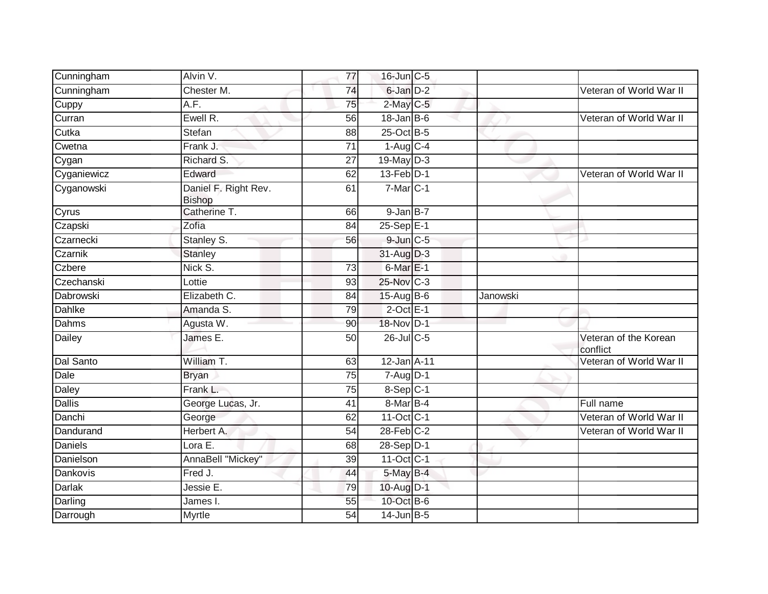| Cunningham      | Alvin V.                              | 77 | 16-Jun C-5             |          |                                   |
|-----------------|---------------------------------------|----|------------------------|----------|-----------------------------------|
| Cunningham      | Chester M.                            | 74 | 6-Jan D-2              |          | Veteran of World War II           |
| Cuppy           | A.F.                                  | 75 | $2$ -May C-5           |          |                                   |
| Curran          | Ewell R.                              | 56 | $18$ -Jan B-6          |          | Veteran of World War II           |
| Cutka           | Stefan                                | 88 | 25-Oct B-5             |          |                                   |
| Cwetna          | Frank J.                              | 71 | $1-Aug$ <sub>C-4</sub> |          |                                   |
| Cygan           | Richard S.                            | 27 | 19-May D-3             |          |                                   |
| Cyganiewicz     | Edward                                | 62 | $13$ -Feb $D-1$        |          | Veteran of World War II           |
| Cyganowski      | Daniel F. Right Rev.<br><b>Bishop</b> | 61 | $7-MarC-1$             |          |                                   |
| Cyrus           | Catherine T.                          | 66 | $9$ -Jan $B-7$         |          |                                   |
| Czapski         | Zofia                                 | 84 | 25-Sep E-1             |          |                                   |
| Czarnecki       | Stanley S.                            | 56 | $9$ -Jun $C - 5$       |          |                                   |
| Czarnik         | Stanley                               |    | 31-Aug D-3             |          |                                   |
| Czbere          | Nick S.                               | 73 | $6$ -Mar $E-1$         |          |                                   |
| Czechanski      | Lottie                                | 93 | 25-Nov C-3             |          |                                   |
| Dabrowski       | Elizabeth C.                          | 84 | $15$ -AugB-6           | Janowski |                                   |
| <b>Dahlke</b>   | Amanda S.                             | 79 | $2$ -Oct $E-1$         |          |                                   |
| <b>Dahms</b>    | Agusta W.                             | 90 | 18-Nov D-1             |          |                                   |
| Dailey          | James E.                              | 50 | 26-Jul C-5             |          | Veteran of the Korean<br>conflict |
| Dal Santo       | William T.                            | 63 | 12-Jan A-11            |          | Veteran of World War II           |
| Dale            | <b>Bryan</b>                          | 75 | $7 - Aug$ $D-1$        |          |                                   |
| Daley           | Frank L.                              | 75 | 8-Sep C-1              |          |                                   |
| <b>Dallis</b>   | George Lucas, Jr.                     | 41 | 8-Mar B-4              |          | Full name                         |
| Danchi          | George                                | 62 | 11-Oct C-1             |          | Veteran of World War II           |
| Dandurand       | Herbert A.                            | 54 | $28$ -Feb $C-2$        |          | Veteran of World War II           |
| <b>Daniels</b>  | Lora E.                               | 68 | 28-Sep D-1             |          |                                   |
| Danielson       | AnnaBell "Mickey"                     | 39 | 11-Oct C-1             |          |                                   |
| <b>Dankovis</b> | Fred J.                               | 44 | 5-May B-4              |          |                                   |
| <b>Darlak</b>   | Jessie E.                             | 79 | 10-Aug D-1             |          |                                   |
| Darling         | James I.                              | 55 | 10-Oct B-6             |          |                                   |
| Darrough        | Myrtle                                | 54 | $14$ -Jun $B-5$        |          |                                   |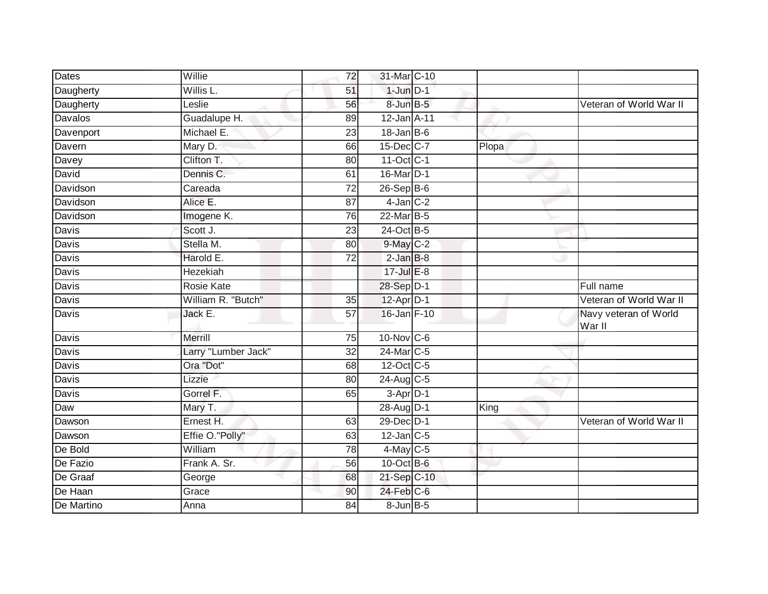| <b>Dates</b> | Willie              | 72              | 31-Mar C-10        |       |                                 |
|--------------|---------------------|-----------------|--------------------|-------|---------------------------------|
| Daugherty    | Willis L.           | 51              | $1$ -Jun $D-1$     |       |                                 |
| Daugherty    | Leslie              | 56              | 8-Jun B-5          |       | Veteran of World War II         |
| Davalos      | Guadalupe H.        | 89              | 12-Jan A-11        |       |                                 |
| Davenport    | Michael E.          | $\overline{23}$ | $18$ -Jan B-6      |       |                                 |
| Davern       | Mary D.             | 66              | 15-Dec C-7         | Plopa |                                 |
| Davey        | Clifton T.          | 80              | 11-Oct C-1         |       |                                 |
| David        | Dennis C.           | 61              | 16-Mar D-1         |       |                                 |
| Davidson     | Careada             | 72              | $26-Sep$ B-6       |       |                                 |
| Davidson     | Alice E.            | 87              | $4$ -Jan $C-2$     |       |                                 |
| Davidson     | Imogene K.          | 76              | 22-Mar B-5         |       |                                 |
| Davis        | Scott J.            | 23              | 24-Oct B-5         |       |                                 |
| Davis        | Stella M.           | 80              | 9-May C-2          |       |                                 |
| Davis        | Harold E.           | $\overline{72}$ | $2$ -Jan $B-8$     |       |                                 |
| <b>Davis</b> | <b>Hezekiah</b>     |                 | $17 -$ Jul $E - 8$ |       |                                 |
| Davis        | <b>Rosie Kate</b>   |                 | 28-Sep D-1         |       | Full name                       |
| <b>Davis</b> | William R. "Butch"  | $\overline{35}$ | $12-Apr2 - 1$      |       | Veteran of World War II         |
| Davis        | Jack E.             | 57              | 16-Jan F-10        |       | Navy veteran of World<br>War II |
| Davis        | Merrill             | 75              | 10-Nov C-6         |       |                                 |
| <b>Davis</b> | Larry "Lumber Jack" | 32              | 24-Mar C-5         |       |                                 |
| Davis        | Ora "Dot"           | 68              | 12-Oct C-5         |       |                                 |
| Davis        | Lizzie              | 80              | 24-Aug C-5         |       |                                 |
| Davis        | Gorrel F.           | 65              | $3-Apr$ D-1        |       |                                 |
| Daw          | Mary T.             |                 | 28-Aug D-1         | King  |                                 |
| Dawson       | Ernest H.           | 63              | 29-Dec D-1         |       | Veteran of World War II         |
| Dawson       | Effie O."Polly"     | 63              | $12$ -Jan C-5      |       |                                 |
| De Bold      | William             | $\overline{78}$ | $4$ -May C-5       |       |                                 |
| De Fazio     | Frank A. Sr.        | 56              | 10-Oct B-6         |       |                                 |
| De Graaf     | George              | 68              | 21-Sep C-10        |       |                                 |
| De Haan      | Grace               | 90              | 24-Feb C-6         |       |                                 |
| De Martino   | Anna                | 84              | $8$ -Jun $B$ -5    |       |                                 |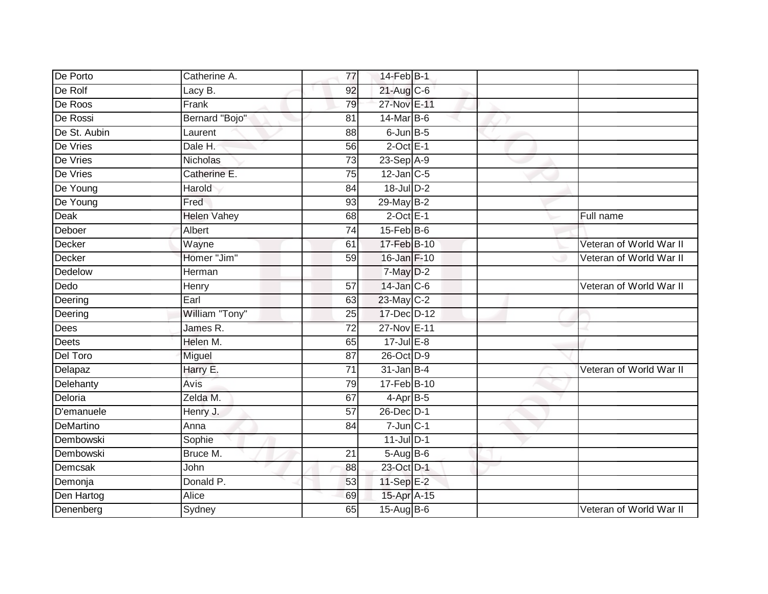| De Porto     | Catherine A.       | 77              | 14-Feb B-1        |                         |
|--------------|--------------------|-----------------|-------------------|-------------------------|
| De Rolf      | Lacy B.            | 92              | 21-Aug C-6        |                         |
| De Roos      | Frank              | 79              | 27-Nov E-11       |                         |
| De Rossi     | Bernard "Bojo"     | 81              | 14-Mar B-6        |                         |
| De St. Aubin | Laurent            | $\overline{88}$ | $6$ -Jun $B$ -5   |                         |
| De Vries     | Dale H.            | 56              | $2$ -Oct $E-1$    |                         |
| De Vries     | Nicholas           | $\overline{73}$ | 23-Sep A-9        |                         |
| De Vries     | Catherine E.       | 75              | $12$ -Jan $C-5$   |                         |
| De Young     | Harold             | 84              | 18-Jul D-2        |                         |
| De Young     | Fred               | 93              | 29-May B-2        |                         |
| Deak         | <b>Helen Vahey</b> | 68              | $2$ -Oct $E-1$    | Full name               |
| Deboer       | Albert             | 74              | $15$ -Feb $B$ -6  |                         |
| Decker       | Wayne              | 61              | 17-Feb B-10       | Veteran of World War II |
| Decker       | Homer "Jim"        | 59              | 16-Jan F-10       | Veteran of World War II |
| Dedelow      | Herman             |                 | 7-May D-2         |                         |
| Dedo         | Henry              | 57              | $14$ -Jan $C$ -6  | Veteran of World War II |
| Deering      | Earl               | 63              | 23-May C-2        |                         |
| Deering      | William "Tony"     | 25              | 17-Dec D-12       |                         |
| Dees         | James R.           | $\overline{72}$ | 27-Nov E-11       |                         |
| <b>Deets</b> | Helen M.           | 65              | $17 -$ Jul E-8    |                         |
| Del Toro     | Miguel             | 87              | 26-Oct D-9        |                         |
| Delapaz      | Harry E.           | $\overline{71}$ | $31$ -Jan B-4     | Veteran of World War II |
| Delehanty    | Avis               | 79              | 17-Feb B-10       |                         |
| Deloria      | Zelda M.           | 67              | $4-AprB-5$        |                         |
| D'emanuele   | Henry J.           | 57              | 26-Dec D-1        |                         |
| DeMartino    | Anna               | 84              | $7 - Jun$ $C - 1$ |                         |
| Dembowski    | Sophie             |                 | $11$ -Jul $D-1$   |                         |
| Dembowski    | Bruce M.           | 21              | $5-Aug$ B-6       |                         |
| Demcsak      | John               | 88              | 23-Oct D-1        |                         |
| Demonja      | Donald P.          | 53              | 11-Sep E-2        |                         |
| Den Hartog   | Alice              | 69              | 15-Apr A-15       |                         |
| Denenberg    | Sydney             | 65              | 15-Aug B-6        | Veteran of World War II |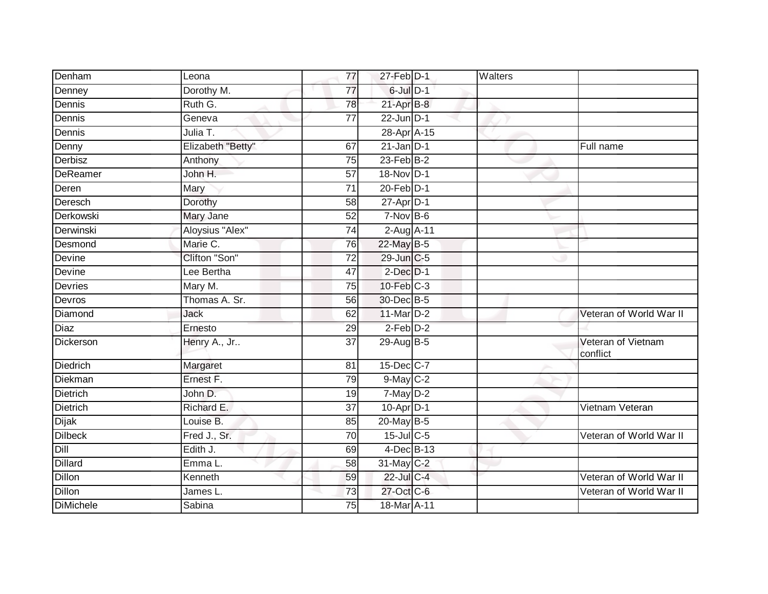| Denham           | Leona             | 77              | 27-Feb D-1       | Walters |                                |
|------------------|-------------------|-----------------|------------------|---------|--------------------------------|
| Denney           | Dorothy M.        | $\overline{77}$ | 6-Jul D-1        |         |                                |
| Dennis           | Ruth G.           | 78              | $21-AprB-8$      |         |                                |
| Dennis           | Geneva            | 77              | $22$ -Jun $D-1$  |         |                                |
| Dennis           | Julia T.          |                 | 28-Apr A-15      |         |                                |
| Denny            | Elizabeth "Betty" | 67              | $21$ -Jan D-1    |         | Full name                      |
| Derbisz          | Anthony           | 75              | $23$ -Feb $B-2$  |         |                                |
| <b>DeReamer</b>  | John H.           | 57              | 18-Nov D-1       |         |                                |
| Deren            | Mary              | $\overline{71}$ | $20$ -Feb $D-1$  |         |                                |
| Deresch          | Dorothy           | $\overline{58}$ | $27$ -Apr $D-1$  |         |                                |
| Derkowski        | Mary Jane         | 52              | $7-Nov$ B-6      |         |                                |
| Derwinski        | Aloysius "Alex"   | 74              | $2-Aug$ $A-11$   |         |                                |
| Desmond          | Marie C.          | 76              | 22-May B-5       |         |                                |
| Devine           | Clifton "Son"     | 72              | 29-Jun C-5       |         |                                |
| Devine           | Lee Bertha        | 47              | $2$ -Dec $D-1$   |         |                                |
| Devries          | Mary M.           | 75              | $10$ -Feb $C-3$  |         |                                |
| Devros           | Thomas A. Sr.     | 56              | 30-Dec B-5       |         |                                |
| Diamond          | <b>Jack</b>       | 62              | 11-Mar $D-2$     |         | Veteran of World War II        |
| <b>Diaz</b>      | Ernesto           | 29              | $2$ -Feb $D-2$   |         |                                |
| Dickerson        | Henry A., Jr      | 37              | 29-Aug B-5       |         | Veteran of Vietnam<br>conflict |
| <b>Diedrich</b>  | Margaret          | 81              | 15-Dec C-7       |         |                                |
| Diekman          | Ernest F.         | 79              | $9$ -May $C-2$   |         |                                |
| Dietrich         | John D.           | 19              | 7-May D-2        |         |                                |
| <b>Dietrich</b>  | Richard E.        | 37              | $10-Apr$ D-1     |         | Vietnam Veteran                |
| <b>Dijak</b>     | Louise B.         | 85              | $20$ -May B-5    |         |                                |
| <b>Dilbeck</b>   | Fred J., Sr.      | 70              | $15$ -Jul $C$ -5 |         | Veteran of World War II        |
| Dill             | Edith J.          | 69              | 4-Dec B-13       |         |                                |
| <b>Dillard</b>   | Emma L.           | 58              | 31-May C-2       |         |                                |
| <b>Dillon</b>    | Kenneth           | 59              | 22-Jul C-4       |         | Veteran of World War II        |
| Dillon           | James L.          | 73              | 27-Oct C-6       |         | Veteran of World War II        |
| <b>DiMichele</b> | Sabina            | 75              | 18-Mar A-11      |         |                                |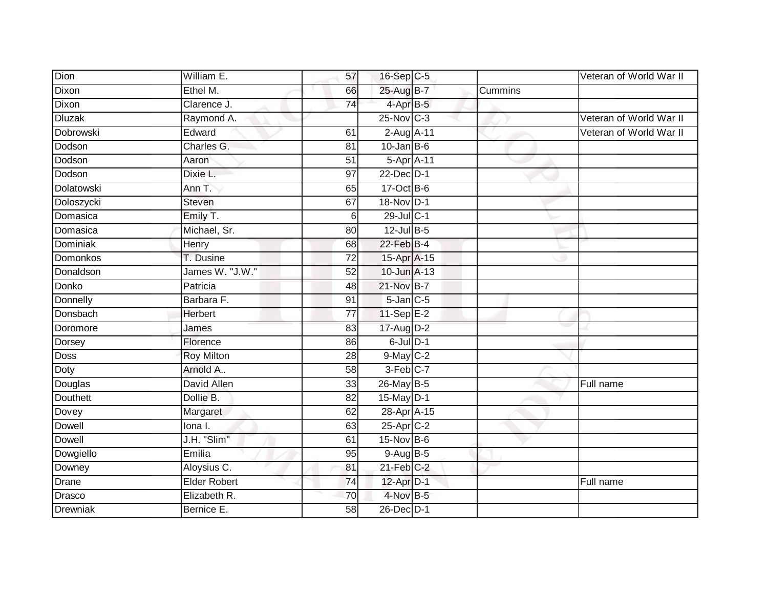| Dion              | William E.          | 57              | 16-Sep C-5        |         | Veteran of World War II |
|-------------------|---------------------|-----------------|-------------------|---------|-------------------------|
| Dixon             | Ethel M.            | 66              | 25-Aug B-7        | Cummins |                         |
| Dixon             | Clarence J.         | $\overline{74}$ | 4-Apr B-5         |         |                         |
| <b>Dluzak</b>     | Raymond A.          |                 | $25$ -Nov $ C-3 $ |         | Veteran of World War II |
| <b>Dobrowski</b>  | Edward              | 61              | 2-Aug A-11        |         | Veteran of World War II |
| Dodson            | Charles G.          | 81              | $10$ -Jan B-6     |         |                         |
| Dodson            | Aaron               | 51              | 5-Apr A-11        |         |                         |
| Dodson            | Dixie L.            | 97              | 22-Dec D-1        |         |                         |
| <b>Dolatowski</b> | Ann T.              | 65              | 17-Oct B-6        |         |                         |
| Doloszycki        | <b>Steven</b>       | 67              | 18-Nov D-1        |         |                         |
| Domasica          | Emily T.            | 6               | 29-Jul C-1        |         |                         |
| Domasica          | Michael, Sr.        | 80              | $12$ -Jul B-5     |         |                         |
| Dominiak          | Henry               | 68              | 22-Feb B-4        |         |                         |
| Domonkos          | T. Dusine           | 72              | 15-Apr A-15       |         |                         |
| Donaldson         | James W. "J.W."     | $\overline{52}$ | 10-Jun A-13       |         |                         |
| Donko             | Patricia            | 48              | 21-Nov B-7        |         |                         |
| Donnelly          | Barbara F.          | 91              | $5$ -Jan $C$ -5   |         |                         |
| Donsbach          | <b>Herbert</b>      | 77              | 11-Sep E-2        |         |                         |
| Doromore          | James               | 83              | $17$ -Aug $D-2$   |         |                         |
| Dorsey            | Florence            | 86              | $6$ -Jul $D-1$    |         |                         |
| <b>Doss</b>       | <b>Roy Milton</b>   | 28              | $9$ -May $C-2$    |         |                         |
| Doty              | Arnold A            | $\overline{58}$ | 3-Feb C-7         |         |                         |
| Douglas           | David Allen         | 33              | 26-May B-5        |         | Full name               |
| <b>Douthett</b>   | Dollie B.           | 82              | 15-May D-1        |         |                         |
| Dovey             | Margaret            | 62              | 28-Apr A-15       |         |                         |
| Dowell            | lona I.             | 63              | 25-Apr C-2        |         |                         |
| Dowell            | J.H. "Slim"         | 61              | $15$ -Nov $B-6$   |         |                         |
| Dowgiello         | Emilia              | 95              | $9-Aug$ $B-5$     |         |                         |
| Downey            | Aloysius C.         | 81              | $21$ -Feb $C-2$   |         |                         |
| Drane             | <b>Elder Robert</b> | 74              | 12-Apr D-1        |         | Full name               |
| Drasco            | Elizabeth R.        | 70              | 4-Nov B-5         |         |                         |
| Drewniak          | Bernice E.          | $\overline{58}$ | 26-Dec D-1        |         |                         |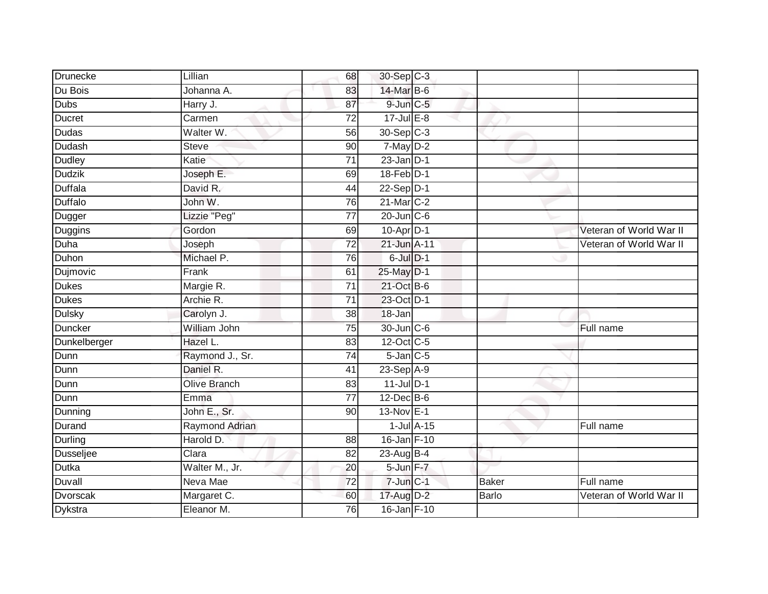| <b>Drunecke</b>  | Lillian               | 68              | 30-Sep C-3         |                 |       |                         |
|------------------|-----------------------|-----------------|--------------------|-----------------|-------|-------------------------|
| Du Bois          | Johanna A.            | 83              | 14-Mar B-6         |                 |       |                         |
| Dubs             | Harry J.              | 87              | $9$ -Jun $C$ -5    |                 |       |                         |
| Ducret           | Carmen                | $\overline{72}$ | $17 -$ Jul $E - 8$ |                 |       |                         |
| <b>Dudas</b>     | Walter W.             | 56              | $30-Sep$ $C-3$     |                 |       |                         |
| Dudash           | <b>Steve</b>          | 90              | 7-May D-2          |                 |       |                         |
| Dudley           | Katie                 | $\overline{71}$ | $23$ -Jan $D-1$    |                 |       |                         |
| <b>Dudzik</b>    | Joseph E.             | 69              | 18-Feb D-1         |                 |       |                         |
| Duffala          | David R.              | 44              | $22-Sep$ D-1       |                 |       |                         |
| Duffalo          | John W.               | 76              | 21-Mar C-2         |                 |       |                         |
| Dugger           | Lizzie "Peg"          | $\overline{77}$ | $20$ -Jun $C$ -6   |                 |       |                         |
| Duggins          | Gordon                | 69              | 10-Apr D-1         |                 |       | Veteran of World War II |
| Duha             | Joseph                | $\overline{72}$ | 21-Jun A-11        |                 |       | Veteran of World War II |
| Duhon            | Michael P.            | 76              | $6$ -Jul $D-1$     |                 |       |                         |
| Dujmovic         | Frank                 | 61              | 25-May D-1         |                 |       |                         |
| Dukes            | Margie R.             | $\overline{71}$ | 21-Oct B-6         |                 |       |                         |
| <b>Dukes</b>     | Archie R.             | $\overline{71}$ | 23-Oct D-1         |                 |       |                         |
| <b>Dulsky</b>    | Carolyn J.            | 38              | 18-Jan             |                 |       |                         |
| <b>Duncker</b>   | William John          | 75              | 30-Jun C-6         |                 |       | Full name               |
| Dunkelberger     | Hazel L.              | 83              | 12-Oct C-5         |                 |       |                         |
| Dunn             | Raymond J., Sr.       | 74              | $5$ -Jan $C$ -5    |                 |       |                         |
| Dunn             | Daniel R.             | $\overline{41}$ | 23-Sep A-9         |                 |       |                         |
| Dunn             | <b>Olive Branch</b>   | 83              | $11$ -Jul $D-1$    |                 |       |                         |
| Dunn             | Emma                  | $\overline{77}$ | 12-Dec B-6         |                 |       |                         |
| Dunning          | John E., Sr.          | 90              | 13-Nov E-1         |                 |       |                         |
| Durand           | <b>Raymond Adrian</b> |                 |                    | $1$ -Jul $A-15$ |       | Full name               |
| <b>Durling</b>   | Harold D.             | 88              | 16-Jan F-10        |                 |       |                         |
| <b>Dusseljee</b> | Clara                 | 82              | $23$ -Aug B-4      |                 |       |                         |
| <b>Dutka</b>     | Walter M., Jr.        | 20              | 5-Jun F-7          |                 |       |                         |
| Duvall           | Neva Mae              | 72              | 7-Jun C-1          |                 | Baker | Full name               |
| Dvorscak         | Margaret C.           | 60              | 17-Aug D-2         |                 | Barlo | Veteran of World War II |
| <b>Dykstra</b>   | Eleanor M.            | 76              | 16-Jan F-10        |                 |       |                         |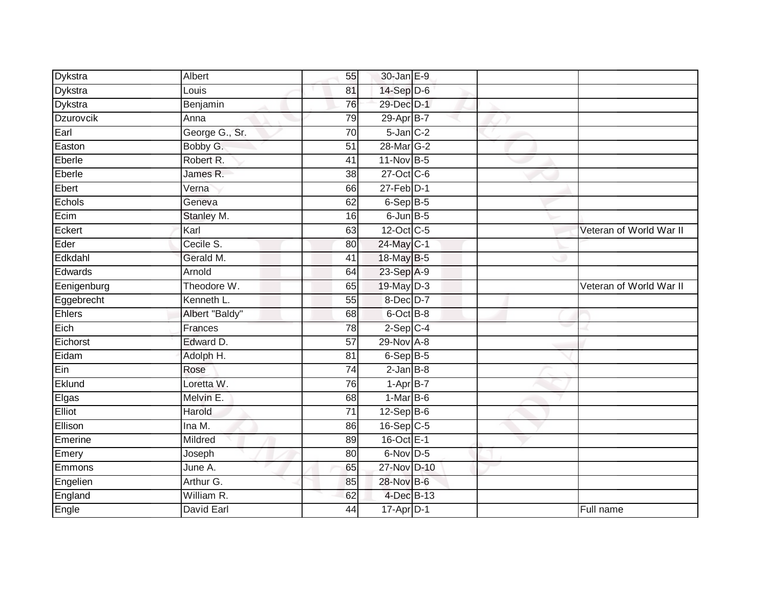| Dykstra     | Albert         | 55              | 30-Jan E-9      |  |                         |
|-------------|----------------|-----------------|-----------------|--|-------------------------|
| Dykstra     | Louis          | 81              | $14-Sep$ D-6    |  |                         |
| Dykstra     | Benjamin       | 76              | 29-Dec D-1      |  |                         |
| Dzurovcik   | Anna           | 79              | 29-Apr B-7      |  |                         |
| Earl        | George G., Sr. | $\overline{70}$ | $5$ -Jan $C-2$  |  |                         |
| Easton      | Bobby G.       | 51              | 28-Mar G-2      |  |                         |
| Eberle      | Robert R.      | 41              | 11-Nov B-5      |  |                         |
| Eberle      | James R.       | 38              | 27-Oct C-6      |  |                         |
| Ebert       | Verna          | 66              | $27$ -Feb $D-1$ |  |                         |
| Echols      | Geneva         | 62              | 6-Sep B-5       |  |                         |
| Ecim        | Stanley M.     | 16              | 6-Jun B-5       |  |                         |
| Eckert      | Karl           | 63              | 12-Oct C-5      |  | Veteran of World War II |
| Eder        | Cecile S.      | 80              | 24-May C-1      |  |                         |
| Edkdahl     | Gerald M.      | 41              | 18-May B-5      |  |                         |
| Edwards     | Arnold         | 64              | 23-Sep A-9      |  |                         |
| Eenigenburg | Theodore W.    | 65              | 19-May D-3      |  | Veteran of World War II |
| Eggebrecht  | Kenneth L.     | 55              | $8$ -Dec $D-7$  |  |                         |
| Ehlers      | Albert "Baldy" | 68              | 6-Oct B-8       |  |                         |
| Eich        | Frances        | 78              | $2-Sep$ $C-4$   |  |                         |
| Eichorst    | Edward D.      | $\overline{57}$ | 29-Nov A-8      |  |                         |
| Eidam       | Adolph H.      | 81              | $6-SepB-5$      |  |                         |
| Ein         | Rose           | 74              | $2$ -Jan $B-8$  |  |                         |
| Eklund      | Loretta W.     | 76              | $1-AprB-7$      |  |                         |
| Elgas       | Melvin E.      | 68              | $1-MarB-6$      |  |                         |
| Elliot      | Harold         | 71              | $12-Sep$ B-6    |  |                         |
| Ellison     | Ina M.         | 86              | 16-Sep C-5      |  |                         |
| Emerine     | Mildred        | 89              | 16-Oct E-1      |  |                         |
| Emery       | Joseph         | 80              | 6-Nov D-5       |  |                         |
| Emmons      | June A.        | 65              | 27-Nov D-10     |  |                         |
| Engelien    | Arthur G.      | 85              | 28-Nov B-6      |  |                         |
| England     | William R.     | 62              | 4-Dec B-13      |  |                         |
| Engle       | David Earl     | 44              | 17-Apr D-1      |  | Full name               |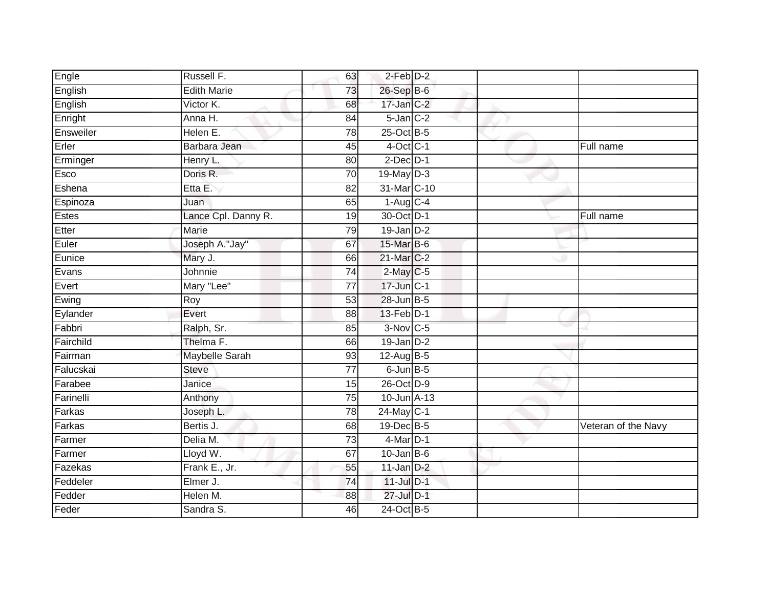| Engle     | Russell F.          | 63              | $2$ -Feb $D-2$   |  |                     |
|-----------|---------------------|-----------------|------------------|--|---------------------|
| English   | <b>Edith Marie</b>  | 73              | 26-Sep B-6       |  |                     |
| English   | Victor K.           | 68              | $17$ -Jan $C-2$  |  |                     |
| Enright   | Anna H.             | 84              | $5$ -Jan $C-2$   |  |                     |
| Ensweiler | Helen E.            | 78              | 25-Oct B-5       |  |                     |
| Erler     | Barbara Jean        | 45              | $4$ -Oct $C-1$   |  | Full name           |
| Erminger  | Henry L.            | 80              | $2$ -Dec $D-1$   |  |                     |
| Esco      | Doris R.            | 70              | 19-May D-3       |  |                     |
| Eshena    | Etta E.             | 82              | 31-Mar C-10      |  |                     |
| Espinoza  | Juan                | 65              | $1-Aug$ $C-4$    |  |                     |
| Estes     | Lance Cpl. Danny R. | 19              | 30-Oct D-1       |  | Full name           |
| Etter     | Marie               | 79              | $19$ -Jan $D-2$  |  |                     |
| Euler     | Joseph A."Jay"      | 67              | 15-Mar B-6       |  |                     |
| Eunice    | Mary J.             | 66              | 21-Mar C-2       |  |                     |
| Evans     | Johnnie             | $\overline{74}$ | $2$ -May C-5     |  |                     |
| Evert     | Mary "Lee"          | $\overline{77}$ | 17-Jun C-1       |  |                     |
| Ewing     | Roy                 | 53              | 28-Jun B-5       |  |                     |
| Eylander  | Evert               | 88              | 13-Feb D-1       |  |                     |
| Fabbri    | Ralph, Sr.          | 85              | 3-Nov C-5        |  |                     |
| Fairchild | Thelma F.           | 66              | 19-Jan D-2       |  |                     |
| Fairman   | Maybelle Sarah      | 93              | 12-Aug B-5       |  |                     |
| Falucskai | <b>Steve</b>        | $\overline{77}$ | $6$ -Jun $B$ -5  |  |                     |
| Farabee   | Janice              | 15              | 26-Oct D-9       |  |                     |
| Farinelli | Anthony             | 75              | $10$ -Jun $A-13$ |  |                     |
| Farkas    | Joseph L.           | 78              | 24-May C-1       |  |                     |
| Farkas    | Bertis J.           | 68              | 19-Dec B-5       |  | Veteran of the Navy |
| Farmer    | Delia M.            | 73              | $4$ -Mar $D-1$   |  |                     |
| Farmer    | Lloyd W.            | 67              | $10$ -Jan B-6    |  |                     |
| Fazekas   | Frank E., Jr.       | 55              | $11$ -Jan $D-2$  |  |                     |
| Feddeler  | Elmer J.            | 74              | $11$ -Jul $D-1$  |  |                     |
| Fedder    | Helen M.            | 88              | 27-Jul D-1       |  |                     |
| Feder     | Sandra S.           | 46              | 24-Oct B-5       |  |                     |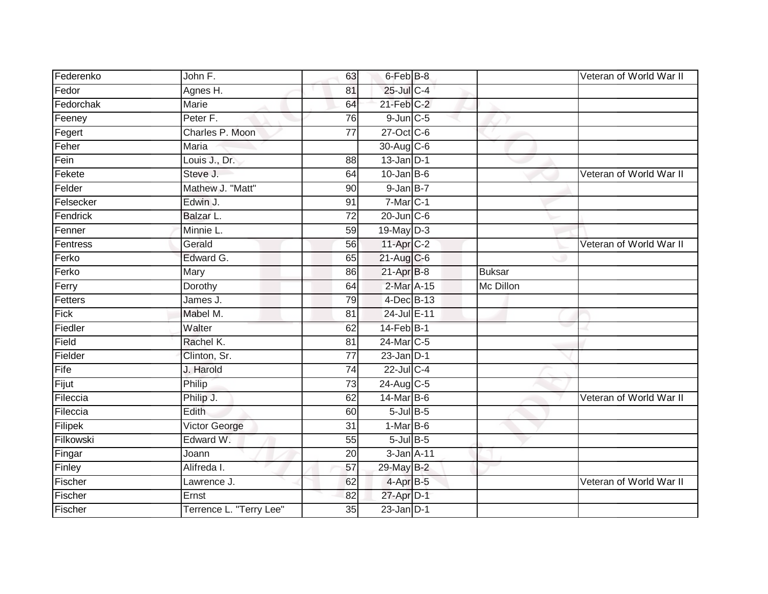| Federenko | John F.                 | 63              | 6-Feb B-8               |               | Veteran of World War II |
|-----------|-------------------------|-----------------|-------------------------|---------------|-------------------------|
| Fedor     | Agnes H.                | 81              | 25-Jul C-4              |               |                         |
| Fedorchak | <b>Marie</b>            | 64              | $21$ -Feb $C-2$         |               |                         |
| Feeney    | Peter F.                | 76              | $9$ -Jun $C$ -5         |               |                         |
| Fegert    | Charles P. Moon         | $\overline{77}$ | 27-Oct C-6              |               |                         |
| Feher     | Maria                   |                 | 30-Aug C-6              |               |                         |
| Fein      | Louis J., Dr.           | 88              | $13$ -Jan $D-1$         |               |                         |
| Fekete    | Steve J.                | 64              | $10$ -Jan B-6           |               | Veteran of World War II |
| Felder    | Mathew J. "Matt"        | 90              | $9$ -Jan $B-7$          |               |                         |
| Felsecker | Edwin J.                | 91              | $7-MarC-1$              |               |                         |
| Fendrick  | Balzar L.               | 72              | $20$ -Jun $C$ -6        |               |                         |
| Fenner    | Minnie L.               | 59              | $19$ -May $D-3$         |               |                         |
| Fentress  | Gerald                  | 56              | 11-Apr C-2              |               | Veteran of World War II |
| Ferko     | Edward G.               | 65              | $21-Aug$ <sub>C-6</sub> |               |                         |
| Ferko     | Mary                    | 86              | 21-Apr B-8              | <b>Buksar</b> |                         |
| Ferry     | Dorothy                 | 64              | 2-Mar A-15              | Mc Dillon     |                         |
| Fetters   | James J.                | 79              | 4-Dec B-13              |               |                         |
| Fick      | Mabel M.                | 81              | 24-Jul E-11             |               |                         |
| Fiedler   | Walter                  | 62              | 14-Feb B-1              |               |                         |
| Field     | Rachel K.               | 81              | 24-Mar C-5              |               |                         |
| Fielder   | Clinton, Sr.            | $\overline{77}$ | $23$ -Jan $D-1$         |               |                         |
| Fife      | J. Harold               | 74              | $22$ -Jul C-4           |               |                         |
| Fijut     | Philip                  | 73              | $24$ -Aug C-5           |               |                         |
| Fileccia  | Philip J.               | 62              | 14-Mar B-6              |               | Veteran of World War II |
| Fileccia  | Edith                   | 60              | $5$ -Jul B-5            |               |                         |
| Filipek   | Victor George           | 31              | $1-MarB-6$              |               |                         |
| Filkowski | Edward W.               | 55              | $5$ -Jul $B$ -5         |               |                         |
| Fingar    | Joann                   | 20              | 3-Jan A-11              |               |                         |
| Finley    | Alifreda I.             | 57              | 29-May B-2              |               |                         |
| Fischer   | Lawrence J.             | 62              | 4-Apr B-5               |               | Veteran of World War II |
| Fischer   | Ernst                   | 82              | 27-Apr D-1              |               |                         |
| Fischer   | Terrence L. "Terry Lee" | $\overline{35}$ | $23$ -Jan $D-1$         |               |                         |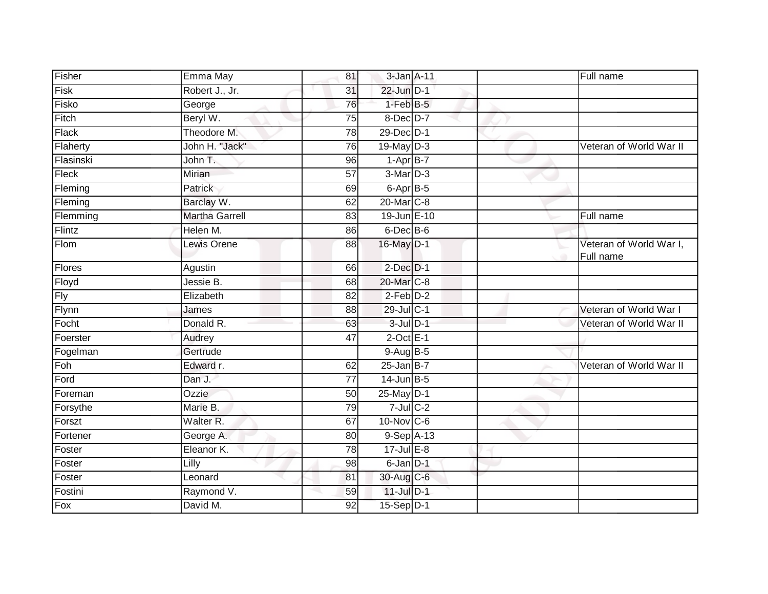| Fisher     | Emma May              | 81              | 3-Jan A-11             |  | Full name                            |
|------------|-----------------------|-----------------|------------------------|--|--------------------------------------|
| Fisk       | Robert J., Jr.        | 31              | 22-Jun D-1             |  |                                      |
| Fisko      | George                | 76              | $1-FebB-5$             |  |                                      |
| Fitch      | Beryl W.              | 75              | $8$ -Dec $D-7$         |  |                                      |
| Flack      | Theodore M.           | 78              | 29-Dec D-1             |  |                                      |
| Flaherty   | John H. "Jack"        | 76              | 19-May D-3             |  | Veteran of World War II              |
| Flasinski  | John T.               | 96              | $1-AprB-7$             |  |                                      |
| Fleck      | Mirian                | 57              | $3-Mar$ D-3            |  |                                      |
| Fleming    | Patrick               | 69              | $6$ -Apr $B$ -5        |  |                                      |
| Fleming    | Barclay W.            | 62              | 20-Mar C-8             |  |                                      |
| Flemming   | <b>Martha Garrell</b> | 83              | 19-Jun E-10            |  | Full name                            |
| Flintz     | Helen M.              | 86              | $6$ -Dec $B$ -6        |  |                                      |
| Flom       | Lewis Orene           | 88              | 16-May D-1             |  | Veteran of World War I,<br>Full name |
| Flores     | Agustin               | 66              | $2$ -Dec $D-1$         |  |                                      |
| Floyd      | Jessie B.             | 68              | 20-Mar C-8             |  |                                      |
| <b>Fly</b> | Elizabeth             | 82              | $2-Feb$ $D-2$          |  |                                      |
| Flynn      | James                 | 88              | 29-Jul C-1             |  | Veteran of World War I               |
| Focht      | Donald R.             | 63              | $3$ -Jul $D-1$         |  | Veteran of World War II              |
| Foerster   | Audrey                | 47              | $2$ -Oct $E-1$         |  |                                      |
| Fogelman   | Gertrude              |                 | $9-AugB-5$             |  |                                      |
| Foh        | Edward r.             | 62              | $25$ -Jan B-7          |  | Veteran of World War II              |
| Ford       | Dan J.                | $\overline{77}$ | $14$ -Jun $B-5$        |  |                                      |
| Foreman    | Ozzie                 | 50              | 25-May D-1             |  |                                      |
| Forsythe   | Marie B.              | 79              | $7$ -Jul $C$ -2        |  |                                      |
| Forszt     | Walter <sub>R.</sub>  | 67              | $10$ -Nov $ C-6 $      |  |                                      |
| Fortener   | George A.             | 80              | $9-Sep$ A-13           |  |                                      |
| Foster     | Eleanor K.            | 78              | $17$ -Jul $E-8$        |  |                                      |
| Foster     | Lilly                 | 98              | 6-Jan D-1              |  |                                      |
| Foster     | Leonard               | 81              | 30-Aug C-6             |  |                                      |
| Fostini    | Raymond V.            | 59              | $11$ -Jul $D-1$        |  |                                      |
| Fox        | David M.              | 92              | $15-Sep\overline{D-1}$ |  |                                      |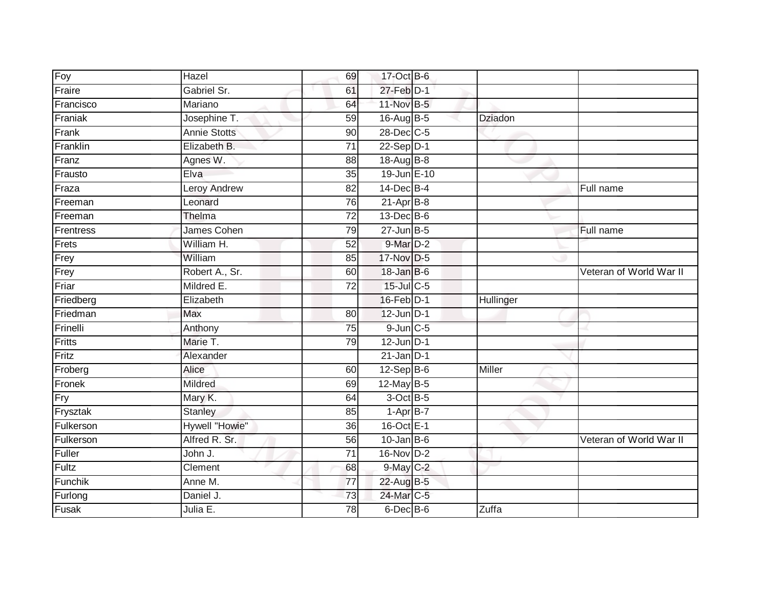| Foy           | Hazel               | 69              | 17-Oct B-6      |           |                         |
|---------------|---------------------|-----------------|-----------------|-----------|-------------------------|
| Fraire        | Gabriel Sr.         | 61              | 27-Feb D-1      |           |                         |
| Francisco     | Mariano             | 64              | 11-Nov B-5      |           |                         |
| Franiak       | Josephine T.        | 59              | $16-AugB-5$     | Dziadon   |                         |
| Frank         | <b>Annie Stotts</b> | 90              | 28-Dec C-5      |           |                         |
| Franklin      | Elizabeth B.        | $\overline{71}$ | 22-Sep D-1      |           |                         |
| Franz         | Agnes W.            | 88              | 18-Aug B-8      |           |                         |
| Frausto       | Elva                | 35              | 19-Jun E-10     |           |                         |
| Fraza         | <b>Leroy Andrew</b> | 82              | $14$ -Dec $B-4$ |           | Full name               |
| Freeman       | Leonard             | 76              | $21-Apr$ B-8    |           |                         |
| Freeman       | Thelma              | $\overline{72}$ | 13-Dec B-6      |           |                         |
| Frentress     | James Cohen         | 79              | $27$ -Jun $B-5$ |           | Full name               |
| Frets         | William H.          | 52              | 9-Mar D-2       |           |                         |
| Frey          | William             | 85              | 17-Nov D-5      |           |                         |
| Frey          | Robert A., Sr.      | 60              | $18$ -Jan B-6   |           | Veteran of World War II |
| Friar         | Mildred E.          | $\overline{72}$ | 15-Jul C-5      |           |                         |
| Friedberg     | Elizabeth           |                 | 16-Feb D-1      | Hullinger |                         |
| Friedman      | Max                 | 80              | 12-Jun D-1      |           |                         |
| Frinelli      | Anthony             | 75              | $9$ -Jun $C$ -5 |           |                         |
| <b>Fritts</b> | Marie T.            | 79              | $12$ -Jun $D-1$ |           |                         |
| Fritz         | Alexander           |                 | $21$ -Jan D-1   |           |                         |
| Froberg       | Alice               | 60              | $12-Sep$ B-6    | Miller    |                         |
| Fronek        | Mildred             | 69              | 12-May B-5      |           |                         |
| Fry           | Mary K.             | 64              | 3-Oct B-5       |           |                         |
| Frysztak      | <b>Stanley</b>      | 85              | $1-AprB-7$      |           |                         |
| Fulkerson     | Hywell "Howie"      | 36              | 16-Oct E-1      |           |                         |
| Fulkerson     | Alfred R. Sr.       | 56              | $10$ -Jan B-6   |           | Veteran of World War II |
| Fuller        | John J.             | 71              | $16-Nov$ D-2    |           |                         |
| Fultz         | Clement             | 68              | 9-May C-2       |           |                         |
| Funchik       | Anne M.             | $\overline{77}$ | 22-Aug B-5      |           |                         |
| Furlong       | Daniel J.           | 73              | 24-Mar C-5      |           |                         |
| Fusak         | Julia E.            | 78              | $6$ -Dec $B$ -6 | Zuffa     |                         |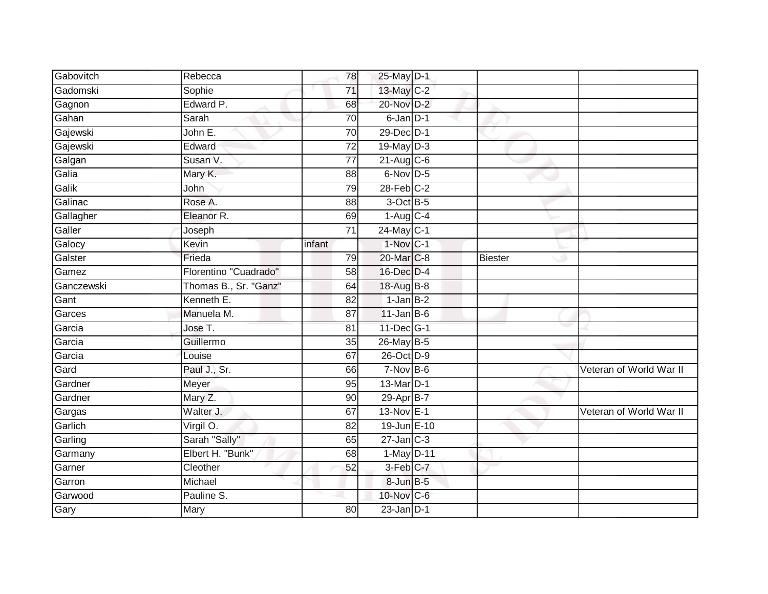| Gabovitch  | Rebecca                | 78              | 25-May D-1        |                |                         |
|------------|------------------------|-----------------|-------------------|----------------|-------------------------|
| Gadomski   | Sophie                 | 71              | 13-May C-2        |                |                         |
| Gagnon     | Edward P.              | 68              | 20-Nov D-2        |                |                         |
| Gahan      | Sarah                  | 70              | 6-Jan D-1         |                |                         |
| Gajewski   | John E.                | $\overline{70}$ | 29-Dec D-1        |                |                         |
| Gajewski   | Edward                 | $\overline{72}$ | $19$ -May $D-3$   |                |                         |
| Galgan     | Susan V.               | $\overline{77}$ | $21-Aug$ $C-6$    |                |                         |
| Galia      | Mary K.                | 88              | 6-Nov D-5         |                |                         |
| Galik      | John                   | 79              | $28$ -Feb $C-2$   |                |                         |
| Galinac    | Rose A.                | 88              | 3-Oct B-5         |                |                         |
| Gallagher  | Eleanor R.             | 69              | $1-Aug$ C-4       |                |                         |
| Galler     | Joseph                 | 71              | $24$ -May C-1     |                |                         |
| Galocy     | Kevin                  | infant          | $1-Nov$ C-1       |                |                         |
| Galster    | Frieda                 | 79              | 20-Mar C-8        | <b>Biester</b> |                         |
| Gamez      | Florentino "Cuadrado"  | $\overline{58}$ | 16-Dec D-4        |                |                         |
| Ganczewski | Thomas B., Sr. "Ganz"  | 64              | 18-Aug B-8        |                |                         |
| Gant       | Kenneth E.             | 82              | $1-Jan$ B-2       |                |                         |
| Garces     | Manuela M.             | 87              | $11$ -Jan B-6     |                |                         |
| Garcia     | Jose T.                | 81              | $11$ -Dec $ G-1 $ |                |                         |
| Garcia     | Guillermo              | 35              | 26-May B-5        |                |                         |
| Garcia     | Louise                 | 67              | 26-Oct D-9        |                |                         |
| Gard       | Paul J., Sr.           | 66              | $7-Nov$ B-6       |                | Veteran of World War II |
| Gardner    | Meyer                  | 95              | 13-Mar D-1        |                |                         |
| Gardner    | Mary Z.                | 90              | 29-Apr B-7        |                |                         |
| Gargas     | Walter J.              | 67              | 13-Nov E-1        |                | Veteran of World War II |
| Garlich    | Virgil O.              | 82              | 19-Jun E-10       |                |                         |
| Garling    | Sarah "Sally"          | 65              | $27$ -Jan $C-3$   |                |                         |
| Garmany    | Elbert H. "Bunk"       | 68              | $1-May$ D-11      |                |                         |
| Garner     | $\overline{C}$ leother | 52              | 3-Feb C-7         |                |                         |
| Garron     | Michael                |                 | 8-Jun B-5         |                |                         |
| Garwood    | Pauline <sub>S.</sub>  |                 | 10-Nov C-6        |                |                         |
| Gary       | Mary                   | 80              | $23$ -Jan $D-1$   |                |                         |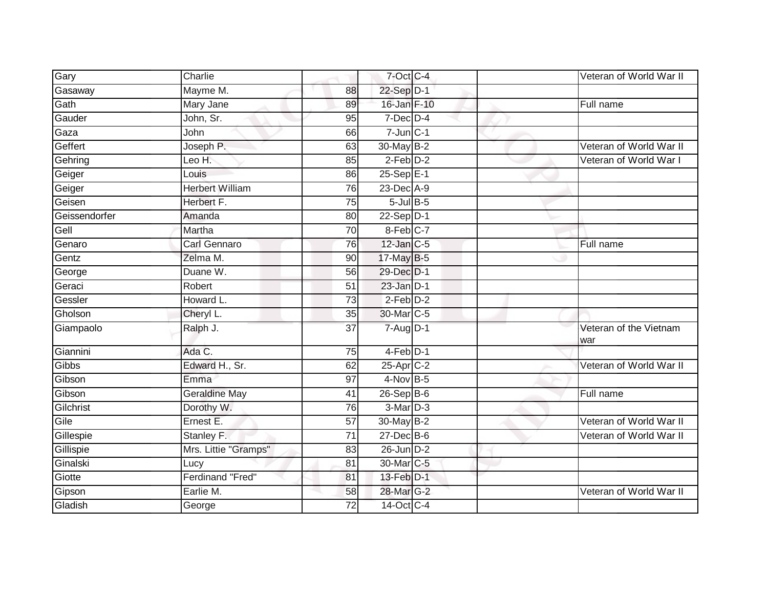| Gary          | Charlie                 |                 | 7-Oct C-4         |  | Veteran of World War II       |
|---------------|-------------------------|-----------------|-------------------|--|-------------------------------|
| Gasaway       | Mayme M.                | 88              | 22-Sep D-1        |  |                               |
| Gath          | Mary Jane               | 89              | 16-Jan F-10       |  | Full name                     |
| Gauder        | John, Sr.               | 95              | $7$ -Dec $D-4$    |  |                               |
| Gaza          | John                    | 66              | $7 - Jun$ $C - 1$ |  |                               |
| Geffert       | Joseph P.               | 63              | 30-May B-2        |  | Veteran of World War II       |
| Gehring       | Leo H.                  | 85              | $2$ -Feb $D-2$    |  | Veteran of World War I        |
| Geiger        | Louis                   | 86              | $25-Sep$ E-1      |  |                               |
| Geiger        | <b>Herbert William</b>  | 76              | 23-Dec A-9        |  |                               |
| Geisen        | Herbert F.              | $\overline{75}$ | $5$ -Jul $B$ -5   |  |                               |
| Geissendorfer | Amanda                  | 80              | $22-Sep$ $D-1$    |  |                               |
| Gell          | Martha                  | 70              | $8$ -Feb $C$ -7   |  |                               |
| Genaro        | Carl Gennaro            | 76              | $12$ -Jan $C-5$   |  | Full name                     |
| Gentz         | Zelma M.                | 90              | 17-May B-5        |  |                               |
| George        | Duane W.                | 56              | 29-Dec D-1        |  |                               |
| Geraci        | Robert                  | 51              | $23$ -Jan $D-1$   |  |                               |
| Gessler       | Howard L.               | 73              | $2-Feb$ $D-2$     |  |                               |
| Gholson       | Cheryl L.               | 35              | 30-Mar C-5        |  |                               |
| Giampaolo     | Ralph J.                | 37              | $7 - Aug$ $D-1$   |  | Veteran of the Vietnam<br>war |
| Giannini      | Ada C.                  | 75              | 4-Feb D-1         |  |                               |
| Gibbs         | Edward H., Sr.          | 62              | $25$ -Apr $C-2$   |  | Veteran of World War II       |
| Gibson        | Emma                    | 97              | $4-Nov$ B-5       |  |                               |
| Gibson        | <b>Geraldine May</b>    | 41              | $26 - SepB-6$     |  | Full name                     |
| Gilchrist     | Dorothy W.              | 76              | 3-Mar D-3         |  |                               |
| Gile          | Ernest E.               | $\overline{57}$ | 30-May B-2        |  | Veteran of World War II       |
| Gillespie     | Stanley F.              | 71              | 27-Dec B-6        |  | Veteran of World War II       |
| Gillispie     | Mrs. Littie "Gramps"    | 83              | 26-Jun D-2        |  |                               |
| Ginalski      | Lucy                    | 81              | 30-Mar C-5        |  |                               |
| Giotte        | <b>Ferdinand "Fred"</b> | 81              | 13-Feb D-1        |  |                               |
| Gipson        | Earlie M.               | 58              | 28-Mar G-2        |  | Veteran of World War II       |
| Gladish       | George                  | 72              | 14-Oct C-4        |  |                               |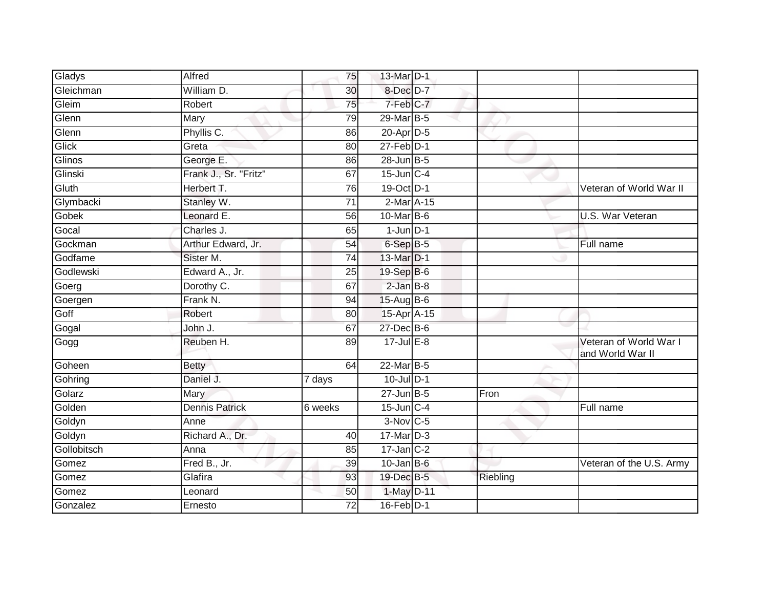| Gladys      | Alfred                | 75      | 13-Mar D-1         |          |                                            |
|-------------|-----------------------|---------|--------------------|----------|--------------------------------------------|
| Gleichman   | William D.            | 30      | 8-Dec D-7          |          |                                            |
| Gleim       | Robert                | 75      | 7-Feb C-7          |          |                                            |
| Glenn       | Mary                  | 79      | 29-Mar B-5         |          |                                            |
| Glenn       | Phyllis C.            | 86      | 20-Apr D-5         |          |                                            |
| Glick       | Greta                 | 80      | $27$ -Feb $D-1$    |          |                                            |
| Glinos      | George E.             | 86      | 28-Jun B-5         |          |                                            |
| Glinski     | Frank J., Sr. "Fritz" | 67      | $15$ -Jun $C-4$    |          |                                            |
| Gluth       | Herbert T.            | 76      | 19-Oct D-1         |          | Veteran of World War II                    |
| Glymbacki   | Stanley W.            | 71      | 2-Mar A-15         |          |                                            |
| Gobek       | Leonard E.            | 56      | 10-Mar B-6         |          | U.S. War Veteran                           |
| Gocal       | Charles J.            | 65      | $1$ -Jun $D-1$     |          |                                            |
| Gockman     | Arthur Edward, Jr.    | 54      | 6-Sep B-5          |          | Full name                                  |
| Godfame     | Sister M.             | 74      | 13-Mar D-1         |          |                                            |
| Godlewski   | Edward A., Jr.        | 25      | 19-Sep B-6         |          |                                            |
| Goerg       | Dorothy C.            | 67      | $2$ -Jan $B-8$     |          |                                            |
| Goergen     | Frank N.              | 94      | $15-Aug$ B-6       |          |                                            |
| Goff        | Robert                | 80      | 15-Apr A-15        |          |                                            |
| Gogal       | John J.               | 67      | 27-Dec B-6         |          |                                            |
| Gogg        | Reuben H.             | 89      | $17 -$ Jul $E - 8$ |          | Veteran of World War I<br>and World War II |
| Goheen      | <b>Betty</b>          | 64      | 22-Mar B-5         |          |                                            |
| Gohring     | Daniel J.             | 7 days  | $10$ -Jul $D-1$    |          |                                            |
| Golarz      | Mary                  |         | $27$ -Jun $B-5$    | Fron     |                                            |
| Golden      | <b>Dennis Patrick</b> | 6 weeks | $15$ -Jun $C-4$    |          | Full name                                  |
| Goldyn      | Anne                  |         | $3-Nov$ C-5        |          |                                            |
| Goldyn      | Richard A., Dr.       | 40      | $17$ -Mar $D-3$    |          |                                            |
| Gollobitsch | Anna                  | 85      | $17$ -Jan $C-2$    |          |                                            |
| Gomez       | Fred B., Jr.          | 39      | $10$ -Jan B-6      |          | Veteran of the U.S. Army                   |
| Gomez       | Glafira               | 93      | 19-Dec B-5         | Riebling |                                            |
| Gomez       | Leonard               | 50      | 1-May D-11         |          |                                            |
| Gonzalez    | Ernesto               | 72      | 16-Feb D-1         |          |                                            |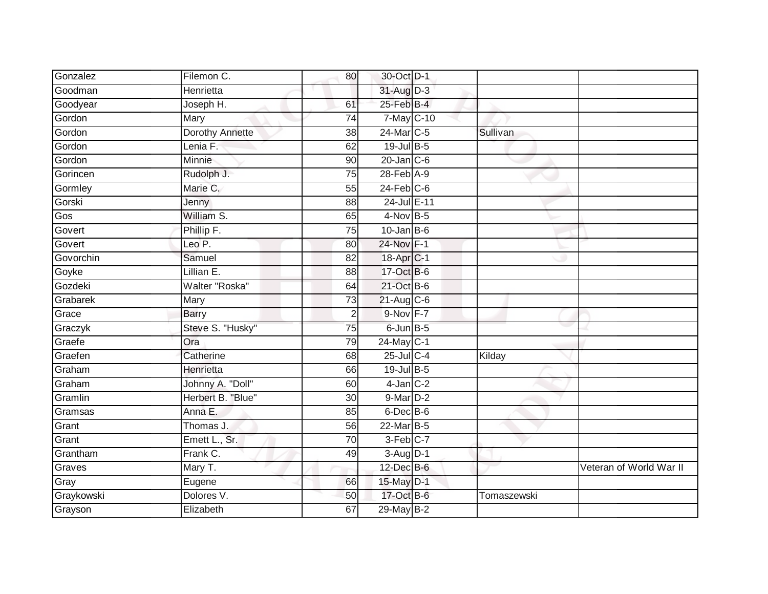| Gonzalez   | Filemon C.             | 80              | 30-Oct D-1             |             |                         |
|------------|------------------------|-----------------|------------------------|-------------|-------------------------|
| Goodman    | Henrietta              |                 | 31-Aug D-3             |             |                         |
| Goodyear   | Joseph H.              | 61              | $25$ -Feb $B$ -4       |             |                         |
| Gordon     | Mary                   | 74              | 7-May C-10             |             |                         |
| Gordon     | <b>Dorothy Annette</b> | $\overline{38}$ | 24-Mar C-5             | Sullivan    |                         |
| Gordon     | Lenia F.               | 62              | 19-Jul B-5             |             |                         |
| Gordon     | Minnie                 | 90              | $20$ -Jan $C-6$        |             |                         |
| Gorincen   | Rudolph J.             | 75              | $28$ -Feb $A-9$        |             |                         |
| Gormley    | Marie C.               | 55              | $24$ -Feb $C-6$        |             |                         |
| Gorski     | Jenny                  | 88              | 24-Jul E-11            |             |                         |
| Gos        | William S.             | 65              | 4-Nov B-5              |             |                         |
| Govert     | Phillip F.             | 75              | $10$ -Jan B-6          |             |                         |
| Govert     | Leo P.                 | 80              | 24-Nov F-1             |             |                         |
| Govorchin  | Samuel                 | 82              | 18-Apr <sub>IC-1</sub> |             |                         |
| Goyke      | Lillian E.             | $\overline{88}$ | 17-Oct B-6             |             |                         |
| Gozdeki    | Walter "Roska"         | 64              | 21-Oct B-6             |             |                         |
| Grabarek   | Mary                   | 73              | $21$ -Aug C-6          |             |                         |
| Grace      | <b>Barry</b>           | $\overline{2}$  | $9-Nov$ F-7            |             |                         |
| Graczyk    | Steve S. "Husky"       | 75              | $6$ -Jun $B$ -5        |             |                         |
| Graefe     | Ora                    | 79              | $24$ -May C-1          |             |                         |
| Graefen    | Catherine              | 68              | 25-Jul C-4             | Kilday      |                         |
| Graham     | Henrietta              | 66              | 19-Jul B-5             |             |                         |
| Graham     | Johnny A. "Doll"       | 60              | $4$ -Jan $C-2$         |             |                         |
| Gramlin    | Herbert B. "Blue"      | 30              | 9-Mar D-2              |             |                         |
| Gramsas    | Anna E.                | 85              | $6$ -Dec $B$ -6        |             |                         |
| Grant      | Thomas J.              | 56              | 22-Mar B-5             |             |                         |
| Grant      | Emett L., Sr.          | $\overline{70}$ | 3-Feb C-7              |             |                         |
| Grantham   | Frank C.               | 49              | $3-Aug$ $D-1$          |             |                         |
| Graves     | Mary T.                |                 | 12-Dec B-6             |             | Veteran of World War II |
| Gray       | Eugene                 | 66              | 15-May D-1             |             |                         |
| Graykowski | Dolores V.             | 50              | 17-Oct B-6             | Tomaszewski |                         |
| Grayson    | Elizabeth              | 67              | 29-May B-2             |             |                         |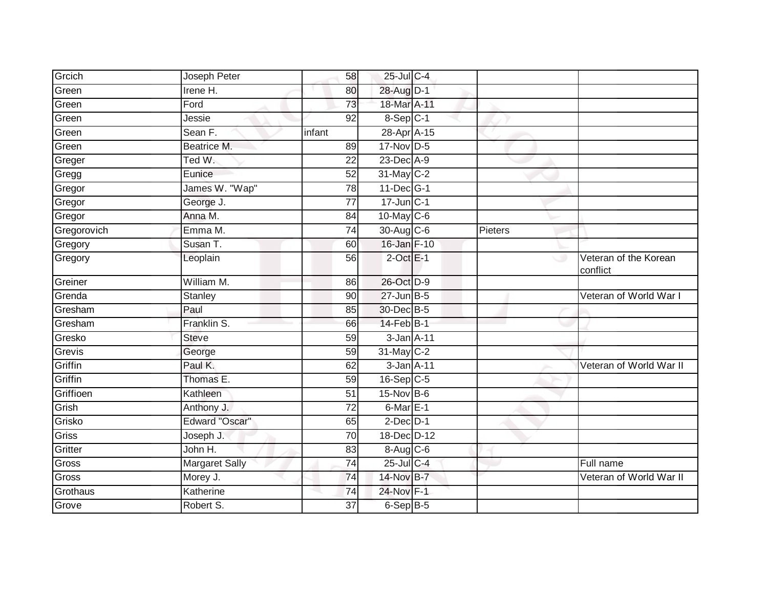| Grcich      | Joseph Peter          | 58              | 25-Jul C-4        |         |                                   |
|-------------|-----------------------|-----------------|-------------------|---------|-----------------------------------|
| Green       | Irene H.              | 80              | 28-Aug D-1        |         |                                   |
| Green       | Ford                  | 73              | 18-Mar A-11       |         |                                   |
| Green       | Jessie                | 92              | 8-Sep C-1         |         |                                   |
| Green       | Sean F.               | infant          | 28-Apr A-15       |         |                                   |
| Green       | Beatrice M.           | 89              | 17-Nov D-5        |         |                                   |
| Greger      | Ted W.                | 22              | 23-Dec A-9        |         |                                   |
| Gregg       | Eunice                | 52              | 31-May C-2        |         |                                   |
| Gregor      | James W. "Wap"        | 78              | $11$ -Dec $ G-1 $ |         |                                   |
| Gregor      | George J.             | $\overline{77}$ | $17$ -Jun $C-1$   |         |                                   |
| Gregor      | Anna M.               | 84              | 10-May C-6        |         |                                   |
| Gregorovich | Emma M.               | 74              | 30-Aug C-6        | Pieters |                                   |
| Gregory     | Susan T.              | 60              | 16-Jan F-10       |         |                                   |
| Gregory     | Leoplain              | 56              | $2$ -Oct $E-1$    |         | Veteran of the Korean<br>conflict |
| Greiner     | William M.            | 86              | 26-Oct D-9        |         |                                   |
| Grenda      | Stanley               | 90              | $27$ -Jun $B-5$   |         | Veteran of World War I            |
| Gresham     | Paul                  | 85              | 30-Dec B-5        |         |                                   |
| Gresham     | Franklin S.           | 66              | $14$ -Feb $B-1$   |         |                                   |
| Gresko      | <b>Steve</b>          | 59              | 3-Jan A-11        |         |                                   |
| Grevis      | George                | 59              | 31-May C-2        |         |                                   |
| Griffin     | Paul K.               | 62              | 3-Jan A-11        |         | Veteran of World War II           |
| Griffin     | Thomas E.             | 59              | $16-Sep$ C-5      |         |                                   |
| Griffioen   | Kathleen              | 51              | 15-Nov B-6        |         |                                   |
| Grish       | Anthony J.            | 72              | $6$ -Mar $E-1$    |         |                                   |
| Grisko      | Edward "Oscar"        | 65              | $2$ -Dec $D-1$    |         |                                   |
| Griss       | Joseph J.             | 70              | 18-Dec D-12       |         |                                   |
| Gritter     | John H.               | 83              | 8-Aug C-6         |         |                                   |
| Gross       | <b>Margaret Sally</b> | 74              | 25-Jul C-4        |         | Full name                         |
| Gross       | Morey J.              | 74              | 14-Nov B-7        |         | Veteran of World War II           |
| Grothaus    | Katherine             | 74              | 24-Nov F-1        |         |                                   |
| Grove       | Robert S.             | 37              | 6-Sep B-5         |         |                                   |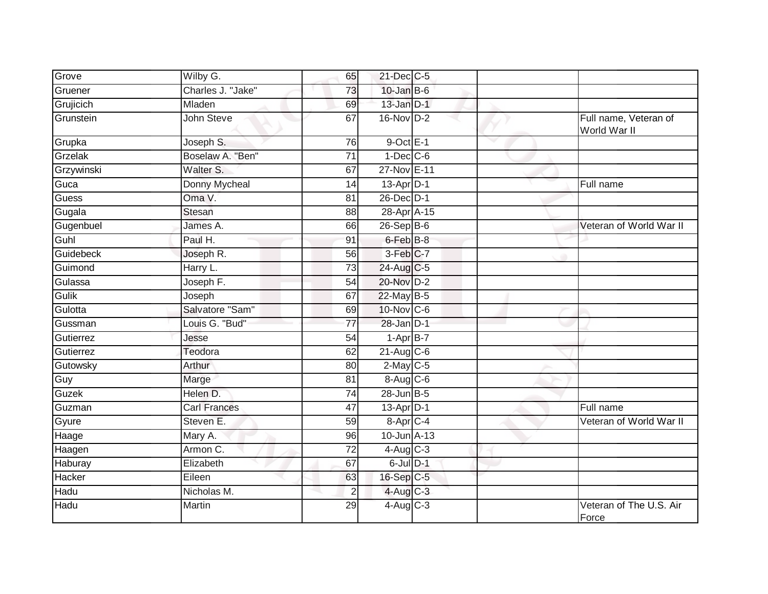| Grove            | Wilby G.             | 65              | 21-Dec C-5       |                          |                                       |
|------------------|----------------------|-----------------|------------------|--------------------------|---------------------------------------|
| Gruener          | Charles J. "Jake"    | 73              | $10$ -Jan B-6    |                          |                                       |
| Grujicich        | Mladen               | 69              | $13$ -Jan $D-1$  |                          |                                       |
| Grunstein        | John Steve           | 67              | $16-Nov$ D-2     |                          | Full name, Veteran of<br>World War II |
| Grupka           | Joseph S.            | 76              | $9$ -Oct $E-1$   | $\overline{\phantom{a}}$ |                                       |
| Grzelak          | Boselaw A. "Ben"     | $\overline{71}$ | $1-Dec$ $C-6$    |                          |                                       |
| Grzywinski       | Walter S.            | 67              | 27-Nov E-11      |                          |                                       |
| Guca             | <b>Donny Mycheal</b> | 14              | 13-Apr D-1       |                          | Full name                             |
| Guess            | Oma V.               | 81              | 26-Dec D-1       |                          |                                       |
| Gugala           | Stesan               | 88              | 28-Apr A-15      |                          |                                       |
| Gugenbuel        | James A.             | 66              | 26-Sep B-6       |                          | Veteran of World War II               |
| Guhl             | Paul H.              | 91              | 6-Feb B-8        |                          |                                       |
| <b>Guidebeck</b> | Joseph R.            | 56              | 3-Feb C-7        |                          |                                       |
| Guimond          | Harry L.             | $\overline{73}$ | 24-Aug C-5       |                          |                                       |
| Gulassa          | Joseph F.            | 54              | 20-Nov D-2       |                          |                                       |
| Gulik            | Joseph               | 67              | 22-May B-5       |                          |                                       |
| Gulotta          | Salvatore "Sam"      | 69              | 10-Nov C-6       |                          |                                       |
| Gussman          | Louis G. "Bud"       | 77              | $28$ -Jan $D-1$  |                          |                                       |
| Gutierrez        | Jesse                | $\overline{54}$ | $1-Apr$ B-7      |                          |                                       |
| Gutierrez        | Teodora              | 62              | 21-Aug C-6       |                          |                                       |
| Gutowsky         | Arthur               | 80              | $2$ -May C-5     |                          |                                       |
| Guy              | Marge                | 81              | $8-Aug$ $C-6$    |                          |                                       |
| Guzek            | Helen D.             | 74              | 28-Jun B-5       |                          |                                       |
| Guzman           | <b>Carl Frances</b>  | 47              | $13$ -Apr $D-1$  |                          | Full name                             |
| Gyure            | Steven E.            | 59              | 8-Apr C-4        |                          | Veteran of World War II               |
| Haage            | Mary A.              | 96              | $10$ -Jun $A-13$ |                          |                                       |
| Haagen           | Armon C.             | $\overline{72}$ | $4$ -Aug C-3     |                          |                                       |
| Haburay          | Elizabeth            | 67              | 6-Jul D-1        |                          |                                       |
| Hacker           | Eileen               | 63              | 16-Sep C-5       |                          |                                       |
| Hadu             | Nicholas M.          | $\overline{2}$  | $4$ -Aug C-3     |                          |                                       |
| Hadu             | Martin               | 29              | 4-Aug C-3        |                          | Veteran of The U.S. Air<br>Force      |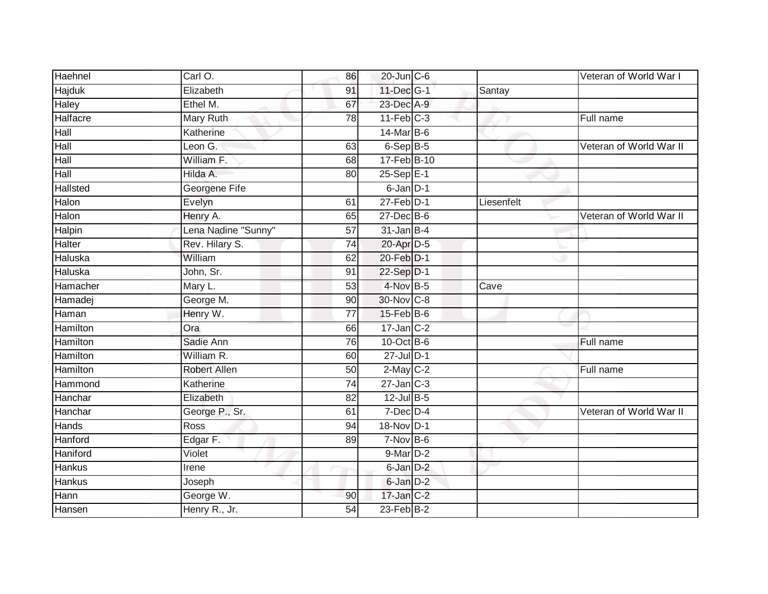| Haehnel         | Carl O.             | 86              | 20-Jun C-6       |            | Veteran of World War I  |
|-----------------|---------------------|-----------------|------------------|------------|-------------------------|
| <b>Hajduk</b>   | Elizabeth           | 91              | 11-Dec G-1       | Santay     |                         |
| Haley           | Ethel M.            | 67              | 23-Dec A-9       |            |                         |
| Halfacre        | Mary Ruth           | 78              | $11$ -Feb $C-3$  |            | Full name               |
| Hall            | Katherine           |                 | 14-Mar B-6       |            |                         |
| Hall            | Leon $G$ .          | 63              | $6-Sep$ B-5      |            | Veteran of World War II |
| Hall            | William F.          | 68              | 17-Feb B-10      |            |                         |
| Hall            | Hilda A.            | 80              | 25-Sep E-1       |            |                         |
| Hallsted        | Georgene Fife       |                 | 6-Jan D-1        |            |                         |
| Halon           | Evelyn              | 61              | $27$ -Feb $D-1$  | Liesenfelt |                         |
| Halon           | Henry A.            | 65              | $27 - Dec$ B-6   |            | Veteran of World War II |
| Halpin          | Lena Nadine "Sunny" | $\overline{57}$ | $31$ -Jan B-4    |            |                         |
| Halter          | Rev. Hilary S.      | 74              | 20-Apr D-5       |            |                         |
| Haluska         | William             | 62              | 20-Feb D-1       |            |                         |
| Haluska         | John, Sr.           | $\overline{91}$ | 22-Sep D-1       |            |                         |
| Hamacher        | Mary L.             | $\overline{53}$ | 4-Nov B-5        | Cave       |                         |
| Hamadej         | George M.           | 90              | 30-Nov C-8       |            |                         |
| Haman           | Henry W.            | 77              | 15-Feb B-6       |            |                         |
| Hamilton        | Ora                 | 66              | $17$ -Jan $C-2$  |            |                         |
| <b>Hamilton</b> | Sadie Ann           | 76              | 10-Oct B-6       |            | Full name               |
| Hamilton        | William R.          | 60              | $27$ -Jul $D-1$  |            |                         |
| Hamilton        | <b>Robert Allen</b> | 50              | $2$ -May $C-2$   |            | Full name               |
| Hammond         | Katherine           | 74              | $27 - Jan$ $C-3$ |            |                         |
| Hanchar         | Elizabeth           | 82              | $12$ -Jul B-5    |            |                         |
| Hanchar         | George P., Sr.      | 61              | $7$ -Dec $D-4$   |            | Veteran of World War II |
| Hands           | Ross                | 94              | 18-Nov D-1       |            |                         |
| Hanford         | Edgar F.            | 89              | $7-Nov$ B-6      |            |                         |
| Haniford        | Violet              |                 | 9-Mar D-2        |            |                         |
| <b>Hankus</b>   | Irene               |                 | 6-Jan D-2        |            |                         |
| Hankus          | Joseph              |                 | $6$ -Jan $D-2$   |            |                         |
| Hann            | George W.           | 90              | $17$ -Jan $C-2$  |            |                         |
| Hansen          | Henry R., Jr.       | 54              | $23$ -Feb $B-2$  |            |                         |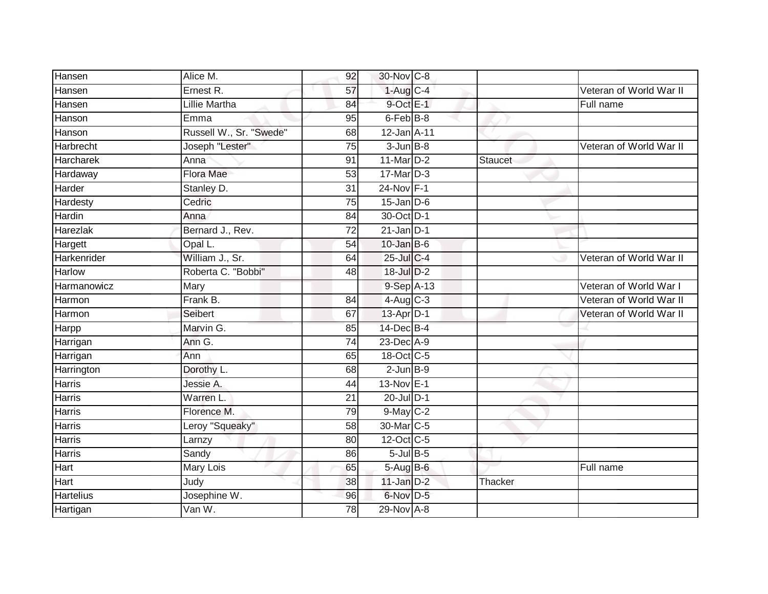| Hansen           | Alice M.                | 92              | 30-Nov C-8             |                |                         |
|------------------|-------------------------|-----------------|------------------------|----------------|-------------------------|
| Hansen           | Ernest R.               | 57              | $1-Aug$ <sub>C-4</sub> |                | Veteran of World War II |
| Hansen           | <b>Lillie Martha</b>    | 84              | 9-Oct E-1              |                | Full name               |
| Hanson           | Emma                    | 95              | 6-Feb B-8              |                |                         |
| Hanson           | Russell W., Sr. "Swede" | 68              | 12-Jan A-11            |                |                         |
| Harbrecht        | Joseph "Lester"         | 75              | $3 - Jun$ $B-8$        |                | Veteran of World War II |
| <b>Harcharek</b> | Anna                    | 91              | 11-Mar $D-2$           | <b>Staucet</b> |                         |
| Hardaway         | <b>Flora Mae</b>        | 53              | $17$ -Mar $D-3$        |                |                         |
| Harder           | Stanley D.              | 31              | 24-Nov F-1             |                |                         |
| Hardesty         | Cedric                  | $\overline{75}$ | $15$ -Jan $D-6$        |                |                         |
| Hardin           | Anna                    | 84              | 30-Oct D-1             |                |                         |
| Harezlak         | Bernard J., Rev.        | $\overline{72}$ | $21$ -Jan D-1          |                |                         |
| Hargett          | Opal L.                 | 54              | $10$ -Jan B-6          |                |                         |
| Harkenrider      | William J., Sr.         | 64              | $25$ -Jul C-4          |                | Veteran of World War II |
| Harlow           | Roberta C. "Bobbi"      | 48              | 18-Jul D-2             |                |                         |
| Harmanowicz      | Mary                    |                 | 9-Sep A-13             |                | Veteran of World War I  |
| Harmon           | Frank B.                | 84              | $4-Aug$ C-3            |                | Veteran of World War II |
| Harmon           | Seibert                 | 67              | 13-Apr D-1             |                | Veteran of World War II |
| Harpp            | Marvin G.               | 85              | 14-Dec B-4             |                |                         |
| Harrigan         | Ann G.                  | 74              | $23$ -Dec $A-9$        |                |                         |
| Harrigan         | Ann                     | 65              | 18-Oct C-5             |                |                         |
| Harrington       | Dorothy L.              | 68              | $2$ -Jun $B-9$         |                |                         |
| Harris           | Jessie A.               | 44              | 13-Nov E-1             |                |                         |
| Harris           | Warren L.               | 21              | 20-Jul D-1             |                |                         |
| Harris           | Florence M.             | 79              | $9$ -May $C-2$         |                |                         |
| Harris           | Leroy "Squeaky"         | 58              | 30-Mar C-5             |                |                         |
| <b>Harris</b>    | Larnzy                  | 80              | 12-Oct C-5             |                |                         |
| Harris           | Sandy                   | 86              | $5$ -Jul B-5           |                |                         |
| Hart             | Mary Lois               | 65              | 5-Aug B-6              |                | Full name               |
| Hart             | Judy                    | 38              | $11$ -Jan $D-2$        | Thacker        |                         |
| <b>Hartelius</b> | Josephine W.            | 96              | 6-Nov D-5              |                |                         |
| Hartigan         | Van W.                  | $\overline{78}$ | 29-Nov A-8             |                |                         |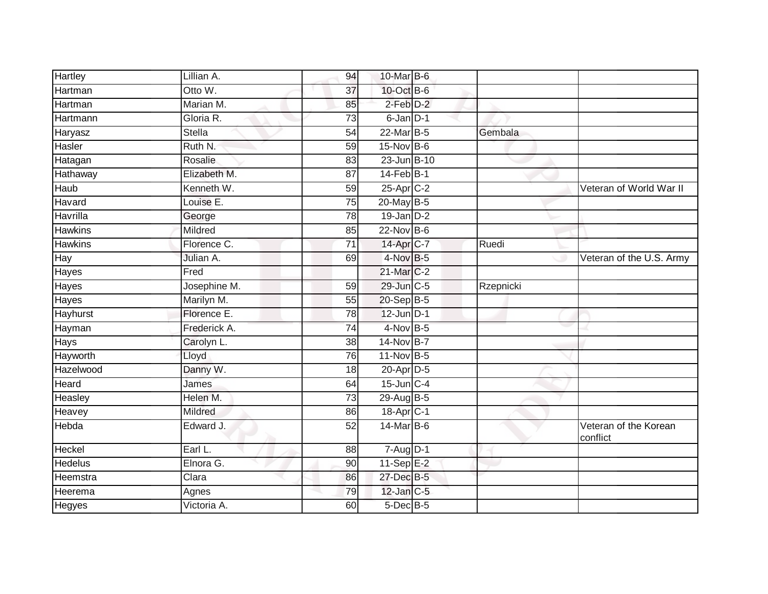| Hartley        | Lillian A.    | 94              | 10-Mar B-6            |           |                                   |
|----------------|---------------|-----------------|-----------------------|-----------|-----------------------------------|
| Hartman        | Otto W.       | $\overline{37}$ | 10-Oct B-6            |           |                                   |
| Hartman        | Marian M.     | 85              | 2-Feb D-2             |           |                                   |
| Hartmann       | Gloria R.     | $\overline{73}$ | 6-Jan D-1             |           |                                   |
| Haryasz        | <b>Stella</b> | 54              | 22-Mar B-5            | Gembala   |                                   |
| Hasler         | Ruth N.       | 59              | 15-Nov B-6            |           |                                   |
| Hatagan        | Rosalie       | 83              | 23-Jun B-10           |           |                                   |
| Hathaway       | Elizabeth M.  | 87              | $14$ -Feb $B-1$       |           |                                   |
| Haub           | Kenneth W.    | 59              | 25-Apr C-2            |           | Veteran of World War II           |
| Havard         | Louise E.     | $\overline{75}$ | 20-May B-5            |           |                                   |
| Havrilla       | George        | $\overline{78}$ | $19$ -Jan $D-2$       |           |                                   |
| <b>Hawkins</b> | Mildred       | 85              | 22-Nov B-6            |           |                                   |
| <b>Hawkins</b> | Florence C.   | 71              | 14-Apr <sub>C-7</sub> | Ruedi     |                                   |
| Hay            | Julian A.     | 69              | 4-Nov B-5             |           | Veteran of the U.S. Army          |
| Hayes          | Fred          |                 | 21-Mar C-2            |           |                                   |
| Hayes          | Josephine M.  | 59              | 29-Jun C-5            | Rzepnicki |                                   |
| Hayes          | Marilyn M.    | 55              | 20-Sep B-5            |           |                                   |
| Hayhurst       | Florence E.   | 78              | 12-Jun D-1            |           |                                   |
| Hayman         | Frederick A.  | $\overline{74}$ | 4-Nov B-5             |           |                                   |
| <b>Hays</b>    | Carolyn L.    | 38              | 14-Nov B-7            |           |                                   |
| Hayworth       | Lloyd         | 76              | 11-Nov B-5            |           |                                   |
| Hazelwood      | Danny W.      | 18              | 20-Apr D-5            |           |                                   |
| Heard          | James         | 64              | 15-Jun C-4            |           |                                   |
| Heasley        | Helen M.      | $\overline{73}$ | 29-Aug B-5            |           |                                   |
| Heavey         | Mildred       | 86              | 18-Apr <sub>C-1</sub> |           |                                   |
| Hebda          | Edward J.     | 52              | 14-Mar B-6            |           | Veteran of the Korean<br>conflict |
| Heckel         | Earl L.       | 88              | $7 - Aug$ $D-1$       |           |                                   |
| <b>Hedelus</b> | Elnora G.     | 90              | 11-Sep E-2            |           |                                   |
| Heemstra       | Clara         | 86              | 27-Dec B-5            |           |                                   |
| Heerema        | Agnes         | 79              | $12$ -Jan $C-5$       |           |                                   |
| Hegyes         | Victoria A.   | 60              | $5$ -Dec $B$ -5       |           |                                   |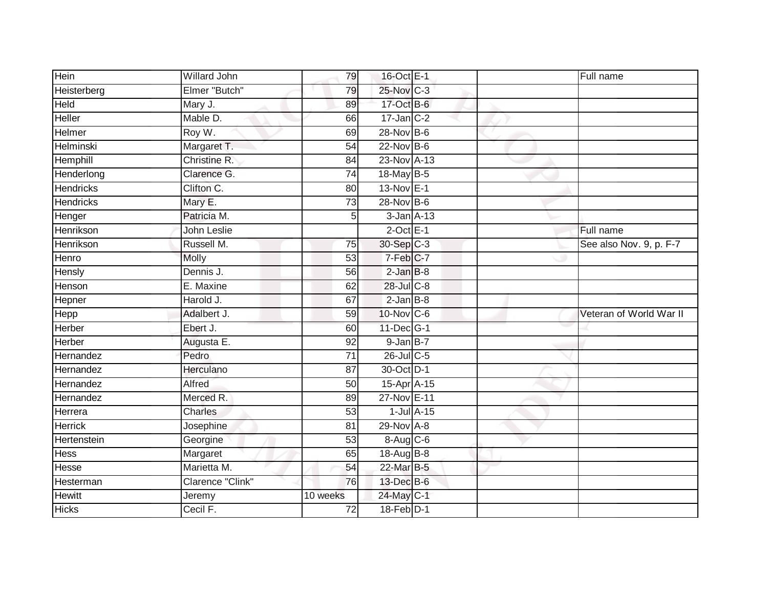| Hein             | Willard John     | 79              | 16-Oct E-1      |                 | Full name               |
|------------------|------------------|-----------------|-----------------|-----------------|-------------------------|
| Heisterberg      | Elmer "Butch"    | 79              | 25-Nov C-3      |                 |                         |
| Held             | Mary J.          | 89              | 17-Oct B-6      |                 |                         |
| Heller           | Mable D.         | 66              | $17$ -Jan $C-2$ |                 |                         |
| Helmer           | Roy W.           | 69              | 28-Nov B-6      |                 |                         |
| Helminski        | Margaret T.      | 54              | 22-Nov B-6      |                 |                         |
| Hemphill         | Christine R.     | 84              | 23-Nov A-13     |                 |                         |
| Henderlong       | Clarence G.      | $\overline{74}$ | 18-May B-5      |                 |                         |
| <b>Hendricks</b> | Clifton C.       | 80              | 13-Nov E-1      |                 |                         |
| <b>Hendricks</b> | Mary E.          | 73              | 28-Nov B-6      |                 |                         |
| Henger           | Patricia M.      | 5 <sub>5</sub>  |                 | $3$ -Jan $A-13$ |                         |
| Henrikson        | John Leslie      |                 | $2$ -Oct $E-1$  |                 | Full name               |
| Henrikson        | Russell M.       | 75              | 30-Sep C-3      |                 | See also Nov. 9, p. F-7 |
| Henro            | <b>Molly</b>     | 53              | 7-Feb C-7       |                 |                         |
| <b>Hensly</b>    | Dennis J.        | $\overline{56}$ | $2-JanB-8$      |                 |                         |
| Henson           | E. Maxine        | 62              | 28-Jul C-8      |                 |                         |
| Hepner           | Harold J.        | 67              | $2$ -Jan $B-8$  |                 |                         |
| <b>Hepp</b>      | Adalbert J.      | 59              | 10-Nov C-6      |                 | Veteran of World War II |
| <b>Herber</b>    | Ebert J.         | 60              | 11-Dec G-1      |                 |                         |
| Herber           | Augusta E.       | $\overline{92}$ | $9$ -Jan $B-7$  |                 |                         |
| Hernandez        | Pedro            | $\overline{71}$ | 26-Jul C-5      |                 |                         |
| Hernandez        | Herculano        | 87              | 30-Oct D-1      |                 |                         |
| Hernandez        | Alfred           | 50              | 15-Apr A-15     |                 |                         |
| Hernandez        | Merced R.        | 89              | 27-Nov E-11     |                 |                         |
| Herrera          | Charles          | 53              |                 | $1$ -Jul $A-15$ |                         |
| <b>Herrick</b>   | Josephine        | 81              | 29-Nov A-8      |                 |                         |
| Hertenstein      | Georgine         | 53              | 8-Aug C-6       |                 |                         |
| <b>Hess</b>      | Margaret         | 65              | 18-Aug B-8      |                 |                         |
| Hesse            | Marietta M.      | 54              | 22-Mar B-5      |                 |                         |
| Hesterman        | Clarence "Clink" | 76              | 13-Dec B-6      |                 |                         |
| <b>Hewitt</b>    | Jeremy           | 10 weeks        | 24-May C-1      |                 |                         |
| <b>Hicks</b>     | Cecil F.         | 72              | $18-Feb$ D-1    |                 |                         |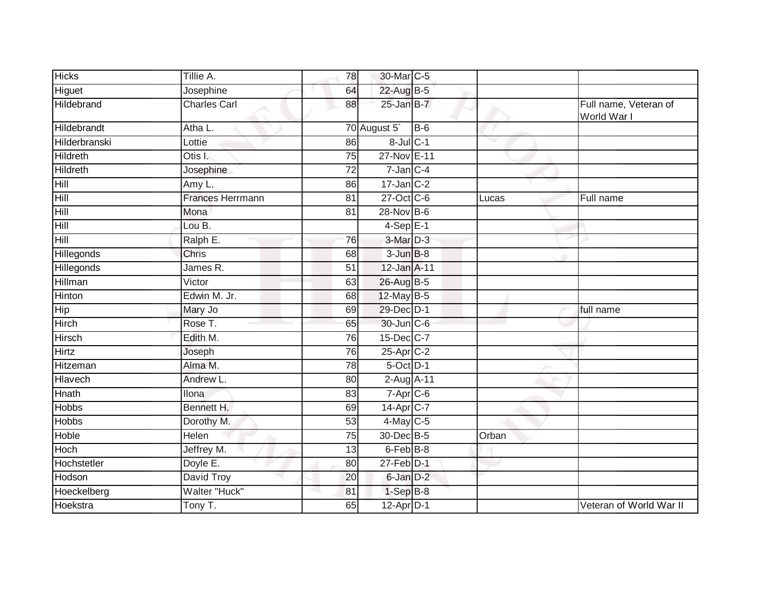| <b>Hicks</b>       | Tillie A.               | 78              | 30-Mar C-5              |       |       |                                      |
|--------------------|-------------------------|-----------------|-------------------------|-------|-------|--------------------------------------|
| Higuet             | Josephine               | 64              | 22-Aug B-5              |       |       |                                      |
| Hildebrand         | <b>Charles Carl</b>     | 88              | 25-Jan B-7              |       |       | Full name, Veteran of<br>World War I |
| Hildebrandt        | Atha L.                 |                 | 70 August 5             | $B-6$ |       |                                      |
| Hilderbranski      | Lottie                  | 86              | $8$ -Jul $C-1$          |       | v     |                                      |
| Hildreth           | Otis I.                 | $\overline{75}$ | 27-Nov E-11             |       |       |                                      |
| Hildreth           | Josephine               | 72              | $7$ -Jan $C-4$          |       |       |                                      |
| Hill               | Amy L.                  | 86              | $17$ -Jan $C-2$         |       |       |                                      |
| Hill               | <b>Frances Herrmann</b> | 81              | 27-Oct C-6              |       | Lucas | Full name                            |
| Hill               | Mona                    | 81              | 28-Nov B-6              |       |       |                                      |
| Hill               | Lou B.                  |                 | $4-SepE-1$              |       |       |                                      |
| $\overline{H}$ ill | Ralph E.                | 76              | 3-Mar D-3               |       |       |                                      |
| Hillegonds         | Chris                   | 68              | $3$ -Jun $B-8$          |       |       |                                      |
| <b>Hillegonds</b>  | James R.                | 51              | 12-Jan A-11             |       |       |                                      |
| Hillman            | Victor                  | 63              | 26-Aug B-5              |       |       |                                      |
| Hinton             | Edwin M. Jr.            | 68              | 12-May B-5              |       |       |                                      |
| Hip                | Mary Jo                 | 69              | 29-Dec D-1              |       |       | full name                            |
| <b>Hirch</b>       | Rose T.                 | 65              | 30-Jun C-6              |       |       |                                      |
| Hirsch             | Edith M.                | 76              | $15$ -Dec $C$ -7        |       |       |                                      |
| Hirtz              | Joseph                  | 76              | 25-Apr C-2              |       |       |                                      |
| Hitzeman           | Alma M.                 | 78              | 5-Oct D-1               |       |       |                                      |
| Hlavech            | Andrew L.               | 80              | 2-Aug A-11              |       |       |                                      |
| Hnath              | <b>Ilona</b>            | 83              | $7-Apr$ $C-6$           |       |       |                                      |
| <b>Hobbs</b>       | Bennett H.              | 69              | $14-Apr$ <sub>C-7</sub> |       |       |                                      |
| <b>Hobbs</b>       | Dorothy M.              | $\overline{53}$ | $4$ -May C-5            |       |       |                                      |
| Hoble              | Helen                   | 75              | 30-Dec B-5              |       | Orban |                                      |
| <b>Hoch</b>        | Jeffrey M.              | 13              | 6-Feb <sup>B-8</sup>    |       |       |                                      |
| Hochstetler        | Doyle E.                | 80              | 27-Feb D-1              |       |       |                                      |
| Hodson             | David Troy              | 20              | 6-Jan D-2               |       |       |                                      |
| Hoeckelberg        | <b>Walter "Huck"</b>    | 81              | $1-Sep$ B-8             |       |       |                                      |
| Hoekstra           | Tony T.                 | 65              | $12-Apr$ D-1            |       |       | Veteran of World War II              |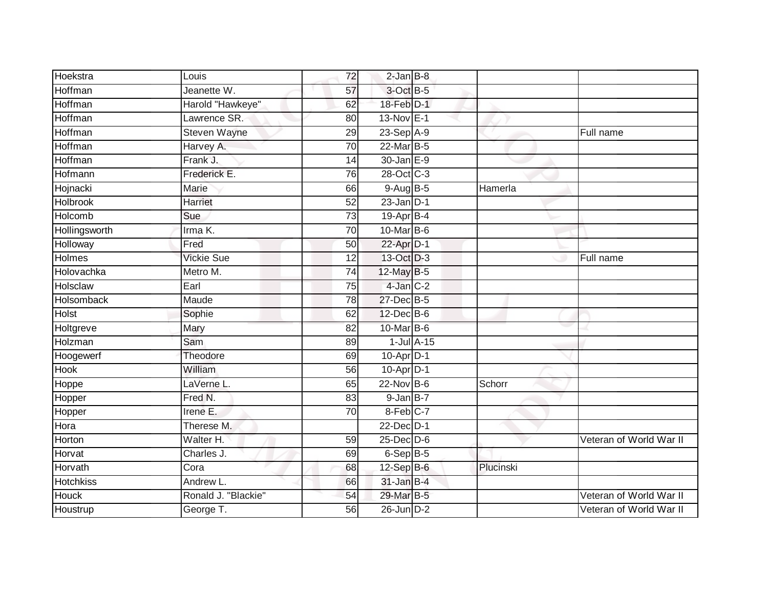| Hoekstra         | Louis               | 72              | $2$ -Jan $B-8$  |           |                         |
|------------------|---------------------|-----------------|-----------------|-----------|-------------------------|
| Hoffman          | Jeanette W.         | 57              | 3-Oct B-5       |           |                         |
| Hoffman          | Harold "Hawkeye"    | 62              | $18$ -Feb $D-1$ |           |                         |
| Hoffman          | Lawrence SR.        | 80              | 13-Nov E-1      |           |                         |
| Hoffman          | <b>Steven Wayne</b> | 29              | 23-Sep A-9      |           | Full name               |
| Hoffman          | Harvey A.           | 70              | 22-Mar B-5      |           |                         |
| <b>Hoffman</b>   | Frank J.            | 14              | 30-Jan E-9      |           |                         |
| Hofmann          | Frederick E.        | 76              | 28-Oct C-3      |           |                         |
| Hojnacki         | Marie               | 66              | $9-AugB-5$      | Hamerla   |                         |
| <b>Holbrook</b>  | Harriet             | $\overline{52}$ | $23$ -Jan $D-1$ |           |                         |
| Holcomb          | Sue                 | 73              | $19-Apr$ B-4    |           |                         |
| Hollingsworth    | Irma K.             | 70              | 10-Mar B-6      |           |                         |
| Holloway         | Fred                | 50              | 22-Apr D-1      |           |                         |
| <b>Holmes</b>    | <b>Vickie Sue</b>   | 12              | 13-Oct D-3      |           | Full name               |
| Holovachka       | Metro M.            | 74              | 12-May B-5      |           |                         |
| Holsclaw         | Earl                | 75              | 4-Jan C-2       |           |                         |
| Holsomback       | Maude               | $\overline{78}$ | 27-Dec B-5      |           |                         |
| Holst            | Sophie              | 62              | 12-Dec B-6      |           |                         |
| Holtgreve        | Mary                | 82              | 10-Mar B-6      |           |                         |
| Holzman          | Sam                 | 89              | $1$ -Jul $A-15$ |           |                         |
| Hoogewerf        | Theodore            | 69              | $10-Apr$ D-1    |           |                         |
| <b>Hook</b>      | William             | $\overline{56}$ | $10$ -Apr $D-1$ |           |                         |
| Hoppe            | LaVerne L.          | 65              | 22-Nov B-6      | Schorr    |                         |
| Hopper           | Fred N.             | 83              | $9$ -Jan B-7    |           |                         |
| Hopper           | Irene E.            | 70              | 8-Feb C-7       |           |                         |
| Hora             | Therese M.          |                 | 22-Dec D-1      |           |                         |
| Horton           | Walter H.           | 59              | $25$ -Dec $D-6$ |           | Veteran of World War II |
| Horvat           | Charles J.          | 69              | $6-Sep$ B-5     |           |                         |
| Horvath          | Cora                | 68              | 12-Sep B-6      | Plucinski |                         |
| <b>Hotchkiss</b> | Andrew L.           | 66              | $31$ -Jan B-4   |           |                         |
| Houck            | Ronald J. "Blackie" | 54              | 29-Mar B-5      |           | Veteran of World War II |
| Houstrup         | George T.           | 56              | $26$ -Jun $D-2$ |           | Veteran of World War II |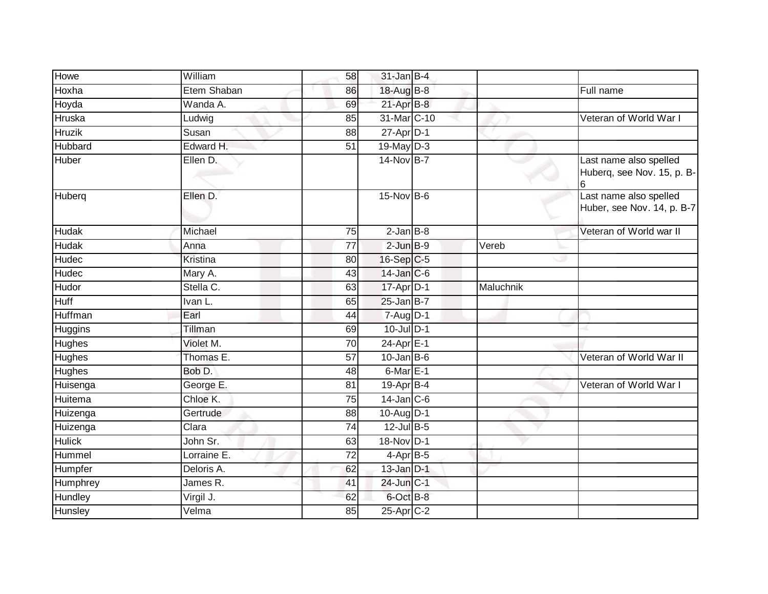| Howe          | William         | 58              | $31$ -Jan B-4             |           |                                                      |
|---------------|-----------------|-----------------|---------------------------|-----------|------------------------------------------------------|
| Hoxha         | Etem Shaban     | 86              | 18-Aug B-8                |           | Full name                                            |
| Hoyda         | Wanda A.        | 69              | 21-Apr B-8                |           |                                                      |
| Hruska        | Ludwig          | 85              | 31-Mar C-10               |           | Veteran of World War I                               |
| <b>Hruzik</b> | Susan           | $\overline{88}$ | $27$ -Apr $D-1$           |           |                                                      |
| Hubbard       | Edward H.       | 51              | 19-May D-3                |           |                                                      |
| Huber         | Ellen D.        |                 | 14-Nov B-7                |           | Last name also spelled<br>Huberq, see Nov. 15, p. B- |
| Huberq        | Ellen D.        |                 | 15-Nov B-6                |           | Last name also spelled<br>Huber, see Nov. 14, p. B-7 |
| <b>Hudak</b>  | Michael         | 75              | $2$ -Jan B-8              |           | Veteran of World war II                              |
| Hudak         | Anna            | $\overline{77}$ | $2$ -Jun $B-9$            | Vereb     |                                                      |
| Hudec         | <b>Kristina</b> | 80              | $16-Sep C-5$              |           |                                                      |
| Hudec         | Mary A.         | 43              | 14-Jan C-6                |           |                                                      |
| <b>Hudor</b>  | Stella C.       | 63              | 17-Apr D-1                | Maluchnik |                                                      |
| <b>Huff</b>   | Ivan L.         | 65              | $25$ -Jan B-7             |           |                                                      |
| Huffman       | Earl            | 44              | 7-Aug D-1                 |           |                                                      |
| Huggins       | Tillman         | 69              | 10-Jul D-1                |           |                                                      |
| <b>Hughes</b> | Violet M.       | $\overline{70}$ | $24-AprE-1$               |           |                                                      |
| <b>Hughes</b> | Thomas E.       | 57              | $10$ -Jan $B$ -6          |           | Veteran of World War II                              |
| <b>Hughes</b> | Bob D.          | 48              | $6$ -Mar $E-1$            |           |                                                      |
| Huisenga      | George E.       | 81              | $19 - \overline{Apr}$ B-4 |           | Veteran of World War I                               |
| Huitema       | Chloe K.        | $\overline{75}$ | $14$ -Jan C-6             |           |                                                      |
| Huizenga      | Gertrude        | $\overline{88}$ | 10-Aug D-1                |           |                                                      |
| Huizenga      | Clara           | 74              | 12-Jul B-5                |           |                                                      |
| <b>Hulick</b> | John Sr.        | 63              | 18-Nov D-1                |           |                                                      |
| Hummel        | Lorraine E.     | 72              | 4-Apr B-5                 |           |                                                      |
| Humpfer       | Deloris A.      | 62              | $13$ -Jan $D-1$           |           |                                                      |
| Humphrey      | James R.        | 41              | 24-Jun C-1                |           |                                                      |
| Hundley       | Virgil J.       | 62              | 6-Oct B-8                 |           |                                                      |
| Hunsley       | Velma           | 85              | 25-Apr C-2                |           |                                                      |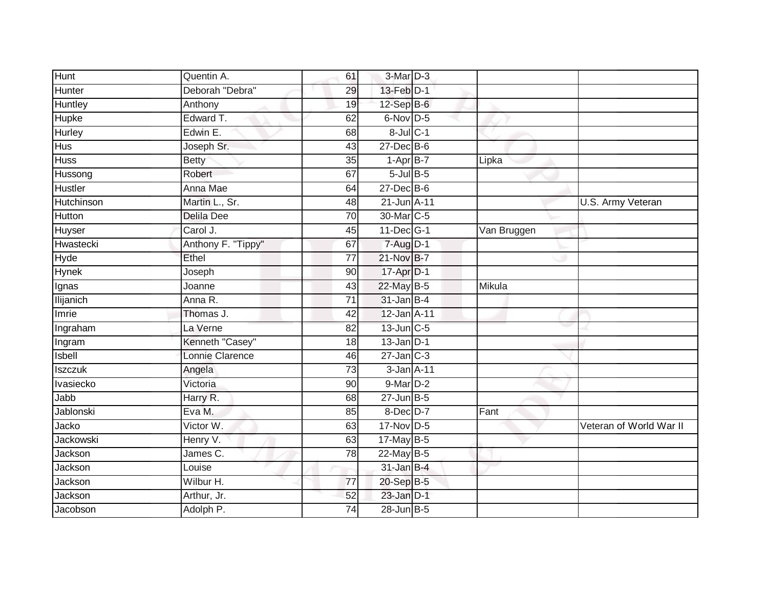| Hunt             | Quentin A.         | 61              | 3-Mar D-3        |             |                         |
|------------------|--------------------|-----------------|------------------|-------------|-------------------------|
| Hunter           | Deborah "Debra"    | 29              | 13-Feb D-1       |             |                         |
| Huntley          | Anthony            | 19              | 12-Sep B-6       |             |                         |
| Hupke            | Edward T.          | 62              | 6-Nov D-5        |             |                         |
| <b>Hurley</b>    | Edwin E.           | 68              | 8-Jul C-1        |             |                         |
| <b>Hus</b>       | Joseph Sr.         | 43              | $27$ -Dec $B$ -6 |             |                         |
| <b>Huss</b>      | <b>Betty</b>       | 35              | $1 - Apr$ B-7    | Lipka       |                         |
| Hussong          | Robert             | 67              | $5$ -Jul $B$ -5  |             |                         |
| Hustler          | Anna Mae           | 64              | $27$ -Dec $B$ -6 |             |                         |
| Hutchinson       | Martin L., Sr.     | 48              | 21-Jun A-11      |             | U.S. Army Veteran       |
| Hutton           | <b>Delila Dee</b>  | 70              | 30-Mar C-5       |             |                         |
| Huyser           | Carol J.           | 45              | 11-Dec G-1       | Van Bruggen |                         |
| Hwastecki        | Anthony F. "Tippy" | 67              | 7-Aug D-1        |             |                         |
| Hyde             | Ethel              | 77              | 21-Nov B-7       |             |                         |
| <b>Hynek</b>     | Joseph             | 90              | 17-Apr D-1       |             |                         |
| Ignas            | Joanne             | 43              | 22-May B-5       | Mikula      |                         |
| <b>Ilijanich</b> | Anna R.            | $\overline{71}$ | $31$ -Jan B-4    |             |                         |
| Imrie            | Thomas J.          | 42              | 12-Jan A-11      |             |                         |
| Ingraham         | La Verne           | 82              | $13$ -Jun $C-5$  |             |                         |
| Ingram           | Kenneth "Casey"    | 18              | $13$ -Jan $D-1$  |             |                         |
| Isbell           | Lonnie Clarence    | 46              | $27$ -Jan $C-3$  |             |                         |
| <b>Iszczuk</b>   | Angela             | 73              | 3-Jan A-11       |             |                         |
| Ivasiecko        | Victoria           | 90              | 9-Mar D-2        |             |                         |
| Jabb             | Harry R.           | 68              | $27$ -Jun $B-5$  |             |                         |
| Jablonski        | Eva M.             | 85              | 8-Dec D-7        | Fant        |                         |
| Jacko            | Victor W.          | 63              | $17-Nov$ D-5     |             | Veteran of World War II |
| Jackowski        | Henry V.           | 63              | 17-May B-5       |             |                         |
| Jackson          | James C.           | 78              | 22-May B-5       |             |                         |
| Jackson          | Louise             |                 | $31$ -Jan B-4    |             |                         |
| Jackson          | Wilbur H.          | 77              | 20-Sep B-5       |             |                         |
| Jackson          | Arthur, Jr.        | 52              | $23$ -Jan $D-1$  |             |                         |
| Jacobson         | Adolph P.          | 74              | 28-Jun B-5       |             |                         |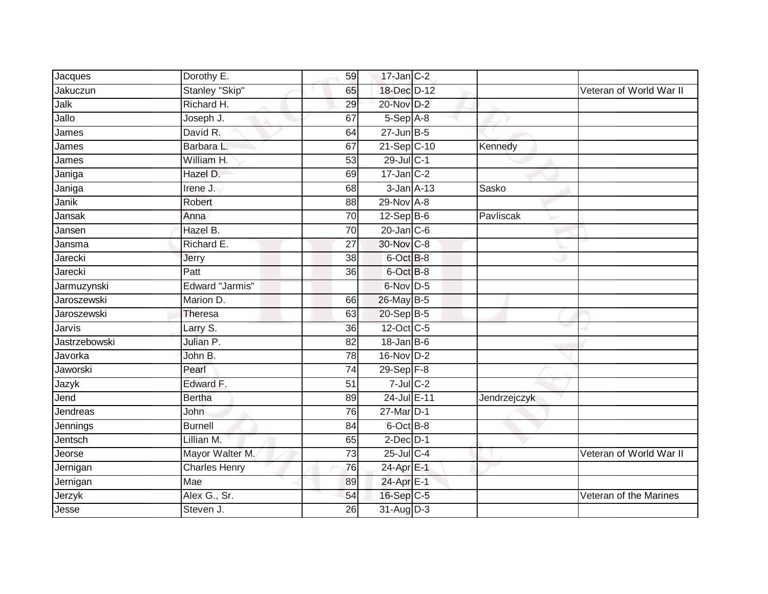| Jacques       | Dorothy E.           | 59              | $17$ -Jan $C-2$  |              |                         |
|---------------|----------------------|-----------------|------------------|--------------|-------------------------|
| Jakuczun      | Stanley "Skip"       | 65              | 18-Dec D-12      |              | Veteran of World War II |
| Jalk          | Richard H.           | 29              | 20-Nov D-2       |              |                         |
| Jallo         | Joseph J.            | 67              | $5-Sep$ $A-8$    |              |                         |
| James         | David R.             | 64              | $27$ -Jun $B-5$  |              |                         |
| James         | Barbara L.           | 67              | 21-Sep C-10      | Kennedy      |                         |
| James         | William H.           | 53              | 29-Jul C-1       |              |                         |
| Janiga        | Hazel D.             | 69              | $17$ -Jan C-2    |              |                         |
| Janiga        | Irene J.             | 68              | $3$ -Jan $A-13$  | Sasko        |                         |
| Janik         | Robert               | 88              | 29-Nov A-8       |              |                         |
| Jansak        | Anna                 | 70              | $12-Sep$ B-6     | Pavliscak    |                         |
| Jansen        | Hazel B.             | 70              | $20$ -Jan $C$ -6 |              |                         |
| Jansma        | Richard E.           | 27              | 30-Nov C-8       |              |                         |
| Jarecki       | Jerry                | 38              | 6-Oct B-8        |              |                         |
| Jarecki       | Patt                 | $\overline{36}$ | 6-Oct B-8        |              |                         |
| Jarmuzynski   | Edward "Jarmis"      |                 | 6-Nov D-5        |              |                         |
| Jaroszewski   | Marion D.            | 66              | 26-May B-5       |              |                         |
| Jaroszewski   | Theresa              | 63              | 20-Sep B-5       |              |                         |
| Jarvis        | Larry S.             | 36              | 12-Oct C-5       |              |                         |
| Jastrzebowski | Julian P.            | $\overline{82}$ | $18$ -Jan B-6    |              |                         |
| Javorka       | John B.              | 78              | 16-Nov D-2       |              |                         |
| Jaworski      | Pearl                | $\overline{74}$ | $29-Sep$ $F-8$   |              |                         |
| Jazyk         | Edward F.            | $\overline{51}$ | $7$ -Jul $C-2$   |              |                         |
| Jend          | <b>Bertha</b>        | 89              | 24-Jul E-11      | Jendrzejczyk |                         |
| Jendreas      | John                 | 76              | 27-Mar D-1       |              |                         |
| Jennings      | <b>Burnell</b>       | $\overline{84}$ | 6-Oct B-8        |              |                         |
| Jentsch       | Lillian M.           | 65              | $2$ -Dec $D-1$   |              |                         |
| Jeorse        | Mayor Walter M.      | $\overline{73}$ | 25-Jul C-4       |              | Veteran of World War II |
| Jernigan      | <b>Charles Henry</b> | 76              | 24-Apr E-1       |              |                         |
| Jernigan      | Mae                  | 89              | 24-Apr E-1       |              |                         |
| Jerzyk        | Alex G., Sr.         | 54              | 16-Sep C-5       |              | Veteran of the Marines  |
| Jesse         | Steven J.            | 26              | 31-Aug D-3       |              |                         |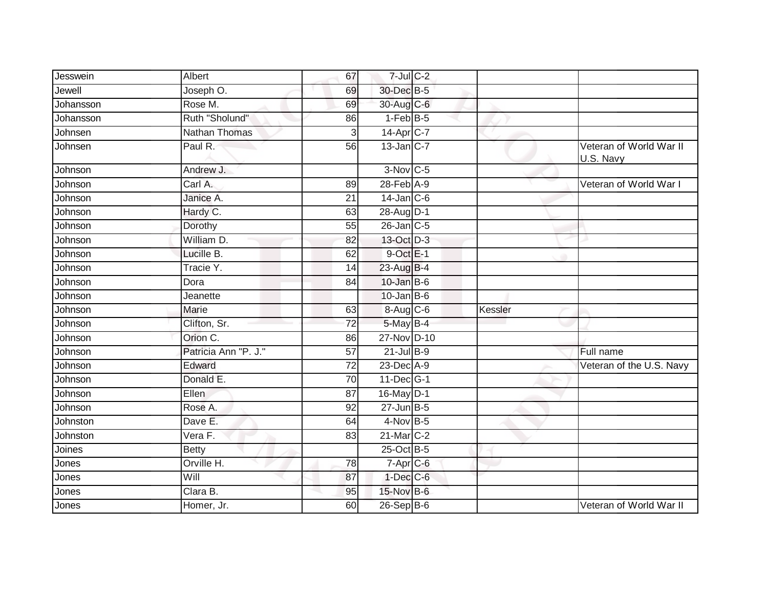| Jesswein  | Albert               | 67              | $7$ -Jul $C$ -2   |         |                                      |
|-----------|----------------------|-----------------|-------------------|---------|--------------------------------------|
| Jewell    | Joseph O.            | 69              | 30-Dec B-5        |         |                                      |
| Johansson | Rose M.              | 69              | 30-Aug C-6        |         |                                      |
| Johansson | Ruth "Sholund"       | 86              | $1-FebB-5$        |         |                                      |
| Johnsen   | Nathan Thomas        | 3               | 14-Apr C-7        |         |                                      |
| Johnsen   | Paul R.              | 56              | $13$ -Jan $ C-7 $ |         | Veteran of World War II<br>U.S. Navy |
| Johnson   | Andrew J.            |                 | $3-Nov$ C-5       |         |                                      |
| Johnson   | Carl A.              | 89              | $28$ -Feb $A-9$   |         | Veteran of World War I               |
| Johnson   | Janice A.            | 21              | $14$ -Jan $C$ -6  |         |                                      |
| Johnson   | Hardy C.             | 63              | 28-Aug D-1        |         |                                      |
| Johnson   | Dorothy              | 55              | $26$ -Jan $C$ -5  |         |                                      |
| Johnson   | William D.           | 82              | 13-Oct D-3        |         |                                      |
| Johnson   | Lucille B.           | 62              | $9$ -Oct $E-1$    |         |                                      |
| Johnson   | Tracie Y.            | 14              | 23-Aug B-4        |         |                                      |
| Johnson   | Dora                 | 84              | 10-Jan B-6        |         |                                      |
| Johnson   | Jeanette             |                 | $10$ -Jan B-6     |         |                                      |
| Johnson   | Marie                | 63              | 8-Aug C-6         | Kessler |                                      |
| Johnson   | Clifton, Sr.         | $\overline{72}$ | 5-May B-4         |         |                                      |
| Johnson   | Orion C.             | 86              | 27-Nov D-10       |         |                                      |
| Johnson   | Patricia Ann "P. J." | 57              | $21$ -Jul B-9     |         | Full name                            |
| Johnson   | Edward               | 72              | 23-Dec A-9        |         | Veteran of the U.S. Navy             |
| Johnson   | Donald E.            | $\overline{70}$ | 11-Dec G-1        |         |                                      |
| Johnson   | Ellen                | 87              | 16-May D-1        |         |                                      |
| Johnson   | Rose A.              | 92              | $27$ -Jun $B-5$   |         |                                      |
| Johnston  | Dave E.              | 64              | $4$ -Nov B-5      |         |                                      |
| Johnston  | Vera F.              | 83              | 21-Mar C-2        |         |                                      |
| Joines    | <b>Betty</b>         |                 | 25-Oct B-5        |         |                                      |
| Jones     | Orville H.           | 78              | 7-Apr C-6         |         |                                      |
| Jones     | Will                 | 87              | $1$ -Dec $C$ -6   |         |                                      |
| Jones     | Clara B.             | 95              | 15-Nov B-6        |         |                                      |
| Jones     | Homer, Jr.           | 60              | 26-Sep B-6        |         | Veteran of World War II              |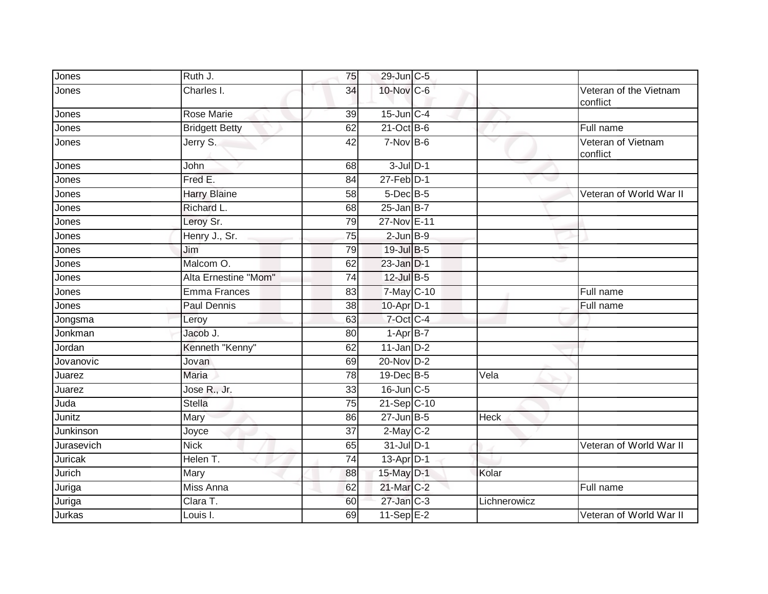| Jones        | Ruth J.               | 75              | 29-Jun C-5                  |              |                                    |
|--------------|-----------------------|-----------------|-----------------------------|--------------|------------------------------------|
| Jones        | Charles I.            | 34              | 10-Nov C-6                  |              | Veteran of the Vietnam<br>conflict |
| Jones        | <b>Rose Marie</b>     | 39              | $15$ -Jun $C-4$             |              |                                    |
| Jones        | <b>Bridgett Betty</b> | 62              | 21-Oct B-6                  |              | Full name                          |
| Jones        | Jerry S.              | 42              | $7-Nov$ B-6                 | v            | Veteran of Vietnam<br>conflict     |
| Jones        | John                  | 68              | $3$ -Jul $D-1$              |              |                                    |
| Jones        | Fred E.               | 84              | $27$ -Feb $\overline{D}$ -1 |              |                                    |
| <b>Jones</b> | <b>Harry Blaine</b>   | 58              | $5$ -Dec $B$ -5             |              | Veteran of World War II            |
| Jones        | Richard L.            | 68              | $25$ -Jan B-7               |              |                                    |
| Jones        | Leroy Sr.             | 79              | 27-Nov E-11                 |              |                                    |
| Jones        | Henry J., Sr.         | $\overline{75}$ | $2$ -Jun $B-9$              |              |                                    |
| Jones        | Jim                   | 79              | 19-Jul B-5                  |              |                                    |
| Jones        | Malcom O.             | 62              | $23$ -Jan $D-1$             |              |                                    |
| Jones        | Alta Ernestine "Mom"  | 74              | 12-Jul B-5                  |              |                                    |
| Jones        | <b>Emma Frances</b>   | 83              | 7-May C-10                  |              | Full name                          |
| Jones        | Paul Dennis           | 38              | $10-Apr$ D-1                |              | Full name                          |
| Jongsma      | Leroy                 | 63              | 7-Oct C-4                   |              |                                    |
| Jonkman      | Jacob J.              | 80              | $1-AprB-7$                  |              |                                    |
| Jordan       | Kenneth "Kenny"       | 62              | $11$ -Jan $D-2$             |              |                                    |
| Jovanovic    | Jovan                 | 69              | 20-Nov D-2                  |              |                                    |
| Juarez       | Maria                 | 78              | 19-Dec B-5                  | Vela         |                                    |
| Juarez       | Jose R., Jr.          | 33              | 16-Jun C-5                  |              |                                    |
| Juda         | <b>Stella</b>         | 75              | $21-Sep$ C-10               |              |                                    |
| Junitz       | Mary                  | 86              | $27$ -Jun $B-5$             | <b>Heck</b>  |                                    |
| Junkinson    | Joyce                 | $\overline{37}$ | $2$ -May $C-2$              |              |                                    |
| Jurasevich   | <b>Nick</b>           | 65              | $31$ -Jul D-1               |              | Veteran of World War II            |
| Juricak      | Helen T.              | $\overline{74}$ | $13-Apr$ D-1                |              |                                    |
| Jurich       | Mary                  | 88              | 15-May D-1                  | Kolar        |                                    |
| Juriga       | Miss Anna             | 62              | 21-Mar C-2                  |              | Full name                          |
| Juriga       | Clara T.              | 60              | $27$ -Jan $C-3$             | Lichnerowicz |                                    |
| Jurkas       | Louis I.              | 69              | $11-Sep$ E-2                |              | Veteran of World War II            |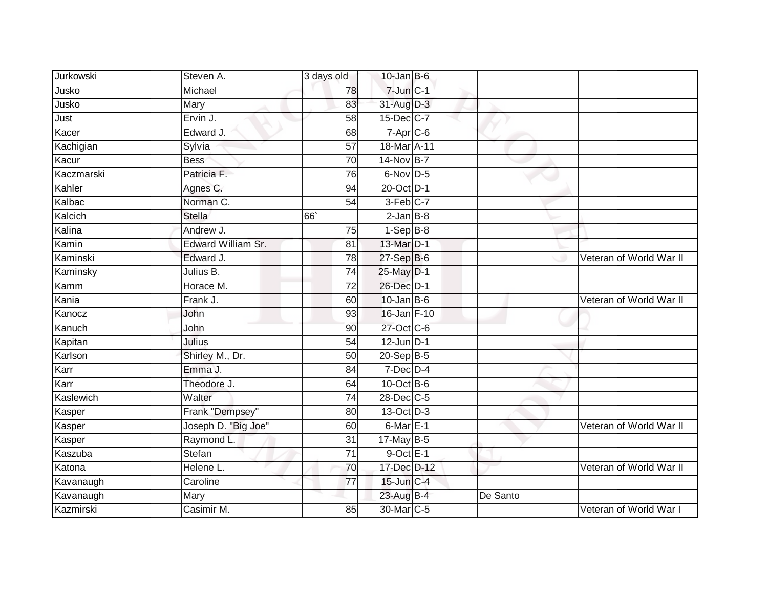| Jurkowski  | Steven A.           | 3 days old      | $10$ -Jan B-6     |          |                         |
|------------|---------------------|-----------------|-------------------|----------|-------------------------|
| Jusko      | Michael             | 78              | $7 - Jun$ $C - 1$ |          |                         |
| Jusko      | Mary                | 83              | 31-Aug D-3        |          |                         |
| Just       | Ervin J.            | 58              | 15-Dec C-7        |          |                         |
| Kacer      | Edward J.           | 68              | $7-Apr$ C-6       |          |                         |
| Kachigian  | Sylvia              | 57              | 18-Mar A-11       |          |                         |
| Kacur      | <b>Bess</b>         | 70              | 14-Nov B-7        |          |                         |
| Kaczmarski | Patricia F.         | 76              | 6-Nov D-5         |          |                         |
| Kahler     | Agnes C.            | 94              | 20-Oct D-1        |          |                         |
| Kalbac     | Norman C.           | $\overline{54}$ | 3-Feb C-7         |          |                         |
| Kalcich    | <b>Stella</b>       | 66              | $2$ -Jan $B-8$    |          |                         |
| Kalina     | Andrew J.           | $\overline{75}$ | $1-Sep$ B-8       |          |                         |
| Kamin      | Edward William Sr.  | 81              | 13-Mar D-1        |          |                         |
| Kaminski   | Edward J.           | $\overline{78}$ | $27-Sep$ B-6      |          | Veteran of World War II |
| Kaminsky   | Julius B.           | 74              | 25-May D-1        |          |                         |
| Kamm       | Horace M.           | 72              | 26-Dec D-1        |          |                         |
| Kania      | Frank J.            | 60              | $10$ -Jan B-6     |          | Veteran of World War II |
| Kanocz     | John                | 93              | 16-Jan F-10       |          |                         |
| Kanuch     | John                | 90              | $27$ -Oct $C$ -6  |          |                         |
| Kapitan    | Julius              | 54              | $12$ -Jun D-1     |          |                         |
| Karlson    | Shirley M., Dr.     | 50              | 20-Sep B-5        |          |                         |
| Karr       | Emma J.             | 84              | $7$ -Dec $D-4$    |          |                         |
| Karr       | Theodore J.         | 64              | $10$ -Oct B-6     |          |                         |
| Kaslewich  | Walter              | 74              | 28-Dec C-5        |          |                         |
| Kasper     | Frank "Dempsey"     | 80              | 13-Oct D-3        |          |                         |
| Kasper     | Joseph D. "Big Joe" | 60              | $6$ -Mar $E-1$    |          | Veteran of World War II |
| Kasper     | Raymond L.          | $\overline{31}$ | $17$ -May B-5     |          |                         |
| Kaszuba    | Stefan              | 71              | $9$ -Oct $E-1$    |          |                         |
| Katona     | Helene L.           | 70              | 17-Dec D-12       |          | Veteran of World War II |
| Kavanaugh  | Caroline            | 77              | 15-Jun C-4        |          |                         |
| Kavanaugh  | Mary                |                 | 23-Aug B-4        | De Santo |                         |
| Kazmirski  | Casimir M.          | 85              | 30-Mar C-5        |          | Veteran of World War I  |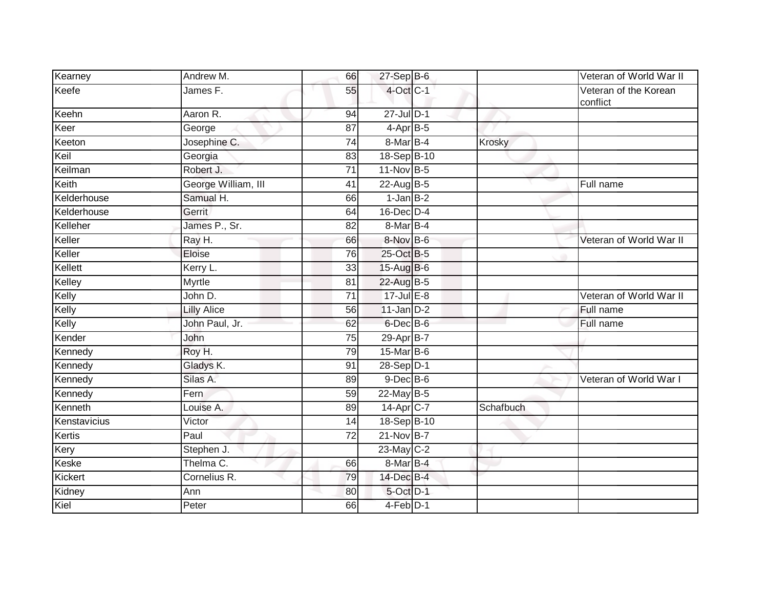| Kearney      | Andrew M.           | 66              | $27 - Sep$ B-6   |           | Veteran of World War II           |
|--------------|---------------------|-----------------|------------------|-----------|-----------------------------------|
| Keefe        | James F.            | 55              | 4-Oct C-1        |           | Veteran of the Korean<br>conflict |
| Keehn        | Aaron R.            | 94              | $27 -$ Jul $D-1$ |           |                                   |
| Keer         | George              | 87              | $4-AprB-5$       |           |                                   |
| Keeton       | Josephine C.        | 74              | 8-Mar B-4        | Krosky    |                                   |
| Keil         | Georgia             | 83              | 18-Sep B-10      |           |                                   |
| Keilman      | Robert J.           | 71              | 11-Nov B-5       |           |                                   |
| Keith        | George William, III | 41              | $22$ -Aug B-5    |           | Full name                         |
| Kelderhouse  | Samual H.           | 66              | $1$ -Jan $B-2$   |           |                                   |
| Kelderhouse  | Gerrit              | 64              | 16-Dec D-4       |           |                                   |
| Kelleher     | James P., Sr.       | 82              | 8-Mar B-4        |           |                                   |
| Keller       | Ray H.              | 66              | 8-Nov B-6        |           | Veteran of World War II           |
| Keller       | Eloise              | 76              | 25-Oct B-5       |           |                                   |
| Kellett      | Kerry L.            | 33              | $15$ -Aug $B$ -6 |           |                                   |
| Kelley       | <b>Myrtle</b>       | $\overline{81}$ | 22-Aug B-5       |           |                                   |
| Kelly        | John D.             | 71              | $17$ -Jul $E-8$  |           | Veteran of World War II           |
| Kelly        | <b>Lilly Alice</b>  | 56              | $11$ -Jan $D-2$  |           | Full name                         |
| Kelly        | John Paul, Jr.      | 62              | 6-Dec B-6        |           | Full name                         |
| Kender       | John                | 75              | 29-Apr B-7       |           |                                   |
| Kennedy      | Roy H.              | 79              | 15-Mar B-6       |           |                                   |
| Kennedy      | Gladys K.           | 91              | 28-Sep D-1       |           |                                   |
| Kennedy      | Silas A.            | 89              | $9$ -Dec $B$ -6  |           | Veteran of World War I            |
| Kennedy      | Fern                | 59              | 22-May B-5       |           |                                   |
| Kenneth      | Louise A.           | 89              | $14-Apr$ C-7     | Schafbuch |                                   |
| Kenstavicius | Victor              | 14              | 18-Sep B-10      |           |                                   |
| Kertis       | Paul                | 72              | $21-Nov$ B-7     |           |                                   |
| Kery         | Stephen J.          |                 | 23-May C-2       |           |                                   |
| Keske        | Thelma C.           | 66              | 8-Mar B-4        |           |                                   |
| Kickert      | Cornelius R.        | 79              | 14-Dec B-4       |           |                                   |
| Kidney       | Ann                 | 80              | 5-Oct D-1        |           |                                   |
| Kiel         | Peter               | 66              | 4-Feb D-1        |           |                                   |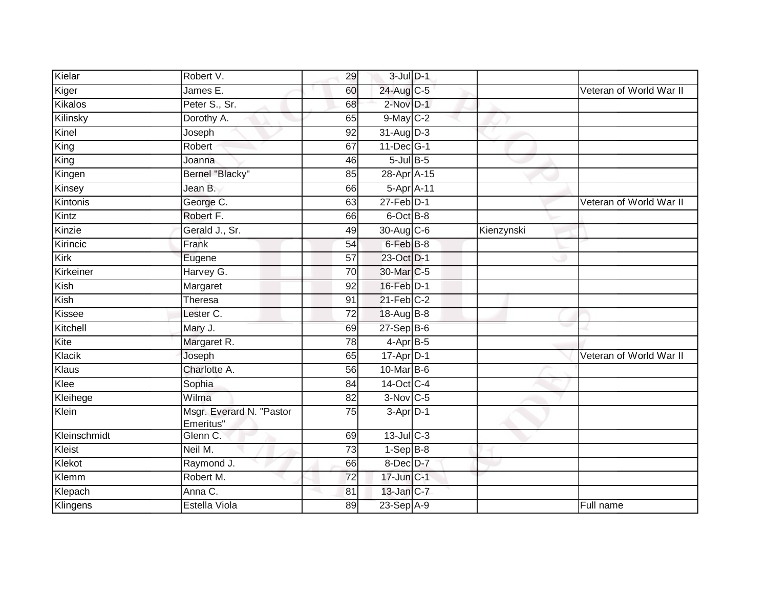| Kielar       | Robert V.                             | 29              | $3$ -Jul $D-1$  |            |                         |
|--------------|---------------------------------------|-----------------|-----------------|------------|-------------------------|
| Kiger        | James E.                              | 60              | 24-Aug C-5      |            | Veteran of World War II |
| Kikalos      | Peter S., Sr.                         | 68              | $2$ -Nov $D-1$  |            |                         |
| Kilinsky     | Dorothy A.                            | 65              | $9$ -May $C-2$  |            |                         |
| Kinel        | Joseph                                | $\overline{92}$ | $31-Aug$ D-3    |            |                         |
| King         | Robert                                | 67              | 11-Dec G-1      |            |                         |
| King         | Joanna                                | 46              | $5$ -Jul $B$ -5 |            |                         |
| Kingen       | Bernel "Blacky"                       | 85              | 28-Apr A-15     |            |                         |
| Kinsey       | Jean B.                               | 66              | 5-Apr A-11      |            |                         |
| Kintonis     | George C.                             | 63              | $27$ -Feb $D-1$ |            | Veteran of World War II |
| Kintz        | Robert F.                             | 66              | 6-Oct B-8       |            |                         |
| Kinzie       | Gerald J., Sr.                        | 49              | 30-Aug C-6      | Kienzynski |                         |
| Kirincic     | Frank                                 | 54              | 6-Feb B-8       |            |                         |
| Kirk         | Eugene                                | 57              | 23-Oct D-1      |            |                         |
| Kirkeiner    | Harvey G.                             | 70              | 30-Mar C-5      |            |                         |
| Kish         | Margaret                              | 92              | 16-Feb D-1      |            |                         |
| Kish         | Theresa                               | 91              | $21$ -Feb $C-2$ |            |                         |
| Kissee       | Lester C.                             | $\overline{72}$ | 18-Aug B-8      |            |                         |
| Kitchell     | Mary J.                               | 69              | $27-SepB-6$     |            |                         |
| Kite         | Margaret R.                           | 78              | 4-Apr B-5       |            |                         |
| Klacik       | Joseph                                | 65              | $17$ -Apr $D-1$ |            | Veteran of World War II |
| Klaus        | Charlotte A.                          | 56              | 10-Mar B-6      |            |                         |
| Klee         | Sophia                                | 84              | 14-Oct C-4      |            |                         |
| Kleihege     | Wilma                                 | 82              | $3-Nov$ C-5     |            |                         |
| Klein        | Msgr. Everard N. "Pastor<br>Emeritus" | 75              | 3-Apr D-1       |            |                         |
| Kleinschmidt | Glenn C.                              | 69              | $13$ -Jul $C-3$ |            |                         |
| Kleist       | Neil M.                               | 73              | $1-SepB-8$      |            |                         |
| Klekot       | Raymond J.                            | 66              | 8-Dec D-7       |            |                         |
| Klemm        | Robert M.                             | 72              | 17-Jun C-1      |            |                         |
| Klepach      | Anna C.                               | 81              | 13-Jan C-7      |            |                         |
| Klingens     | Estella Viola                         | 89              | $23-SepA-9$     |            | Full name               |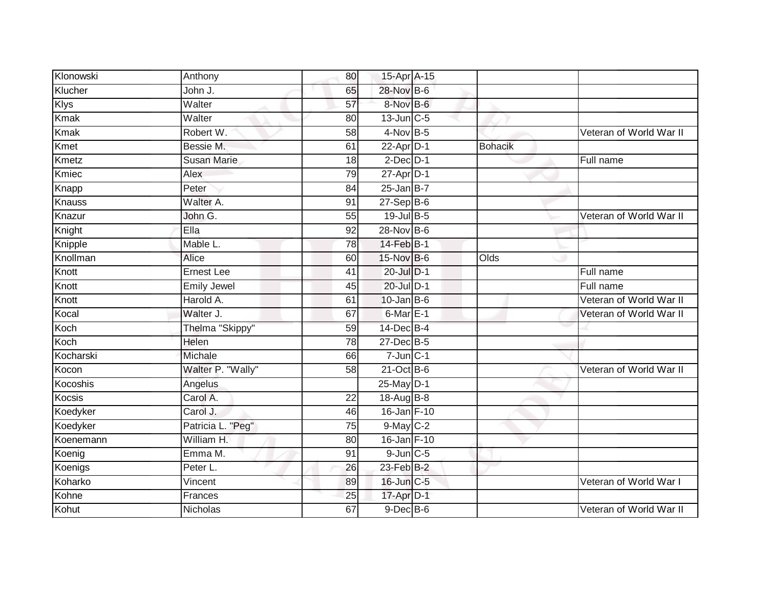| Klonowski   | Anthony            | 80              | 15-Apr A-15       |                |                         |
|-------------|--------------------|-----------------|-------------------|----------------|-------------------------|
| Klucher     | John J.            | 65              | 28-Nov B-6        |                |                         |
| <b>Klys</b> | Walter             | 57              | 8-Nov B-6         |                |                         |
| <b>Kmak</b> | Walter             | 80              | $13$ -Jun $C-5$   |                |                         |
| <b>Kmak</b> | Robert W.          | $\overline{58}$ | 4-Nov B-5         |                | Veteran of World War II |
| Kmet        | Bessie M.          | 61              | $22 - Apr$ D-1    | <b>Bohacik</b> |                         |
| Kmetz       | <b>Susan Marie</b> | 18              | $2$ -Dec $D-1$    |                | Full name               |
| Kmiec       | Alex               | 79              | $27$ -Apr $D-1$   |                |                         |
| Knapp       | Peter              | 84              | $25$ -Jan B-7     |                |                         |
| Knauss      | Walter A.          | 91              | $27-$ Sep $B-6$   |                |                         |
| Knazur      | John G.            | 55              | $19$ -Jul B-5     |                | Veteran of World War II |
| Knight      | Ella               | 92              | 28-Nov B-6        |                |                         |
| Knipple     | Mable L.           | 78              | $14$ -Feb $B-1$   |                |                         |
| Knollman    | Alice              | 60              | 15-Nov B-6        | Olds           |                         |
| Knott       | <b>Ernest Lee</b>  | 41              | 20-Jul D-1        |                | Full name               |
| Knott       | <b>Emily Jewel</b> | 45              | 20-Jul D-1        |                | Full name               |
| Knott       | Harold A.          | 61              | $10$ -Jan B-6     |                | Veteran of World War II |
| Kocal       | Walter J.          | 67              | $6$ -Mar $E-1$    |                | Veteran of World War II |
| Koch        | Thelma "Skippy"    | 59              | 14-Dec B-4        |                |                         |
| Koch        | Helen              | 78              | 27-Dec B-5        |                |                         |
| Kocharski   | Michale            | 66              | $7 - Jun$ $C - 1$ |                |                         |
| Kocon       | Walter P. "Wally"  | $\overline{58}$ | $21-Oct$ B-6      |                | Veteran of World War II |
| Kocoshis    | Angelus            |                 | 25-May D-1        |                |                         |
| Kocsis      | Carol A.           | $\overline{22}$ | 18-Aug B-8        |                |                         |
| Koedyker    | Carol J.           | 46              | 16-Jan F-10       |                |                         |
| Koedyker    | Patricia L. "Peg"  | 75              | $9$ -May $C-2$    |                |                         |
| Koenemann   | William H.         | 80              | 16-Jan F-10       |                |                         |
| Koenig      | Emma M.            | 91              | $9$ -Jun $C$ -5   |                |                         |
| Koenigs     | Peter L.           | 26              | 23-Feb B-2        |                |                         |
| Koharko     | Vincent            | 89              | 16-Jun C-5        |                | Veteran of World War I  |
| Kohne       | Frances            | 25              | 17-Apr D-1        |                |                         |
| Kohut       | Nicholas           | 67              | $9$ -Dec $B$ -6   |                | Veteran of World War II |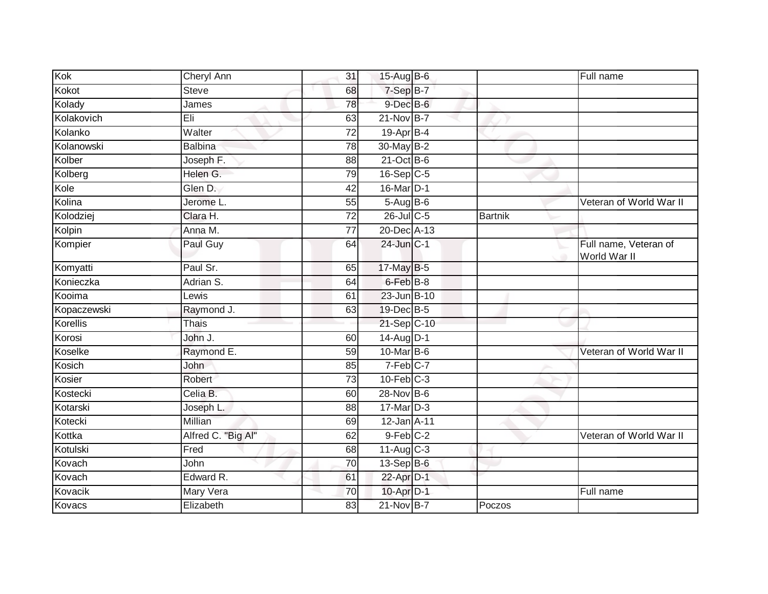| Kok         | Cheryl Ann         | 31              | 15-Aug $B-6$           |                | Full name                             |
|-------------|--------------------|-----------------|------------------------|----------------|---------------------------------------|
| Kokot       | <b>Steve</b>       | 68              | 7-Sep B-7              |                |                                       |
| Kolady      | James              | 78              | $9$ -Dec $B$ -6        |                |                                       |
| Kolakovich  | Eli                | 63              | $21-Nov$ B-7           |                |                                       |
| Kolanko     | Walter             | $\overline{72}$ | $19-Apr$ B-4           |                |                                       |
| Kolanowski  | <b>Balbina</b>     | 78              | 30-May B-2             |                |                                       |
| Kolber      | Joseph F.          | 88              | $21-Oct$ B-6           |                |                                       |
| Kolberg     | Helen G.           | 79              | $16-Sep$ C-5           |                |                                       |
| Kole        | Glen D.            | 42              | 16-Mar D-1             |                |                                       |
| Kolina      | Jerome L.          | 55              | 5-Aug B-6              |                | Veteran of World War II               |
| Kolodziej   | Clara H.           | $\overline{72}$ | $26$ -Jul C-5          | <b>Bartnik</b> |                                       |
| Kolpin      | Anna M.            | 77              | 20-Dec A-13            |                |                                       |
| Kompier     | Paul Guy           | 64              | 24-Jun C-1             |                | Full name, Veteran of<br>World War II |
| Komyatti    | Paul Sr.           | 65              | 17-May B-5             |                |                                       |
| Konieczka   | Adrian S.          | 64              | 6-Feb B-8              |                |                                       |
| Kooima      | Lewis              | 61              | 23-Jun B-10            |                |                                       |
| Kopaczewski | Raymond J.         | 63              | 19-Dec B-5             |                |                                       |
| Korellis    | Thais              |                 | 21-Sep C-10            |                |                                       |
| Korosi      | John J.            | 60              | $14$ -AugD-1           |                |                                       |
| Koselke     | Raymond E.         | 59              | 10-Mar B-6             |                | Veteran of World War II               |
| Kosich      | John               | 85              | $7-Feb$ <sub>C-7</sub> |                |                                       |
| Kosier      | Robert             | $\overline{73}$ | $10$ -Feb $C-3$        |                |                                       |
| Kostecki    | Celia B.           | 60              | 28-Nov B-6             |                |                                       |
| Kotarski    | Joseph L.          | 88              | 17-Mar D-3             |                |                                       |
| Kotecki     | Millian            | 69              | 12-Jan A-11            |                |                                       |
| Kottka      | Alfred C. "Big Al" | 62              | $9$ -Feb $C-2$         |                | Veteran of World War II               |
| Kotulski    | Fred               | 68              | $11-Aug$ $C-3$         |                |                                       |
| Kovach      | John               | 70              | 13-Sep B-6             |                |                                       |
| Kovach      | Edward R.          | 61              | 22-Apr D-1             |                |                                       |
| Kovacik     | Mary Vera          | 70              | 10-Apr <sub>D-1</sub>  |                | Full name                             |
| Kovacs      | Elizabeth          | 83              | 21-Nov B-7             | Poczos         |                                       |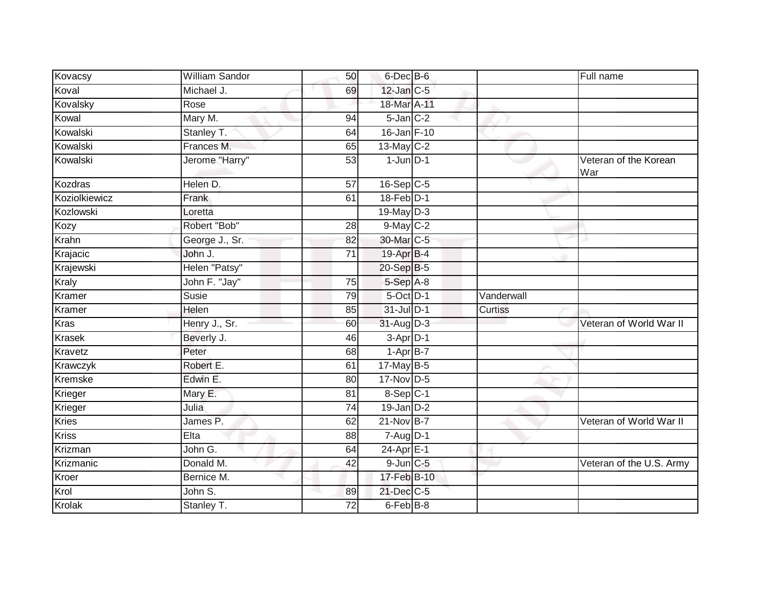| Kovacsy       | William Sandor | 50              | 6-Dec B-6       |            | Full name                    |
|---------------|----------------|-----------------|-----------------|------------|------------------------------|
| Koval         | Michael J.     | 69              | $12$ -Jan $C-5$ |            |                              |
| Kovalsky      | Rose           |                 | 18-Mar A-11     |            |                              |
| Kowal         | Mary M.        | 94              | $5$ -Jan $C-2$  |            |                              |
| Kowalski      | Stanley T.     | 64              | 16-Jan F-10     |            |                              |
| Kowalski      | Frances M.     | 65              | 13-May C-2      |            |                              |
| Kowalski      | Jerome "Harry" | 53              | $1$ -Jun $D-1$  |            | Veteran of the Korean<br>War |
| Kozdras       | Helen D.       | 57              | $16-Sep$ C-5    |            |                              |
| Koziolkiewicz | Frank          | 61              | $18$ -Feb $D-1$ |            |                              |
| Kozlowski     | Loretta        |                 | 19-May D-3      |            |                              |
| Kozy          | Robert "Bob"   | 28              | 9-May C-2       |            |                              |
| Krahn         | George J., Sr. | 82              | 30-Mar C-5      |            |                              |
| Krajacic      | John J.        | 71              | 19-Apr B-4      |            |                              |
| Krajewski     | Helen "Patsy"  |                 | 20-Sep B-5      |            |                              |
| <b>Kraly</b>  | John F. "Jay"  | $\overline{75}$ | 5-Sep A-8       |            |                              |
| Kramer        | Susie          | 79              | 5-Oct D-1       | Vanderwall |                              |
| Kramer        | Helen          | 85              | 31-Jul D-1      | Curtiss    |                              |
| <b>Kras</b>   | Henry J., Sr.  | 60              | 31-Aug D-3      |            | Veteran of World War II      |
| Krasek        | Beverly J.     | 46              | 3-Apr D-1       |            |                              |
| Kravetz       | Peter          | 68              | $1 - Apr$ B-7   |            |                              |
| Krawczyk      | Robert E.      | 61              | 17-May B-5      |            |                              |
| Kremske       | Edwin E.       | 80              | 17-Nov D-5      |            |                              |
| Krieger       | Mary E.        | 81              | 8-Sep C-1       |            |                              |
| Krieger       | Julia          | 74              | $19$ -Jan $D-2$ |            |                              |
| <b>Kries</b>  | James P.       | 62              | $21-Nov$ B-7    |            | Veteran of World War II      |
| <b>Kriss</b>  | Elta           | 88              | $7 - Aug$ $D-1$ |            |                              |
| Krizman       | John G.        | 64              | 24-Apr E-1      |            |                              |
| Krizmanic     | Donald M.      | 42              | $9$ -Jun $C$ -5 |            | Veteran of the U.S. Army     |
| Kroer         | Bernice M.     |                 | 17-Feb B-10     |            |                              |
| Krol          | John S.        | 89              | 21-Dec C-5      |            |                              |
| Krolak        | Stanley T.     | 72              | 6-Feb B-8       |            |                              |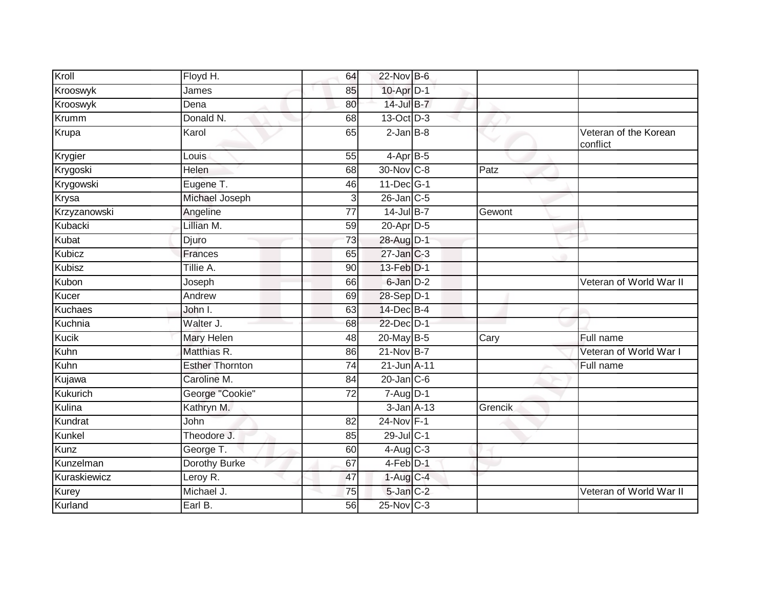| Kroll          | Floyd H.               | 64              | 22-Nov B-6            |         |                                   |
|----------------|------------------------|-----------------|-----------------------|---------|-----------------------------------|
| Krooswyk       | James                  | 85              | 10-Apr D-1            |         |                                   |
| Krooswyk       | Dena                   | 80              | 14-Jul B-7            |         |                                   |
| Krumm          | Donald N.              | 68              | 13-Oct D-3            |         |                                   |
| Krupa          | Karol                  | 65              | $2$ -Jan $B-8$        |         | Veteran of the Korean<br>conflict |
| Krygier        | Louis                  | 55              | $4$ -Apr $B$ -5       |         |                                   |
| Krygoski       | Helen                  | 68              | 30-Nov C-8            | Patz    |                                   |
| Krygowski      | Eugene T.              | 46              | 11-Dec G-1            |         |                                   |
| Krysa          | Michael Joseph         | 3               | $26$ -Jan $C$ -5      |         |                                   |
| Krzyzanowski   | Angeline               | 77              | 14-Jul B-7            | Gewont  |                                   |
| Kubacki        | Lillian M.             | 59              | 20-Apr D-5            |         |                                   |
| Kubat          | Djuro                  | 73              | 28-Aug D-1            |         |                                   |
| Kubicz         | <b>Frances</b>         | 65              | $27$ -Jan $C-3$       |         |                                   |
| <b>Kubisz</b>  | Tillie A.              | 90              | 13-Feb <sup>D-1</sup> |         |                                   |
| Kubon          | Joseph                 | 66              | 6-Jan D-2             |         | Veteran of World War II           |
| Kucer          | Andrew                 | 69              | 28-Sep D-1            |         |                                   |
| <b>Kuchaes</b> | John I.                | 63              | 14-Dec B-4            |         |                                   |
| Kuchnia        | Walter J.              | 68              | 22-Dec D-1            |         |                                   |
| <b>Kucik</b>   | Mary Helen             | 48              | 20-May B-5            | Cary    | Full name                         |
| Kuhn           | Matthias R.            | 86              | $21-Nov$ B-7          |         | Veteran of World War I            |
| Kuhn           | <b>Esther Thornton</b> | 74              | 21-Jun A-11           |         | Full name                         |
| Kujawa         | Caroline M.            | 84              | $20$ -Jan $C$ -6      |         |                                   |
| Kukurich       | George "Cookie"        | $\overline{72}$ | $7 - Aug$ $D-1$       |         |                                   |
| Kulina         | Kathryn M.             |                 | $3$ -Jan $A-13$       | Grencik |                                   |
| Kundrat        | John                   | 82              | 24-Nov F-1            |         |                                   |
| Kunkel         | Theodore J.            | 85              | 29-Jul C-1            |         |                                   |
| Kunz           | George T.              | 60              | $4-Aug$ $C-3$         |         |                                   |
| Kunzelman      | Dorothy Burke          | 67              | 4-Feb D-1             |         |                                   |
| Kuraskiewicz   | Leroy R.               | 47              | $1-Aug$ C-4           |         |                                   |
| Kurey          | Michael J.             | 75              | 5-Jan C-2             |         | Veteran of World War II           |
| Kurland        | Earl B.                | 56              | 25-Nov C-3            |         |                                   |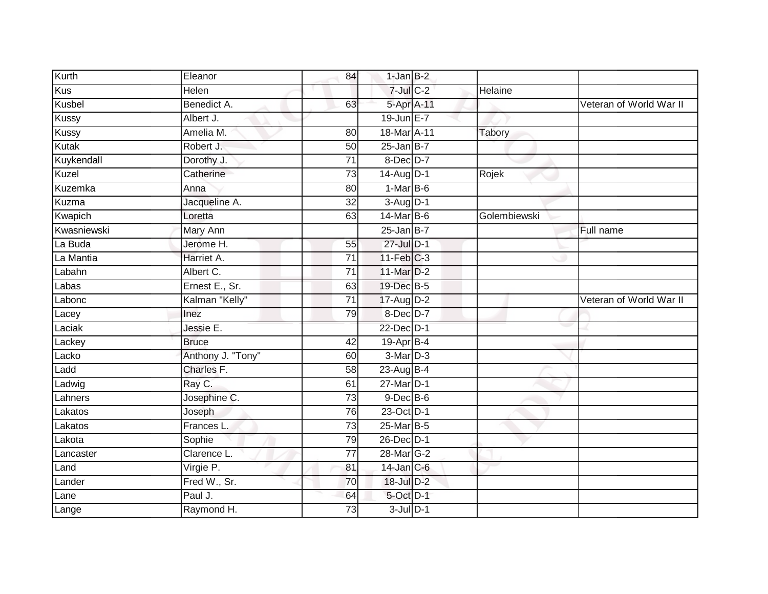| Kurth       | Eleanor           | 84              | $1$ -Jan $B-2$          |              |                         |
|-------------|-------------------|-----------------|-------------------------|--------------|-------------------------|
| Kus         | Helen             |                 | $7$ -Jul $C$ -2         | Helaine      |                         |
| Kusbel      | Benedict A.       | 63              | 5-Apr A-11              |              | Veteran of World War II |
| Kussy       | Albert J.         |                 | 19-Jun E-7              |              |                         |
| Kussy       | Amelia M.         | 80              | 18-Mar A-11             | Tabory       |                         |
| Kutak       | Robert J.         | 50              | $25$ -Jan B-7           |              |                         |
| Kuykendall  | Dorothy J.        | 71              | 8-Dec D-7               |              |                         |
| Kuzel       | Catherine         | 73              | 14-Aug D-1              | Rojek        |                         |
| Kuzemka     | Anna              | 80              | $1-MarB-6$              |              |                         |
| Kuzma       | Jacqueline A.     | $\overline{32}$ | $3-Aug$ D-1             |              |                         |
| Kwapich     | Loretta           | 63              | 14-Mar B-6              | Golembiewski |                         |
| Kwasniewski | Mary Ann          |                 | $25$ -Jan B-7           |              | Full name               |
| La Buda     | Jerome H.         | 55              | 27-Jul D-1              |              |                         |
| La Mantia   | Harriet A.        | 71              | $11-Feb$ <sub>C-3</sub> |              |                         |
| Labahn      | Albert C.         | $\overline{71}$ | 11-Mar D-2              |              |                         |
| Labas       | Ernest E., Sr.    | 63              | 19-Dec B-5              |              |                         |
| Labonc      | Kalman "Kelly"    | $\overline{71}$ | 17-Aug D-2              |              | Veteran of World War II |
| Lacey       | Inez              | 79              | 8-Dec D-7               |              |                         |
| Laciak      | Jessie E.         |                 | 22-Dec D-1              |              |                         |
| Lackey      | <b>Bruce</b>      | 42              | 19-Apr B-4              |              |                         |
| Lacko       | Anthony J. "Tony" | 60              | 3-Mar D-3               |              |                         |
| Ladd        | Charles F.        | $\overline{58}$ | 23-Aug B-4              |              |                         |
| Ladwig      | Ray C.            | 61              | 27-Mar D-1              |              |                         |
| Lahners     | Josephine C.      | 73              | $9$ -Dec $B$ -6         |              |                         |
| Lakatos     | Joseph            | 76              | 23-Oct D-1              |              |                         |
| Lakatos     | Frances L.        | $\overline{73}$ | 25-Mar B-5              |              |                         |
| Lakota      | Sophie            | 79              | 26-Dec D-1              |              |                         |
| Lancaster   | Clarence L.       | 77              | 28-Mar G-2              |              |                         |
| Land        | Virgie P.         | 81              | $14$ -Jan $C$ -6        |              |                         |
| Lander      | Fred W., Sr.      | 70              | 18-Jul D-2              |              |                         |
| Lane        | Paul J.           | 64              | 5-Oct D-1               |              |                         |
| Lange       | Raymond H.        | 73              | $3$ -Jul $D-1$          |              |                         |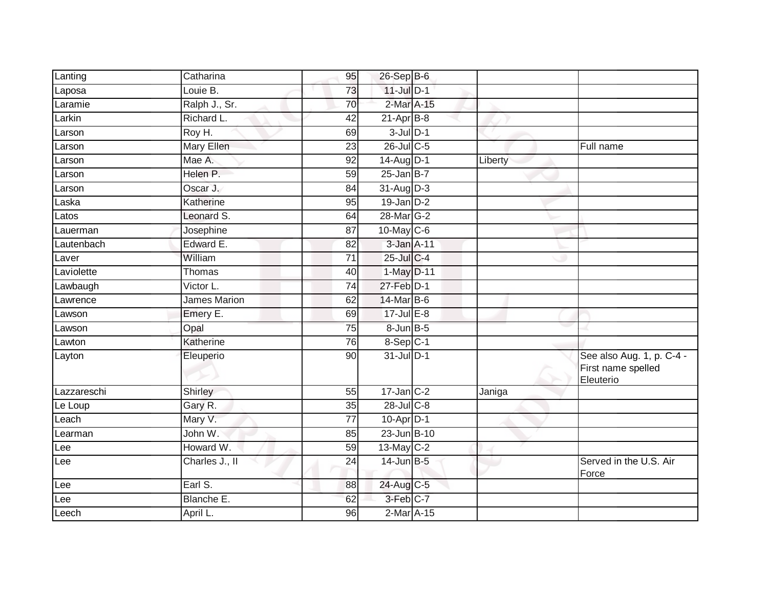| Lanting     | Catharina      | 95              | 26-Sep B-6       |         |                                                              |
|-------------|----------------|-----------------|------------------|---------|--------------------------------------------------------------|
| Laposa      | Louie B.       | 73              | $11$ -Jul $D-1$  |         |                                                              |
| Laramie     | Ralph J., Sr.  | 70              | 2-Mar A-15       |         |                                                              |
| Larkin      | Richard L.     | 42              | $21-Apr$ B-8     |         |                                                              |
| Larson      | Roy H.         | 69              | $3$ -Jul $D-1$   |         |                                                              |
| Larson      | Mary Ellen     | $\overline{23}$ | 26-Jul C-5       |         | Full name                                                    |
| Larson      | Mae A.         | 92              | 14-Aug D-1       | Liberty |                                                              |
| Larson      | Helen P.       | 59              | $25 - Jan$ $B-7$ |         |                                                              |
| Larson      | Oscar J.       | 84              | 31-Aug D-3       |         |                                                              |
| Laska       | Katherine      | 95              | $19$ -Jan $D-2$  |         |                                                              |
| Latos       | Leonard S.     | 64              | 28-Mar G-2       |         |                                                              |
| Lauerman    | Josephine      | 87              | 10-May C-6       |         |                                                              |
| Lautenbach  | Edward E.      | 82              | 3-Jan A-11       |         |                                                              |
| Laver       | William        | 71              | $25$ -Jul C-4    |         |                                                              |
| Laviolette  | Thomas         | 40              | 1-May D-11       |         |                                                              |
| Lawbaugh    | Victor L.      | 74              | $27$ -Feb $D-1$  |         |                                                              |
| Lawrence    | James Marion   | 62              | 14-Mar B-6       |         |                                                              |
| Lawson      | Emery E.       | 69              | $17$ -Jul $E-8$  |         |                                                              |
| Lawson      | Opal           | $\overline{75}$ | 8-Jun B-5        |         |                                                              |
| Lawton      | Katherine      | 76              | 8-Sep C-1        |         |                                                              |
| Layton      | Eleuperio      | 90              | 31-Jul D-1       |         | See also Aug. 1, p. C-4 -<br>First name spelled<br>Eleuterio |
| Lazzareschi | Shirley        | 55              | $17$ -Jan $C-2$  | Janiga  |                                                              |
| Le Loup     | Gary R.        | 35              | 28-Jul C-8       |         |                                                              |
| Leach       | Mary V.        | 77              | $10-Apr$ D-1     |         |                                                              |
| Learman     | John W.        | 85              | $23$ -Jun $B-10$ |         |                                                              |
| Lee         | Howard W.      | 59              | 13-May C-2       |         |                                                              |
| Lee         | Charles J., II | 24              | 14-Jun B-5       |         | Served in the U.S. Air<br>Force                              |
| Lee         | Earl S.        | 88              | 24-Aug C-5       |         |                                                              |
| Lee         | Blanche E.     | 62              | 3-Feb C-7        |         |                                                              |
| Leech       | April L.       | 96              | 2-Mar A-15       |         |                                                              |
|             |                |                 |                  |         |                                                              |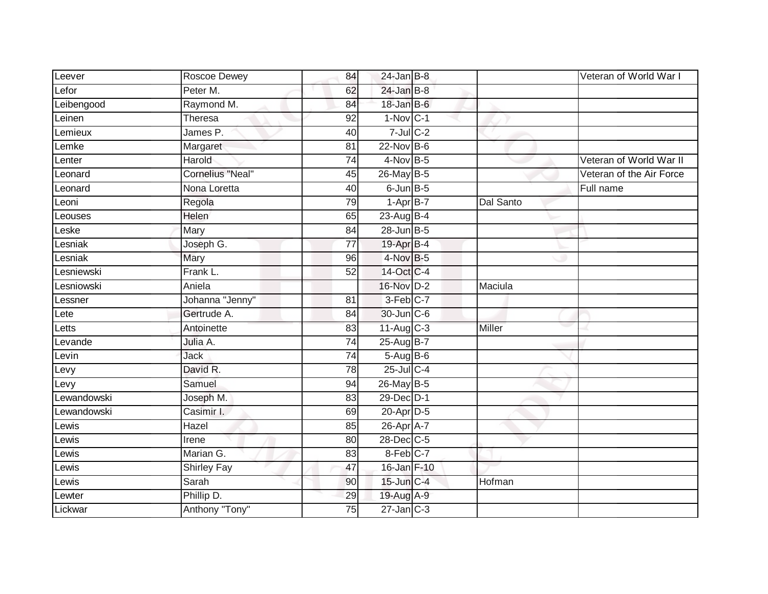| Leever         | Roscoe Dewey            | 84              | $24$ -Jan B-8          |           | Veteran of World War I   |
|----------------|-------------------------|-----------------|------------------------|-----------|--------------------------|
| Lefor          | Peter M.                | 62              | $24$ -Jan B-8          |           |                          |
| Leibengood     | Raymond M.              | 84              | 18-Jan B-6             |           |                          |
| Leinen         | Theresa                 | 92              | $1-Nov$ <sub>C-1</sub> |           |                          |
| Lemieux        | James P.                | 40              | $7$ -Jul $C$ -2        |           |                          |
| $L$ emke       | Margaret                | 81              | $22$ -Nov $B-6$        |           |                          |
| Lenter         | Harold                  | 74              | 4-Nov B-5              |           | Veteran of World War II  |
| Leonard        | <b>Cornelius "Neal"</b> | 45              | 26-May B-5             |           | Veteran of the Air Force |
| Leonard        | Nona Loretta            | 40              | $6$ -Jun $B$ -5        |           | Full name                |
| Leoni          | Regola                  | 79              | $1-AprB-7$             | Dal Santo |                          |
| <b>Leouses</b> | Helen                   | 65              | 23-Aug B-4             |           |                          |
| $-$ eske       | Mary                    | 84              | 28-Jun B-5             |           |                          |
| esniak         | Joseph G.               | $\overline{77}$ | 19-Apr B-4             |           |                          |
| Lesniak        | Mary                    | 96              | $4$ -Nov $B-5$         |           |                          |
| Lesniewski     | Frank L.                | 52              | 14-Oct C-4             |           |                          |
| _esniowski     | Aniela                  |                 | 16-Nov D-2             | Maciula   |                          |
| Lessner        | Johanna "Jenny"         | 81              | $3-Feb$ <sub>C-7</sub> |           |                          |
| Lete           | Gertrude A.             | 84              | 30-Jun C-6             |           |                          |
| Letts          | Antoinette              | 83              | $11-Aug$ C-3           | Miller    |                          |
| Levande        | Julia A.                | 74              | 25-Aug B-7             |           |                          |
| Levin          | Jack                    | 74              | $5-AugB-6$             |           |                          |
| Levy           | David R.                | 78              | 25-Jul C-4             |           |                          |
| Levy           | Samuel                  | 94              | 26-May B-5             |           |                          |
| Lewandowski    | Joseph M.               | 83              | 29-Dec D-1             |           |                          |
| Lewandowski    | Casimir I.              | 69              | 20-Apr D-5             |           |                          |
| Lewis          | Hazel                   | 85              | 26-Apr A-7             |           |                          |
| _ewis          | Irene                   | 80              | 28-Dec C-5             |           |                          |
| <b>Lewis</b>   | Marian G.               | 83              | 8-Feb C-7              |           |                          |
| _ewis          | <b>Shirley Fay</b>      | 47              | 16-Jan F-10            |           |                          |
| Lewis          | Sarah                   | 90              | $15$ -Jun $C-4$        | Hofman    |                          |
| _ewter         | Phillip D.              | 29              | 19-Aug A-9             |           |                          |
| Lickwar        | Anthony "Tony"          | 75              | $27$ -Jan $C-3$        |           |                          |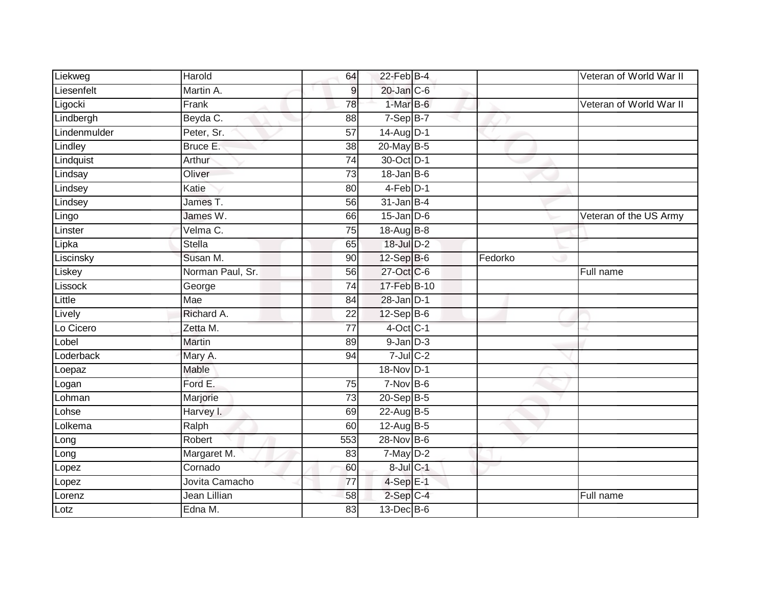| Liekweg      | Harold           | 64              | $22$ -Feb $B-4$  |         | Veteran of World War II |
|--------------|------------------|-----------------|------------------|---------|-------------------------|
| Liesenfelt   | Martin A.        | $\overline{9}$  | $20$ -Jan $C$ -6 |         |                         |
| Ligocki      | Frank            | 78              | 1-Mar B-6        |         | Veteran of World War II |
| Lindbergh    | Beyda C.         | 88              | $7-Sep$ B-7      |         |                         |
| Lindenmulder | Peter, Sr.       | $\overline{57}$ | 14-Aug D-1       |         |                         |
| Lindley      | Bruce E.         | 38              | 20-May B-5       |         |                         |
| Lindquist    | Arthur           | 74              | 30-Oct D-1       |         |                         |
| Lindsay      | Oliver           | 73              | $18 - Jan$ $B-6$ |         |                         |
| Lindsey      | Katie            | 80              | $4-Feb$ D-1      |         |                         |
| Lindsey      | James T.         | 56              | $31$ -Jan B-4    |         |                         |
| Lingo        | James W.         | 66              | $15$ -Jan $D-6$  |         | Veteran of the US Army  |
| Linster      | Velma C.         | 75              | 18-Aug B-8       |         |                         |
| Lipka        | Stella           | 65              | 18-Jul D-2       |         |                         |
| Liscinsky    | Susan M.         | 90              | 12-Sep B-6       | Fedorko |                         |
| Liskey       | Norman Paul, Sr. | 56              | 27-Oct C-6       |         | Full name               |
| Lissock      | George           | $\overline{74}$ | 17-Feb B-10      |         |                         |
| Little       | Mae              | 84              | $28$ -Jan $D-1$  |         |                         |
| Lively       | Richard A.       | 22              | $12-Sep$ B-6     |         |                         |
| Lo Cicero    | Zetta M.         | $\overline{77}$ | 4-Oct C-1        |         |                         |
| Lobel        | <b>Martin</b>    | 89              | $9$ -Jan $D-3$   |         |                         |
| Loderback    | Mary A.          | 94              | $7$ -Jul $C-2$   |         |                         |
| Loepaz       | Mable            |                 | 18-Nov D-1       |         |                         |
| Logan        | Ford E.          | 75              | $7-Nov$ B-6      |         |                         |
| Lohman       | Marjorie         | 73              | 20-Sep B-5       |         |                         |
| Lohse        | Harvey I.        | 69              | 22-Aug B-5       |         |                         |
| Lolkema      | Ralph            | 60              | 12-Aug B-5       |         |                         |
| Long         | Robert           | 553             | 28-Nov B-6       |         |                         |
| Long         | Margaret M.      | 83              | $7$ -May $D-2$   |         |                         |
| Lopez        | Cornado          | 60              | 8-Jul C-1        |         |                         |
| Lopez        | Jovita Camacho   | 77              | $4-Sep$ E-1      |         |                         |
| Lorenz       | Jean Lillian     | 58              | $2-Sep$ C-4      |         | Full name               |
| Lotz         | Edna M.          | 83              | $13$ -Dec $B$ -6 |         |                         |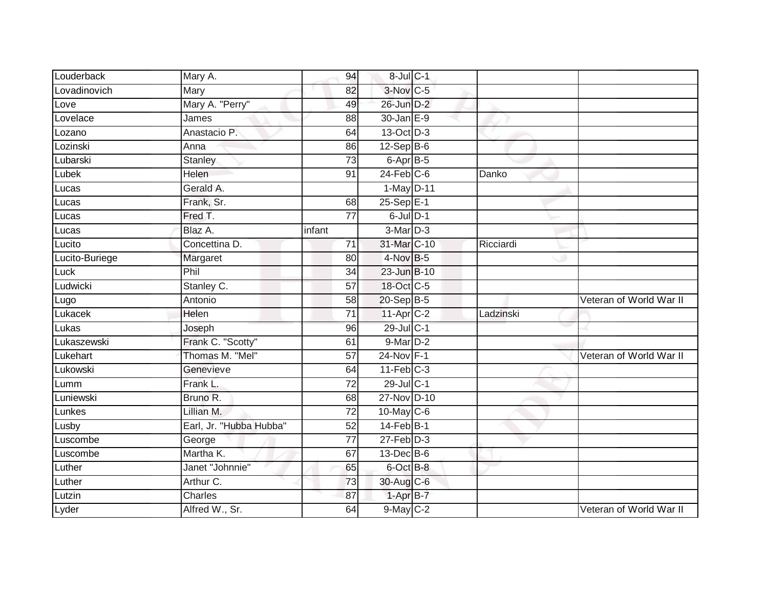| Louderback     | Mary A.                 | 94              | 8-Jul C-1              |           |                         |
|----------------|-------------------------|-----------------|------------------------|-----------|-------------------------|
| Lovadinovich   | Mary                    | 82              | $3-Nov$ <sub>C-5</sub> |           |                         |
| Love           | Mary A. "Perry"         | 49              | 26-Jun D-2             |           |                         |
| Lovelace       | James                   | 88              | 30-Jan E-9             |           |                         |
| Lozano         | Anastacio P.            | 64              | 13-Oct D-3             |           |                         |
| Lozinski       | Anna                    | 86              | 12-Sep B-6             |           |                         |
| Lubarski       | Stanley                 | 73              | 6-Apr B-5              |           |                         |
| Lubek          | Helen                   | 91              | $24$ -Feb $C-6$        | Danko     |                         |
| Lucas          | Gerald A.               |                 | 1-May D-11             |           |                         |
| Lucas          | Frank, Sr.              | 68              | $25-Sep$ $E-1$         |           |                         |
| Lucas          | Fred T.                 | 77              | $6$ -Jul $D-1$         |           |                         |
| Lucas          | Blaz A.                 | infant          | 3-Mar D-3              |           |                         |
| Lucito         | Concettina D.           | 71              | 31-Mar C-10            | Ricciardi |                         |
| Lucito-Buriege | Margaret                | 80              | 4-Nov B-5              |           |                         |
| Luck           | Phil                    | 34              | 23-Jun B-10            |           |                         |
| Ludwicki       | Stanley C.              | 57              | 18-Oct C-5             |           |                         |
| Lugo           | Antonio                 | $\overline{58}$ | 20-Sep B-5             |           | Veteran of World War II |
| Lukacek        | Helen                   | 71              | $11-Apr$ C-2           | Ladzinski |                         |
| Lukas          | Joseph                  | 96              | 29-Jul C-1             |           |                         |
| Lukaszewski    | Frank C. "Scotty"       | 61              | 9-Mar D-2              |           |                         |
| Lukehart       | Thomas M. "Mel"         | 57              | $24-Nov$ F-1           |           | Veteran of World War II |
| Lukowski       | Genevieve               | 64              | $11-Feb$ C-3           |           |                         |
| Lumm           | Frank L.                | $\overline{72}$ | 29-Jul C-1             |           |                         |
| Luniewski      | Bruno R.                | 68              | 27-Nov D-10            |           |                         |
| Lunkes         | Lillian M.              | $\overline{72}$ | 10-May C-6             |           |                         |
| Lusby          | Earl, Jr. "Hubba Hubba" | $\overline{52}$ | $14$ -Feb $B-1$        |           |                         |
| Luscombe       | George                  | 77              | $27$ -Feb $D-3$        |           |                         |
| Luscombe       | Martha K.               | 67              | 13-Dec B-6             |           |                         |
| Luther         | Janet "Johnnie"         | 65              | 6-Oct B-8              |           |                         |
| Luther         | Arthur C.               | 73              | 30-Aug C-6             |           |                         |
| Lutzin         | <b>Charles</b>          | 87              | 1-Apr B-7              |           |                         |
| Lyder          | Alfred W., Sr.          | 64              | $9$ -May $C-2$         |           | Veteran of World War II |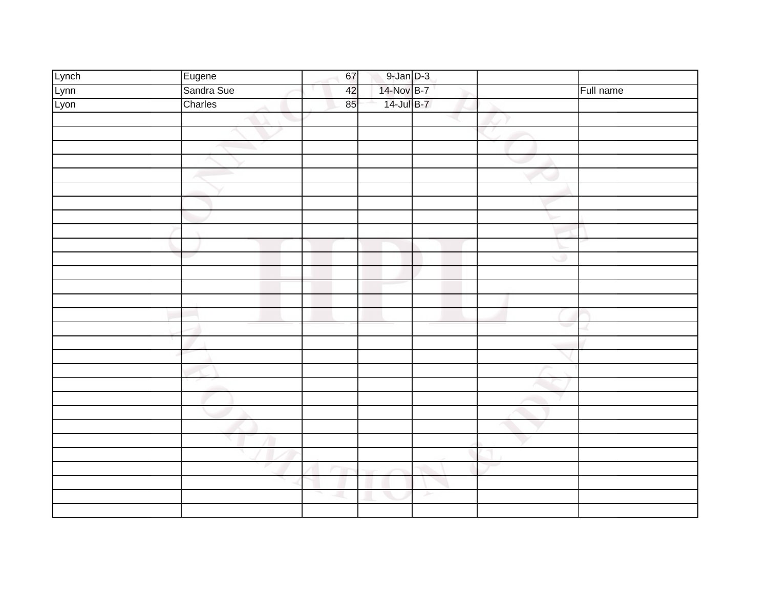|                       |                      | 67 |                                                      |   |   |           |
|-----------------------|----------------------|----|------------------------------------------------------|---|---|-----------|
|                       | Eugene<br>Sandra Sue | 42 | $\frac{9 \cdot \text{Jan}}{14 \cdot \text{Nov}}$ B-7 |   |   | Full name |
| Lynch<br>Lynn<br>Lyon | Charles              | 85 | 14-Jul B-7                                           |   |   |           |
|                       |                      |    |                                                      |   |   |           |
|                       |                      |    |                                                      |   |   |           |
|                       |                      |    |                                                      |   |   |           |
|                       |                      |    |                                                      |   |   |           |
|                       |                      |    |                                                      |   |   |           |
|                       |                      |    |                                                      |   |   |           |
|                       |                      |    |                                                      |   |   |           |
|                       |                      |    |                                                      |   |   |           |
|                       |                      |    |                                                      |   |   |           |
|                       |                      |    |                                                      |   |   |           |
|                       |                      |    |                                                      |   | ۰ |           |
|                       |                      |    |                                                      |   |   |           |
|                       |                      |    |                                                      |   |   |           |
|                       |                      |    |                                                      |   |   |           |
|                       |                      |    |                                                      |   |   |           |
|                       |                      |    |                                                      |   |   |           |
|                       |                      |    |                                                      |   |   |           |
|                       |                      |    |                                                      |   |   |           |
|                       |                      |    |                                                      |   |   |           |
|                       |                      |    |                                                      |   |   |           |
|                       |                      |    |                                                      |   |   |           |
|                       |                      |    |                                                      |   |   |           |
|                       |                      |    |                                                      |   |   |           |
|                       |                      |    |                                                      |   |   |           |
|                       |                      |    |                                                      |   |   |           |
|                       |                      |    |                                                      |   |   |           |
|                       |                      |    |                                                      |   |   |           |
|                       |                      |    |                                                      | ≻ |   |           |
|                       |                      |    |                                                      |   |   |           |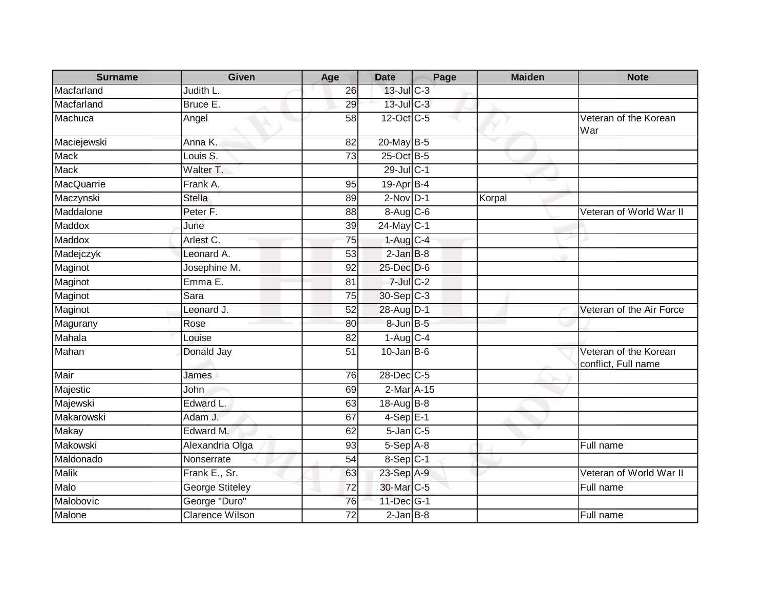| <b>Surname</b>    | <b>Given</b>           | Age             | <b>Date</b>            | Page | <b>Maiden</b> | <b>Note</b>                                  |
|-------------------|------------------------|-----------------|------------------------|------|---------------|----------------------------------------------|
| Macfarland        | Judith L.              | 26              | $13$ -Jul C-3          |      |               |                                              |
| Macfarland        | Bruce E.               | 29              | 13-Jul C-3             |      |               |                                              |
| Machuca           | Angel                  | 58              | 12-Oct C-5             |      |               | Veteran of the Korean<br>War                 |
| Maciejewski       | Anna K.                | 82              | 20-May B-5             |      |               |                                              |
| <b>Mack</b>       | Louis S.               | 73              | 25-Oct B-5             |      |               |                                              |
| <b>Mack</b>       | Walter T.              |                 | $29$ -JulC-1           |      |               |                                              |
| <b>MacQuarrie</b> | Frank A.               | 95              | $19-Apr$ B-4           |      |               |                                              |
| Maczynski         | <b>Stella</b>          | 89              | $2$ -Nov $D-1$         |      | Korpal        |                                              |
| Maddalone         | Peter <sub>F.</sub>    | 88              | 8-Aug C-6              |      |               | Veteran of World War II                      |
| Maddox            | June                   | 39              | 24-May C-1             |      |               |                                              |
| Maddox            | Arlest C.              | 75              | $1-Aug$ <sub>C-4</sub> |      |               |                                              |
| Madejczyk         | Leonard A.             | $\overline{53}$ | $2$ -Jan $B-8$         |      |               |                                              |
| Maginot           | Josephine M.           | 92              | 25-Dec D-6             |      |               |                                              |
| Maginot           | Emma <sub>E</sub> .    | 81              | $7$ -Jul $C-2$         |      |               |                                              |
| Maginot           | Sara                   | 75              | $30-Sep C-3$           |      |               |                                              |
| Maginot           | Leonard J.             | 52              | 28-Aug D-1             |      |               | Veteran of the Air Force                     |
| Magurany          | Rose                   | 80              | 8-Jun B-5              |      |               |                                              |
| Mahala            | Louise                 | 82              | $1-Aug$ $C-4$          |      |               |                                              |
| Mahan             | Donald Jay             | $\overline{51}$ | $10$ -Jan B-6          |      |               | Veteran of the Korean<br>conflict, Full name |
| Mair              | James                  | 76              | $28$ -Dec $C$ -5       |      |               |                                              |
| Majestic          | John                   | 69              | 2-Mar A-15             |      |               |                                              |
| Majewski          | Edward L.              | 63              | 18-Aug B-8             |      |               |                                              |
| Makarowski        | Adam J.                | 67              | $4-Sep$ E-1            |      |               |                                              |
| <b>Makay</b>      | Edward M.              | 62              | $5$ -Jan $C$ -5        |      |               |                                              |
| Makowski          | Alexandria Olga        | 93              | $5-Sep$ $A-8$          |      |               | Full name                                    |
| Maldonado         | Nonserrate             | 54              | 8-Sep C-1              |      |               |                                              |
| <b>Malik</b>      | Frank E., Sr.          | 63              | 23-Sep A-9             |      |               | Veteran of World War II                      |
| Malo              | <b>George Stiteley</b> | 72              | 30-Mar C-5             |      |               | Full name                                    |
| Malobovic         | George "Duro"          | 76              | 11-Dec G-1             |      |               |                                              |
| Malone            | <b>Clarence Wilson</b> | 72              | $2$ -Jan $B$ -8        |      |               | Full name                                    |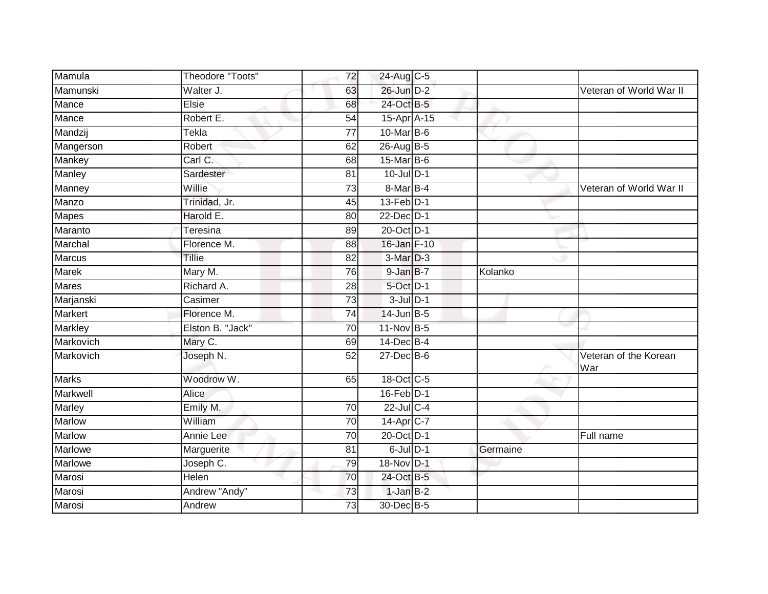| Mamula         | Theodore "Toots" | 72              | 24-Aug C-5       |          |                              |
|----------------|------------------|-----------------|------------------|----------|------------------------------|
| Mamunski       | Walter J.        | 63              | 26-Jun D-2       |          | Veteran of World War II      |
| Mance          | <b>Elsie</b>     | 68              | 24-Oct B-5       |          |                              |
| Mance          | Robert E.        | 54              | 15-Apr A-15      |          |                              |
| Mandzij        | Tekla            | $\overline{77}$ | $10$ -Mar $B$ -6 |          |                              |
| Mangerson      | Robert           | 62              | 26-Aug B-5       |          |                              |
| Mankey         | Carl C.          | 68              | 15-Mar B-6       |          |                              |
| Manley         | Sardester        | 81              | $10$ -Jul $D-1$  |          |                              |
| Manney         | Willie           | 73              | 8-Mar B-4        |          | Veteran of World War II      |
| Manzo          | Trinidad, Jr.    | 45              | 13-Feb D-1       |          |                              |
| <b>Mapes</b>   | Harold E.        | 80              | 22-Dec D-1       |          |                              |
| Maranto        | Teresina         | 89              | 20-Oct D-1       |          |                              |
| Marchal        | Florence M.      | 88              | 16-Jan F-10      |          |                              |
| <b>Marcus</b>  | Tillie           | 82              | 3-Mar D-3        |          |                              |
| Marek          | Mary M.          | $\overline{76}$ | 9-Jan B-7        | Kolanko  |                              |
| Mares          | Richard A.       | 28              | 5-Oct D-1        |          |                              |
| Marjanski      | Casimer          | $\overline{73}$ | $3$ -Jul $D-1$   |          |                              |
| Markert        | Florence M.      | 74              | $14$ -Jun $B-5$  |          |                              |
| <b>Markley</b> | Elston B. "Jack" | 70              | 11-Nov B-5       |          |                              |
| Markovich      | Mary C.          | 69              | 14-Dec B-4       |          |                              |
| Markovich      | Joseph N.        | 52              | $27$ -Dec $B$ -6 |          | Veteran of the Korean<br>War |
| <b>Marks</b>   | Woodrow W.       | 65              | 18-Oct C-5       |          |                              |
| Markwell       | Alice            |                 | $16$ -Feb $D-1$  |          |                              |
| Marley         | Emily M.         | 70              | $22$ -Jul C-4    |          |                              |
| <b>Marlow</b>  | William          | 70              | 14-Apr C-7       |          |                              |
| <b>Marlow</b>  | Annie Lee        | 70              | 20-Oct D-1       |          | Full name                    |
| <b>Marlowe</b> | Marguerite       | $\overline{81}$ | $6$ -Jul $D-1$   | Germaine |                              |
| Marlowe        | Joseph C.        | 79              | 18-Nov D-1       |          |                              |
| Marosi         | <b>Helen</b>     | 70              | 24-Oct B-5       |          |                              |
| Marosi         | Andrew "Andy"    | 73              | $1-JanB-2$       |          |                              |
| Marosi         | Andrew           | 73              | 30-Dec B-5       |          |                              |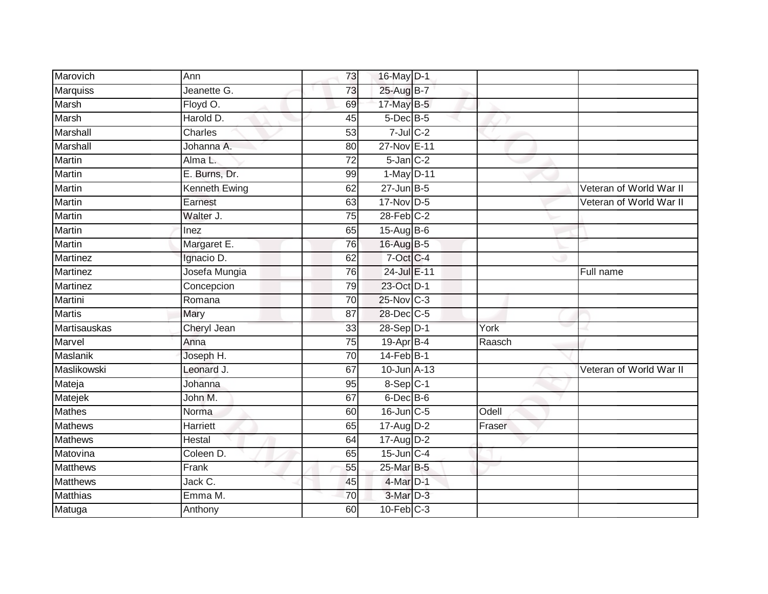| Marovich        | Ann           | 73              | 16-May D-1       |        |                         |
|-----------------|---------------|-----------------|------------------|--------|-------------------------|
| Marquiss        | Jeanette G.   | 73              | 25-Aug B-7       |        |                         |
| Marsh           | Floyd O.      | 69              | 17-May B-5       |        |                         |
| Marsh           | Harold D.     | 45              | 5-Dec B-5        |        |                         |
| <b>Marshall</b> | Charles       | $\overline{53}$ | $7$ -Jul $C$ -2  |        |                         |
| Marshall        | Johanna A.    | 80              | 27-Nov E-11      |        |                         |
| Martin          | Alma L.       | 72              | $5$ -Jan $C-2$   |        |                         |
| Martin          | E. Burns, Dr. | 99              | 1-May D-11       |        |                         |
| Martin          | Kenneth Ewing | 62              | $27$ -Jun $B-5$  |        | Veteran of World War II |
| <b>Martin</b>   | Earnest       | 63              | 17-Nov D-5       |        | Veteran of World War II |
| Martin          | Walter J.     | 75              | $28$ -Feb $C-2$  |        |                         |
| Martin          | Inez          | 65              | $15-Aug$ B-6     |        |                         |
| Martin          | Margaret E.   | 76              | 16-Aug B-5       |        |                         |
| Martinez        | Ignacio D.    | 62              | 7-Oct C-4        |        |                         |
| <b>Martinez</b> | Josefa Mungia | 76              | 24-Jul E-11      |        | Full name               |
| <b>Martinez</b> | Concepcion    | 79              | 23-Oct D-1       |        |                         |
| Martini         | Romana        | 70              | 25-Nov C-3       |        |                         |
| <b>Martis</b>   | Mary          | 87              | 28-Dec C-5       |        |                         |
| Martisauskas    | Cheryl Jean   | 33              | 28-Sep D-1       | York   |                         |
| Marvel          | Anna          | $\overline{75}$ | 19-Apr B-4       | Raasch |                         |
| Maslanik        | Joseph H.     | 70              | $14$ -Feb $B-1$  |        |                         |
| Maslikowski     | Leonard J.    | 67              | 10-Jun A-13      |        | Veteran of World War II |
| Mateja          | Johanna       | 95              | $8-Sep$ C-1      |        |                         |
| Matejek         | John M.       | 67              | $6$ -Dec $B$ -6  |        |                         |
| <b>Mathes</b>   | Norma         | 60              | $16$ -Jun $C$ -5 | Odell  |                         |
| Mathews         | Harriett      | 65              | $17$ -Aug D-2    | Fraser |                         |
| <b>Mathews</b>  | Hestal        | 64              | 17-Aug D-2       |        |                         |
| Matovina        | Coleen D.     | 65              | $15$ -Jun $C-4$  |        |                         |
| <b>Matthews</b> | Frank         | 55              | 25-Mar B-5       |        |                         |
| <b>Matthews</b> | Jack C.       | 45              | $4$ -Mar $D-1$   |        |                         |
| Matthias        | Emma M.       | 70              | 3-Mar D-3        |        |                         |
| Matuga          | Anthony       | 60              | $10$ -Feb $C-3$  |        |                         |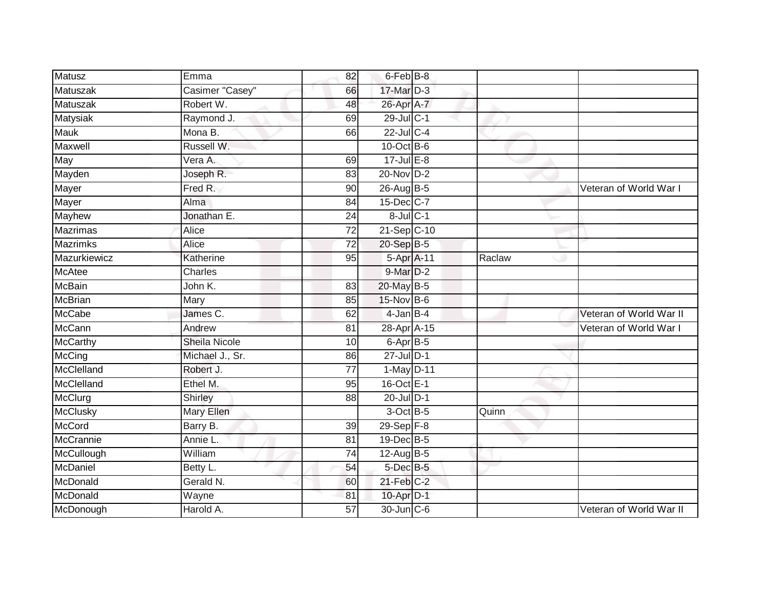| <b>Matusz</b>    | Emma                 | 82              | $6$ -Feb $B$ -8 |        |                         |
|------------------|----------------------|-----------------|-----------------|--------|-------------------------|
| Matuszak         | Casimer "Casey"      | 66              | 17-Mar D-3      |        |                         |
| Matuszak         | Robert W.            | 48              | 26-Apr A-7      |        |                         |
| Matysiak         | Raymond J.           | 69              | 29-Jul C-1      |        |                         |
| <b>Mauk</b>      | Mona B.              | 66              | $22$ -Jul C-4   |        |                         |
| Maxwell          | Russell W.           |                 | $10$ -Oct B-6   |        |                         |
| May              | Vera A.              | 69              | $17$ -Jul $E-8$ |        |                         |
| Mayden           | Joseph R.            | 83              | 20-Nov D-2      |        |                         |
| Mayer            | Fred R.              | 90              | 26-Aug B-5      |        | Veteran of World War I  |
| Mayer            | Alma                 | 84              | 15-Dec C-7      |        |                         |
| Mayhew           | Jonathan E.          | 24              | $8$ -Jul $C-1$  |        |                         |
| Mazrimas         | Alice                | 72              | 21-Sep C-10     |        |                         |
| <b>Mazrimks</b>  | Alice                | $\overline{72}$ | 20-Sep B-5      |        |                         |
| Mazurkiewicz     | Katherine            | 95              | 5-Apr A-11      | Raclaw |                         |
| <b>McAtee</b>    | Charles              |                 | 9-Mar D-2       |        |                         |
| <b>McBain</b>    | John K.              | 83              | 20-May B-5      |        |                         |
| <b>McBrian</b>   | Mary                 | 85              | 15-Nov B-6      |        |                         |
| <b>McCabe</b>    | James C.             | 62              | $4$ -Jan $B-4$  |        | Veteran of World War II |
| <b>McCann</b>    | Andrew               | 81              | 28-Apr A-15     |        | Veteran of World War I  |
| <b>McCarthy</b>  | <b>Sheila Nicole</b> | 10              | 6-Apr B-5       |        |                         |
| McCing           | Michael J., Sr.      | 86              | $27$ -Jul $D-1$ |        |                         |
| McClelland       | Robert J.            | $\overline{77}$ | 1-May D-11      |        |                         |
| McClelland       | Ethel M.             | 95              | 16-Oct E-1      |        |                         |
| McClurg          | Shirley              | 88              | $20$ -Jul $D-1$ |        |                         |
| <b>McClusky</b>  | Mary Ellen           |                 | $3$ -Oct B-5    | Quinn  |                         |
| <b>McCord</b>    | Barry B.             | 39              | $29-Sep$ $F-8$  |        |                         |
| <b>McCrannie</b> | Annie L.             | 81              | 19-Dec B-5      |        |                         |
| McCullough       | William              | 74              | $12$ -AugB-5    |        |                         |
| McDaniel         | Betty L.             | 54              | 5-Dec B-5       |        |                         |
| McDonald         | Gerald N.            | 60              | $21$ -Feb $C-2$ |        |                         |
| McDonald         | Wayne                | 81              | 10-Apr D-1      |        |                         |
| McDonough        | Harold A.            | 57              | 30-Jun C-6      |        | Veteran of World War II |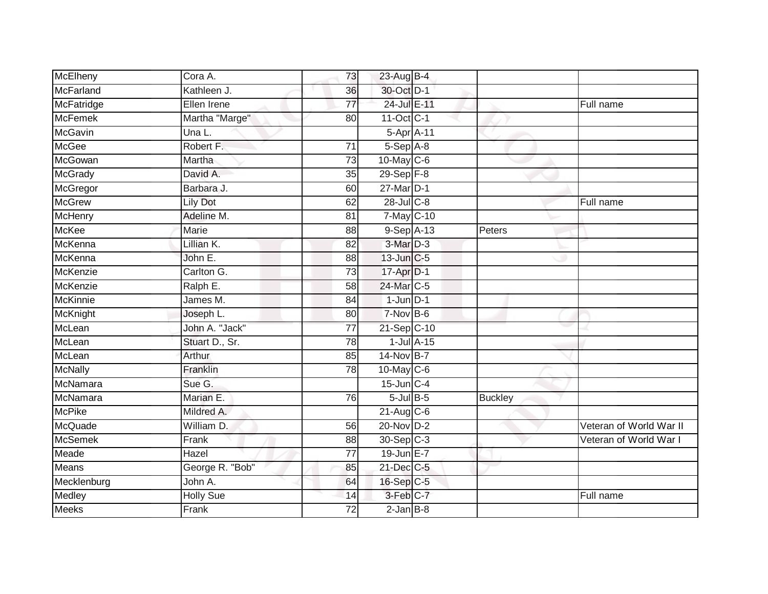| McElheny          | Cora A.          | 73              | 23-Aug B-4      |                 |                |                         |
|-------------------|------------------|-----------------|-----------------|-----------------|----------------|-------------------------|
| McFarland         | Kathleen J.      | 36              | 30-Oct D-1      |                 |                |                         |
| <b>McFatridge</b> | Ellen Irene      | $\overline{77}$ | 24-Jul E-11     |                 |                | Full name               |
| <b>McFemek</b>    | Martha "Marge"   | 80              | $11$ -Oct C-1   |                 |                |                         |
| <b>McGavin</b>    | Una L.           |                 | 5-Apr A-11      |                 |                |                         |
| <b>McGee</b>      | Robert F.        | 71              | $5-Sep$ $A-8$   |                 |                |                         |
| McGowan           | Martha           | 73              | 10-May C-6      |                 |                |                         |
| McGrady           | David A.         | 35              | 29-Sep F-8      |                 |                |                         |
| McGregor          | Barbara J.       | 60              | $27$ -Mar $D-1$ |                 |                |                         |
| McGrew            | <b>Lily Dot</b>  | 62              | 28-Jul C-8      |                 |                | Full name               |
| McHenry           | Adeline M.       | 81              | 7-May C-10      |                 |                |                         |
| McKee             | Marie            | 88              | $9-SepA-13$     |                 | Peters         |                         |
| McKenna           | Lillian K.       | 82              | 3-Mar D-3       |                 |                |                         |
| McKenna           | John E.          | 88              | 13-Jun C-5      |                 |                |                         |
| McKenzie          | Carlton G.       | $\overline{73}$ | 17-Apr D-1      |                 |                |                         |
| McKenzie          | Ralph E.         | 58              | 24-Mar C-5      |                 |                |                         |
| <b>McKinnie</b>   | James M.         | $\overline{84}$ | $1$ -Jun $D-1$  |                 |                |                         |
| McKnight          | Joseph L.        | 80              | $7-Nov$ B-6     |                 |                |                         |
| McLean            | John A. "Jack"   | 77              | 21-Sep C-10     |                 |                |                         |
| McLean            | Stuart D., Sr.   | 78              |                 | $1$ -Jul $A-15$ |                |                         |
| McLean            | Arthur           | 85              | $14$ -Nov B-7   |                 |                |                         |
| <b>McNally</b>    | Franklin         | 78              | 10-May C-6      |                 |                |                         |
| McNamara          | Sue G.           |                 | $15$ -Jun $C-4$ |                 |                |                         |
| McNamara          | Marian E.        | 76              | $5$ -Jul $B$ -5 |                 | <b>Buckley</b> |                         |
| <b>McPike</b>     | Mildred A.       |                 | $21$ -Aug C-6   |                 |                |                         |
| McQuade           | William D.       | 56              | 20-Nov D-2      |                 |                | Veteran of World War II |
| <b>McSemek</b>    | Frank            | 88              | 30-Sep C-3      |                 |                | Veteran of World War I  |
| Meade             | Hazel            | 77              | 19-Jun E-7      |                 |                |                         |
| <b>Means</b>      | George R. "Bob"  | 85              | 21-Dec C-5      |                 |                |                         |
| Mecklenburg       | John A.          | 64              | 16-Sep C-5      |                 |                |                         |
| Medley            | <b>Holly Sue</b> | 14              | 3-Feb C-7       |                 |                | Full name               |
| <b>Meeks</b>      | Frank            | $\overline{72}$ | $2$ -Jan $B-8$  |                 |                |                         |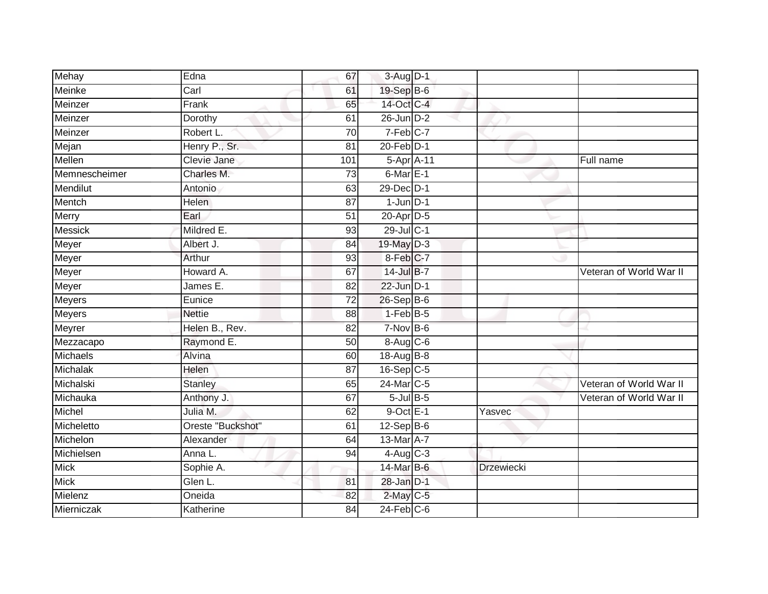| Mehay           | Edna              | 67              | 3-Aug D-1              |                   |                         |
|-----------------|-------------------|-----------------|------------------------|-------------------|-------------------------|
| Meinke          | Carl              | 61              | 19-Sep B-6             |                   |                         |
| Meinzer         | Frank             | 65              | 14-Oct C-4             |                   |                         |
| Meinzer         | Dorothy           | 61              | $26$ -Jun $D-2$        |                   |                         |
| Meinzer         | Robert L.         | $\overline{70}$ | 7-Feb C-7              |                   |                         |
| Mejan           | Henry P., Sr.     | 81              | $20$ -Feb $D-1$        |                   |                         |
| Mellen          | Clevie Jane       | 101             | 5-Apr <sub>A-11</sub>  |                   | Full name               |
| Memnescheimer   | Charles M.        | 73              | $6$ -Mar $E-1$         |                   |                         |
| Mendilut        | Antonio           | 63              | 29-Dec D-1             |                   |                         |
| Mentch          | <b>Helen</b>      | 87              | $1$ -Jun $D-1$         |                   |                         |
| Merry           | Earl              | $\overline{51}$ | 20-Apr D-5             |                   |                         |
| Messick         | Mildred E.        | 93              | 29-Jul C-1             |                   |                         |
| Meyer           | Albert J.         | 84              | 19-May D-3             |                   |                         |
| Meyer           | Arthur            | 93              | $8-Feb$ <sub>C-7</sub> |                   |                         |
| Meyer           | Howard A.         | 67              | 14-Jul B-7             |                   | Veteran of World War II |
| Meyer           | James E.          | 82              | 22-Jun D-1             |                   |                         |
| Meyers          | Eunice            | $\overline{72}$ | 26-Sep B-6             |                   |                         |
| Meyers          | <b>Nettie</b>     | 88              | $1-FebB-5$             |                   |                         |
| Meyrer          | Helen B., Rev.    | 82              | $7-Nov$ B-6            |                   |                         |
| Mezzacapo       | Raymond E.        | 50              | 8-Aug C-6              |                   |                         |
| Michaels        | Alvina            | 60              | 18-Aug B-8             |                   |                         |
| <b>Michalak</b> | Helen             | $\overline{87}$ | 16-Sep C-5             |                   |                         |
| Michalski       | <b>Stanley</b>    | 65              | 24-Mar C-5             |                   | Veteran of World War II |
| Michauka        | Anthony J.        | 67              | $5$ -Jul $B$ -5        |                   | Veteran of World War II |
| Michel          | Julia M.          | 62              | $9$ -Oct $E-1$         | Yasvec            |                         |
| Micheletto      | Oreste "Buckshot" | 61              | $12-Sep$ B-6           |                   |                         |
| Michelon        | Alexander         | 64              | 13-Mar A-7             |                   |                         |
| Michielsen      | Anna L.           | 94              | $4$ -Aug C-3           |                   |                         |
| Mick            | Sophie A.         |                 | 14-Mar B-6             | <b>Drzewiecki</b> |                         |
| Mick            | Glen L.           | 81              | 28-Jan D-1             |                   |                         |
| Mielenz         | Oneida            | 82              | $2$ -May C-5           |                   |                         |
| Mierniczak      | Katherine         | 84              | $24$ -Feb $C$ -6       |                   |                         |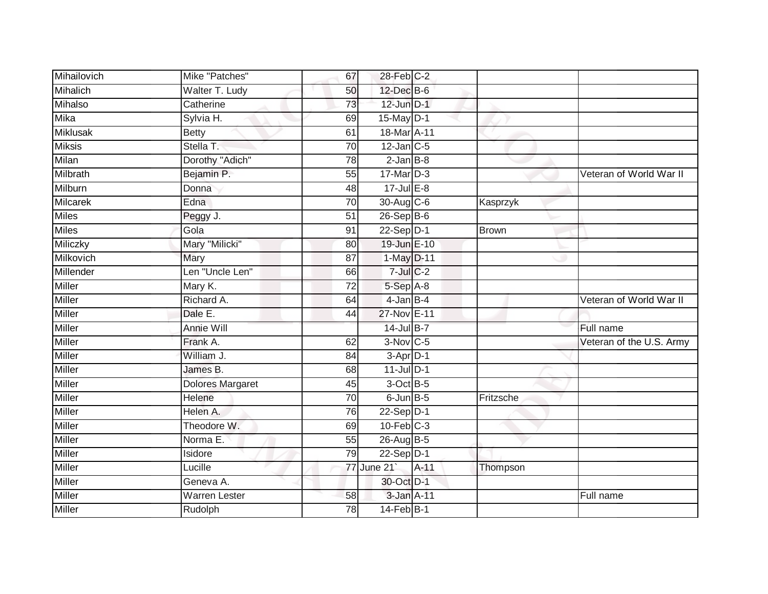| Mihailovich     | Mike "Patches"       | 67              | 28-Feb C-2             |        |           |                          |
|-----------------|----------------------|-----------------|------------------------|--------|-----------|--------------------------|
| Mihalich        | Walter T. Ludy       | 50              | 12-Dec B-6             |        |           |                          |
| Mihalso         | Catherine            | 73              | $12$ -Jun $D-1$        |        |           |                          |
| Mika            | Sylvia H.            | 69              | 15-May D-1             |        |           |                          |
| <b>Miklusak</b> | <b>Betty</b>         | 61              | 18-Mar A-11            |        |           |                          |
| <b>Miksis</b>   | Stella T.            | 70              | $12$ -Jan $C-5$        |        |           |                          |
| Milan           | Dorothy "Adich"      | 78              | $2-Jan$ B-8            |        |           |                          |
| Milbrath        | Bejamin P.           | $\overline{55}$ | $17$ -Mar $D-3$        |        |           | Veteran of World War II  |
| Milburn         | Donna                | 48              | 17-Jul E-8             |        |           |                          |
| Milcarek        | Edna                 | 70              | 30-Aug C-6             |        | Kasprzyk  |                          |
| <b>Miles</b>    | Peggy J.             | $\overline{51}$ | $26-Sep$ B-6           |        |           |                          |
| <b>Miles</b>    | Gola                 | 91              | $22-Sep$ D-1           |        | Brown     |                          |
| Miliczky        | Mary "Milicki"       | 80              | 19-Jun E-10            |        |           |                          |
| Milkovich       | Mary                 | $\overline{87}$ | 1-May D-11             |        |           |                          |
| Millender       | Len "Uncle Len"      | 66              | $7$ -Jul $C$ -2        |        |           |                          |
| <b>Miller</b>   | Mary K.              | $\overline{72}$ | 5-Sep A-8              |        |           |                          |
| Miller          | Richard A.           | 64              | $4$ -Jan B-4           |        |           | Veteran of World War II  |
| <b>Miller</b>   | Dale E.              | 44              | 27-Nov E-11            |        |           |                          |
| Miller          | Annie Will           |                 | 14-Jul B-7             |        |           | Full name                |
| Miller          | Frank A.             | 62              | $3-Nov$ <sub>C-5</sub> |        |           | Veteran of the U.S. Army |
| Miller          | William J.           | 84              | $3-$ Apr $D-1$         |        |           |                          |
| <b>Miller</b>   | James B.             | 68              | $11$ -Jul $D-1$        |        |           |                          |
| <b>Miller</b>   | Dolores Margaret     | 45              | 3-Oct B-5              |        |           |                          |
| <b>Miller</b>   | Helene               | 70              | $6$ -Jun $B$ -5        |        | Fritzsche |                          |
| Miller          | Helen A.             | 76              | 22-Sep D-1             |        |           |                          |
| Miller          | Theodore W.          | 69              | $10$ -Feb $C-3$        |        |           |                          |
| <b>Miller</b>   | Norma E.             | 55              | 26-Aug B-5             |        |           |                          |
| Miller          | Isidore              | 79              | $22-Sep$ D-1           |        |           |                          |
| <b>Miller</b>   | Lucille              |                 | 77 June 21             | $A-11$ | Thompson  |                          |
| Miller          | Geneva A.            |                 | 30-Oct D-1             |        |           |                          |
| Miller          | <b>Warren Lester</b> | 58              | 3-Jan A-11             |        |           | Full name                |
| <b>Miller</b>   | Rudolph              | 78              | $14$ -Feb $B-1$        |        |           |                          |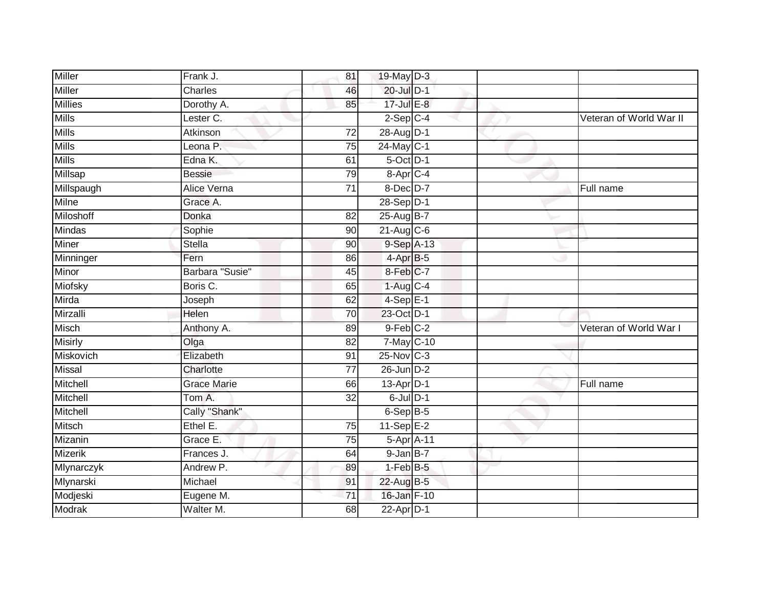| Frank J.           | 81              |  |                                                                                                                                                                                                                                                                                                                                                                                                                                                                                                                   |                         |
|--------------------|-----------------|--|-------------------------------------------------------------------------------------------------------------------------------------------------------------------------------------------------------------------------------------------------------------------------------------------------------------------------------------------------------------------------------------------------------------------------------------------------------------------------------------------------------------------|-------------------------|
| Charles            | 46              |  |                                                                                                                                                                                                                                                                                                                                                                                                                                                                                                                   |                         |
| Dorothy A.         | 85              |  |                                                                                                                                                                                                                                                                                                                                                                                                                                                                                                                   |                         |
| Lester C.          |                 |  |                                                                                                                                                                                                                                                                                                                                                                                                                                                                                                                   | Veteran of World War II |
| Atkinson           | $\overline{72}$ |  |                                                                                                                                                                                                                                                                                                                                                                                                                                                                                                                   |                         |
| Leona P.           | 75              |  |                                                                                                                                                                                                                                                                                                                                                                                                                                                                                                                   |                         |
| Edna K.            | 61              |  |                                                                                                                                                                                                                                                                                                                                                                                                                                                                                                                   |                         |
| <b>Bessie</b>      | 79              |  |                                                                                                                                                                                                                                                                                                                                                                                                                                                                                                                   |                         |
| Alice Verna        | 71              |  |                                                                                                                                                                                                                                                                                                                                                                                                                                                                                                                   | Full name               |
| Grace A.           |                 |  |                                                                                                                                                                                                                                                                                                                                                                                                                                                                                                                   |                         |
| Donka              | 82              |  |                                                                                                                                                                                                                                                                                                                                                                                                                                                                                                                   |                         |
| Sophie             | 90              |  |                                                                                                                                                                                                                                                                                                                                                                                                                                                                                                                   |                         |
| <b>Stella</b>      | 90              |  |                                                                                                                                                                                                                                                                                                                                                                                                                                                                                                                   |                         |
| Fern               | 86              |  |                                                                                                                                                                                                                                                                                                                                                                                                                                                                                                                   |                         |
| Barbara "Susie"    | 45              |  |                                                                                                                                                                                                                                                                                                                                                                                                                                                                                                                   |                         |
| Boris C.           | 65              |  |                                                                                                                                                                                                                                                                                                                                                                                                                                                                                                                   |                         |
| Joseph             | 62              |  |                                                                                                                                                                                                                                                                                                                                                                                                                                                                                                                   |                         |
| Helen              | 70              |  |                                                                                                                                                                                                                                                                                                                                                                                                                                                                                                                   |                         |
| Anthony A.         | 89              |  |                                                                                                                                                                                                                                                                                                                                                                                                                                                                                                                   | Veteran of World War I  |
| Olga               | 82              |  |                                                                                                                                                                                                                                                                                                                                                                                                                                                                                                                   |                         |
| Elizabeth          | 91              |  |                                                                                                                                                                                                                                                                                                                                                                                                                                                                                                                   |                         |
| Charlotte          | $\overline{77}$ |  |                                                                                                                                                                                                                                                                                                                                                                                                                                                                                                                   |                         |
| <b>Grace Marie</b> | 66              |  |                                                                                                                                                                                                                                                                                                                                                                                                                                                                                                                   | Full name               |
| Tom A.             | 32              |  |                                                                                                                                                                                                                                                                                                                                                                                                                                                                                                                   |                         |
| Cally "Shank"      |                 |  |                                                                                                                                                                                                                                                                                                                                                                                                                                                                                                                   |                         |
| Ethel E.           | 75              |  |                                                                                                                                                                                                                                                                                                                                                                                                                                                                                                                   |                         |
| Grace E.           | 75              |  |                                                                                                                                                                                                                                                                                                                                                                                                                                                                                                                   |                         |
| Frances J.         | 64              |  |                                                                                                                                                                                                                                                                                                                                                                                                                                                                                                                   |                         |
| Andrew P.          | 89              |  |                                                                                                                                                                                                                                                                                                                                                                                                                                                                                                                   |                         |
| Michael            | 91              |  |                                                                                                                                                                                                                                                                                                                                                                                                                                                                                                                   |                         |
| Eugene M.          | 71              |  |                                                                                                                                                                                                                                                                                                                                                                                                                                                                                                                   |                         |
| Walter M.          | 68              |  |                                                                                                                                                                                                                                                                                                                                                                                                                                                                                                                   |                         |
|                    |                 |  | 19-May D-3<br>20-Jul D-1<br>17-Jul E-8<br>$2-Sep$ C-4<br>28-Aug D-1<br>24-May C-1<br>$5$ -Oct $D-1$<br>8-Apr C-4<br>8-Dec D-7<br>28-Sep D-1<br>25-Aug B-7<br>$21-Aug$ $C-6$<br>9-Sep A-13<br>$4-AprB-5$<br>8-Feb C-7<br>$1-Aug$ <sub>C-4</sub><br>$4-Sep$ E-1<br>23-Oct D-1<br>$9$ -Feb $C-2$<br>7-May C-10<br>$25$ -Nov $ C-3 $<br>$26$ -Jun $D-2$<br>$13$ -Apr $D-1$<br>$6$ -Jul $D-1$<br>6-Sep B-5<br>$11-Sep$ E-2<br>5-Apr A-11<br>$9$ -Jan B-7<br>$1-FebB-5$<br>22-Aug B-5<br>16-Jan F-10<br>$22$ -Apr $D-1$ |                         |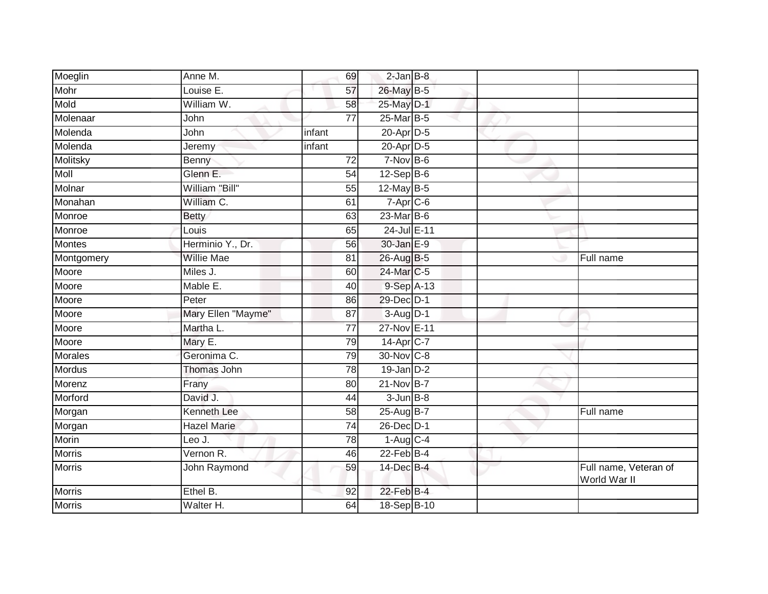| Moeglin       | Anne M.            | 69              | $2$ -Jan $B-8$              |  |                                       |
|---------------|--------------------|-----------------|-----------------------------|--|---------------------------------------|
| Mohr          | Louise E.          | 57              | 26-May B-5                  |  |                                       |
| Mold          | William W.         | 58              | 25-May D-1                  |  |                                       |
| Molenaar      | John               | $\overline{77}$ | 25-Mar B-5                  |  |                                       |
| Molenda       | John               | infant          | 20-Apr D-5                  |  |                                       |
| Molenda       | Jeremy             | infant          | 20-Apr D-5                  |  |                                       |
| Molitsky      | Benny              | 72              | $7-Nov$ B-6                 |  |                                       |
| Moll          | Glenn E.           | 54              | $12-Sep$ B-6                |  |                                       |
| Molnar        | William "Bill"     | 55              | 12-May B-5                  |  |                                       |
| Monahan       | William C.         | 61              | $7-Apr$ $C-6$               |  |                                       |
| Monroe        | <b>Betty</b>       | 63              | $23$ -Mar $\overline{B}$ -6 |  |                                       |
| Monroe        | Louis              | 65              | 24-Jul E-11                 |  |                                       |
| <b>Montes</b> | Herminio Y., Dr.   | 56              | 30-Jan E-9                  |  |                                       |
| Montgomery    | Willie Mae         | 81              | 26-Aug B-5                  |  | Full name                             |
| Moore         | Miles J.           | 60              | 24-Mar C-5                  |  |                                       |
| Moore         | Mable E.           | 40              | 9-Sep A-13                  |  |                                       |
| Moore         | Peter              | 86              | 29-Dec D-1                  |  |                                       |
| Moore         | Mary Ellen "Mayme" | 87              | $3-Aug$ $D-1$               |  |                                       |
| Moore         | Martha L.          | 77              | 27-Nov E-11                 |  |                                       |
| Moore         | Mary E.            | 79              | 14-Apr <sub>C-7</sub>       |  |                                       |
| Morales       | Geronima C.        | 79              | 30-Nov C-8                  |  |                                       |
| <b>Mordus</b> | Thomas John        | $\overline{78}$ | $19$ -Jan $D-2$             |  |                                       |
| Morenz        | Frany              | 80              | 21-Nov B-7                  |  |                                       |
| Morford       | David J.           | 44              | $3 - Jun$ $B-8$             |  |                                       |
| Morgan        | <b>Kenneth Lee</b> | 58              | 25-Aug B-7                  |  | Full name                             |
| Morgan        | <b>Hazel Marie</b> | 74              | 26-Dec D-1                  |  |                                       |
| Morin         | Leo J.             | $\overline{78}$ | $1-Aug$ <sub>C-4</sub>      |  |                                       |
| <b>Morris</b> | Vernon R.          | 46              | $22$ -Feb $B-4$             |  |                                       |
| <b>Morris</b> | John Raymond       | 59              | 14-Dec B-4                  |  | Full name, Veteran of<br>World War II |
| <b>Morris</b> | Ethel B.           | 92              | $22$ -Feb $B-4$             |  |                                       |
| <b>Morris</b> | Walter H.          | 64              | 18-Sep B-10                 |  |                                       |
|               |                    |                 |                             |  |                                       |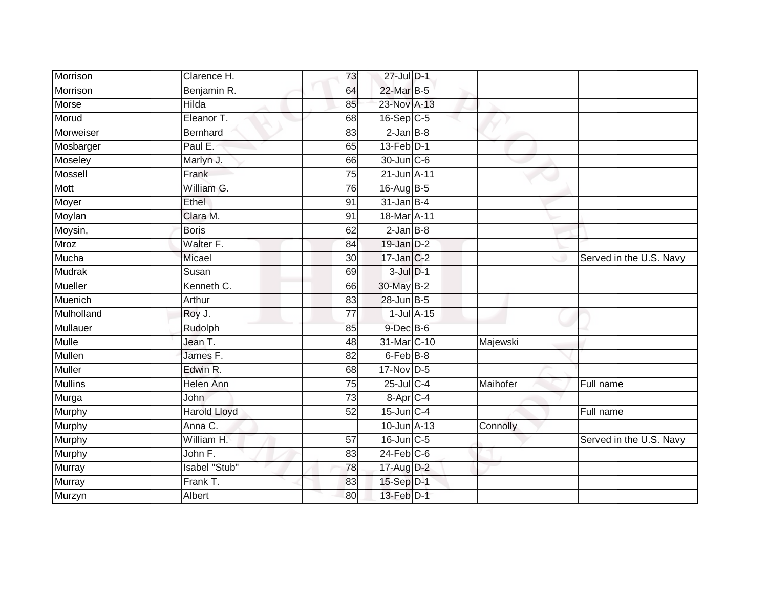| Morrison        | Clarence H.         | 73              | 27-Jul D-1       |          |                         |
|-----------------|---------------------|-----------------|------------------|----------|-------------------------|
| Morrison        | Benjamin R.         | 64              | 22-Mar B-5       |          |                         |
| Morse           | Hilda               | 85              | 23-Nov A-13      |          |                         |
| Morud           | Eleanor T.          | 68              | $16-Sep$ $C-5$   |          |                         |
| Morweiser       | Bernhard            | 83              | $2$ -Jan $B-8$   |          |                         |
| Mosbarger       | Paul E.             | 65              | 13-Feb D-1       |          |                         |
| Moseley         | Marlyn J.           | 66              | 30-Jun C-6       |          |                         |
| Mossell         | Frank               | 75              | 21-Jun A-11      |          |                         |
| Mott            | William G.          | 76              | 16-Aug B-5       |          |                         |
| Moyer           | Ethel               | 91              | $31$ -Jan B-4    |          |                         |
| Moylan          | Clara M.            | 91              | 18-Mar A-11      |          |                         |
| Moysin,         | <b>Boris</b>        | 62              | $2$ -Jan $B-8$   |          |                         |
| Mroz            | Walter F.           | 84              | $19$ -Jan $D-2$  |          |                         |
| Mucha           | Micael              | 30              | 17-Jan C-2       |          | Served in the U.S. Navy |
| Mudrak          | Susan               | 69              | $3$ -Jul $D-1$   |          |                         |
| Mueller         | Kenneth C.          | 66              | 30-May B-2       |          |                         |
| Muenich         | Arthur              | 83              | $28$ -Jun $B-5$  |          |                         |
| Mulholland      | Roy J.              | 77              | $1$ -Jul $A$ -15 |          |                         |
| <b>Mullauer</b> | Rudolph             | 85              | $9$ -Dec $B$ -6  |          |                         |
| <b>Mulle</b>    | Jean T.             | 48              | 31-Mar C-10      | Majewski |                         |
| Mullen          | James F.            | 82              | $6$ -Feb $B$ -8  |          |                         |
| <b>Muller</b>   | Edwin R.            | 68              | 17-Nov D-5       |          |                         |
| <b>Mullins</b>  | Helen Ann           | 75              | 25-Jul C-4       | Maihofer | Full name               |
| Murga           | <b>John</b>         | 73              | 8-Apr C-4        |          |                         |
| Murphy          | <b>Harold Lloyd</b> | 52              | $15$ -Jun $C-4$  |          | Full name               |
| <b>Murphy</b>   | Anna C.             |                 | 10-Jun A-13      | Connolly |                         |
| <b>Murphy</b>   | William H.          | $\overline{57}$ | 16-Jun C-5       |          | Served in the U.S. Navy |
| Murphy          | John F.             | 83              | $24$ -Feb $C$ -6 |          |                         |
| Murray          | Isabel "Stub"       | 78              | 17-Aug D-2       |          |                         |
| Murray          | Frank T.            | 83              | 15-Sep D-1       |          |                         |
| Murzyn          | Albert              | 80              | 13-Feb D-1       |          |                         |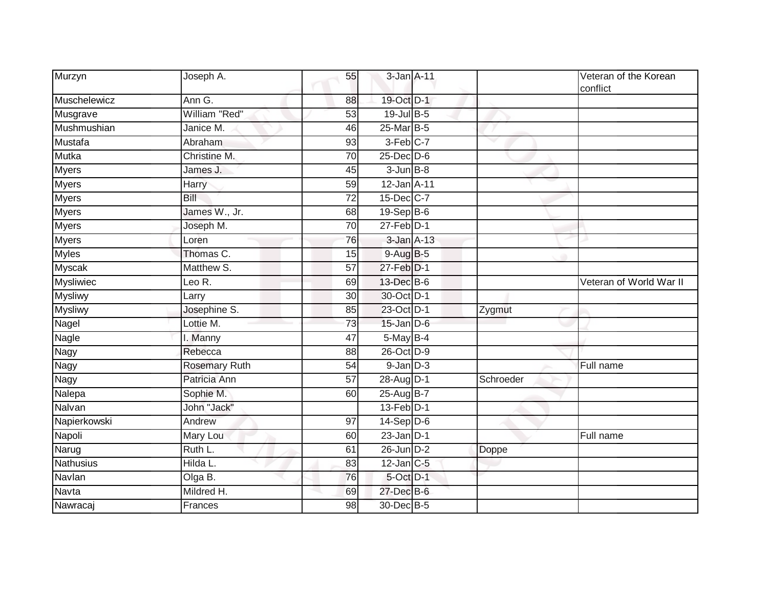| Murzyn           | Joseph A.                     | 55              | 3-Jan A-11        |           | Veteran of the Korean<br>conflict |
|------------------|-------------------------------|-----------------|-------------------|-----------|-----------------------------------|
| Muschelewicz     | Ann G.                        | 88              | 19-Oct D-1        |           |                                   |
| Musgrave         | William "Red"                 | 53              | $19$ -Jul B-5     |           |                                   |
| Mushmushian      | Janice M.                     | 46              | 25-Mar B-5        |           |                                   |
| Mustafa          | Abraham                       | 93              | 3-Feb C-7         |           |                                   |
| Mutka            | Christine M.                  | 70              | $25$ -Dec $D-6$   |           |                                   |
| <b>Myers</b>     | James J.                      | 45              | $3 - Jun$ $B-8$   |           |                                   |
| <b>Myers</b>     | Harry                         | 59              | 12-Jan A-11       |           |                                   |
| <b>Myers</b>     | <b>Bill</b>                   | 72              | 15-Dec C-7        |           |                                   |
| <b>Myers</b>     | James W., Jr.                 | 68              | $19-Sep$ B-6      |           |                                   |
| <b>Myers</b>     | Joseph M.                     | $\overline{70}$ | $27$ -Feb $D-1$   |           |                                   |
| <b>Myers</b>     | Loren                         | 76              | 3-Jan A-13        |           |                                   |
| <b>Myles</b>     | Thomas C.                     | 15              | 9-Aug B-5         |           |                                   |
| <b>Myscak</b>    | Matthew S.                    | 57              | 27-Feb D-1        |           |                                   |
| <b>Mysliwiec</b> | Leo $\overline{\mathsf{R}}$ . | 69              | 13-Dec B-6        |           | Veteran of World War II           |
| <b>Mysliwy</b>   | Larry                         | 30              | 30-Oct D-1        |           |                                   |
| <b>Mysliwy</b>   | Josephine S.                  | 85              | 23-Oct D-1        | Zygmut    |                                   |
| Nagel            | Lottie M.                     | 73              | $15$ -Jan $D-6$   |           |                                   |
| Nagle            | I. Manny                      | 47              | $5$ -May B-4      |           |                                   |
| Nagy             | Rebecca                       | 88              | 26-Oct D-9        |           |                                   |
| <b>Nagy</b>      | <b>Rosemary Ruth</b>          | 54              | $9$ -Jan $D-3$    |           | Full name                         |
| Nagy             | Patricia Ann                  | 57              | 28-Aug D-1        | Schroeder |                                   |
| Nalepa           | Sophie M.                     | 60              | 25-Aug B-7        |           |                                   |
| Nalvan           | John "Jack"                   |                 | $13$ -Feb $D-1$   |           |                                   |
| Napierkowski     | Andrew                        | $\overline{97}$ | $14-Sep D-6$      |           |                                   |
| Napoli           | Mary Lou                      | 60              | $23$ -Jan $D-1$   |           | Full name                         |
| Narug            | Ruth L.                       | 61              | $26$ -Jun $D-2$   | Doppe     |                                   |
| Nathusius        | Hilda L.                      | 83              | $12$ -Jan $ C-5 $ |           |                                   |
| Navlan           | Olga B.                       | 76              | 5-Oct D-1         |           |                                   |
| Navta            | Mildred H.                    | 69              | 27-Dec B-6        |           |                                   |
| Nawracaj         | Frances                       | 98              | 30-Dec B-5        |           |                                   |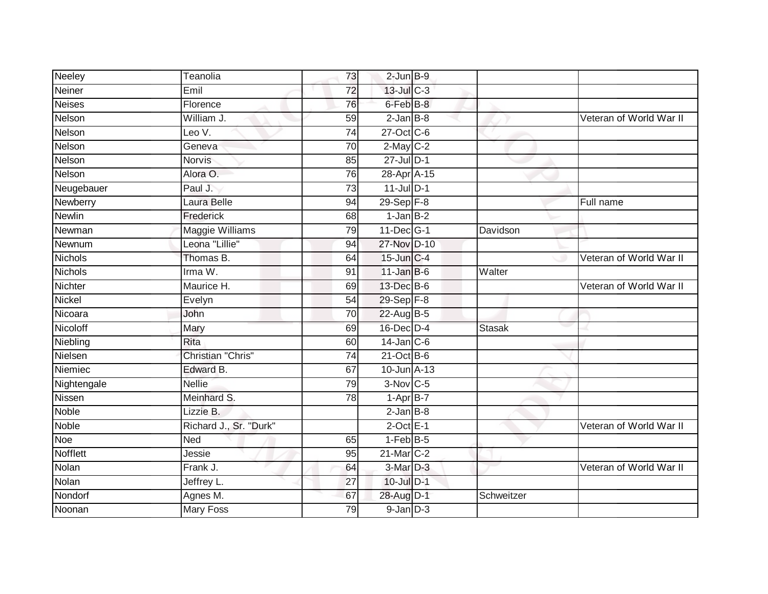| Neeley         | Teanolia               | 73              | $2$ -Jun $B-9$   |               |                         |
|----------------|------------------------|-----------------|------------------|---------------|-------------------------|
| Neiner         | Emil                   | 72              | $13$ -Jul C-3    |               |                         |
| <b>Neises</b>  | Florence               | 76              | 6-Feb B-8        |               |                         |
| Nelson         | William J.             | 59              | $2$ -Jan $B-8$   |               | Veteran of World War II |
| Nelson         | Leo $V$ .              | $\overline{74}$ | 27-Oct C-6       |               |                         |
| Nelson         | Geneva                 | 70              | $2$ -May $C-2$   |               |                         |
| Nelson         | <b>Norvis</b>          | 85              | 27-Jul D-1       |               |                         |
| Nelson         | Alora O.               | 76              | 28-Apr A-15      |               |                         |
| Neugebauer     | Paul J.                | 73              | $11$ -Jul D-1    |               |                         |
| Newberry       | Laura Belle            | 94              | $29-Sep$ F-8     |               | Full name               |
| <b>Newlin</b>  | Frederick              | 68              | $1-Jan$ B-2      |               |                         |
| Newman         | Maggie Williams        | 79              | 11-Dec G-1       | Davidson      |                         |
| Newnum         | Leona "Lillie"         | 94              | 27-Nov D-10      |               |                         |
| <b>Nichols</b> | Thomas B.              | 64              | 15-Jun C-4       |               | Veteran of World War II |
| Nichols        | Irma W.                | 91              | $11$ -Jan B-6    | Walter        |                         |
| Nichter        | Maurice H.             | 69              | 13-Dec B-6       |               | Veteran of World War II |
| <b>Nickel</b>  | Evelyn                 | 54              | $29-Sep$ $F-8$   |               |                         |
| Nicoara        | John                   | 70              | 22-Aug B-5       |               |                         |
| Nicoloff       | Mary                   | 69              | 16-Dec D-4       | <b>Stasak</b> |                         |
| Niebling       | <b>Rita</b>            | 60              | $14$ -Jan $C$ -6 |               |                         |
| Nielsen        | Christian "Chris"      | 74              | $21$ -Oct B-6    |               |                         |
| Niemiec        | Edward B.              | 67              | 10-Jun A-13      |               |                         |
| Nightengale    | <b>Nellie</b>          | 79              | $3-Nov$ C-5      |               |                         |
| Nissen         | Meinhard S.            | 78              | $1 - Apr$ B-7    |               |                         |
| Noble          | Lizzie B.              |                 | $2$ -Jan $B-8$   |               |                         |
| Noble          | Richard J., Sr. "Durk" |                 | $2$ -Oct $E-1$   |               | Veteran of World War II |
| Noe            | <b>Ned</b>             | 65              | $1-FebB-5$       |               |                         |
| Nofflett       | Jessie                 | 95              | 21-Mar C-2       |               |                         |
| Nolan          | Frank J.               | 64              | 3-Mar D-3        |               | Veteran of World War II |
| Nolan          | Jeffrey L.             | $\overline{27}$ | 10-Jul D-1       |               |                         |
| Nondorf        | Agnes M.               | 67              | 28-Aug D-1       | Schweitzer    |                         |
| Noonan         | <b>Mary Foss</b>       | 79              | $9$ -Jan $D-3$   |               |                         |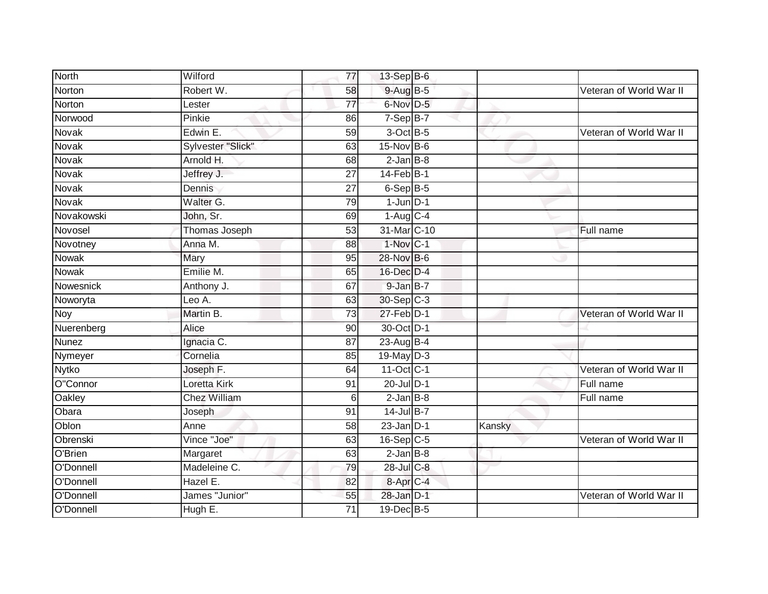| <b>North</b> | Wilford             | 77              | 13-Sep B-6             |        |                         |
|--------------|---------------------|-----------------|------------------------|--------|-------------------------|
| Norton       | Robert W.           | 58              | 9-Aug B-5              |        | Veteran of World War II |
| Norton       | Lester              | 77              | 6-Nov D-5              |        |                         |
| Norwood      | Pinkie              | 86              | $7-Sep$ B-7            |        |                         |
| <b>Novak</b> | Edwin E.            | $\overline{59}$ | $3$ -Oct $B$ -5        |        | Veteran of World War II |
| Novak        | Sylvester "Slick"   | 63              | $15$ -Nov $B-6$        |        |                         |
| Novak        | Arnold H.           | 68              | $2$ -Jan B-8           |        |                         |
| Novak        | Jeffrey J.          | 27              | 14-Feb B-1             |        |                         |
| Novak        | Dennis              | 27              | $6-SepB-5$             |        |                         |
| Novak        | Walter G.           | 79              | $1$ -Jun $D-1$         |        |                         |
| Novakowski   | John, Sr.           | 69              | $1-Aug$ <sub>C-4</sub> |        |                         |
| Novosel      | Thomas Joseph       | 53              | 31-Mar C-10            |        | Full name               |
| Novotney     | Anna M.             | 88              | $1-Nov$ <sub>C-1</sub> |        |                         |
| <b>Nowak</b> | Mary                | 95              | 28-Nov B-6             |        |                         |
| <b>Nowak</b> | Emilie M.           | 65              | 16-Dec D-4             |        |                         |
| Nowesnick    | Anthony J.          | 67              | 9-Jan B-7              |        |                         |
| Noworyta     | Leo A.              | 63              | 30-Sep C-3             |        |                         |
| Noy          | Martin B.           | $\overline{73}$ | 27-Feb D-1             |        | Veteran of World War II |
| Nuerenberg   | Alice               | 90              | 30-Oct D-1             |        |                         |
| <b>Nunez</b> | Ignacia C.          | 87              | $23$ -Aug B-4          |        |                         |
| Nymeyer      | Cornelia            | 85              | 19-May D-3             |        |                         |
| Nytko        | Joseph F.           | 64              | 11-Oct C-1             |        | Veteran of World War II |
| O"Connor     | Loretta Kirk        | 91              | 20-Jul D-1             |        | Full name               |
| Oakley       | <b>Chez William</b> | 6               | $2$ -Jan $B-8$         |        | Full name               |
| Obara        | Joseph              | 91              | 14-Jul B-7             |        |                         |
| Oblon        | Anne                | 58              | $23$ -Jan D-1          | Kansky |                         |
| Obrenski     | Vince "Joe"         | 63              | 16-Sep C-5             |        | Veteran of World War II |
| O'Brien      | Margaret            | 63              | $2$ -Jan $B$ -8        |        |                         |
| O'Donnell    | Madeleine C.        | 79              | 28-Jul C-8             |        |                         |
| O'Donnell    | Hazel E.            | 82              | 8-Apr <sub>IC-4</sub>  |        |                         |
| O'Donnell    | James "Junior"      | 55              | 28-Jan D-1             |        | Veteran of World War II |
| O'Donnell    | Hugh E.             | $\overline{71}$ | 19-Dec B-5             |        |                         |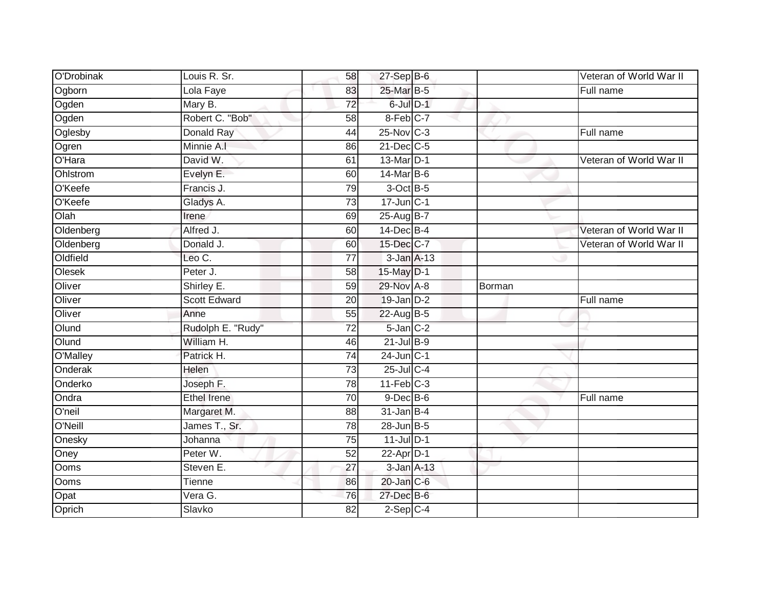| O'Drobinak | Louis R. Sr.        | 58              | 27-Sep B-6                |        | Veteran of World War II |
|------------|---------------------|-----------------|---------------------------|--------|-------------------------|
| Ogborn     | Lola Faye           | 83              | 25-Mar B-5                |        | Full name               |
| Ogden      | Mary B.             | $\overline{72}$ | 6-Jul D-1                 |        |                         |
| Ogden      | Robert C. "Bob"     | 58              | 8-Feb C-7                 |        |                         |
| Oglesby    | Donald Ray          | 44              | 25-Nov C-3                |        | Full name               |
| Ogren      | Minnie A.I          | 86              | 21-Dec C-5                |        |                         |
| O'Hara     | David W.            | 61              | 13-Mar D-1                |        | Veteran of World War II |
| Ohlstrom   | Evelyn E.           | 60              | 14-Mar B-6                |        |                         |
| O'Keefe    | Francis J.          | 79              | $3$ -Oct $B$ -5           |        |                         |
| O'Keefe    | Gladys A.           | 73              | $17 - Jun$ <sub>C-1</sub> |        |                         |
| Olah       | Irene               | 69              | $25-AugB-7$               |        |                         |
| Oldenberg  | Alfred J.           | 60              | $14$ -Dec $B-4$           |        | Veteran of World War II |
| Oldenberg  | Donald J.           | 60              | 15-Dec C-7                |        | Veteran of World War II |
| Oldfield   | Leo C.              | $\overline{77}$ | $3$ -Jan $A-13$           |        |                         |
| Olesek     | Peter J.            | 58              | 15-May D-1                |        |                         |
| Oliver     | Shirley E.          | 59              | 29-Nov A-8                | Borman |                         |
| Oliver     | <b>Scott Edward</b> | 20              | 19-Jan D-2                |        | Full name               |
| Oliver     | Anne                | 55              | 22-Aug B-5                |        |                         |
| Olund      | Rudolph E. "Rudy"   | $\overline{72}$ | 5-Jan C-2                 |        |                         |
| Olund      | William H.          | 46              | $21$ -Jul $B-9$           |        |                         |
| O'Malley   | Patrick H.          | 74              | $24$ -Jun $C-1$           |        |                         |
| Onderak    | Helen               | 73              | $25$ -Jul C-4             |        |                         |
| Onderko    | Joseph F.           | 78              | $11-Feb$ C-3              |        |                         |
| Ondra      | <b>Ethel Irene</b>  | 70              | $9$ -Dec $B$ -6           |        | Full name               |
| O'neil     | Margaret M.         | 88              | $31$ -Jan B-4             |        |                         |
| O'Neill    | James T., Sr.       | 78              | $28$ -Jun B-5             |        |                         |
| Onesky     | Johanna             | 75              | $11$ -Jul $D-1$           |        |                         |
| Oney       | Peter W.            | 52              | 22-Apr D-1                |        |                         |
| Ooms       | Steven E.           | 27              | 3-Jan A-13                |        |                         |
| Ooms       | <b>Tienne</b>       | 86              | 20-Jan C-6                |        |                         |
| Opat       | Vera G.             | 76              | $27$ -Dec $B$ -6          |        |                         |
| Oprich     | Slavko              | 82              | $2-Sep$ C-4               |        |                         |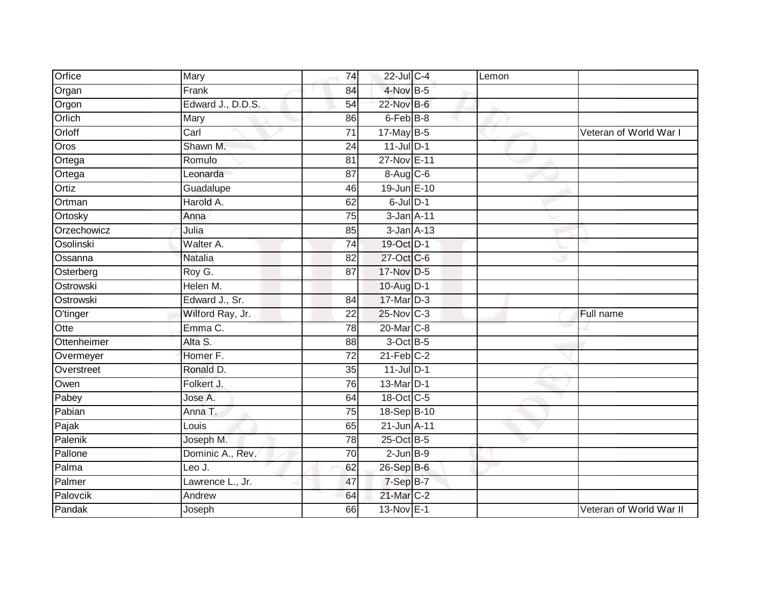| Orfice      | Mary              | 74              | 22-Jul C-4      | Lemon |                         |
|-------------|-------------------|-----------------|-----------------|-------|-------------------------|
| Organ       | Frank             | 84              | $4$ -Nov B-5    |       |                         |
| Orgon       | Edward J., D.D.S. | 54              | 22-Nov B-6      |       |                         |
| Orlich      | Mary              | 86              | 6-Feb B-8       |       |                         |
| Orloff      | Carl              | $\overline{71}$ | $17$ -May B-5   |       | Veteran of World War I  |
| Oros        | Shawn M.          | 24              | $11$ -Jul $D-1$ |       |                         |
| Ortega      | Romulo            | 81              | 27-Nov E-11     |       |                         |
| Ortega      | Leonarda          | 87              | 8-Aug C-6       |       |                         |
| Ortiz       | Guadalupe         | 46              | 19-Jun E-10     |       |                         |
| Ortman      | Harold A.         | 62              | $6$ -Jul $D-1$  |       |                         |
| Ortosky     | Anna              | 75              | $3-Jan$ $A-11$  |       |                         |
| Orzechowicz | Julia             | 85              | $3$ -Jan $A-13$ |       |                         |
| Osolinski   | Walter A.         | 74              | 19-Oct D-1      |       |                         |
| Ossanna     | <b>Natalia</b>    | 82              | 27-Oct C-6      |       |                         |
| Osterberg   | Roy G.            | 87              | 17-Nov D-5      |       |                         |
| Ostrowski   | Helen M.          |                 | 10-Aug D-1      |       |                         |
| Ostrowski   | Edward J., Sr.    | 84              | 17-Mar D-3      |       |                         |
| O'tinger    | Wilford Ray, Jr.  | 22              | 25-Nov C-3      |       | Full name               |
| Otte        | Emma C.           | 78              | 20-Mar C-8      |       |                         |
| Ottenheimer | Alta S.           | 88              | $3$ -Oct $B$ -5 |       |                         |
| Overmeyer   | Homer F.          | 72              | $21$ -Feb $C-2$ |       |                         |
| Overstreet  | Ronald D.         | $\overline{35}$ | $11$ -Jul D-1   |       |                         |
| Owen        | Folkert J.        | 76              | 13-Mar D-1      |       |                         |
| Pabey       | Jose A.           | 64              | 18-Oct C-5      |       |                         |
| Pabian      | Anna T.           | 75              | 18-Sep B-10     |       |                         |
| Pajak       | Louis             | 65              | 21-Jun A-11     |       |                         |
| Palenik     | Joseph M.         | 78              | $25$ -Oct B-5   |       |                         |
| Pallone     | Dominic A., Rev.  | $\overline{70}$ | $2$ -Jun $B-9$  |       |                         |
| Palma       | Leo J.            | 62              | 26-Sep B-6      |       |                         |
| Palmer      | Lawrence L., Jr.  | 47              | 7-Sep B-7       |       |                         |
| Palovcik    | Andrew            | 64              | 21-Mar C-2      |       |                         |
| Pandak      | Joseph            | 66              | 13-Nov E-1      |       | Veteran of World War II |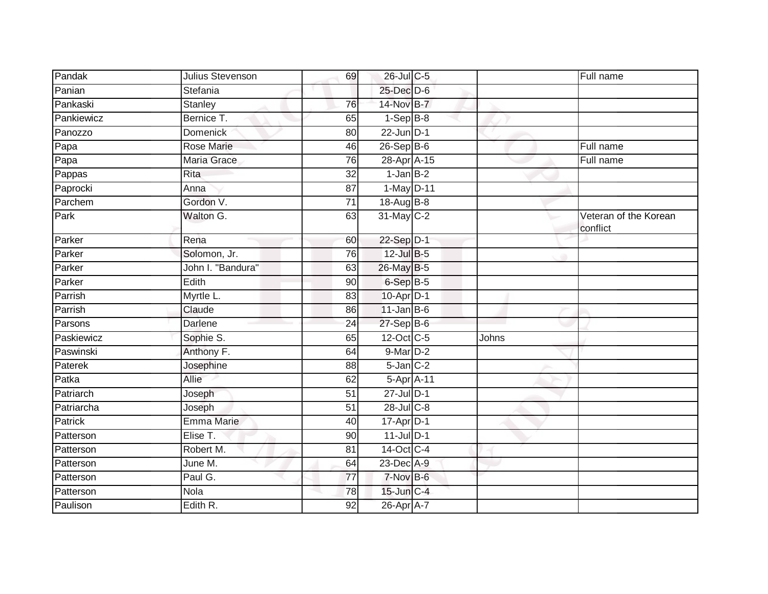| Pandak         | Julius Stevenson  | 69              | 26-Jul C-5      |       | Full name                         |
|----------------|-------------------|-----------------|-----------------|-------|-----------------------------------|
| Panian         | Stefania          |                 | 25-Dec D-6      |       |                                   |
| Pankaski       | <b>Stanley</b>    | 76              | 14-Nov B-7      |       |                                   |
| Pankiewicz     | Bernice T.        | 65              | $1-Sep$ B-8     |       |                                   |
| Panozzo        | Domenick          | 80              | $22$ -Jun $D-1$ |       |                                   |
| Papa           | Rose Marie        | 46              | $26 - Sep$ B-6  |       | Full name                         |
| Papa           | Maria Grace       | 76              | 28-Apr A-15     |       | Full name                         |
| Pappas         | <b>Rita</b>       | 32              | $1$ -Jan $B-2$  |       |                                   |
| Paprocki       | Anna              | $\overline{87}$ | 1-May D-11      |       |                                   |
| Parchem        | Gordon V.         | $\overline{71}$ | 18-Aug B-8      |       |                                   |
| Park           | Walton G.         | 63              | 31-May C-2      |       | Veteran of the Korean<br>conflict |
| Parker         | Rena              | 60              | 22-Sep D-1      |       |                                   |
| Parker         | Solomon, Jr.      | 76              | $12$ -Jul B-5   |       |                                   |
| Parker         | John I. "Bandura" | 63              | 26-May B-5      |       |                                   |
| Parker         | Edith             | 90              | 6-Sep B-5       |       |                                   |
| Parrish        | Myrtle L.         | 83              | 10-Apr D-1      |       |                                   |
| Parrish        | Claude            | 86              | $11$ -Jan B-6   |       |                                   |
| Parsons        | Darlene           | 24              | 27-Sep B-6      |       |                                   |
| Paskiewicz     | Sophie S.         | 65              | 12-Oct C-5      | Johns |                                   |
| Paswinski      | Anthony F.        | 64              | 9-Mar D-2       |       |                                   |
| Paterek        | Josephine         | 88              | $5$ -Jan $C-2$  |       |                                   |
| Patka          | Allie             | 62              | 5-Apr A-11      |       |                                   |
| Patriarch      | Joseph            | 51              | 27-Jul D-1      |       |                                   |
| Patriarcha     | Joseph            | 51              | 28-Jul C-8      |       |                                   |
| <b>Patrick</b> | <b>Emma Marie</b> | 40              | $17$ -Apr $D-1$ |       |                                   |
| Patterson      | Elise T.          | 90              | $11$ -Jul D-1   |       |                                   |
| Patterson      | Robert M.         | 81              | 14-Oct C-4      |       |                                   |
| Patterson      | June M.           | 64              | 23-Dec A-9      |       |                                   |
| Patterson      | Paul G.           | 77              | 7-Nov B-6       |       |                                   |
| Patterson      | Nola              | 78              | 15-Jun C-4      |       |                                   |
| Paulison       | Edith R.          | 92              | 26-Apr A-7      |       |                                   |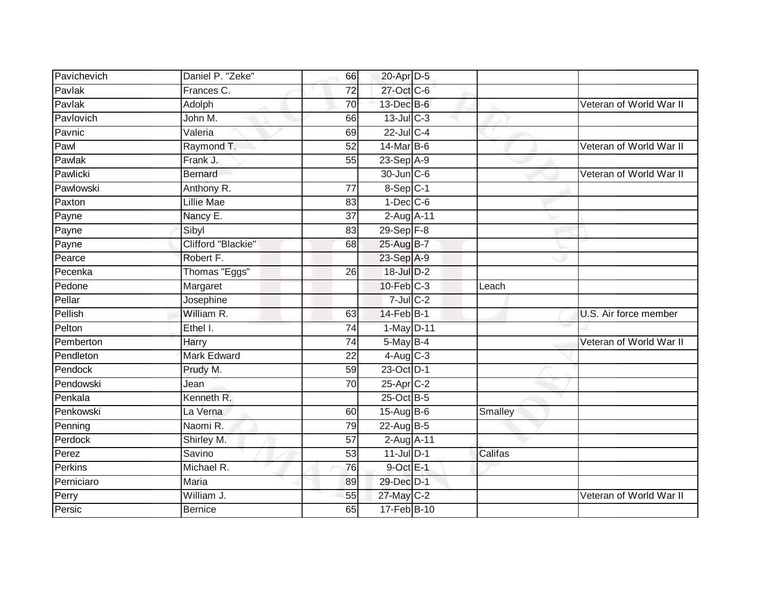| Pavichevich | Daniel P. "Zeke"   | 66              | 20-Apr D-5       |         |                         |
|-------------|--------------------|-----------------|------------------|---------|-------------------------|
| Pavlak      | Frances C.         | 72              | 27-Oct C-6       |         |                         |
| Pavlak      | Adolph             | 70              | 13-Dec B-6       |         | Veteran of World War II |
| Pavlovich   | John M.            | 66              | $13$ -Jul C-3    |         |                         |
| Pavnic      | Valeria            | 69              | $22$ -Jul C-4    |         |                         |
| Pawl        | Raymond T.         | 52              | $14$ -Mar $B$ -6 |         | Veteran of World War II |
| Pawlak      | Frank J.           | 55              | $23-Sep$ A-9     |         |                         |
| Pawlicki    | <b>Bernard</b>     |                 | 30-Jun C-6       |         | Veteran of World War II |
| Pawlowski   | Anthony R.         | 77              | $8-Sep$ C-1      |         |                         |
| Paxton      | <b>Lillie Mae</b>  | 83              | $1$ -Dec $ C$ -6 |         |                         |
| Payne       | Nancy E.           | 37              | 2-Aug A-11       |         |                         |
| Payne       | Sibyl              | 83              | $29-Sep$ $F-8$   |         |                         |
| Payne       | Clifford "Blackie" | 68              | 25-Aug B-7       |         |                         |
| Pearce      | Robert F.          |                 | 23-Sep A-9       |         |                         |
| Pecenka     | Thomas "Eggs"      | 26              | 18-Jul D-2       |         |                         |
| Pedone      | Margaret           |                 | 10-Feb C-3       | Leach   |                         |
| Pellar      | Josephine          |                 | $7$ -Jul $C$ -2  |         |                         |
| Pellish     | William R.         | 63              | 14-Feb B-1       |         | U.S. Air force member   |
| Pelton      | Ethel I.           | $\overline{74}$ | 1-May D-11       |         |                         |
| Pemberton   | Harry              | 74              | $5$ -May $B-4$   |         | Veteran of World War II |
| Pendleton   | <b>Mark Edward</b> | 22              | $4-Aug$ $C-3$    |         |                         |
| Pendock     | Prudy M.           | 59              | 23-Oct D-1       |         |                         |
| Pendowski   | Jean               | 70              | $25$ -Apr $C-2$  |         |                         |
| Penkala     | Kenneth R.         |                 | 25-Oct B-5       |         |                         |
| Penkowski   | La Verna           | 60              | 15-Aug B-6       | Smalley |                         |
| Penning     | Naomi R.           | 79              | 22-Aug B-5       |         |                         |
| Perdock     | Shirley M.         | 57              | 2-Aug A-11       |         |                         |
| Perez       | Savino             | 53              | $11$ -Jul D-1    | Califas |                         |
| Perkins     | Michael R.         | 76              | $9$ -Oct $E-1$   |         |                         |
| Perniciaro  | Maria              | 89              | 29-Dec D-1       |         |                         |
| Perry       | William J.         | 55              | 27-May C-2       |         | Veteran of World War II |
| Persic      | <b>Bernice</b>     | 65              | 17-Feb B-10      |         |                         |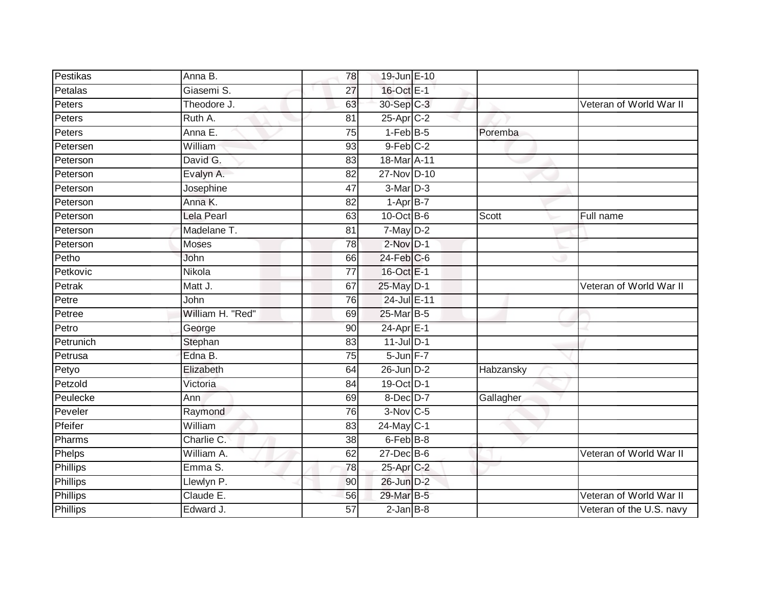| Pestikas  | Anna B.          | 78              | 19-Jun E-10           |           |                          |
|-----------|------------------|-----------------|-----------------------|-----------|--------------------------|
| Petalas   | Giasemi S.       | 27              | 16-Oct E-1            |           |                          |
| Peters    | Theodore J.      | 63              | 30-Sep C-3            |           | Veteran of World War II  |
| Peters    | Ruth A.          | 81              | 25-Apr C-2            |           |                          |
| Peters    | Anna E.          | $\overline{75}$ | $1-FebB-5$            | Poremba   |                          |
| Petersen  | William          | 93              | $9$ -Feb $C-2$        |           |                          |
| Peterson  | David G.         | 83              | 18-Mar A-11           |           |                          |
| Peterson  | Evalyn A.        | 82              | 27-Nov D-10           |           |                          |
| Peterson  | Josephine        | 47              | 3-Mar D-3             |           |                          |
| Peterson  | Anna K.          | 82              | $1-AprB-7$            |           |                          |
| Peterson  | Lela Pearl       | 63              | $10$ -Oct B-6         | Scott     | Full name                |
| Peterson  | Madelane T.      | 81              | $7$ -May $D-2$        |           |                          |
| Peterson  | Moses            | 78              | $2$ -Nov $D-1$        |           |                          |
| Petho     | John             | 66              | $24$ -Feb $C$ -6      |           |                          |
| Petkovic  | Nikola           | $\overline{77}$ | 16-Oct E-1            |           |                          |
| Petrak    | Matt J.          | 67              | 25-May D-1            |           | Veteran of World War II  |
| Petre     | John             | $\overline{76}$ | 24-Jul E-11           |           |                          |
| Petree    | William H. "Red" | 69              | 25-Mar B-5            |           |                          |
| Petro     | George           | 90              | $24$ -Apr $E-1$       |           |                          |
| Petrunich | Stephan          | 83              | $11$ -Jul D-1         |           |                          |
| Petrusa   | Edna B.          | 75              | 5-Jun F-7             |           |                          |
| Petyo     | Elizabeth        | 64              | $26$ -Jun $D-2$       | Habzansky |                          |
| Petzold   | Victoria         | 84              | 19-Oct D-1            |           |                          |
| Peulecke  | Ann              | 69              | $8$ -Dec $D-7$        | Gallagher |                          |
| Peveler   | Raymond          | 76              | 3-Nov C-5             |           |                          |
| Pfeifer   | William          | 83              | $24$ -May C-1         |           |                          |
| Pharms    | Charlie C.       | 38              | 6-Feb <sup>B-8</sup>  |           |                          |
| Phelps    | William A.       | 62              | $27$ -Dec $B$ -6      |           | Veteran of World War II  |
| Phillips  | Emma S.          | 78              | 25-Apr <sub>C-2</sub> |           |                          |
| Phillips  | Llewlyn P.       | 90              | 26-Jun D-2            |           |                          |
| Phillips  | Claude E.        | 56              | 29-Mar B-5            |           | Veteran of World War II  |
| Phillips  | Edward J.        | $\overline{57}$ | $2$ -Jan $B-8$        |           | Veteran of the U.S. navy |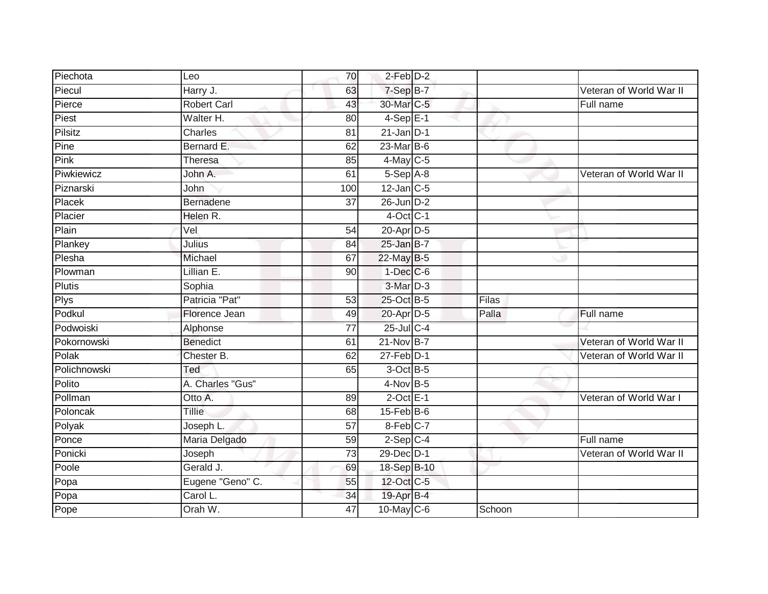| Piechota       | Leo                | 70              | $2$ -Feb $D-2$         |        |                         |
|----------------|--------------------|-----------------|------------------------|--------|-------------------------|
| Piecul         | Harry J.           | 63              | 7-Sep B-7              |        | Veteran of World War II |
| Pierce         | <b>Robert Carl</b> | 43              | 30-Mar C-5             |        | Full name               |
| Piest          | Walter H.          | 80              | $4-SepE-1$             |        |                         |
| <b>Pilsitz</b> | <b>Charles</b>     | $\overline{81}$ | $21$ -Jan D-1          |        |                         |
| Pine           | Bernard E.         | 62              | 23-Mar B-6             |        |                         |
| Pink           | <b>Theresa</b>     | 85              | $4$ -May C-5           |        |                         |
| Piwkiewicz     | John A.            | 61              | 5-Sep A-8              |        | Veteran of World War II |
| Piznarski      | John               | 100             | $12$ -Jan $C-5$        |        |                         |
| Placek         | Bernadene          | $\overline{37}$ | 26-Jun D-2             |        |                         |
| Placier        | Helen R.           |                 | $4$ -Oct C-1           |        |                         |
| Plain          | Vel                | 54              | 20-Apr D-5             |        |                         |
| Plankey        | Julius             | 84              | $25$ -Jan B-7          |        |                         |
| Plesha         | Michael            | 67              | 22-May B-5             |        |                         |
| Plowman        | Lillian E.         | $\overline{90}$ | $1-Dec$ $C-6$          |        |                         |
| Plutis         | Sophia             |                 | 3-Mar D-3              |        |                         |
| Plys           | Patricia "Pat"     | 53              | 25-Oct B-5             | Filas  |                         |
| Podkul         | Florence Jean      | 49              | 20-Apr D-5             | Palla  | Full name               |
| Podwoiski      | Alphonse           | 77              | 25-Jul C-4             |        |                         |
| Pokornowski    | <b>Benedict</b>    | 61              | $21-Nov$ B-7           |        | Veteran of World War II |
| Polak          | Chester B.         | 62              | $27$ -Feb $D-1$        |        | Veteran of World War II |
| Polichnowski   | Ted                | 65              | 3-Oct B-5              |        |                         |
| Polito         | A. Charles "Gus"   |                 | $4-Nov$ B-5            |        |                         |
| Pollman        | Otto A.            | 89              | $2$ -Oct E-1           |        | Veteran of World War I  |
| Poloncak       | Tillie             | 68              | $15$ -Feb $B$ -6       |        |                         |
| Polyak         | Joseph L.          | 57              | $8-Feb$ <sub>C-7</sub> |        |                         |
| Ponce          | Maria Delgado      | 59              | $2-Sep$ C-4            |        | Full name               |
| Ponicki        | Joseph             | 73              | 29-Dec D-1             |        | Veteran of World War II |
| Poole          | Gerald J.          | 69              | 18-Sep B-10            |        |                         |
| Popa           | Eugene "Geno" C.   | 55              | 12-Oct C-5             |        |                         |
| Popa           | Carol L.           | 34              | 19-Apr B-4             |        |                         |
| Pope           | Orah W.            | 47              | 10-May C-6             | Schoon |                         |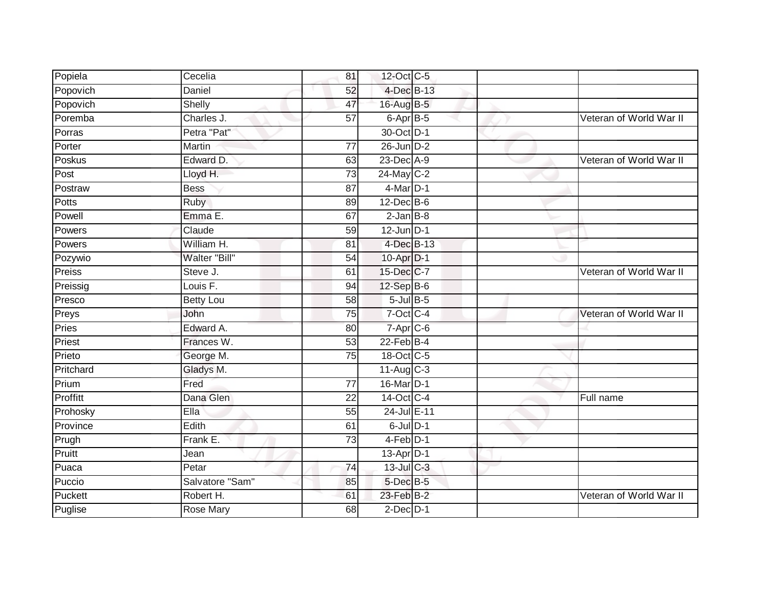| Popiela   | Cecelia          | 81              | 12-Oct C-5       |  |                         |
|-----------|------------------|-----------------|------------------|--|-------------------------|
| Popovich  | Daniel           | 52              | 4-Dec B-13       |  |                         |
| Popovich  | Shelly           | 47              | 16-Aug B-5       |  |                         |
| Poremba   | Charles J.       | 57              | 6-Apr B-5        |  | Veteran of World War II |
| Porras    | Petra "Pat"      |                 | 30-Oct D-1       |  |                         |
| Porter    | Martin           | 77              | 26-Jun D-2       |  |                         |
| Poskus    | Edward D.        | 63              | 23-Dec A-9       |  | Veteran of World War II |
| Post      | Lloyd H.         | 73              | 24-May C-2       |  |                         |
| Postraw   | <b>Bess</b>      | 87              | $4$ -Mar $D-1$   |  |                         |
| Potts     | <b>Ruby</b>      | 89              | $12$ -Dec $B$ -6 |  |                         |
| Powell    | Emma E.          | 67              | $2$ -Jan $B-8$   |  |                         |
| Powers    | Claude           | 59              | $12$ -Jun $D-1$  |  |                         |
| Powers    | William H.       | 81              | 4-Dec B-13       |  |                         |
| Pozywio   | Walter "Bill"    | 54              | 10-Apr D-1       |  |                         |
| Preiss    | Steve J.         | 61              | 15-Dec C-7       |  | Veteran of World War II |
| Preissig  | Louis F.         | 94              | 12-Sep B-6       |  |                         |
| Presco    | <b>Betty Lou</b> | $\overline{58}$ | $5$ -Jul $B$ -5  |  |                         |
| Preys     | John             | 75              | 7-Oct C-4        |  | Veteran of World War II |
| Pries     | Edward A.        | 80              | 7-Apr C-6        |  |                         |
| Priest    | Frances W.       | 53              | $22$ -Feb $B-4$  |  |                         |
| Prieto    | George M.        | 75              | 18-Oct C-5       |  |                         |
| Pritchard | Gladys M.        |                 | $11-Aug$ C-3     |  |                         |
| Prium     | Fred             | 77              | 16-Mar D-1       |  |                         |
| Proffitt  | Dana Glen        | $\overline{22}$ | 14-Oct C-4       |  | Full name               |
| Prohosky  | Ella             | 55              | 24-Jul E-11      |  |                         |
| Province  | Edith            | 61              | $6$ -Jul $D-1$   |  |                         |
| Prugh     | Frank E.         | $\overline{73}$ | 4-Feb D-1        |  |                         |
| Pruitt    | Jean             |                 | 13-Apr $D-1$     |  |                         |
| Puaca     | Petar            | 74              | 13-Jul C-3       |  |                         |
| Puccio    | Salvatore "Sam"  | 85              | 5-Dec B-5        |  |                         |
| Puckett   | Robert H.        | 61              | 23-Feb B-2       |  | Veteran of World War II |
| Puglise   | <b>Rose Mary</b> | 68              | $2$ -Dec $D-1$   |  |                         |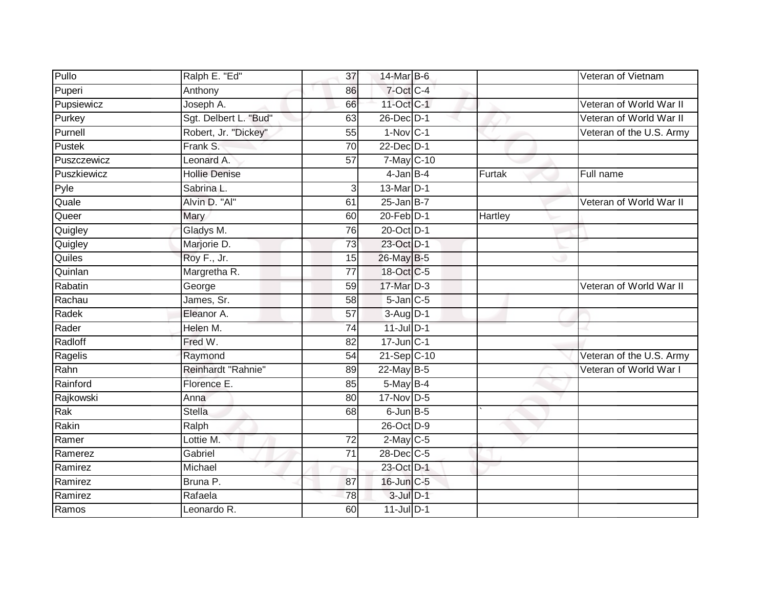| Pullo       | Ralph E. "Ed"         | 37              | 14-Mar B-6      |                | Veteran of Vietnam       |
|-------------|-----------------------|-----------------|-----------------|----------------|--------------------------|
| Puperi      | Anthony               | 86              | 7-Oct C-4       |                |                          |
| Pupsiewicz  | Joseph A.             | 66              | 11-Oct C-1      |                | Veteran of World War II  |
| Purkey      | Sgt. Delbert L. "Bud" | 63              | 26-Dec D-1      |                | Veteran of World War II  |
| Purnell     | Robert, Jr. "Dickey"  | 55              | $1-NovC-1$      |                | Veteran of the U.S. Army |
| Pustek      | Frank S.              | 70              | $22$ -Dec $D-1$ |                |                          |
| Puszczewicz | Leonard A.            | $\overline{57}$ | 7-May C-10      |                |                          |
| Puszkiewicz | <b>Hollie Denise</b>  |                 | $4$ -Jan B-4    | Furtak         | Full name                |
| Pyle        | Sabrina L.            | $\overline{3}$  | 13-Mar D-1      |                |                          |
| Quale       | Alvin D. "Al"         | 61              | $25$ -Jan B-7   |                | Veteran of World War II  |
| Queer       | Mary                  | 60              | $20$ -Feb $D-1$ | <b>Hartley</b> |                          |
| Quigley     | Gladys M.             | 76              | 20-Oct D-1      |                |                          |
| Quigley     | Marjorie D.           | 73              | 23-Oct D-1      |                |                          |
| Quiles      | Roy F., Jr.           | 15              | 26-May B-5      |                |                          |
| Quinlan     | Margretha R.          | $\overline{77}$ | 18-Oct C-5      |                |                          |
| Rabatin     | George                | 59              | 17-Mar D-3      |                | Veteran of World War II  |
| Rachau      | James, Sr.            | 58              | $5$ -Jan $C$ -5 |                |                          |
| Radek       | Eleanor A.            | 57              | $3-Auq$ D-1     |                |                          |
| Rader       | Helen M.              | 74              | $11$ -Jul D-1   |                |                          |
| Radloff     | Fred W.               | 82              | $17$ -Jun $C-1$ |                |                          |
| Ragelis     | Raymond               | 54              | 21-Sep C-10     |                | Veteran of the U.S. Army |
| Rahn        | Reinhardt "Rahnie"    | 89              | 22-May B-5      |                | Veteran of World War I   |
| Rainford    | Florence E.           | 85              | 5-May B-4       |                |                          |
| Rajkowski   | Anna                  | 80              | 17-Nov D-5      |                |                          |
| Rak         | <b>Stella</b>         | 68              | $6$ -Jun $B$ -5 |                |                          |
| Rakin       | Ralph                 |                 | 26-Oct D-9      |                |                          |
| Ramer       | Lottie M.             | $\overline{72}$ | $2$ -May C-5    |                |                          |
| Ramerez     | Gabriel               | 71              | 28-Dec C-5      |                |                          |
| Ramirez     | Michael               |                 | 23-Oct D-1      |                |                          |
| Ramirez     | Bruna P.              | 87              | 16-Jun C-5      |                |                          |
| Ramirez     | Rafaela               | 78              | $3$ -Jul $D-1$  |                |                          |
| Ramos       | Leonardo R.           | 60              | $11$ -Jul $D-1$ |                |                          |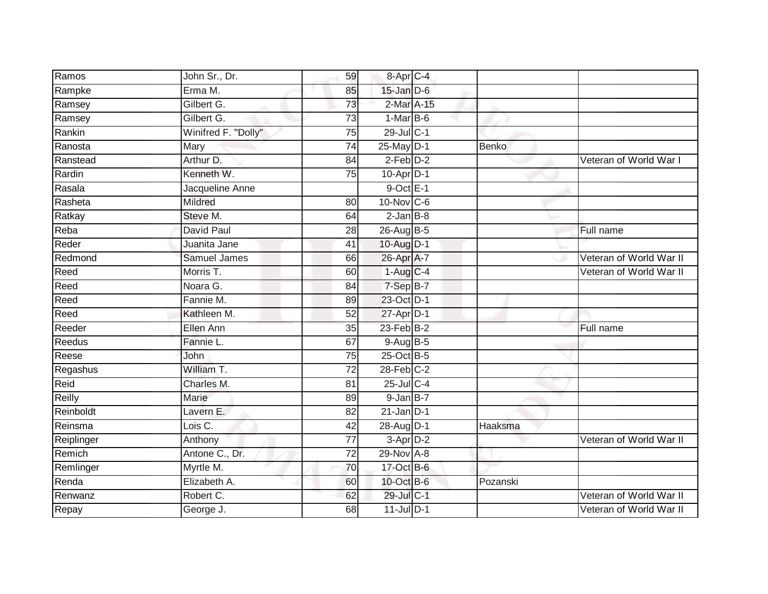| Ramos      | John Sr., Dr.       | 59              | 8-Apr C-4       |              |                         |
|------------|---------------------|-----------------|-----------------|--------------|-------------------------|
| Rampke     | Erma M.             | 85              | $15$ -Jan $D-6$ |              |                         |
| Ramsey     | Gilbert G.          | 73              | 2-Mar A-15      |              |                         |
| Ramsey     | Gilbert G.          | 73              | $1-MarB-6$      |              |                         |
| Rankin     | Winifred F. "Dolly" | $\overline{75}$ | 29-Jul C-1      |              |                         |
| Ranosta    | Mary                | 74              | 25-May D-1      | <b>Benko</b> |                         |
| Ranstead   | Arthur D.           | 84              | $2$ -Feb $D-2$  |              | Veteran of World War I  |
| Rardin     | Kenneth W.          | 75              | 10-Apr D-1      |              |                         |
| Rasala     | Jacqueline Anne     |                 | $9$ -Oct $E-1$  |              |                         |
| Rasheta    | Mildred             | 80              | 10-Nov C-6      |              |                         |
| Ratkay     | Steve M.            | 64              | $2$ -Jan $B$ -8 |              |                         |
| Reba       | David Paul          | 28              | 26-Aug B-5      |              | Full name               |
| Reder      | Juanita Jane        | 41              | 10-Aug D-1      |              |                         |
| Redmond    | <b>Samuel James</b> | 66              | 26-Apr A-7      |              | Veteran of World War II |
| Reed       | Morris T.           | 60              | $1-AugC-4$      |              | Veteran of World War II |
| Reed       | Noara G.            | 84              | 7-Sep B-7       |              |                         |
| Reed       | Fannie M.           | 89              | 23-Oct D-1      |              |                         |
| Reed       | Kathleen M.         | 52              | $27$ -Apr $D-1$ |              |                         |
| Reeder     | Ellen Ann           | 35              | $23$ -Feb $B-2$ |              | Full name               |
| Reedus     | Fannie L.           | 67              | 9-Aug B-5       |              |                         |
| Reese      | John                | 75              | 25-Oct B-5      |              |                         |
| Regashus   | William T.          | $\overline{72}$ | $28$ -Feb $C-2$ |              |                         |
| Reid       | Charles M.          | 81              | 25-Jul C-4      |              |                         |
| Reilly     | Marie               | 89              | $9$ -Jan $B-7$  |              |                         |
| Reinboldt  | Lavern E.           | 82              | $21$ -Jan D-1   |              |                         |
| Reinsma    | Lois C.             | 42              | 28-Aug D-1      | Haaksma      |                         |
| Reiplinger | Anthony             | $\overline{77}$ | $3-AprD-2$      |              | Veteran of World War II |
| Remich     | Antone C., Dr.      | $\overline{72}$ | 29-Nov A-8      |              |                         |
| Remlinger  | Myrtle M.           | 70              | 17-Oct B-6      |              |                         |
| Renda      | Elizabeth A.        | 60              | 10-Oct B-6      | Pozanski     |                         |
| Renwanz    | Robert C.           | 62              | 29-Jul C-1      |              | Veteran of World War II |
| Repay      | George J.           | 68              | $11$ -Jul $D-1$ |              | Veteran of World War II |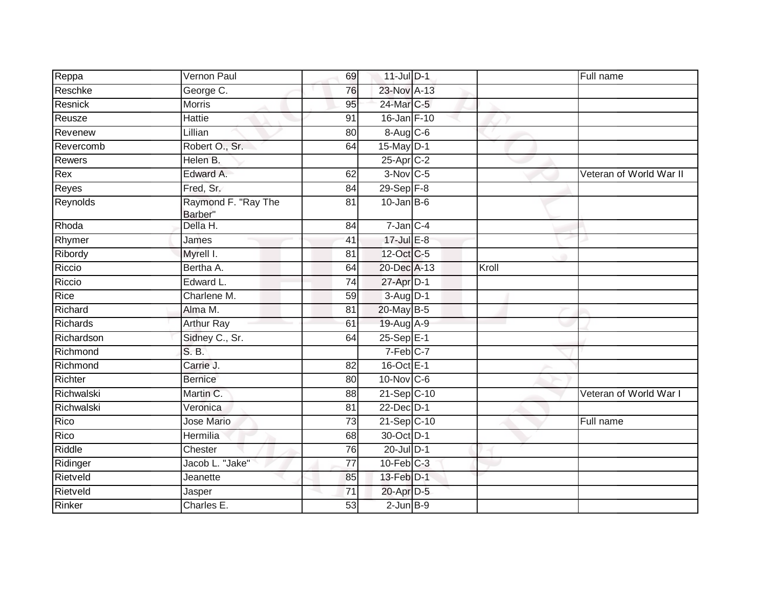| Reppa           | Vernon Paul                    | 69              | 11-Jul D-1             |       | Full name               |
|-----------------|--------------------------------|-----------------|------------------------|-------|-------------------------|
| Reschke         | George C.                      | 76              | 23-Nov A-13            |       |                         |
| Resnick         | <b>Morris</b>                  | 95              | 24-Mar C-5             |       |                         |
| Reusze          | Hattie                         | 91              | 16-Jan F-10            |       |                         |
| Revenew         | Lillian                        | 80              | 8-Aug C-6              |       |                         |
| Revercomb       | Robert O., Sr.                 | 64              | 15-May D-1             |       |                         |
| <b>Rewers</b>   | Helen B.                       |                 | $25$ -Apr $C-2$        |       |                         |
| Rex             | Edward A.                      | 62              | $3-Nov$ <sub>C-5</sub> |       | Veteran of World War II |
| Reyes           | Fred, Sr.                      | 84              | 29-Sep F-8             |       |                         |
| Reynolds        | Raymond F. "Ray The<br>Barber" | 81              | $10$ -Jan B-6          |       |                         |
| Rhoda           | Della H.                       | 84              | $7 - Jan$ $C - 4$      |       |                         |
| Rhymer          | James                          | 41              | $17 -$ Jul E-8         |       |                         |
| Ribordy         | Myrell I.                      | 81              | 12-Oct C-5             |       |                         |
| Riccio          | Bertha A.                      | 64              | 20-Dec A-13            | Kroll |                         |
| Riccio          | Edward L.                      | $\overline{74}$ | 27-Apr D-1             |       |                         |
| Rice            | Charlene M.                    | 59              | $3-Aug$ $D-1$          |       |                         |
| Richard         | Alma M.                        | 81              | 20-May B-5             |       |                         |
| <b>Richards</b> | <b>Arthur Ray</b>              | 61              | 19-Aug A-9             |       |                         |
| Richardson      | Sidney C., Sr.                 | 64              | 25-Sep E-1             |       |                         |
| Richmond        | S. B.                          |                 | $7-Feb$ C-7            |       |                         |
| Richmond        | Carrie J.                      | 82              | $16$ -Oct $E-1$        |       |                         |
| Richter         | <b>Bernice</b>                 | 80              | $10$ -Nov $ C-6 $      |       |                         |
| Richwalski      | Martin C.                      | 88              | 21-Sep C-10            |       | Veteran of World War I  |
| Richwalski      | Veronica                       | 81              | 22-Dec D-1             |       |                         |
| Rico            | <b>Jose Mario</b>              | $\overline{73}$ | 21-Sep C-10            |       | Full name               |
| Rico            | <b>Hermilia</b>                | 68              | 30-Oct D-1             |       |                         |
| Riddle          | Chester                        | 76              | $20$ -Jul $D-1$        |       |                         |
| Ridinger        | Jacob L. "Jake"                | 77              | $10$ -Feb $ C-3 $      |       |                         |
| Rietveld        | Jeanette                       | 85              | 13-Feb D-1             |       |                         |
| Rietveld        | Jasper                         | 71              | 20-Apr D-5             |       |                         |
| Rinker          | Charles E.                     | 53              | $2$ -Jun $B-9$         |       |                         |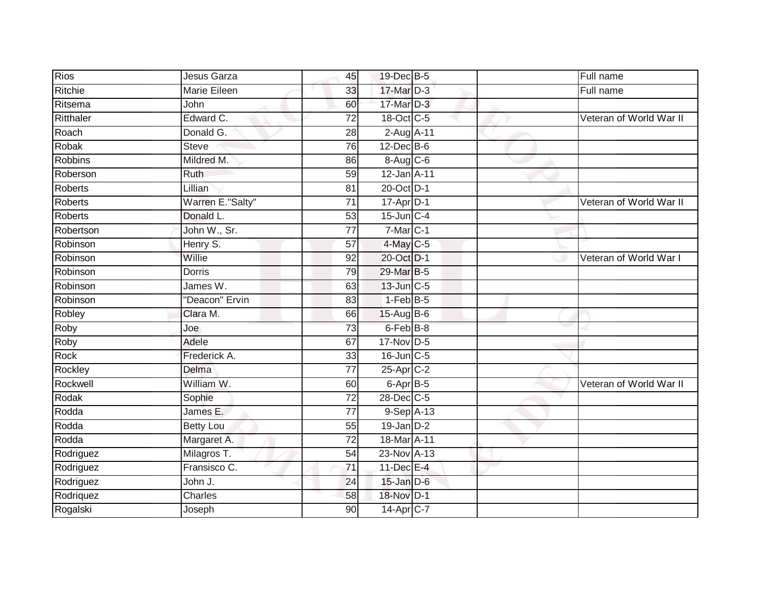| <b>Rios</b>    | <b>Jesus Garza</b>  | 45              | 19-Dec B-5           | Full name               |
|----------------|---------------------|-----------------|----------------------|-------------------------|
| Ritchie        | <b>Marie Eileen</b> | 33              | 17-Mar D-3           | Full name               |
| Ritsema        | John                | 60              | 17-Mar D-3           |                         |
| Ritthaler      | Edward C.           | $\overline{72}$ | 18-Oct C-5           | Veteran of World War II |
| Roach          | Donald G.           | $\overline{28}$ | 2-Aug A-11           |                         |
| Robak          | <b>Steve</b>        | 76              | $12$ -Dec $B$ -6     |                         |
| <b>Robbins</b> | Mildred M.          | 86              | 8-Aug C-6            |                         |
| Roberson       | Ruth                | 59              | 12-Jan A-11          |                         |
| <b>Roberts</b> | Lillian             | 81              | 20-Oct D-1           |                         |
| <b>Roberts</b> | Warren E."Salty"    | $\overline{71}$ | 17-Apr D-1           | Veteran of World War II |
| <b>Roberts</b> | Donald L.           | 53              | $15$ -Jun $C-4$      |                         |
| Robertson      | John W., Sr.        | 77              | $7-Mar$ C-1          |                         |
| Robinson       | Henry S.            | 57              | 4-May C-5            |                         |
| Robinson       | Willie              | 92              | 20-Oct D-1           | Veteran of World War I  |
| Robinson       | <b>Dorris</b>       | 79              | 29-Mar B-5           |                         |
| Robinson       | James W.            | 63              | $13$ -Jun $ C-5$     |                         |
| Robinson       | "Deacon" Ervin      | 83              | $1-FebB-5$           |                         |
| Robley         | Clara M.            | 66              | $15-AugB-6$          |                         |
| Roby           | Joe                 | 73              | 6-Feb B-8            |                         |
| Roby           | Adele               | 67              | 17-Nov D-5           |                         |
| Rock           | Frederick A.        | 33              | $16$ -Jun $C$ -5     |                         |
| Rockley        | Delma               | $\overline{77}$ | $25$ -Apr $C-2$      |                         |
| Rockwell       | William W.          | 60              | 6-Apr <sup>B-5</sup> | Veteran of World War II |
| Rodak          | Sophie              | $\overline{72}$ | 28-Dec C-5           |                         |
| Rodda          | James E.            | 77              | 9-Sep A-13           |                         |
| Rodda          | <b>Betty Lou</b>    | 55              | $19$ -Jan $D-2$      |                         |
| Rodda          | Margaret A.         | 72              | 18-Mar A-11          |                         |
| Rodriguez      | Milagros T.         | 54              | 23-Nov A-13          |                         |
| Rodriguez      | Fransisco C.        | 71              | 11-Dec E-4           |                         |
| Rodriguez      | John J.             | 24              | $15$ -Jan $D-6$      |                         |
| Rodriquez      | Charles             | 58              | 18-Nov D-1           |                         |
| Rogalski       | Joseph              | $\overline{90}$ | 14-Apr C-7           |                         |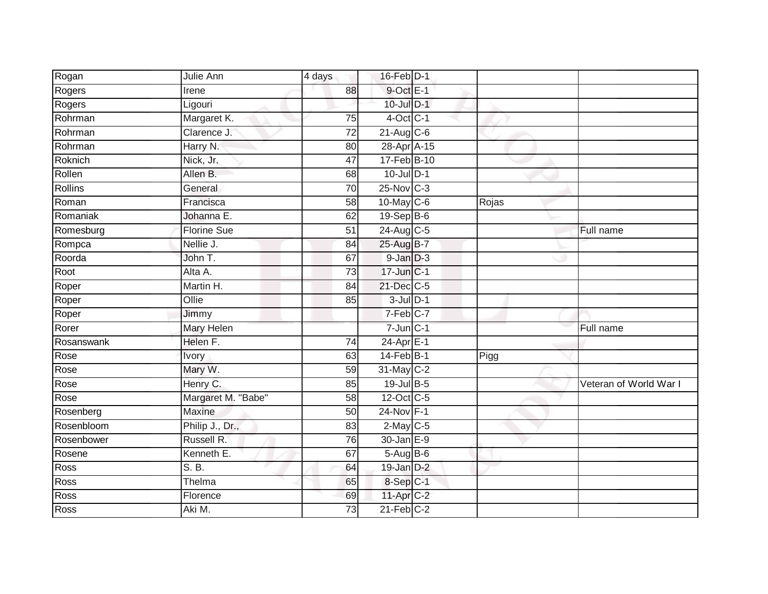| Rogan      | Julie Ann          | 4 days          | 16-Feb D-1       |       |                        |
|------------|--------------------|-----------------|------------------|-------|------------------------|
| Rogers     | Irene              | 88              | $9$ -Oct $E-1$   |       |                        |
| Rogers     | Ligouri            |                 | 10-Jul D-1       |       |                        |
| Rohrman    | Margaret K.        | 75              | $4$ -Oct $C-1$   |       |                        |
| Rohrman    | Clarence J.        | $\overline{72}$ | $21$ -Aug C-6    |       |                        |
| Rohrman    | Harry N.           | 80              | 28-Apr A-15      |       |                        |
| Roknich    | Nick, Jr.          | 47              | $17-FebB-10$     |       |                        |
| Rollen     | Allen B.           | 68              | 10-Jul D-1       |       |                        |
| Rollins    | General            | 70              | 25-Nov C-3       |       |                        |
| Roman      | Francisca          | $\overline{58}$ | 10-May C-6       | Rojas |                        |
| Romaniak   | Johanna E.         | 62              | $19-Sep$ B-6     |       |                        |
| Romesburg  | Florine Sue        | 51              | 24-Aug C-5       |       | Full name              |
| Rompca     | Nellie J.          | 84              | 25-Aug B-7       |       |                        |
| Roorda     | John T.            | 67              | $9$ -Jan $D-3$   |       |                        |
| Root       | Alta A.            | $\overline{73}$ | 17-Jun C-1       |       |                        |
| Roper      | Martin H.          | 84              | $21$ -Dec $C$ -5 |       |                        |
| Roper      | Ollie              | 85              | $3$ -Jul $D-1$   |       |                        |
| Roper      | Jimmy              |                 | 7-Feb C-7        |       |                        |
| Rorer      | Mary Helen         |                 | $7$ -Jun $C-1$   |       | Full name              |
| Rosanswank | Helen F.           | $\overline{74}$ | $24-AprE-1$      |       |                        |
| Rose       | <b>Ivory</b>       | 63              | 14-Feb B-1       | Pigg  |                        |
| Rose       | Mary W.            | 59              | 31-May C-2       |       |                        |
| Rose       | Henry C.           | 85              | 19-Jul B-5       |       | Veteran of World War I |
| Rose       | Margaret M. "Babe" | 58              | $12$ -Oct C-5    |       |                        |
| Rosenberg  | Maxine             | 50              | 24-Nov F-1       |       |                        |
| Rosenbloom | Philip J., Dr.,    | 83              | $2$ -May C-5     |       |                        |
| Rosenbower | Russell R.         | 76              | 30-Jan E-9       |       |                        |
| Rosene     | Kenneth E.         | 67              | $5-AugB-6$       |       |                        |
| Ross       | S. B.              | 64              | $19$ -Jan $D-2$  |       |                        |
| Ross       | Thelma             | 65              | 8-Sep C-1        |       |                        |
| Ross       | Florence           | 69              | 11-Apr C-2       |       |                        |
| Ross       | Aki M.             | 73              | $21$ -Feb $C-2$  |       |                        |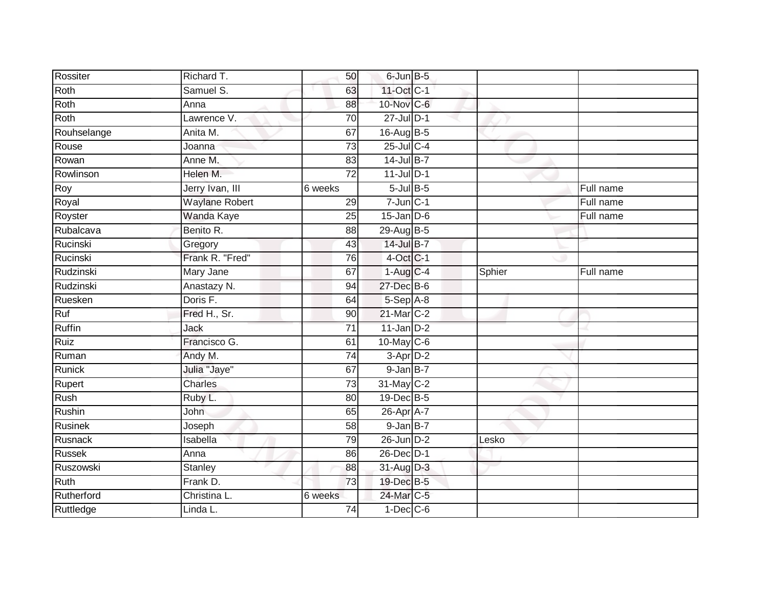| Rossiter       | Richard T.            | 50              | $6$ -Jun $B$ -5   |        |           |
|----------------|-----------------------|-----------------|-------------------|--------|-----------|
| Roth           | Samuel S.             | 63              | 11-Oct C-1        |        |           |
| Roth           | Anna                  | 88              | 10-Nov C-6        |        |           |
| Roth           | Lawrence V.           | 70              | 27-Jul D-1        |        |           |
| Rouhselange    | Anita M.              | 67              | 16-Aug B-5        |        |           |
| Rouse          | Joanna                | $\overline{73}$ | 25-Jul C-4        |        |           |
| Rowan          | Anne M.               | 83              | 14-Jul B-7        |        |           |
| Rowlinson      | Helen M.              | 72              | $11$ -Jul D-1     |        |           |
| Roy            | Jerry Ivan, III       | 6 weeks         | $5$ -Jul B-5      |        | Full name |
| Royal          | <b>Waylane Robert</b> | 29              | $7 - Jun$ $C - 1$ |        | Full name |
| Royster        | Wanda Kaye            | 25              | $15$ -Jan $D-6$   |        | Full name |
| Rubalcava      | Benito R.             | 88              | 29-Aug B-5        |        |           |
| Rucinski       | Gregory               | 43              | 14-Jul B-7        |        |           |
| Rucinski       | Frank R. "Fred"       | 76              | $4$ -Oct C-1      |        |           |
| Rudzinski      | Mary Jane             | 67              | $1-Aug$ C-4       | Sphier | Full name |
| Rudzinski      | Anastazy N.           | 94              | 27-Dec B-6        |        |           |
| Ruesken        | Doris F.              | 64              | 5-Sep A-8         |        |           |
| Ruf            | Fred H., Sr.          | 90              | 21-Mar C-2        |        |           |
| Ruffin         | Jack                  | 71              | $11$ -Jan D-2     |        |           |
| Ruiz           | Francisco G.          | 61              | 10-May C-6        |        |           |
| Ruman          | Andy M.               | 74              | $3-AprD-2$        |        |           |
| Runick         | Julia "Jaye"          | 67              | $9$ -Jan $B-7$    |        |           |
| Rupert         | <b>Charles</b>        | 73              | 31-May C-2        |        |           |
| Rush           | Ruby L.               | 80              | 19-Dec B-5        |        |           |
| Rushin         | John                  | 65              | 26-Apr A-7        |        |           |
| <b>Rusinek</b> | Joseph                | 58              | $9$ -Jan $B-7$    |        |           |
| Rusnack        | Isabella              | 79              | $26$ -Jun $D-2$   | Lesko  |           |
| <b>Russek</b>  | Anna                  | 86              | 26-Dec D-1        |        |           |
| Ruszowski      | Stanley               | 88              | 31-Aug D-3        |        |           |
| Ruth           | Frank D.              | 73              | 19-Dec B-5        |        |           |
| Rutherford     | Christina L.          | 6 weeks         | 24-Mar C-5        |        |           |
| Ruttledge      | Linda L.              | $\overline{74}$ | $1-Dec$ $C-6$     |        |           |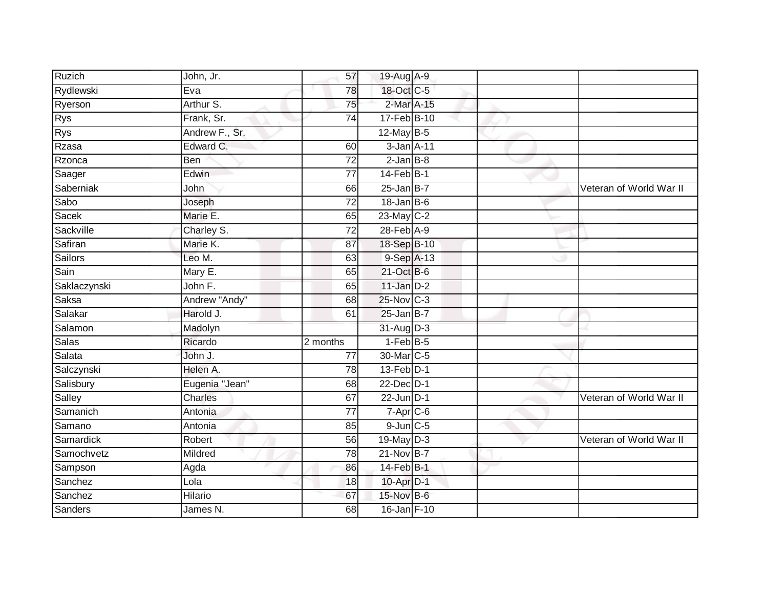| Ruzich         | John, Jr.                | 57              | 19-Aug A-9      |  |                         |
|----------------|--------------------------|-----------------|-----------------|--|-------------------------|
| Rydlewski      | Eva                      | 78              | 18-Oct C-5      |  |                         |
| <b>Ryerson</b> | Arthur S.                | $\overline{75}$ | 2-Mar A-15      |  |                         |
| <b>Rys</b>     | Frank, Sr.               | 74              | 17-Feb B-10     |  |                         |
| <b>Rys</b>     | Andrew F., Sr.           |                 | $12$ -May B-5   |  |                         |
| Rzasa          | Edward C.                | 60              | 3-Jan A-11      |  |                         |
| Rzonca         | Ben                      | 72              | $2$ -Jan $B-8$  |  |                         |
| Saager         | Edwin                    | 77              | $14$ -Feb $B-1$ |  |                         |
| Saberniak      | John                     | 66              | $25$ -Jan B-7   |  | Veteran of World War II |
| Sabo           | Joseph                   | $\overline{72}$ | $18$ -Jan B-6   |  |                         |
| Sacek          | Marie E.                 | 65              | 23-May C-2      |  |                         |
| Sackville      | Charley S.               | $\overline{72}$ | 28-Feb A-9      |  |                         |
| Safiran        | Marie K.                 | 87              | 18-Sep B-10     |  |                         |
| <b>Sailors</b> | Leo M.                   | 63              | 9-Sep A-13      |  |                         |
| Sain           | Mary E.                  | 65              | 21-Oct B-6      |  |                         |
| Saklaczynski   | John F.                  | 65              | $11$ -Jan $D-2$ |  |                         |
| Saksa          | Andrew "Andy"            | 68              | 25-Nov C-3      |  |                         |
| Salakar        | Harold J.                | 61              | $25$ -Jan B-7   |  |                         |
| Salamon        | Madolyn                  |                 | 31-Aug D-3      |  |                         |
| <b>Salas</b>   | Ricardo                  | 2 months        | $1-FebB-5$      |  |                         |
| Salata         | John J.                  | 77              | 30-Mar C-5      |  |                         |
| Salczynski     | Helen A.                 | 78              | 13-Feb D-1      |  |                         |
| Salisbury      | Eugenia "Jean"           | 68              | 22-Dec D-1      |  |                         |
| Salley         | Charles                  | 67              | $22$ -Jun $D-1$ |  | Veteran of World War II |
| Samanich       | Antonia                  | $\overline{77}$ | 7-Apr C-6       |  |                         |
| Samano         | Antonia                  | 85              | $9$ -Jun $C$ -5 |  |                         |
| Samardick      | Robert                   | 56              | 19-May D-3      |  | Veteran of World War II |
| Samochvetz     | Mildred                  | 78              | 21-Nov B-7      |  |                         |
| Sampson        | Agda                     | 86              | 14-Feb B-1      |  |                         |
| Sanchez        | $\overline{\text{Lola}}$ | 18              | 10-Apr D-1      |  |                         |
| Sanchez        | Hilario                  | 67              | 15-Nov B-6      |  |                         |
| Sanders        | James N.                 | 68              | 16-Jan F-10     |  |                         |
|                |                          |                 |                 |  |                         |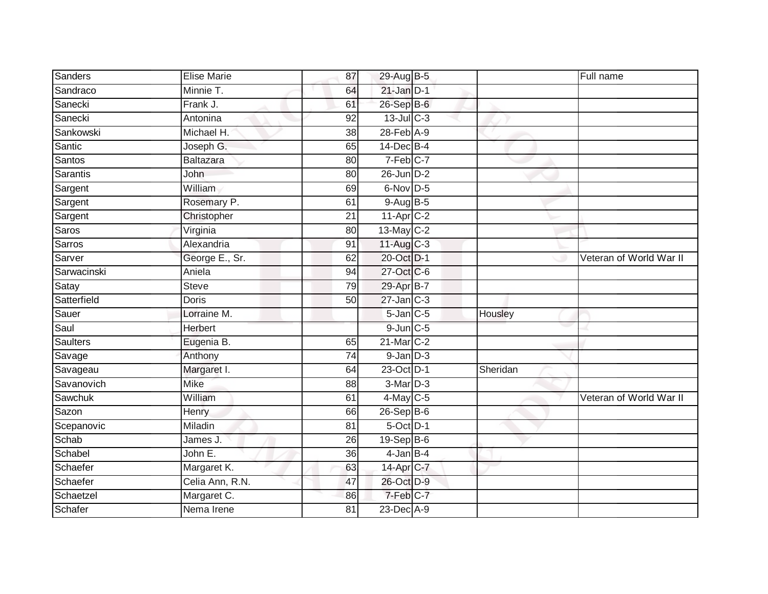| Sanders         | <b>Elise Marie</b> | 87              | 29-Aug B-5      |          | Full name               |
|-----------------|--------------------|-----------------|-----------------|----------|-------------------------|
| Sandraco        | Minnie T.          | 64              | $21$ -Jan $D-1$ |          |                         |
| Sanecki         | Frank J.           | 61              | 26-Sep B-6      |          |                         |
| Sanecki         | Antonina           | 92              | $13$ -Jul $C-3$ |          |                         |
| Sankowski       | Michael H.         | $\overline{38}$ | 28-Feb A-9      |          |                         |
| Santic          | Joseph G.          | 65              | $14$ -Dec $B-4$ |          |                         |
| Santos          | <b>Baltazara</b>   | 80              | 7-Feb C-7       |          |                         |
| Sarantis        | John               | 80              | $26$ -Jun $D-2$ |          |                         |
| Sargent         | William            | 69              | 6-Nov D-5       |          |                         |
| Sargent         | Rosemary P.        | 61              | 9-Aug B-5       |          |                         |
| Sargent         | Christopher        | 21              | 11-Apr C-2      |          |                         |
| Saros           | Virginia           | 80              | 13-May C-2      |          |                         |
| <b>Sarros</b>   | Alexandria         | 91              | $11-Aug$ C-3    |          |                         |
| Sarver          | George E., Sr.     | 62              | 20-Oct D-1      |          | Veteran of World War II |
| Sarwacinski     | Aniela             | 94              | 27-Oct C-6      |          |                         |
| Satay           | <b>Steve</b>       | 79              | 29-Apr B-7      |          |                         |
| Satterfield     | <b>Doris</b>       | 50              | $27$ -Jan $C-3$ |          |                         |
| Sauer           | Lorraine M.        |                 | $5$ -Jan $C$ -5 | Housley  |                         |
| Saul            | Herbert            |                 | $9$ -Jun $C$ -5 |          |                         |
| <b>Saulters</b> | Eugenia B.         | 65              | 21-Mar C-2      |          |                         |
| Savage          | Anthony            | 74              | $9$ -Jan $D-3$  |          |                         |
| Savageau        | Margaret I.        | 64              | 23-Oct D-1      | Sheridan |                         |
| Savanovich      | <b>Mike</b>        | 88              | 3-Mar D-3       |          |                         |
| Sawchuk         | William            | 61              | $4$ -May C-5    |          | Veteran of World War II |
| Sazon           | Henry              | 66              | 26-Sep B-6      |          |                         |
| Scepanovic      | Miladin            | 81              | 5-Oct D-1       |          |                         |
| Schab           | James J.           | 26              | 19-Sep B-6      |          |                         |
| Schabel         | John E.            | 36              | $4$ -Jan $B-4$  |          |                         |
| Schaefer        | Margaret K.        | 63              | 14-Apr C-7      |          |                         |
| Schaefer        | Celia Ann, R.N.    | 47              | 26-Oct D-9      |          |                         |
| Schaetzel       | Margaret C.        | 86              | 7-Feb C-7       |          |                         |
| Schafer         | Nema Irene         | $\overline{81}$ | 23-Dec A-9      |          |                         |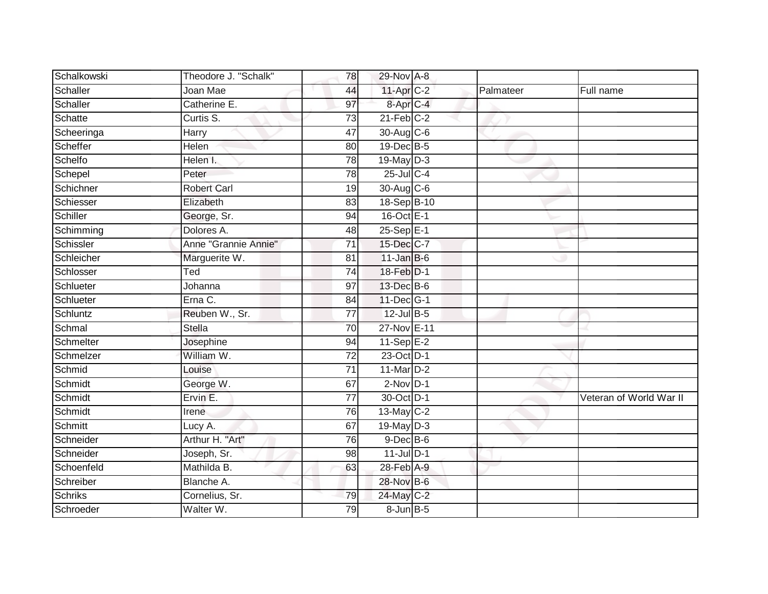| Schalkowski    | Theodore J. "Schalk"      | 78              | 29-Nov A-8            |           |                         |
|----------------|---------------------------|-----------------|-----------------------|-----------|-------------------------|
| Schaller       | Joan Mae                  | 44              | 11-Apr C-2            | Palmateer | Full name               |
| Schaller       | Catherine E.              | 97              | 8-Apr <sub>IC-4</sub> |           |                         |
| Schatte        | Curtis S.                 | 73              | $21$ -Feb $C-2$       |           |                         |
| Scheeringa     | Harry                     | 47              | 30-Aug C-6            |           |                         |
| Scheffer       | Helen                     | 80              | 19-Dec B-5            |           |                         |
| Schelfo        | Helen I.                  | $\overline{78}$ | $19$ -May $D-3$       |           |                         |
| Schepel        | Peter                     | 78              | $25$ -Jul C-4         |           |                         |
| Schichner      | <b>Robert Carl</b>        | 19              | 30-Aug C-6            |           |                         |
| Schiesser      | Elizabeth                 | 83              | 18-Sep B-10           |           |                         |
| Schiller       | George, Sr.               | 94              | 16-Oct E-1            |           |                         |
| Schimming      | Dolores A.                | 48              | $25 - SepE-1$         |           |                         |
| Schissler      | Anne "Grannie Annie"      | $\overline{71}$ | 15-Dec C-7            |           |                         |
| Schleicher     | Marguerite W.             | 81              | $11$ -Jan B-6         |           |                         |
| Schlosser      | $\overline{\mathsf{Ted}}$ | 74              | 18-Feb D-1            |           |                         |
| Schlueter      | Johanna                   | 97              | 13-Dec B-6            |           |                         |
| Schlueter      | Erna C.                   | 84              | 11-Dec G-1            |           |                         |
| Schluntz       | Reuben W., Sr.            | 77              | $12$ -Jul B-5         |           |                         |
| Schmal         | <b>Stella</b>             | 70              | 27-Nov E-11           |           |                         |
| Schmelter      | Josephine                 | 94              | $11-SepE-2$           |           |                         |
| Schmelzer      | William W.                | $\overline{72}$ | 23-Oct D-1            |           |                         |
| Schmid         | Louise                    | $\overline{71}$ | 11-Mar D-2            |           |                         |
| Schmidt        | George W.                 | 67              | $2$ -Nov $D-1$        |           |                         |
| Schmidt        | Ervin E.                  | 77              | 30-Oct D-1            |           | Veteran of World War II |
| Schmidt        | Irene                     | 76              | 13-May $C-2$          |           |                         |
| Schmitt        | Lucy A.                   | 67              | 19-May D-3            |           |                         |
| Schneider      | Arthur H. "Art"           | 76              | $9$ -Dec $B$ -6       |           |                         |
| Schneider      | Joseph, Sr.               | 98              | $11$ -Jul $D-1$       |           |                         |
| Schoenfeld     | Mathilda B.               | 63              | $28$ -Feb $A-9$       |           |                         |
| Schreiber      | Blanche A.                |                 | 28-Nov B-6            |           |                         |
| <b>Schriks</b> | Cornelius, Sr.            | 79              | 24-May C-2            |           |                         |
| Schroeder      | Walter W.                 | 79              | 8-Jun B-5             |           |                         |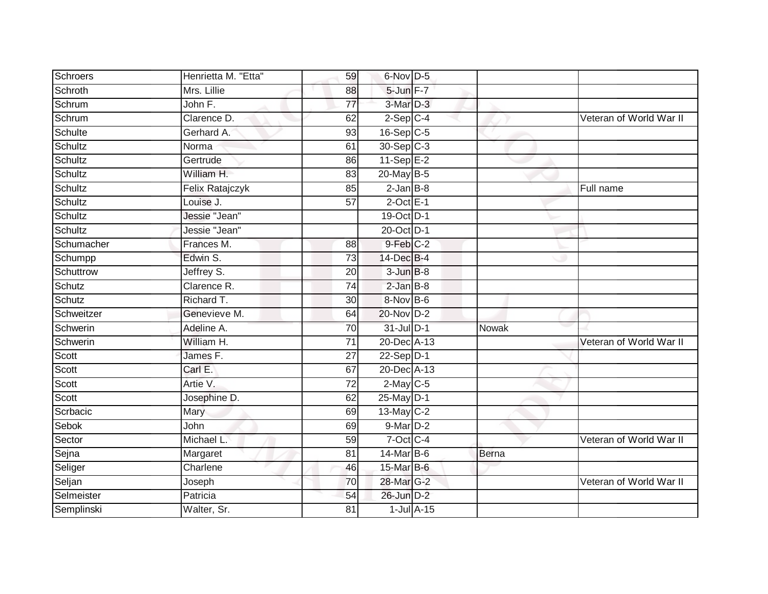| Schroers     | Henrietta M. "Etta" | 59              | 6-Nov D-5               |       |                         |
|--------------|---------------------|-----------------|-------------------------|-------|-------------------------|
| Schroth      | Mrs. Lillie         | 88              | 5-Jun F-7               |       |                         |
| Schrum       | John F.             | $\overline{77}$ | 3-Mar D-3               |       |                         |
| Schrum       | Clarence D.         | 62              | $2-Sep$ C-4             |       | Veteran of World War II |
| Schulte      | Gerhard A.          | $\overline{93}$ | $16-Sep$ C-5            |       |                         |
| Schultz      | Norma               | 61              | $30-Sep$ <sub>C-3</sub> |       |                         |
| Schultz      | Gertrude            | 86              | 11-Sep $E-2$            |       |                         |
| Schultz      | William H.          | 83              | 20-May B-5              |       |                         |
| Schultz      | Felix Ratajczyk     | 85              | $2$ -Jan $B-8$          |       | Full name               |
| Schultz      | Louise J.           | $\overline{57}$ | $2$ -Oct $E-1$          |       |                         |
| Schultz      | Jessie "Jean"       |                 | 19-Oct D-1              |       |                         |
| Schultz      | Jessie "Jean"       |                 | 20-Oct D-1              |       |                         |
| Schumacher   | Frances M.          | 88              | 9-Feb C-2               |       |                         |
| Schumpp      | Edwin S.            | 73              | 14-Dec B-4              |       |                         |
| Schuttrow    | Jeffrey S.          | 20              | $3$ -Jun $B-8$          |       |                         |
| Schutz       | Clarence R.         | $\overline{74}$ | $2$ -Jan $B-8$          |       |                         |
| Schutz       | Richard T.          | $\overline{30}$ | 8-Nov B-6               |       |                         |
| Schweitzer   | Genevieve M.        | 64              | 20-Nov D-2              |       |                         |
| Schwerin     | Adeline A.          | 70              | 31-Jul D-1              | Nowak |                         |
| Schwerin     | William H.          | 71              | 20-Dec A-13             |       | Veteran of World War II |
| Scott        | James F.            | 27              | $22-Sep D-1$            |       |                         |
| Scott        | Carl E.             | 67              | 20-Dec A-13             |       |                         |
| Scott        | Artie V.            | 72              | $2$ -May C-5            |       |                         |
| Scott        | Josephine D.        | 62              | 25-May D-1              |       |                         |
| Scrbacic     | Mary                | 69              | 13-May C-2              |       |                         |
| <b>Sebok</b> | John                | 69              | 9-Mar <sub>D-2</sub>    |       |                         |
| Sector       | Michael L.          | 59              | 7-Oct C-4               |       | Veteran of World War II |
| Sejna        | Margaret            | 81              | 14-Mar B-6              | Berna |                         |
| Seliger      | Charlene            | 46              | 15-Mar B-6              |       |                         |
| Seljan       | Joseph              | 70              | 28-Mar G-2              |       | Veteran of World War II |
| Selmeister   | Patricia            | 54              | 26-Jun D-2              |       |                         |
| Semplinski   | Walter, Sr.         | $\overline{81}$ | $1$ -Jul $A-15$         |       |                         |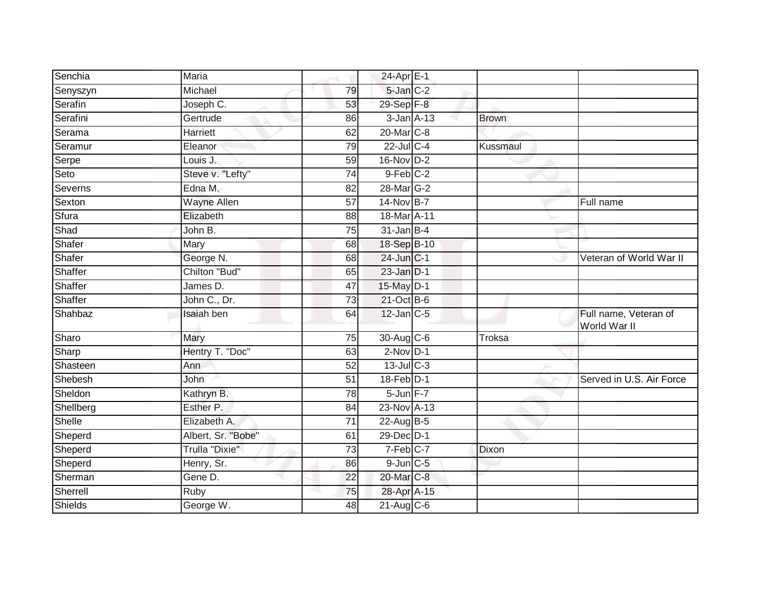|                | Maria                 |                 |                        |               |                                       |
|----------------|-----------------------|-----------------|------------------------|---------------|---------------------------------------|
| Senchia        |                       |                 | 24-Apr E-1             |               |                                       |
| Senyszyn       | Michael               | 79              | 5-Jan C-2              |               |                                       |
| Serafin        | Joseph C.             | 53              | 29-Sep F-8             |               |                                       |
| Serafini       | Gertrude              | 86              | $3$ -Jan $A$ -13       | <b>Brown</b>  |                                       |
| Serama         | <b>Harriett</b>       | 62              | 20-Mar <sub>IC-8</sub> |               |                                       |
| Seramur        | Eleanor               | 79              | $22$ -Jul C-4          | Kussmaul      |                                       |
| Serpe          | Louis J.              | 59              | $16$ -Nov $D-2$        |               |                                       |
| Seto           | Steve v. "Lefty"      | 74              | $9$ -Feb $C-2$         |               |                                       |
| Severns        | Edna M.               | 82              | 28-Mar G-2             |               |                                       |
| Sexton         | <b>Wayne Allen</b>    | 57              | 14-Nov B-7             |               | Full name                             |
| Sfura          | Elizabeth             | 88              | 18-Mar A-11            |               |                                       |
| Shad           | John B.               | 75              | $31$ -Jan $B-4$        |               |                                       |
| Shafer         | Mary                  | 68              | 18-Sep B-10            |               |                                       |
| Shafer         | George N.             | 68              | 24-Jun C-1             |               | Veteran of World War II               |
| Shaffer        | Chilton "Bud"         | 65              | $23$ -Jan $D-1$        |               |                                       |
| Shaffer        | James D.              | 47              | 15-May D-1             |               |                                       |
| Shaffer        | John C., Dr.          | $\overline{73}$ | 21-Oct B-6             |               |                                       |
| Shahbaz        | Isaiah ben            | 64              | $12$ -Jan $ C-5 $      |               | Full name, Veteran of<br>World War II |
| Sharo          | Mary                  | 75              | 30-Aug C-6             | <b>Troksa</b> |                                       |
| Sharp          | Hentry T. "Doc"       | 63              | $2$ -Nov $D-1$         |               |                                       |
| Shasteen       | Ann                   | 52              | $13$ -Jul $C-3$        |               |                                       |
| Shebesh        | John                  | 51              | 18-Feb D-1             |               | Served in U.S. Air Force              |
| Sheldon        | Kathryn B.            | 78              | 5-Jun F-7              |               |                                       |
| Shellberg      | Esther P.             | 84              | 23-Nov A-13            |               |                                       |
| Shelle         | Elizabeth A.          | $\overline{71}$ | 22-Aug B-5             |               |                                       |
| Sheperd        | Albert, Sr. "Bobe"    | 61              | 29-Dec D-1             |               |                                       |
| Sheperd        | <b>Trulla "Dixie"</b> | $\overline{73}$ | 7-Feb C-7              | Dixon         |                                       |
| Sheperd        | Henry, Sr.            | 86              | $9$ -Jun $C$ -5        |               |                                       |
| Sherman        | Gene D.               | 22              | 20-Mar C-8             |               |                                       |
| Sherrell       | Ruby                  | 75              | 28-Apr A-15            |               |                                       |
| <b>Shields</b> | George W.             | 48              | $21$ -Aug $C$ -6       |               |                                       |
|                |                       |                 |                        |               |                                       |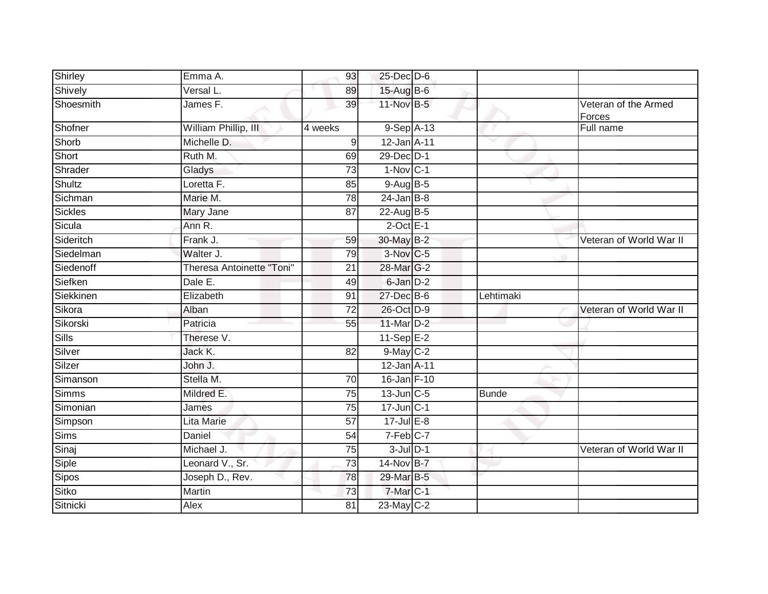| Shirley       | Emma A.                   | 93              | 25-Dec D-6                 |              |                                |
|---------------|---------------------------|-----------------|----------------------------|--------------|--------------------------------|
| Shively       | Versal L.                 | 89              | 15-Aug B-6                 |              |                                |
| Shoesmith     | James F.                  | 39              | 11-Nov B-5                 |              | Veteran of the Armed<br>Forces |
| Shofner       | William Phillip, III      | 4 weeks         | $9-$ Sep $\overline{A-13}$ |              | Full name                      |
| Shorb         | Michelle D.               | 9               | 12-Jan A-11                |              |                                |
| Short         | Ruth M.                   | 69              | 29-Dec D-1                 |              |                                |
| Shrader       | Gladys                    | 73              | $1-Nov$ C-1                |              |                                |
| <b>Shultz</b> | Loretta F.                | 85              | 9-Aug B-5                  |              |                                |
| Sichman       | Marie M.                  | 78              | $24$ -Jan B-8              |              |                                |
| Sickles       | Mary Jane                 | 87              | 22-Aug B-5                 |              |                                |
| Sicula        | Ann R.                    |                 | $2$ -Oct $E-1$             |              |                                |
| Sideritch     | Frank J.                  | 59              | 30-May B-2                 |              | Veteran of World War II        |
| Siedelman     | Walter J.                 | 79              | 3-Nov C-5                  |              |                                |
| Siedenoff     | Theresa Antoinette "Toni" | 21              | 28-Mar G-2                 |              |                                |
| Siefken       | Dale E.                   | 49              | 6-Jan D-2                  |              |                                |
| Siekkinen     | Elizabeth                 | 91              | 27-Dec B-6                 | Lehtimaki    |                                |
| Sikora        | Alban                     | 72              | 26-Oct D-9                 |              | Veteran of World War II        |
| Sikorski      | Patricia                  | 55              | 11-Mar D-2                 |              |                                |
| Sills         | Therese V.                |                 | $11-Sep$ $E-2$             |              |                                |
| Silver        | Jack K.                   | $\overline{82}$ | 9-May C-2                  |              |                                |
| Silzer        | John J.                   |                 | 12-Jan A-11                |              |                                |
| Simanson      | Stella M.                 | 70              | 16-Jan F-10                |              |                                |
| <b>Simms</b>  | Mildred E.                | 75              | $13$ -Jun $C-5$            | <b>Bunde</b> |                                |
| Simonian      | James                     | 75              | $17$ -Jun $C-1$            |              |                                |
| Simpson       | <b>Lita Marie</b>         | $\overline{57}$ | $17 -$ Jul E-8             |              |                                |
| <b>Sims</b>   | Daniel                    | 54              | 7-Feb C-7                  |              |                                |
| Sinaj         | Michael J.                | 75              | $3$ -Jul $D-1$             |              | Veteran of World War II        |
| Siple         | Leonard V., Sr.           | 73              | 14-Nov B-7                 |              |                                |
| Sipos         | Joseph D., Rev.           | 78              | 29-Mar B-5                 |              |                                |
| Sitko         | Martin                    | 73              | 7-Mar C-1                  |              |                                |
| Sitnicki      | Alex                      | 81              | 23-May C-2                 |              |                                |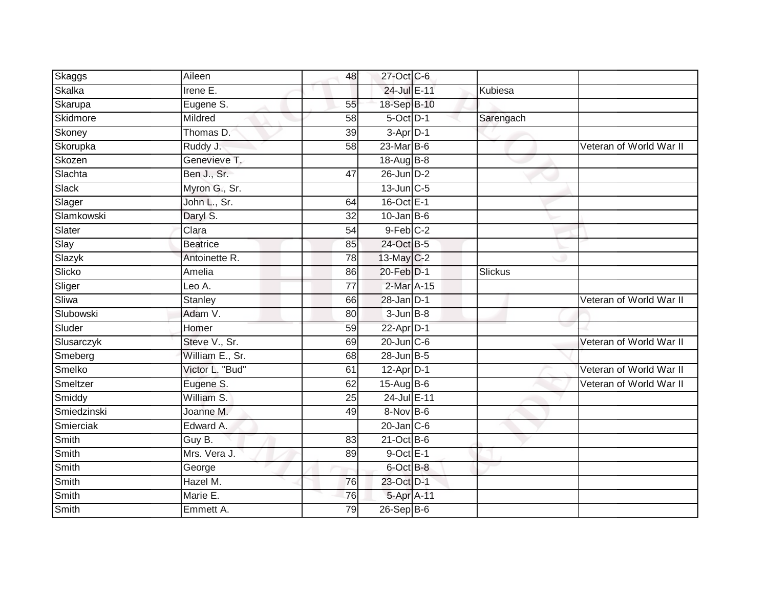| Skaggs      | Aileen          | 48 | 27-Oct C-6       |           |                         |
|-------------|-----------------|----|------------------|-----------|-------------------------|
| Skalka      | Irene E.        |    | 24-Jul E-11      | Kubiesa   |                         |
| Skarupa     | Eugene S.       | 55 | 18-Sep B-10      |           |                         |
| Skidmore    | Mildred         | 58 | 5-Oct D-1        | Sarengach |                         |
| Skoney      | Thomas D.       | 39 | $3-Apr$ D-1      |           |                         |
| Skorupka    | Ruddy J.        | 58 | 23-Mar B-6       |           | Veteran of World War II |
| Skozen      | Genevieve T.    |    | $18-AugB-8$      |           |                         |
| Slachta     | Ben J., Sr.     | 47 | 26-Jun D-2       |           |                         |
| Slack       | Myron G., Sr.   |    | 13-Jun C-5       |           |                         |
| Slager      | John L., Sr.    | 64 | 16-Oct E-1       |           |                         |
| Slamkowski  | Daryl S.        | 32 | $10$ -Jan B-6    |           |                         |
| Slater      | Clara           | 54 | $9$ -Feb $C-2$   |           |                         |
| Slay        | <b>Beatrice</b> | 85 | 24-Oct B-5       |           |                         |
| Slazyk      | Antoinette R.   | 78 | 13-May C-2       |           |                         |
| Slicko      | Amelia          | 86 | 20-Feb D-1       | Slickus   |                         |
| Sliger      | Leo A.          | 77 | 2-Mar A-15       |           |                         |
| Sliwa       | <b>Stanley</b>  | 66 | $28$ -Jan $D-1$  |           | Veteran of World War II |
| Slubowski   | Adam V.         | 80 | $3 - Jun$ $B-8$  |           |                         |
| Sluder      | Homer           | 59 | 22-Apr D-1       |           |                         |
| Slusarczyk  | Steve V., Sr.   | 69 | $20$ -Jun $C$ -6 |           | Veteran of World War II |
| Smeberg     | William E., Sr. | 68 | $28$ -Jun $B-5$  |           |                         |
| Smelko      | Victor L. "Bud" | 61 | $12-Apr$ D-1     |           | Veteran of World War II |
| Smeltzer    | Eugene S.       | 62 | $15-Aug$ B-6     |           | Veteran of World War II |
| Smiddy      | William S.      | 25 | 24-Jul E-11      |           |                         |
| Smiedzinski | Joanne M.       | 49 | 8-Nov B-6        |           |                         |
| Smierciak   | Edward A.       |    | $20$ -Jan $C$ -6 |           |                         |
| Smith       | Guy B.          | 83 | $21$ -Oct B-6    |           |                         |
| Smith       | Mrs. Vera J.    | 89 | $9$ -Oct $E-1$   |           |                         |
| Smith       | George          |    | 6-Oct B-8        |           |                         |
| Smith       | Hazel M.        | 76 | 23-Oct D-1       |           |                         |
| Smith       | Marie E.        | 76 | 5-Apr A-11       |           |                         |
| Smith       | Emmett A.       | 79 | $26-Sep$ B-6     |           |                         |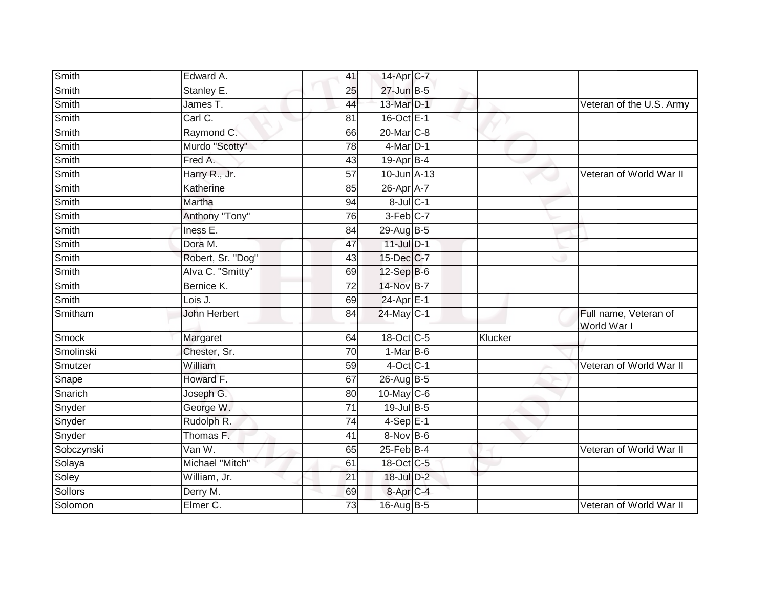| Smith      | Edward A.           | 41              | 14-Apr C-7             |         |                                      |
|------------|---------------------|-----------------|------------------------|---------|--------------------------------------|
| Smith      | Stanley E.          | 25              | 27-Jun B-5             |         |                                      |
| Smith      | James T.            | 44              | 13-Mar D-1             |         | Veteran of the U.S. Army             |
| Smith      | Carl C.             | 81              | 16-Oct E-1             |         |                                      |
| Smith      | Raymond C.          | 66              | 20-Mar <sub>IC-8</sub> |         |                                      |
| Smith      | Murdo "Scotty"      | 78              | $4$ -Mar $D-1$         |         |                                      |
| Smith      | Fred A.             | 43              | $19$ -Apr $B$ -4       |         |                                      |
| Smith      | Harry R., Jr.       | $\overline{57}$ | 10-Jun A-13            |         | Veteran of World War II              |
| Smith      | Katherine           | 85              | 26-Apr A-7             |         |                                      |
| Smith      | Martha              | 94              | 8-Jul C-1              |         |                                      |
| Smith      | Anthony "Tony"      | 76              | 3-Feb C-7              |         |                                      |
| Smith      | Iness E.            | 84              | 29-Aug B-5             |         |                                      |
| Smith      | Dora M.             | 47              | $11$ -Jul $D-1$        |         |                                      |
| Smith      | Robert, Sr. "Dog"   | 43              | 15-Dec C-7             |         |                                      |
| Smith      | Alva C. "Smitty"    | 69              | 12-Sep B-6             |         |                                      |
| Smith      | Bernice K.          | 72              | 14-Nov B-7             |         |                                      |
| Smith      | Lois J.             | 69              | 24-Apr E-1             |         |                                      |
| Smitham    | <b>John Herbert</b> | 84              | $24$ -May C-1          |         | Full name, Veteran of<br>World War I |
| Smock      | Margaret            | 64              | 18-Oct C-5             | Klucker |                                      |
| Smolinski  | Chester, Sr.        | 70              | $1-MarB-6$             |         |                                      |
| Smutzer    | William             | 59              | $4$ -Oct C-1           |         | Veteran of World War II              |
| Snape      | Howard F.           | 67              | 26-Aug B-5             |         |                                      |
| Snarich    | Joseph G.           | 80              | 10-May C-6             |         |                                      |
| Snyder     | George W.           | 71              | 19-Jul B-5             |         |                                      |
| Snyder     | Rudolph R.          | $\overline{74}$ | $4-Sep$ E-1            |         |                                      |
| Snyder     | Thomas F.           | 41              | 8-Nov B-6              |         |                                      |
| Sobczynski | Van W.              | 65              | $25$ -Feb $B-4$        |         | Veteran of World War II              |
| Solaya     | Michael "Mitch"     | 61              | 18-Oct C-5             |         |                                      |
| Soley      | William, Jr.        | $\overline{21}$ | 18-Jul D-2             |         |                                      |
| Sollors    | Derry M.            | 69              | 8-Apr C-4              |         |                                      |
| Solomon    | Elmer C.            | 73              | 16-Aug B-5             |         | Veteran of World War II              |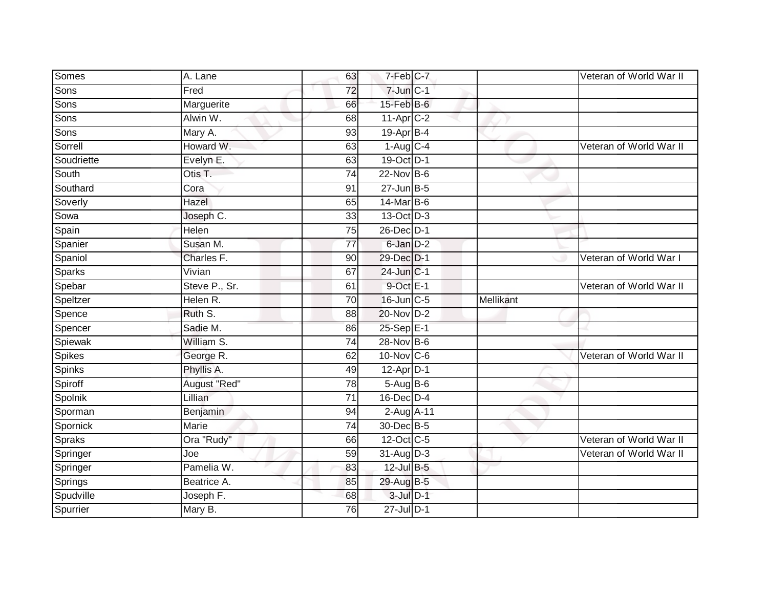| Somes                 | A. Lane              | 63 | 7-Feb C-7                         |           | Veteran of World War II |
|-----------------------|----------------------|----|-----------------------------------|-----------|-------------------------|
| Sons                  | Fred                 | 72 | $7 - Jun$ $C - 1$                 |           |                         |
| Sons                  | Marguerite           | 66 | 15-Feb B-6                        |           |                         |
| Sons                  | Alwin W.             | 68 | $11-Apr$ $C-2$                    |           |                         |
| Sons                  | Mary A.              | 93 | 19-Apr B-4                        |           |                         |
| Sorrell               | Howard W.            | 63 | $1-Aug$ <sub>C-4</sub>            |           | Veteran of World War II |
| Soudriette            | Evelyn E.            | 63 | 19-Oct D-1                        |           |                         |
| South                 | Otis T.              | 74 | 22-Nov B-6                        |           |                         |
| Southard              | Cora                 | 91 | $27$ -Jun $B-5$                   |           |                         |
| Soverly               | Hazel                | 65 | 14-Mar B-6                        |           |                         |
| Sowa                  | Joseph C.            | 33 | $13-Oct$ D-3                      |           |                         |
| Spain                 | Helen                | 75 | 26-Dec D-1                        |           |                         |
| Spanier               | Susan M.             | 77 | 6-Jan D-2                         |           |                         |
| Spaniol               | Charles F.           | 90 | 29-Dec D-1                        |           | Veteran of World War I  |
| Sparks                | Vivian               | 67 | $24$ -Jun $C-1$                   |           |                         |
| Spebar                | Steve P., Sr.        | 61 | $9$ -Oct $E-1$                    |           | Veteran of World War II |
| Speltzer              | Helen R.             | 70 | 16-Jun C-5                        | Mellikant |                         |
| Spence                | Ruth S.              | 88 | 20-Nov D-2                        |           |                         |
| Spencer               | Sadie M.             | 86 | 25-Sep E-1                        |           |                         |
| Spiewak               | William S.           | 74 | 28-Nov B-6                        |           |                         |
| Spikes                | George R.            | 62 | 10-Nov C-6                        |           | Veteran of World War II |
| Spinks                |                      |    |                                   |           |                         |
|                       | Phyllis A.           | 49 | $12$ -Apr $D-1$                   |           |                         |
| Spiroff               | August "Red"         | 78 | $5-Aug$ B-6                       |           |                         |
| Spolnik               | Lillian              | 71 | $16$ -Dec $D-4$                   |           |                         |
| Sporman               | Benjamin             | 94 | $2-AugA-11$                       |           |                         |
| Spornick              | Marie                | 74 | 30-Dec B-5                        |           |                         |
| <b>Spraks</b>         | Ora "Rudy"           | 66 | 12-Oct C-5                        |           | Veteran of World War II |
| Springer              | Joe                  | 59 | $31$ -Aug $D-3$                   |           | Veteran of World War II |
| Springer              | Pamelia W.           | 83 | 12-Jul B-5                        |           |                         |
| Springs               | Beatrice A.          | 85 | 29-Aug B-5                        |           |                         |
| Spudville<br>Spurrier | Joseph F.<br>Mary B. | 68 | $3$ -Jul $D-1$<br>$27$ -Jul $D-1$ |           |                         |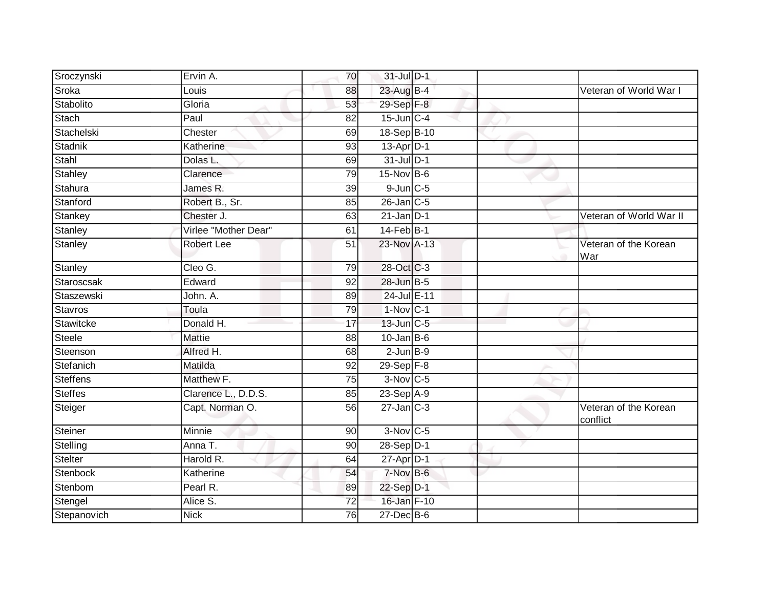| Sroczynski      | Ervin A.             | 70              | 31-Jul D-1             |  |                                   |
|-----------------|----------------------|-----------------|------------------------|--|-----------------------------------|
| Sroka           | Louis                | 88              | 23-Aug B-4             |  | Veteran of World War I            |
| Stabolito       | Gloria               | 53              | 29-Sep F-8             |  |                                   |
| Stach           | Paul                 | 82              | $15$ -Jun $C-4$        |  |                                   |
| Stachelski      | Chester              | 69              | 18-Sep B-10            |  |                                   |
| Stadnik         | Katherine            | 93              | 13-Apr D-1             |  |                                   |
| Stahl           | Dolas L.             | 69              | 31-Jul D-1             |  |                                   |
| Stahley         | Clarence             | 79              | $15-Nov$ B-6           |  |                                   |
| Stahura         | James R.             | 39              | $9$ -Jun $C$ -5        |  |                                   |
| Stanford        | Robert B., Sr.       | 85              | 26-Jan C-5             |  |                                   |
| Stankey         | Chester J.           | 63              | $21$ -Jan D-1          |  | Veteran of World War II           |
| Stanley         | Virlee "Mother Dear" | 61              | 14-Feb B-1             |  |                                   |
| Stanley         | <b>Robert Lee</b>    | 51              | 23-Nov A-13            |  | Veteran of the Korean<br>War      |
| Stanley         | Cleo G.              | 79              | 28-Oct C-3             |  |                                   |
| Staroscsak      | Edward               | 92              | 28-Jun B-5             |  |                                   |
| Staszewski      | John. A.             | 89              | 24-Jul E-11            |  |                                   |
| <b>Stavros</b>  | Toula                | 79              | $1-Nov$ C-1            |  |                                   |
| Stawitcke       | Donald H.            | 17              | 13-Jun C-5             |  |                                   |
| <b>Steele</b>   | <b>Mattie</b>        | 88              | $10$ -Jan $ B-6$       |  |                                   |
| Steenson        | Alfred H.            | 68              | $2$ -Jun $B-9$         |  |                                   |
| Stefanich       | Matilda              | 92              | $29-Sep$ $F-8$         |  |                                   |
| <b>Steffens</b> | Matthew F.           | 75              | $3-Nov$ C-5            |  |                                   |
| <b>Steffes</b>  | Clarence L., D.D.S.  | 85              | 23-Sep A-9             |  |                                   |
| Steiger         | Capt. Norman O.      | 56              | $27$ -Jan $C-3$        |  | Veteran of the Korean<br>conflict |
| Steiner         | <b>Minnie</b>        | 90              | $3-Nov$ <sub>C-5</sub> |  |                                   |
| Stelling        | Anna T.              | 90              | 28-Sep D-1             |  |                                   |
| <b>Stelter</b>  | Harold R.            | 64              | 27-Apr D-1             |  |                                   |
| Stenbock        | Katherine            | 54              | 7-Nov B-6              |  |                                   |
| Stenbom         | Pearl R.             | 89              | 22-Sep D-1             |  |                                   |
| Stengel         | Alice S.             | $\overline{72}$ | 16-Jan F-10            |  |                                   |
| Stepanovich     | <b>Nick</b>          | 76              | $27$ -Dec $B$ -6       |  |                                   |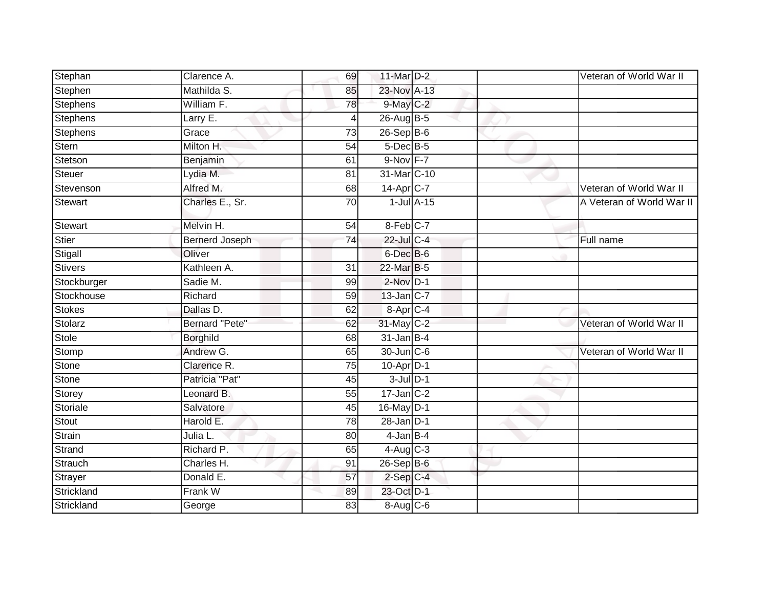| Stephan         | Clarence A.           | 69              | 11-Mar D-2               |  | Veteran of World War II   |
|-----------------|-----------------------|-----------------|--------------------------|--|---------------------------|
| Stephen         | Mathilda S.           | 85              | 23-Nov A-13              |  |                           |
| <b>Stephens</b> | William F.            | 78              | 9-May C-2                |  |                           |
| <b>Stephens</b> | Larry E.              | 4               | 26-Aug B-5               |  |                           |
| <b>Stephens</b> | Grace                 | $\overline{73}$ | $26 - Sep$ B-6           |  |                           |
| Stern           | Milton H.             | 54              | 5-Dec B-5                |  |                           |
| Stetson         | Benjamin              | 61              | 9-Nov F-7                |  |                           |
| Steuer          | Lydia M.              | 81              | 31-Mar C-10              |  |                           |
| Stevenson       | Alfred M.             | 68              | 14-Apr C-7               |  | Veteran of World War II   |
| Stewart         | Charles E., Sr.       | 70              | $1$ -Jul $A-15$          |  | A Veteran of World War II |
| Stewart         | Melvin H.             | 54              | 8-Feb C-7                |  |                           |
| Stier           | <b>Bernerd Joseph</b> | 74              | 22-Jul C-4               |  | Full name                 |
| Stigall         | Oliver                |                 | 6-Dec B-6                |  |                           |
| <b>Stivers</b>  | Kathleen A.           | 31              | 22-Mar B-5               |  |                           |
| Stockburger     | Sadie M.              | 99              | $2$ -Nov $D-1$           |  |                           |
| Stockhouse      | Richard               | 59              | 13-Jan C-7               |  |                           |
| <b>Stokes</b>   | Dallas D.             | 62              | 8-Apr C-4                |  |                           |
| Stolarz         | Bernard "Pete"        | 62              | 31-May C-2               |  | Veteran of World War II   |
| Stole           | <b>Borghild</b>       | 68              | $31$ -Jan B-4            |  |                           |
| Stomp           | Andrew G.             | 65              | 30-Jun C-6               |  | Veteran of World War II   |
| <b>Stone</b>    | Clarence R.           | 75              | $10-Apr\overline{D-1}$   |  |                           |
| <b>Stone</b>    | Patricia "Pat"        | 45              | $3$ -Jul $D-1$           |  |                           |
| Storey          | Leonard B.            | 55              | $17 - Jan$ $C-2$         |  |                           |
| Storiale        | Salvatore             | 45              | 16-May D-1               |  |                           |
| Stout           | Harold E.             | 78              | $28$ -Jan $D-1$          |  |                           |
| Strain          | Julia L.              | 80              | $4$ -Jan $B-4$           |  |                           |
| Strand          | Richard P.            | 65              | $4 - Aug$ <sub>C-3</sub> |  |                           |
| Strauch         | Charles H.            | 91              | 26-Sep B-6               |  |                           |
| Strayer         | Donald E.             | 57              | $2-Sep$ $C-4$            |  |                           |
| Strickland      | Frank W               | 89              | 23-Oct D-1               |  |                           |
| Strickland      | George                | 83              | 8-Aug C-6                |  |                           |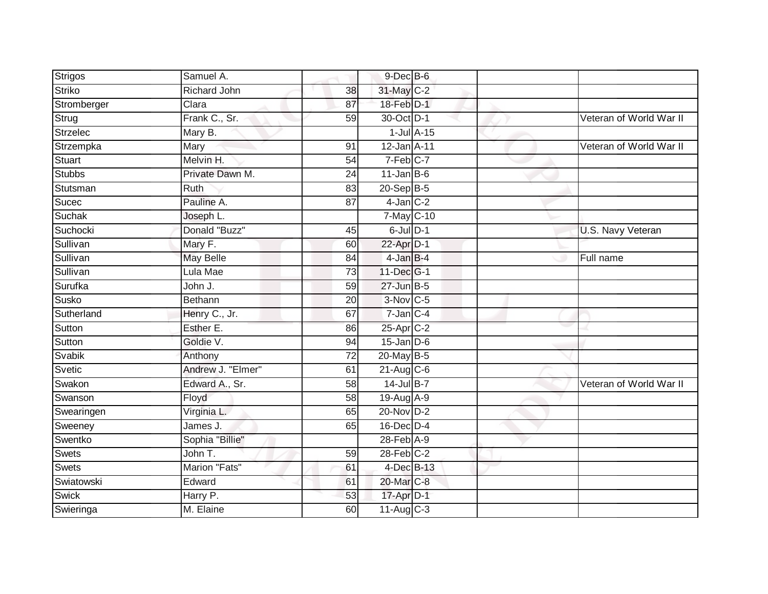| <b>Strigos</b> | Samuel A.         |                 | $9$ -Dec $B$ -6         |  |                         |
|----------------|-------------------|-----------------|-------------------------|--|-------------------------|
| <b>Striko</b>  | Richard John      | 38              | 31-May C-2              |  |                         |
| Stromberger    | Clara             | 87              | 18-Feb D-1              |  |                         |
| Strug          | Frank C., Sr.     | 59              | 30-Oct D-1              |  | Veteran of World War II |
| Strzelec       | Mary B.           |                 | $1$ -Jul $A$ -15        |  |                         |
| Strzempka      | Mary              | 91              | 12-Jan A-11             |  | Veteran of World War II |
| Stuart         | Melvin H.         | 54              | $7-Feb$ <sub>C-7</sub>  |  |                         |
| <b>Stubbs</b>  | Private Dawn M.   | 24              | $11$ -Jan B-6           |  |                         |
| Stutsman       | Ruth              | 83              | 20-Sep B-5              |  |                         |
| Sucec          | Pauline A.        | 87              | $4$ -Jan $C-2$          |  |                         |
| Suchak         | Joseph L.         |                 | 7-May C-10              |  |                         |
| Suchocki       | Donald "Buzz"     | 45              | $6$ -Jul $D-1$          |  | U.S. Navy Veteran       |
| Sullivan       | Mary F.           | 60              | 22-Apr D-1              |  |                         |
| Sullivan       | <b>May Belle</b>  | 84              | $4$ -Jan $B-4$          |  | Full name               |
| Sullivan       | Lula Mae          | 73              | 11-Dec G-1              |  |                         |
| Surufka        | John J.           | 59              | $27$ -Jun $B-5$         |  |                         |
| Susko          | Bethann           | $\overline{20}$ | $3-Nov$ C-5             |  |                         |
| Sutherland     | Henry C., Jr.     | 67              | $7$ -Jan $C-4$          |  |                         |
| Sutton         | Esther E.         | 86              | 25-Apr <sub>C-2</sub>   |  |                         |
| Sutton         | Goldie V.         | 94              | $15 - Jan$ $D-6$        |  |                         |
| <b>Svabik</b>  | Anthony           | 72              | 20-May B-5              |  |                         |
| Svetic         | Andrew J. "Elmer" | 61              | $21-Aug$ C-6            |  |                         |
| Swakon         | Edward A., Sr.    | 58              | 14-Jul B-7              |  | Veteran of World War II |
| Swanson        | Floyd             | 58              | 19-Aug A-9              |  |                         |
| Swearingen     | Virginia L.       | 65              | 20-Nov D-2              |  |                         |
| Sweeney        | James J.          | 65              | 16-Dec D-4              |  |                         |
| Swentko        | Sophia "Billie"   |                 | $28$ -Feb $A-9$         |  |                         |
| <b>Swets</b>   | John T.           | 59              | $28$ -Feb $C-2$         |  |                         |
| <b>Swets</b>   | Marion "Fats"     | 61              | 4-Dec B-13              |  |                         |
| Swiatowski     | Edward            | 61              | 20-Mar C-8              |  |                         |
| Swick          | Harry P.          | 53              | 17-Apr D-1              |  |                         |
| Swieringa      | M. Elaine         | 60              | $11-Aug$ <sub>C-3</sub> |  |                         |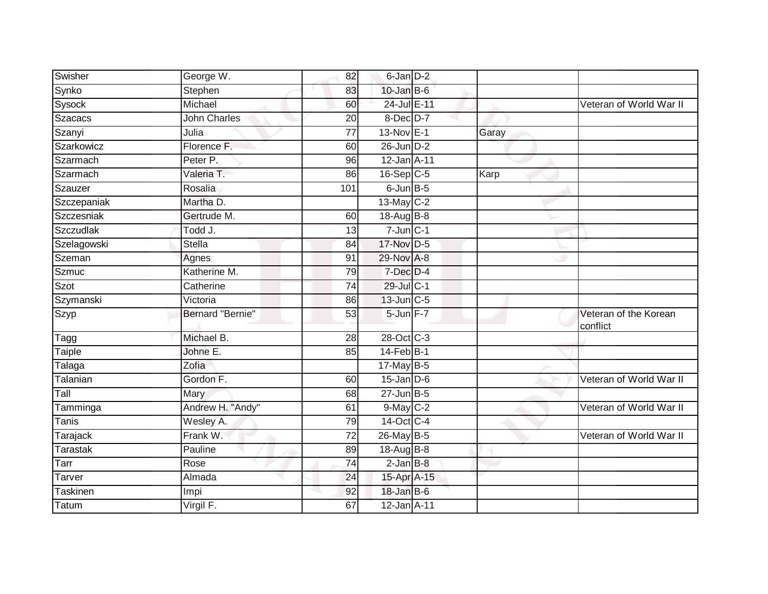| Swisher       | George W.               | 82              | 6-Jan D-2        |       |                                   |
|---------------|-------------------------|-----------------|------------------|-------|-----------------------------------|
| Synko         | Stephen                 | 83              | $10$ -Jan B-6    |       |                                   |
| Sysock        | Michael                 | 60              | 24-Jul E-11      |       | Veteran of World War II           |
| Szacacs       | <b>John Charles</b>     | 20              | $8$ -Dec $D-7$   |       |                                   |
| Szanyi        | Julia                   | $\overline{77}$ | 13-Nov E-1       | Garay |                                   |
| Szarkowicz    | Florence F.             | 60              | 26-Jun D-2       |       |                                   |
| Szarmach      | Peter P.                | 96              | 12-Jan A-11      |       |                                   |
| Szarmach      | Valeria T.              | 86              | 16-Sep C-5       | Karp  |                                   |
| Szauzer       | Rosalia                 | 101             | 6-Jun B-5        |       |                                   |
| Szczepaniak   | Martha D.               |                 | 13-May C-2       |       |                                   |
| Szczesniak    | Gertrude M.             | 60              | $18$ -Aug $B$ -8 |       |                                   |
| Szczudlak     | Todd J.                 | 13              | $7$ -Jun $C-1$   |       |                                   |
| Szelagowski   | Stella                  | 84              | 17-Nov D-5       |       |                                   |
| Szeman        | Agnes                   | 91              | 29-Nov A-8       |       |                                   |
| <b>Szmuc</b>  | Katherine M.            | 79              | $7$ -Dec $D-4$   |       |                                   |
| Szot          | Catherine               | $\overline{74}$ | 29-Jul C-1       |       |                                   |
| Szymanski     | Victoria                | 86              | 13-Jun C-5       |       |                                   |
| Szyp          | <b>Bernard "Bernie"</b> | 53              | 5-Jun F-7        |       | Veteran of the Korean<br>conflict |
| Tagg          | Michael B.              | 28              | 28-Oct C-3       |       |                                   |
| <b>Taiple</b> | Johne E.                | 85              | $14$ -Feb $B-1$  |       |                                   |
| Talaga        | Zofia                   |                 | 17-May B-5       |       |                                   |
| Talanian      | Gordon F.               | 60              | $15$ -Jan D-6    |       | Veteran of World War II           |
| Tall          | Mary                    | 68              | $27 - Jun$ B-5   |       |                                   |
| Tamminga      | Andrew H. "Andy"        | 61              | 9-May C-2        |       | Veteran of World War II           |
| <b>Tanis</b>  | Wesley A.               | 79              | 14-Oct C-4       |       |                                   |
| Tarajack      | Frank W.                | 72              | 26-May B-5       |       | Veteran of World War II           |
| Tarastak      | Pauline                 | 89              | 18-Aug B-8       |       |                                   |
| Tarr          | Rose                    | $\overline{74}$ | $2$ -Jan $B-8$   |       |                                   |
| Tarver        | Almada                  | 24              | 15-Apr A-15      |       |                                   |
| Taskinen      | Impi                    | 92              | $18$ -Jan B-6    |       |                                   |
| Tatum         | Virgil F.               | 67              | 12-Jan A-11      |       |                                   |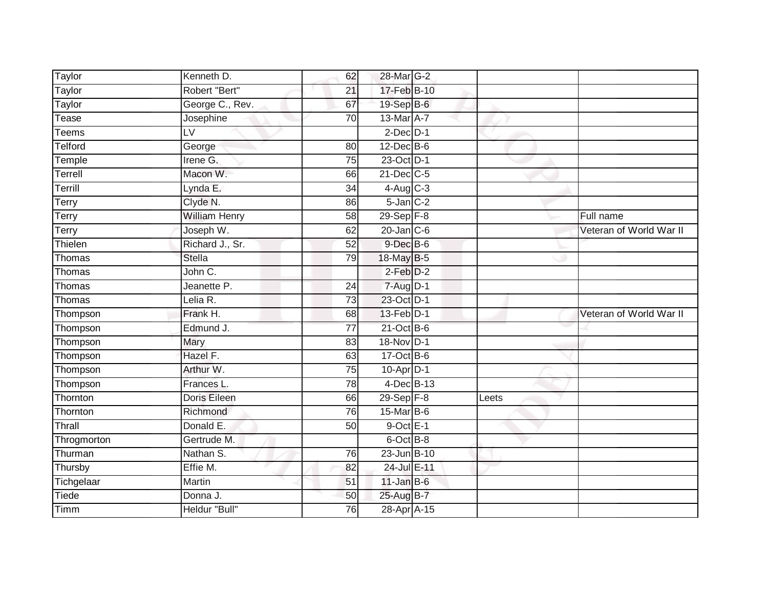| Taylor      | Kenneth D.               | 62              | 28-Mar G-2       |       |                         |
|-------------|--------------------------|-----------------|------------------|-------|-------------------------|
| Taylor      | Robert "Bert"            | 21              | 17-Feb B-10      |       |                         |
| Taylor      | George C., Rev.          | 67              | 19-Sep B-6       |       |                         |
| Tease       | Josephine                | 70              | 13-Mar A-7       |       |                         |
| Teems       | $\overline{\mathsf{LV}}$ |                 | $2$ -Dec $D-1$   |       |                         |
| Telford     | George                   | 80              | $12$ -Dec $B$ -6 |       |                         |
| Temple      | Irene G.                 | 75              | 23-Oct D-1       |       |                         |
| Terrell     | Macon W.                 | 66              | $21$ -Dec $C-5$  |       |                         |
| Terrill     | Lynda E.                 | 34              | $4-Aug$ C-3      |       |                         |
| Terry       | Clyde N.                 | 86              | $5$ -Jan $C-2$   |       |                         |
| Terry       | <b>William Henry</b>     | 58              | 29-Sep F-8       |       | Full name               |
| Terry       | Joseph W.                | 62              | $20$ -Jan $C-6$  |       | Veteran of World War II |
| Thielen     | Richard J., Sr.          | 52              | $9$ -Dec $B$ -6  |       |                         |
| Thomas      | <b>Stella</b>            | 79              | 18-May B-5       |       |                         |
| Thomas      | John C.                  |                 | $2-Feb$ $D-2$    |       |                         |
| Thomas      | Jeanette P.              | 24              | $7 - Aug$ $D-1$  |       |                         |
| Thomas      | Lelia R.                 | $\overline{73}$ | 23-Oct D-1       |       |                         |
| Thompson    | Frank H.                 | 68              | 13-Feb D-1       |       | Veteran of World War II |
| Thompson    | Edmund J.                | $\overline{77}$ | 21-Oct B-6       |       |                         |
| Thompson    | Mary                     | 83              | 18-Nov D-1       |       |                         |
| Thompson    | Hazel F.                 | 63              | $17-Oct$ B-6     |       |                         |
| Thompson    | Arthur W.                | $\overline{75}$ | $10$ -Apr $D-1$  |       |                         |
| Thompson    | Frances L.               | 78              | 4-Dec B-13       |       |                         |
| Thornton    | Doris Eileen             | 66              | $29-Sep$ $F-8$   | Leets |                         |
| Thornton    | Richmond                 | 76              | 15-Mar B-6       |       |                         |
| Thrall      | Donald E.                | 50              | $9$ -Oct $E-1$   |       |                         |
| Throgmorton | Gertrude M.              |                 | 6-Oct B-8        |       |                         |
| Thurman     | Nathan S.                | 76              | 23-Jun B-10      |       |                         |
| Thursby     | Effie M.                 | 82              | 24-Jul E-11      |       |                         |
| Tichgelaar  | Martin                   | 51              | $11$ -Jan B-6    |       |                         |
| Tiede       | Donna J.                 | 50              | 25-Aug B-7       |       |                         |
| Timm        | Heldur "Bull"            | 76              | 28-Apr A-15      |       |                         |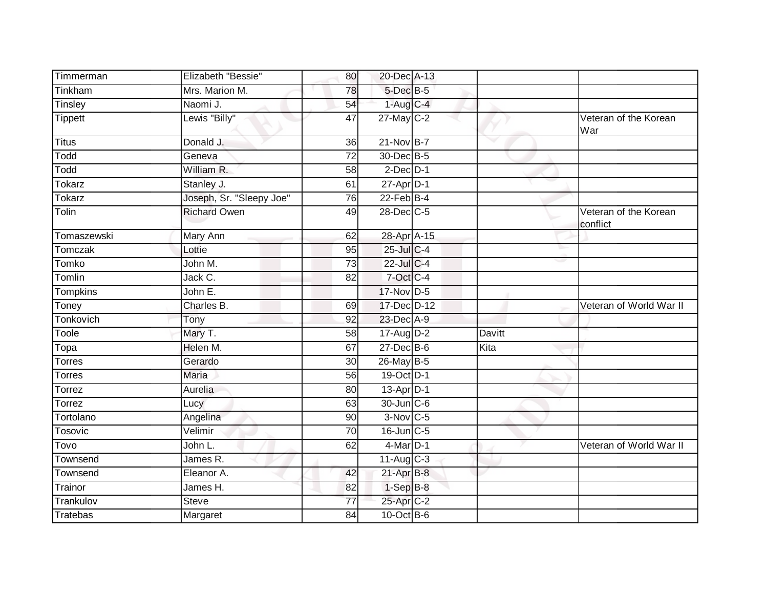| Timmerman       | Elizabeth "Bessie"       | 80              | 20-Dec A-13       |        |                                   |
|-----------------|--------------------------|-----------------|-------------------|--------|-----------------------------------|
| Tinkham         | Mrs. Marion M.           | 78              | 5-Dec B-5         |        |                                   |
| Tinsley         | Naomi J.                 | 54              | $1-AugC-4$        |        |                                   |
| <b>Tippett</b>  | Lewis "Billy"            | 47              | 27-May C-2        |        | Veteran of the Korean<br>War      |
| <b>Titus</b>    | Donald J.                | 36              | 21-Nov B-7        |        |                                   |
| Todd            | Geneva                   | $\overline{72}$ | 30-Dec B-5        |        |                                   |
| Todd            | William R.               | 58              | $2$ -Dec $D-1$    |        |                                   |
| Tokarz          | Stanley J.               | 61              | 27-Apr D-1        |        |                                   |
| <b>Tokarz</b>   | Joseph, Sr. "Sleepy Joe" | 76              | $22$ -Feb $B-4$   |        |                                   |
| Tolin           | <b>Richard Owen</b>      | 49              | 28-Dec C-5        |        | Veteran of the Korean<br>conflict |
| Tomaszewski     | Mary Ann                 | 62              | 28-Apr A-15       |        |                                   |
| <b>Tomczak</b>  | Lottie                   | 95              | 25-Jul C-4        |        |                                   |
| Tomko           | John M.                  | 73              | 22-Jul C-4        |        |                                   |
| Tomlin          | Jack C.                  | 82              | 7-Oct C-4         |        |                                   |
| <b>Tompkins</b> | John E.                  |                 | $17-Nov$ D-5      |        |                                   |
| Toney           | Charles B.               | 69              | 17-Dec D-12       |        | Veteran of World War II           |
| Tonkovich       | Tony                     | 92              | 23-Dec A-9        |        |                                   |
| Toole           | Mary T.                  | 58              | $17$ -Aug D-2     | Davitt |                                   |
| Topa            | Helen M.                 | 67              | $27$ -Dec $B$ -6  | Kita   |                                   |
| <b>Torres</b>   | Gerardo                  | 30              | 26-May B-5        |        |                                   |
| Torres          | <b>Maria</b>             | 56              | 19-Oct D-1        |        |                                   |
| Torrez          | Aurelia                  | 80              | $13-Apr$ D-1      |        |                                   |
| Torrez          | Lucy                     | 63              | 30-Jun C-6        |        |                                   |
| Tortolano       | Angelina                 | 90              | $3-Nov$ C-5       |        |                                   |
| Tosovic         | Velimir                  | 70              | $16$ -Jun $C - 5$ |        |                                   |
| Tovo            | John L.                  | 62              | $4$ -Mar $D-1$    |        | Veteran of World War II           |
| Townsend        | James R.                 |                 | $11-Aug$ C-3      |        |                                   |
| Townsend        | Eleanor A.               | 42              | $21-Apr$ B-8      |        |                                   |
| Trainor         | James H.                 | 82              | $1-SepB-8$        |        |                                   |
| Trankulov       | <b>Steve</b>             | 77              | 25-Apr C-2        |        |                                   |
| Tratebas        | Margaret                 | 84              | $10$ -Oct B-6     |        |                                   |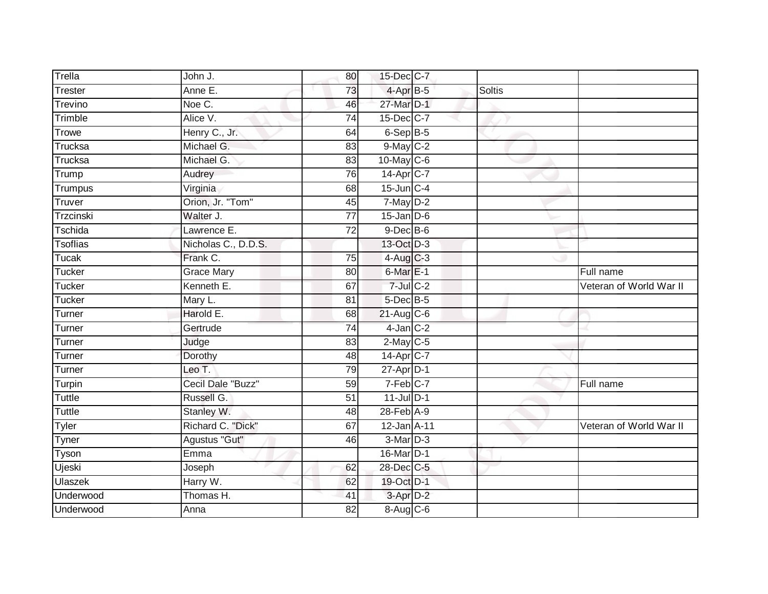| Trella          | John J.             | 80              | 15-Dec C-7             |               |                         |
|-----------------|---------------------|-----------------|------------------------|---------------|-------------------------|
| Trester         | Anne E.             | 73              | 4-Apr B-5              | <b>Soltis</b> |                         |
| Trevino         | Noe C.              | 46              | 27-Mar D-1             |               |                         |
| Trimble         | Alice V.            | $\overline{74}$ | 15-Dec C-7             |               |                         |
| Trowe           | Henry C., Jr.       | 64              | 6-Sep B-5              |               |                         |
| Trucksa         | Michael G.          | 83              | 9-May C-2              |               |                         |
| Trucksa         | Michael G.          | 83              | $10$ -May C-6          |               |                         |
| Trump           | Audrey              | 76              | 14-Apr C-7             |               |                         |
| Trumpus         | Virginia            | 68              | $15$ -Jun $C-4$        |               |                         |
| Truver          | Orion, Jr. "Tom"    | 45              | $7$ -May $D-2$         |               |                         |
| Trzcinski       | Walter J.           | $\overline{77}$ | $15$ -Jan $D-6$        |               |                         |
| Tschida         | Lawrence $E$ .      | $\overline{72}$ | $9$ -Dec $B$ -6        |               |                         |
| <b>Tsoflias</b> | Nicholas C., D.D.S. |                 | 13-Oct D-3             |               |                         |
| <b>Tucak</b>    | Frank C.            | 75              | $4-Aug$ $C-3$          |               |                         |
| <b>Tucker</b>   | <b>Grace Mary</b>   | 80              | $6$ -Mar $E-1$         |               | Full name               |
| <b>Tucker</b>   | Kenneth E.          | 67              | $7$ -Jul $C$ -2        |               | Veteran of World War II |
| Tucker          | Mary L.             | $\overline{81}$ | $5$ -Dec $B$ -5        |               |                         |
| Turner          | Harold E.           | 68              | $21-Aug$ C-6           |               |                         |
| Turner          | Gertrude            | $\overline{74}$ | $4$ -Jan $C-2$         |               |                         |
| Turner          | Judge               | 83              | $2$ -May C-5           |               |                         |
| Turner          | Dorothy             | 48              | 14-Apr C-7             |               |                         |
| Turner          | Leo T.              | 79              | $27$ -Apr $D-1$        |               |                         |
| Turpin          | Cecil Dale "Buzz"   | 59              | $7-Feb$ <sub>C-7</sub> |               | Full name               |
| <b>Tuttle</b>   | Russell G.          | 51              | $11$ -Jul $D-1$        |               |                         |
| <b>Tuttle</b>   | Stanley W.          | 48              | 28-Feb A-9             |               |                         |
| Tyler           | Richard C. "Dick"   | 67              | 12-Jan A-11            |               | Veteran of World War II |
| Tyner           | Agustus "Gut"       | 46              | 3-Mar D-3              |               |                         |
| Tyson           | Emma                |                 | 16-Mar <sub>D-1</sub>  |               |                         |
| Ujeski          | Joseph              | 62              | 28-Dec C-5             |               |                         |
| Ulaszek         | Harry W.            | 62              | 19-Oct D-1             |               |                         |
| Underwood       | Thomas H.           | 41              | 3-Apr D-2              |               |                         |
| Underwood       | Anna                | $\overline{82}$ | 8-Aug C-6              |               |                         |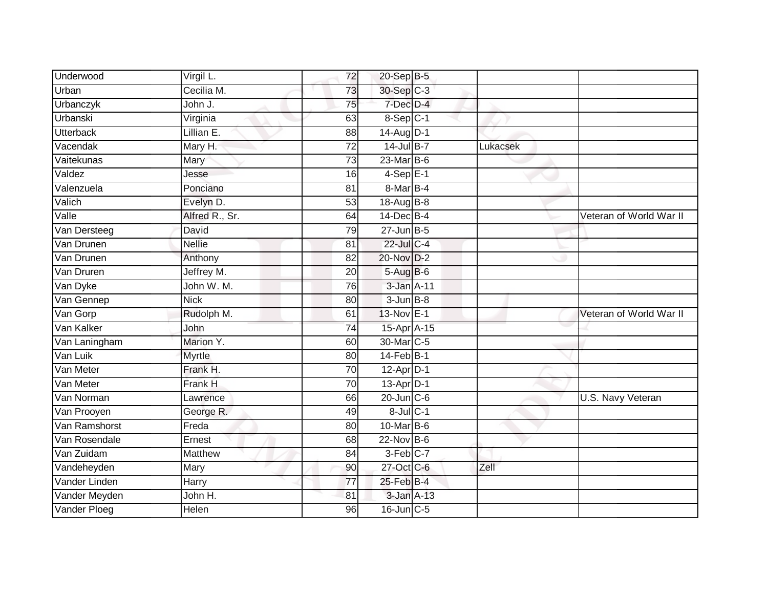| Underwood        | Virgil L.      | 72              | 20-Sep B-5             |          |                         |
|------------------|----------------|-----------------|------------------------|----------|-------------------------|
| Urban            | Cecilia M.     | 73              | 30-Sep C-3             |          |                         |
| <b>Urbanczyk</b> | John J.        | $\overline{75}$ | 7-Dec D-4              |          |                         |
| Urbanski         | Virginia       | 63              | 8-Sep C-1              |          |                         |
| <b>Utterback</b> | Lillian E.     | $\overline{88}$ | 14-Aug D-1             |          |                         |
| Vacendak         | Mary H.        | 72              | $14$ -Jul B-7          | Lukacsek |                         |
| Vaitekunas       | Mary           | 73              | $23$ -Mar $ B-6 $      |          |                         |
| Valdez           | Jesse          | 16              | $4-Sep$ E-1            |          |                         |
| Valenzuela       | Ponciano       | 81              | 8-Mar B-4              |          |                         |
| Valich           | Evelyn D.      | 53              | 18-Aug B-8             |          |                         |
| Valle            | Alfred R., Sr. | 64              | 14-Dec B-4             |          | Veteran of World War II |
| Van Dersteeg     | David          | 79              | $27$ -Jun $B-5$        |          |                         |
| Van Drunen       | <b>Nellie</b>  | 81              | 22-Jul C-4             |          |                         |
| Van Drunen       | Anthony        | 82              | 20-Nov D-2             |          |                         |
| Van Druren       | Jeffrey M.     | 20              | 5-Aug B-6              |          |                         |
| Van Dyke         | John W. M.     | 76              | 3-Jan A-11             |          |                         |
| Van Gennep       | <b>Nick</b>    | 80              | $3 - Jun$ $B-8$        |          |                         |
| Van Gorp         | Rudolph M.     | 61              | 13-Nov E-1             |          | Veteran of World War II |
| Van Kalker       | John           | 74              | 15-Apr A-15            |          |                         |
| Van Laningham    | Marion Y.      | 60              | 30-Mar C-5             |          |                         |
| Van Luik         | Myrtle         | 80              | $14$ -Feb $B-1$        |          |                         |
| Van Meter        | Frank H.       | $\overline{70}$ | $12-Apr$ D-1           |          |                         |
| Van Meter        | Frank H        | 70              | $13-Apr$ D-1           |          |                         |
| Van Norman       | Lawrence       | 66              | $20$ -Jun $C$ -6       |          | U.S. Navy Veteran       |
| Van Prooyen      | George R.      | 49              | $8$ -Jul $C-1$         |          |                         |
| Van Ramshorst    | Freda          | 80              | 10-Mar B-6             |          |                         |
| Van Rosendale    | Ernest         | 68              | $22$ -Nov $B-6$        |          |                         |
| Van Zuidam       | Matthew        | 84              | $3-Feb$ <sub>C-7</sub> |          |                         |
| Vandeheyden      | Mary           | 90              | 27-Oct C-6             | Zell     |                         |
| Vander Linden    | Harry          | 77              | 25-Feb B-4             |          |                         |
| Vander Meyden    | John H.        | 81              | 3-Jan A-13             |          |                         |
| Vander Ploeg     | <b>Helen</b>   | 96              | 16-Jun C-5             |          |                         |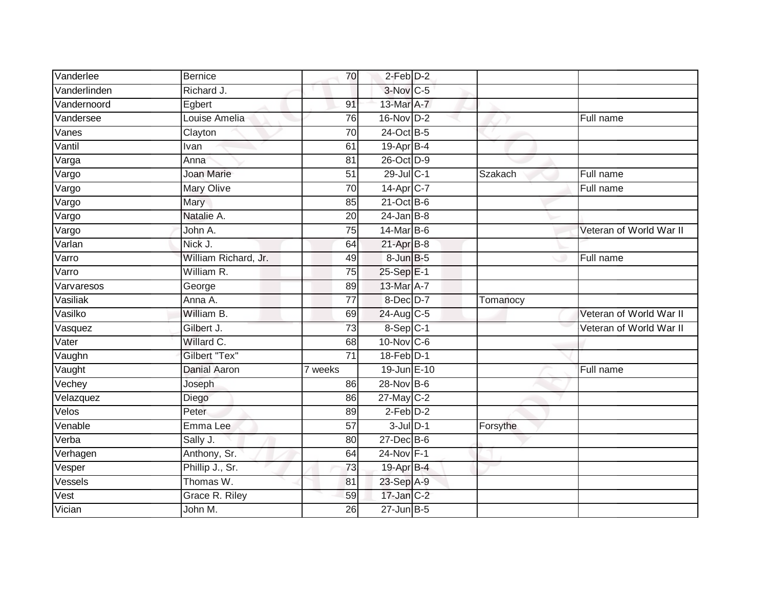| Vanderlee    | <b>Bernice</b>       | 70                   | $2$ -Feb $D-2$   |          |                         |
|--------------|----------------------|----------------------|------------------|----------|-------------------------|
| Vanderlinden | Richard J.           |                      | 3-Nov C-5        |          |                         |
| Vandernoord  | Egbert               | 91                   | 13-Mar A-7       |          |                         |
| Vandersee    | Louise Amelia        | 76                   | 16-Nov D-2       |          | Full name               |
| Vanes        | Clayton              | 70                   | 24-Oct B-5       |          |                         |
| Vantil       | Ivan                 | 61                   | 19-Apr B-4       |          |                         |
| Varga        | Anna                 | 81                   | 26-Oct D-9       |          |                         |
| Vargo        | <b>Joan Marie</b>    | $\overline{51}$      | 29-Jul C-1       | Szakach  | Full name               |
| Vargo        | Mary Olive           | 70                   | 14-Apr C-7       |          | Full name               |
| Vargo        | Mary                 | 85                   | $21-Oct$ B-6     |          |                         |
| Vargo        | Natalie A.           | 20                   | $24$ -Jan B-8    |          |                         |
| Vargo        | John A.              | 75                   | 14-Mar B-6       |          | Veteran of World War II |
| Varlan       | Nick J.              | 64                   | $21-AprB-8$      |          |                         |
| Varro        | William Richard, Jr. | 49                   | 8-Jun B-5        |          | Full name               |
| Varro        | William R.           | 75                   | 25-Sep E-1       |          |                         |
| Varvaresos   | George               | 89                   | 13-Mar A-7       |          |                         |
| Vasiliak     | Anna A.              | $\overline{77}$      | $8$ -Dec $D-7$   | Tomanocy |                         |
| Vasilko      | William B.           | 69                   | 24-Aug C-5       |          | Veteran of World War II |
| Vasquez      | Gilbert J.           | 73                   | 8-Sep C-1        |          | Veteran of World War II |
| Vater        | Willard C.           | 68                   | 10-Nov C-6       |          |                         |
| Vaughn       | Gilbert "Tex"        | $\overline{71}$      | 18-Feb D-1       |          |                         |
| Vaught       | <b>Danial Aaron</b>  | $\overline{7}$ weeks | 19-Jun E-10      |          | Full name               |
| Vechey       | Joseph               | 86                   | 28-Nov B-6       |          |                         |
| Velazquez    | Diego                | 86                   | 27-May C-2       |          |                         |
| Velos        | Peter                | 89                   | $2-Feb$ $D-2$    |          |                         |
| Venable      | Emma Lee             | $\overline{57}$      | $3$ -Jul $D-1$   | Forsythe |                         |
| Verba        | Sally J.             | 80                   | $27$ -Dec $B$ -6 |          |                         |
| Verhagen     | Anthony, Sr.         | 64                   | 24-Nov F-1       |          |                         |
| Vesper       | Phillip J., Sr.      | 73                   | 19-Apr B-4       |          |                         |
| Vessels      | Thomas W.            | 81                   | 23-Sep A-9       |          |                         |
| Vest         | Grace R. Riley       | 59                   | $17$ -Jan $C-2$  |          |                         |
| Vician       | John M.              | 26                   | $27$ -Jun $B-5$  |          |                         |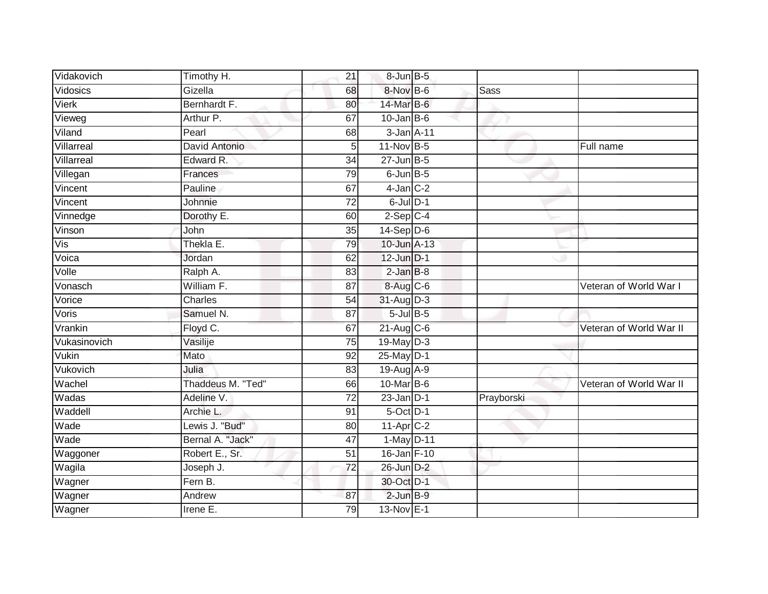| Vidakovich   | Timothy H.        | 21 | 8-Jun B-5        |             |                         |
|--------------|-------------------|----|------------------|-------------|-------------------------|
| Vidosics     | Gizella           | 68 | 8-Nov B-6        | <b>Sass</b> |                         |
| <b>Vierk</b> | Bernhardt F.      | 80 | 14-Mar B-6       |             |                         |
| Vieweg       | Arthur P.         | 67 | $10$ -Jan $ B-6$ |             |                         |
| Viland       | Pearl             | 68 | 3-Jan A-11       |             |                         |
| Villarreal   | David Antonio     | 5  | 11-Nov B-5       |             | Full name               |
| Villarreal   | Edward R.         | 34 | $27$ -Jun $B-5$  |             |                         |
| Villegan     | Frances           | 79 | $6$ -Jun $B$ -5  |             |                         |
| Vincent      | Pauline           | 67 | $4$ -Jan $C-2$   |             |                         |
| Vincent      | Johnnie           | 72 | $6$ -Jul $D-1$   |             |                         |
| Vinnedge     | Dorothy E.        | 60 | $2-Sep C-4$      |             |                         |
| Vinson       | John              | 35 | $14-Sep$ D-6     |             |                         |
| Vis          | Thekla E.         | 79 | 10-Jun A-13      |             |                         |
| Voica        | Jordan            | 62 | 12-Jun D-1       |             |                         |
| Volle        | Ralph A.          | 83 | $2$ -Jan $B-8$   |             |                         |
| Vonasch      | William F.        | 87 | 8-Aug C-6        |             | Veteran of World War I  |
| Vorice       | Charles           | 54 | 31-Aug D-3       |             |                         |
| Voris        | Samuel N.         | 87 | $5$ -Jul $B$ -5  |             |                         |
| Vrankin      | Floyd C.          | 67 | 21-Aug C-6       |             | Veteran of World War II |
| Vukasinovich | Vasilije          | 75 | $19$ -May $D-3$  |             |                         |
| Vukin        | Mato              | 92 | $25$ -May $D-1$  |             |                         |
| Vukovich     | Julia             | 83 | 19-Aug A-9       |             |                         |
| Wachel       | Thaddeus M. "Ted" | 66 | 10-Mar B-6       |             | Veteran of World War II |
| Wadas        | Adeline V.        | 72 | $23$ -Jan D-1    | Prayborski  |                         |
| Waddell      | Archie L.         | 91 | $5$ -Oct $D-1$   |             |                         |
| Wade         | Lewis J. "Bud"    | 80 | 11-Apr C-2       |             |                         |
| Wade         | Bernal A. "Jack"  | 47 | 1-May D-11       |             |                         |
| Waggoner     | Robert E., Sr.    | 51 | 16-Jan F-10      |             |                         |
| Wagila       | Joseph J.         | 72 | 26-Jun D-2       |             |                         |
| Wagner       | Fern B.           |    | 30-Oct D-1       |             |                         |
| Wagner       | Andrew            | 87 | $2$ -Jun $B-9$   |             |                         |
| Wagner       | Irene E.          | 79 | 13-Nov E-1       |             |                         |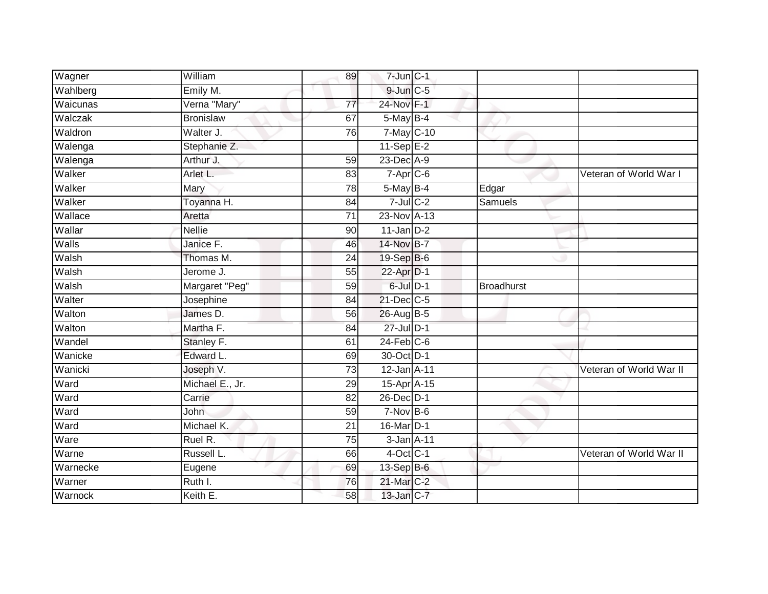| Wagner   | William          | 89              | $7$ -Jun $C-1$     |                   |                         |
|----------|------------------|-----------------|--------------------|-------------------|-------------------------|
| Wahlberg | Emily M.         |                 | 9-Jun C-5          |                   |                         |
| Waicunas | Verna "Mary"     | 77              | 24-Nov F-1         |                   |                         |
| Walczak  | <b>Bronislaw</b> | 67              | $5$ -May $B-4$     |                   |                         |
| Waldron  | Walter J.        | $\overline{76}$ | 7-May C-10         |                   |                         |
| Walenga  | Stephanie Z.     |                 | $11-\text{Sep}E-2$ |                   |                         |
| Walenga  | Arthur J.        | 59              | 23-Dec A-9         |                   |                         |
| Walker   | Arlet L.         | 83              | $7 - Apr$ $C-6$    |                   | Veteran of World War I  |
| Walker   | Mary             | 78              | 5-May B-4          | Edgar             |                         |
| Walker   | Toyanna H.       | 84              | $7$ -Jul $C$ -2    | <b>Samuels</b>    |                         |
| Wallace  | Aretta           | 71              | 23-Nov A-13        |                   |                         |
| Wallar   | <b>Nellie</b>    | 90              | $11$ -Jan $D-2$    |                   |                         |
| Walls    | Janice F.        | 46              | 14-Nov B-7         |                   |                         |
| Walsh    | Thomas M.        | 24              | 19-Sep B-6         |                   |                         |
| Walsh    | Jerome J.        | 55              | 22-Apr D-1         |                   |                         |
| Walsh    | Margaret "Peg"   | 59              | $6$ -Jul $D-1$     | <b>Broadhurst</b> |                         |
| Walter   | Josephine        | 84              | 21-Dec C-5         |                   |                         |
| Walton   | James D.         | 56              | 26-Aug B-5         |                   |                         |
| Walton   | Martha F.        | 84              | $27$ -Jul $D-1$    |                   |                         |
| Wandel   | Stanley F.       | 61              | $24$ -Feb $C-6$    |                   |                         |
| Wanicke  | Edward L.        | 69              | 30-Oct D-1         |                   |                         |
| Wanicki  | Joseph V.        | $\overline{73}$ | 12-Jan A-11        |                   | Veteran of World War II |
| Ward     | Michael E., Jr.  | 29              | 15-Apr A-15        |                   |                         |
| Ward     | Carrie           | 82              | 26-Dec D-1         |                   |                         |
| Ward     | John             | 59              | $7-Nov$ B-6        |                   |                         |
| Ward     | Michael K.       | 21              | 16-Mar D-1         |                   |                         |
| Ware     | Ruel R.          | 75              | 3-Jan A-11         |                   |                         |
| Warne    | Russell L.       | 66              | $4$ -Oct C-1       |                   | Veteran of World War II |
| Warnecke | Eugene           | 69              | 13-Sep B-6         |                   |                         |
| Warner   | Ruth I.          | 76              | 21-Mar C-2         |                   |                         |
| Warnock  | Keith E.         | 58              | 13-Jan C-7         |                   |                         |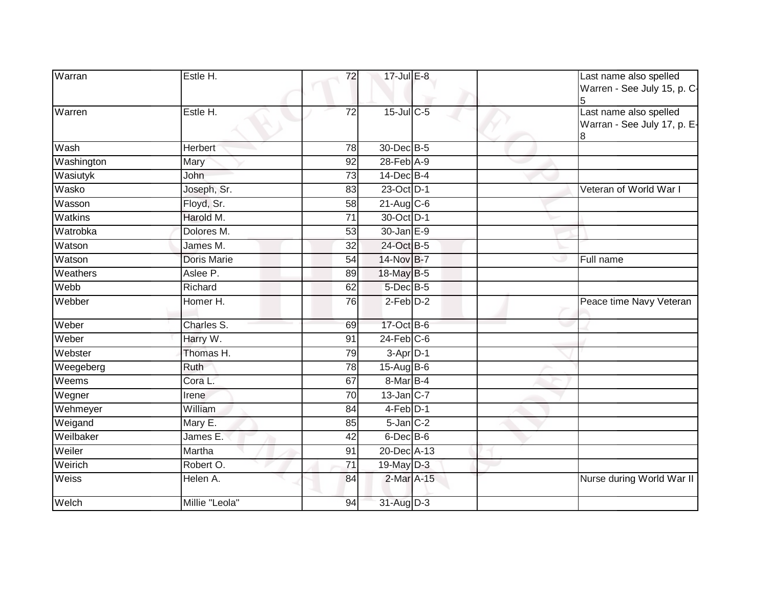| Warran     | Estle H.             | 72              | 17-Jul E-8        | Last name also spelled<br>Warren - See July 15, p. C-      |
|------------|----------------------|-----------------|-------------------|------------------------------------------------------------|
| Warren     | Estle H.             | 72              | 15-Jul C-5        | Last name also spelled<br>Warran - See July 17, p. E-<br>8 |
| Wash       | Herbert <sup>®</sup> | 78              | 30-Dec B-5        |                                                            |
| Washington | Mary                 | 92              | $28$ -Feb $A-9$   |                                                            |
| Wasiutyk   | John                 | 73              | 14-Dec B-4        |                                                            |
| Wasko      | Joseph, Sr.          | 83              | 23-Oct D-1        | Veteran of World War I                                     |
| Wasson     | Floyd, Sr.           | 58              | $21$ -Aug C-6     |                                                            |
| Watkins    | Harold M.            | 71              | 30-Oct D-1        |                                                            |
| Watrobka   | Dolores M.           | 53              | $30 - Jan \nE-9$  |                                                            |
| Watson     | James M.             | $\overline{32}$ | 24-Oct B-5        |                                                            |
| Watson     | Doris Marie          | 54              | 14-Nov B-7        | Full name                                                  |
| Weathers   | Aslee P.             | 89              | 18-May B-5        |                                                            |
| Webb       | Richard              | 62              | 5-Dec B-5         |                                                            |
| Webber     | Homer H.             | 76              | $2-Feb$ $D-2$     | Peace time Navy Veteran                                    |
| Weber      | Charles S.           | 69              | 17-Oct B-6        |                                                            |
| Weber      | Harry W.             | 91              | $24$ -Feb $C-6$   |                                                            |
| Webster    | Thomas H.            | 79              | $3 - Apr$ $D-1$   |                                                            |
| Weegeberg  | Ruth                 | 78              | 15-Aug B-6        |                                                            |
| Weems      | Cora L.              | 67              | 8-Mar B-4         |                                                            |
| Wegner     | Irene                | $\overline{70}$ | $13$ -Jan $ C-7 $ |                                                            |
| Wehmeyer   | William              | 84              | $4-Feb$ D-1       |                                                            |
| Weigand    | Mary E.              | 85              | $5$ -Jan $C-2$    |                                                            |
| Weilbaker  | James E.             | $\overline{42}$ | $6$ -Dec $B$ -6   |                                                            |
| Weiler     | Martha               | 91              | 20-Dec A-13       |                                                            |
| Weirich    | Robert O.            | 71              | 19-May D-3        |                                                            |
| Weiss      | Helen A.             | 84              | 2-Mar A-15        | Nurse during World War II                                  |
| Welch      | Millie "Leola"       | 94              | 31-Aug D-3        |                                                            |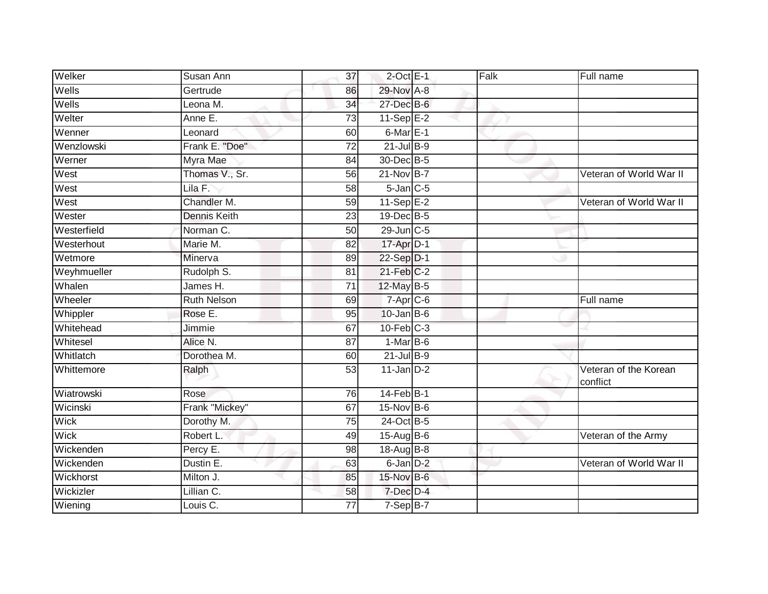| Welker      | Susan Ann           | 37              | $2$ -Oct $E-1$     | Falk | Full name                         |
|-------------|---------------------|-----------------|--------------------|------|-----------------------------------|
| Wells       | Gertrude            | 86              | 29-Nov A-8         |      |                                   |
| Wells       | Leona M.            | 34              | 27-Dec B-6         |      |                                   |
| Welter      | Anne E.             | 73              | $11-\text{Sep}E-2$ |      |                                   |
| Wenner      | Leonard             | 60              | $6$ -Mar $E-1$     |      |                                   |
| Wenzlowski  | Frank E. "Doe"      | 72              | $21$ -Jul $B-9$    |      |                                   |
| Werner      | Myra Mae            | 84              | 30-Dec B-5         |      |                                   |
| West        | Thomas V., Sr.      | 56              | $21-Nov$ B-7       |      | Veteran of World War II           |
| West        | Lila F.             | 58              | $5$ -Jan $C$ -5    |      |                                   |
| West        | Chandler M.         | 59              | $11-Sep$ $E-2$     |      | Veteran of World War II           |
| Wester      | <b>Dennis Keith</b> | $\overline{23}$ | 19-Dec B-5         |      |                                   |
| Westerfield | Norman C.           | 50              | 29-Jun C-5         |      |                                   |
| Westerhout  | Marie M.            | 82              | 17-Apr D-1         |      |                                   |
| Wetmore     | Minerva             | 89              | 22-Sep D-1         |      |                                   |
| Weyhmueller | Rudolph S.          | 81              | $21$ -Feb $C-2$    |      |                                   |
| Whalen      | James H.            | 71              | 12-May B-5         |      |                                   |
| Wheeler     | <b>Ruth Nelson</b>  | 69              | $7 -$ Apr $C - 6$  |      | Full name                         |
| Whippler    | Rose E.             | 95              | $10$ -Jan B-6      |      |                                   |
| Whitehead   | Jimmie              | 67              | $10$ -Feb $C-3$    |      |                                   |
| Whitesel    | Alice N.            | 87              | $1-MarB-6$         |      |                                   |
| Whitlatch   | Dorothea M.         | 60              | $21$ -Jul B-9      |      |                                   |
| Whittemore  | Ralph               | $\overline{53}$ | $11$ -Jan $D-2$    |      | Veteran of the Korean<br>conflict |
| Wiatrowski  | Rose                | 76              | $14$ -Feb $B-1$    |      |                                   |
| Wicinski    | Frank "Mickey"      | 67              | $15$ -Nov $B-6$    |      |                                   |
| <b>Wick</b> | Dorothy M.          | $\overline{75}$ | 24-Oct B-5         |      |                                   |
| Wick        | Robert L.           | 49              | 15-Aug B-6         |      | Veteran of the Army               |
| Wickenden   | Percy E.            | 98              | 18-Aug B-8         |      |                                   |
| Wickenden   | Dustin E.           | 63              | $6$ -Jan $D-2$     |      | Veteran of World War II           |
| Wickhorst   | Milton J.           | 85              | 15-Nov B-6         |      |                                   |
| Wickizler   | Lillian C.          | 58              | 7-Dec D-4          |      |                                   |
| Wiening     | Louis C.            | 77              | $7-SepB-7$         |      |                                   |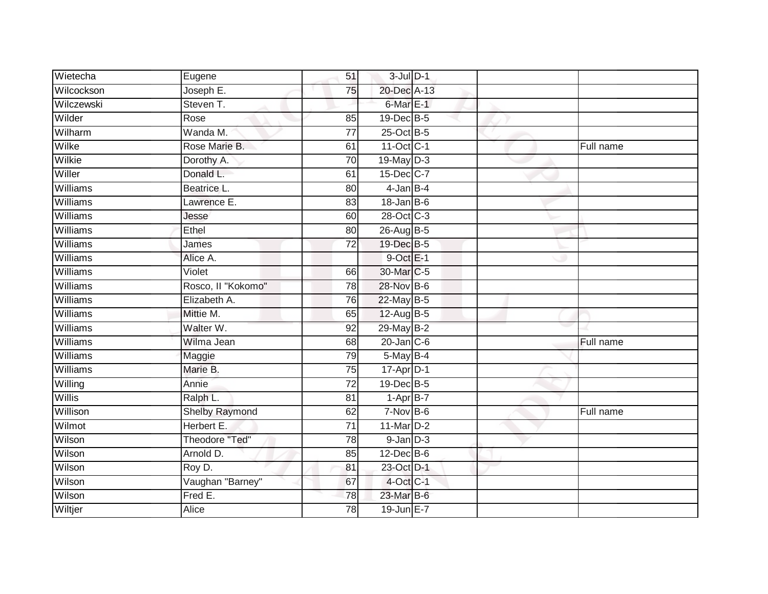| Wietecha        | Eugene                | 51              | $3$ -Jul $D-1$   |  |           |
|-----------------|-----------------------|-----------------|------------------|--|-----------|
| Wilcockson      | Joseph E.             | 75              | 20-Dec A-13      |  |           |
| Wilczewski      | Steven T.             |                 | 6-Mar E-1        |  |           |
| Wilder          | Rose                  | 85              | 19-Dec B-5       |  |           |
| Wilharm         | Wanda M.              | $\overline{77}$ | 25-Oct B-5       |  |           |
| Wilke           | Rose Marie B.         | 61              | 11-Oct C-1       |  | Full name |
| Wilkie          | Dorothy A.            | 70              | 19-May D-3       |  |           |
| Willer          | Donald L.             | 61              | 15-Dec C-7       |  |           |
| Williams        | Beatrice L.           | 80              | $4$ -Jan $B-4$   |  |           |
| <b>Williams</b> | Lawrence E.           | 83              | $18 - Jan$ $B-6$ |  |           |
| Williams        | Jesse                 | 60              | 28-Oct C-3       |  |           |
| Williams        | Ethel                 | 80              | 26-Aug B-5       |  |           |
| Williams        | James                 | 72              | 19-Dec B-5       |  |           |
| Williams        | Alice A.              |                 | $9$ -Oct $E-1$   |  |           |
| Williams        | Violet                | 66              | 30-Mar C-5       |  |           |
| Williams        | Rosco, Il "Kokomo"    | 78              | 28-Nov B-6       |  |           |
| Williams        | Elizabeth A.          | 76              | 22-May B-5       |  |           |
| Williams        | Mittie M.             | 65              | 12-Aug B-5       |  |           |
| Williams        | Walter W.             | 92              | 29-May B-2       |  |           |
| Williams        | Wilma Jean            | 68              | $20$ -Jan $C$ -6 |  | Full name |
| Williams        | Maggie                | 79              | $5$ -May $B-4$   |  |           |
| <b>Williams</b> | Marie B.              | $\overline{75}$ | 17-Apr D-1       |  |           |
| Willing         | Annie                 | $\overline{72}$ | 19-Dec B-5       |  |           |
| Willis          | Ralph L.              | 81              | $1-AprB-7$       |  |           |
| Willison        | Shelby Raymond        | 62              | $7-Nov$ B-6      |  | Full name |
| Wilmot          | Herbert E.            | 71              | 11-Mar D-2       |  |           |
| Wilson          | <b>Theodore "Ted"</b> | 78              | $9$ -Jan $D-3$   |  |           |
| Wilson          | Arnold D.             | 85              | $12$ -Dec $B$ -6 |  |           |
| Wilson          | Roy D.                | 81              | 23-Oct D-1       |  |           |
| Wilson          | Vaughan "Barney"      | 67              | 4-Oct C-1        |  |           |
| Wilson          | Fred E.               | $\overline{78}$ | 23-Mar B-6       |  |           |
| Wiltjer         | <b>Alice</b>          | $\overline{78}$ | 19-Jun E-7       |  |           |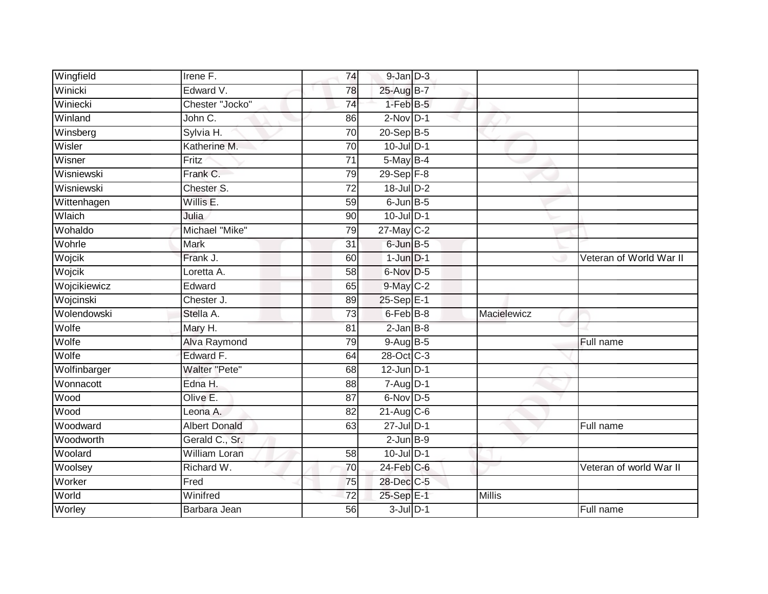| Wingfield    | Irene F.             | 74              | $9$ -Jan $D-3$   |             |                         |
|--------------|----------------------|-----------------|------------------|-------------|-------------------------|
| Winicki      | Edward V.            | 78              | 25-Aug B-7       |             |                         |
| Winiecki     | Chester "Jocko"      | 74              | $1-FebB-5$       |             |                         |
| Winland      | John C.              | 86              | $2-Nov$ D-1      |             |                         |
| Winsberg     | Sylvia H.            | 70              | $20 - Sep$ B-5   |             |                         |
| Wisler       | Katherine M.         | $\overline{70}$ | 10-Jul D-1       |             |                         |
| Wisner       | Fritz                | $\overline{71}$ | $5$ -May $B-4$   |             |                         |
| Wisniewski   | Frank C.             | 79              | 29-Sep F-8       |             |                         |
| Wisniewski   | Chester S.           | $\overline{72}$ | 18-Jul D-2       |             |                         |
| Wittenhagen  | Willis E.            | 59              | $6$ -Jun $B$ -5  |             |                         |
| Wlaich       | Julia                | 90              | $10$ -Jul $D-1$  |             |                         |
| Wohaldo      | Michael "Mike"       | 79              | 27-May C-2       |             |                         |
| Wohrle       | <b>Mark</b>          | 31              | 6-Jun B-5        |             |                         |
| Wojcik       | Frank J.             | 60              | $1$ -Jun $D-1$   |             | Veteran of World War II |
| Wojcik       | Loretta A.           | $\overline{58}$ | 6-Nov D-5        |             |                         |
| Wojcikiewicz | Edward               | 65              | $9$ -May $C-2$   |             |                         |
| Wojcinski    | Chester J.           | 89              | 25-Sep E-1       |             |                         |
| Wolendowski  | Stella A.            | 73              | 6-Feb B-8        | Macielewicz |                         |
| Wolfe        | Mary H.              | 81              | $2$ -Jan $B-8$   |             |                         |
| Wolfe        | Alva Raymond         | 79              | 9-Aug B-5        |             | Full name               |
| Wolfe        | Edward F.            | 64              | 28-Oct C-3       |             |                         |
| Wolfinbarger | <b>Walter "Pete"</b> | 68              | $12$ -Jun $D-1$  |             |                         |
| Wonnacott    | Edna H.              | 88              | $7 - Aug$ $D-1$  |             |                         |
| Wood         | Olive E.             | 87              | $6$ -Nov D-5     |             |                         |
| Wood         | Leona A.             | 82              | $21-Aug$ $C-6$   |             |                         |
| Woodward     | <b>Albert Donald</b> | 63              | $27$ -Jul $D-1$  |             | Full name               |
| Woodworth    | Gerald C., Sr.       |                 | $2$ -Jun $B-9$   |             |                         |
| Woolard      | William Loran        | 58              | $10$ -Jul $D-1$  |             |                         |
| Woolsey      | Richard W.           | 70              | $24$ -Feb $C$ -6 |             | Veteran of world War II |
| Worker       | Fred                 | 75              | 28-Dec C-5       |             |                         |
| World        | Winifred             | 72              | 25-Sep E-1       | Millis      |                         |
| Worley       | Barbara Jean         | 56              | $3$ -Jul $D-1$   |             | Full name               |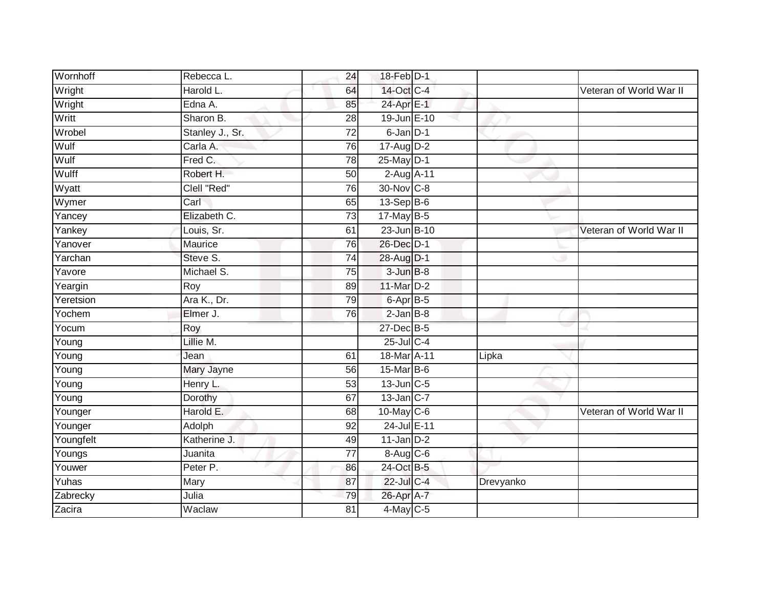| Wornhoff            | Rebecca L.      | 24              | 18-Feb D-1        |           |                         |
|---------------------|-----------------|-----------------|-------------------|-----------|-------------------------|
| Wright              | Harold L.       | 64              | 14-Oct C-4        |           | Veteran of World War II |
| Wright              | Edna A.         | 85              | 24-Apr E-1        |           |                         |
| Writt               | Sharon B.       | 28              | 19-Jun E-10       |           |                         |
| Wrobel              | Stanley J., Sr. | $\overline{72}$ | 6-Jan D-1         |           |                         |
| Wulf                | Carla A.        | 76              | 17-Aug D-2        |           |                         |
| Wulf                | Fred C.         | 78              | $25$ -May $D-1$   |           |                         |
| Wulff               | Robert H.       | 50              | 2-Aug A-11        |           |                         |
| Wyatt               | Clell "Red"     | 76              | 30-Nov C-8        |           |                         |
| Wymer               | Carl            | 65              | 13-Sep B-6        |           |                         |
| Yancey              | Elizabeth C.    | $\overline{73}$ | 17-May B-5        |           |                         |
| Yankey              | Louis, Sr.      | 61              | 23-Jun B-10       |           | Veteran of World War II |
| Yanover             | Maurice         | 76              | 26-Dec D-1        |           |                         |
| Yarchan             | Steve S.        | 74              | 28-Aug D-1        |           |                         |
| Yavore              | Michael S.      | 75              | $3 - Jun$ $B-8$   |           |                         |
| Yeargin             | Roy             | 89              | 11-Mar D-2        |           |                         |
| Yeretsion           | Ara K., Dr.     | 79              | 6-Apr B-5         |           |                         |
| Yochem              | Elmer J.        | 76              | $2$ -Jan $B-8$    |           |                         |
| Yocum               | Roy             |                 | 27-Dec B-5        |           |                         |
| Young               | Lillie M.       |                 | $25$ -Jul C-4     |           |                         |
| $\overline{Y}$ oung | Jean            | 61              | 18-Mar A-11       | Lipka     |                         |
| Young               | Mary Jayne      | 56              | 15-Mar B-6        |           |                         |
| Young               | Henry L.        | 53              | $13$ -Jun $C - 5$ |           |                         |
| Young               | Dorothy         | 67              | $13$ -Jan $ C-7 $ |           |                         |
| Younger             | Harold E.       | 68              | $10$ -May C-6     |           | Veteran of World War II |
| Younger             | Adolph          | 92              | 24-Jul E-11       |           |                         |
| Youngfelt           | Katherine J.    | 49              | $11$ -Jan $D-2$   |           |                         |
| Youngs              | Juanita         | 77              | $8-Aug$ $C-6$     |           |                         |
| Youwer              | Peter P.        | 86              | 24-Oct B-5        |           |                         |
| Yuhas               | Mary            | 87              | 22-Jul C-4        | Drevyanko |                         |
| Zabrecky            | Julia           | 79              | 26-Apr A-7        |           |                         |
| Zacira              | Waclaw          | $\overline{81}$ | $4$ -May C-5      |           |                         |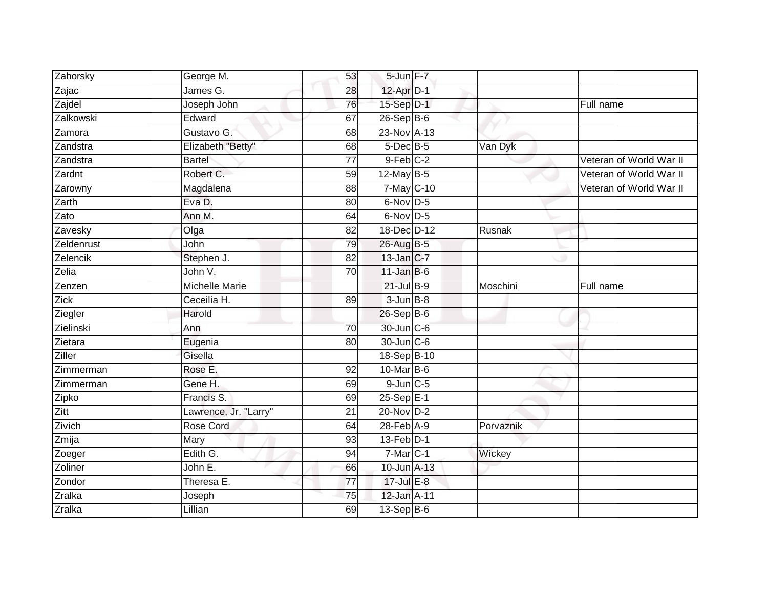| Zahorsky      | George M.             | 53              | 5-Jun F-7       |           |                         |
|---------------|-----------------------|-----------------|-----------------|-----------|-------------------------|
| Zajac         | James G.              | 28              | 12-Apr D-1      |           |                         |
| Zajdel        | Joseph John           | 76              | 15-Sep D-1      |           | Full name               |
| Zalkowski     | Edward                | 67              | 26-Sep B-6      |           |                         |
| Zamora        | Gustavo G.            | 68              | 23-Nov A-13     |           |                         |
| Zandstra      | Elizabeth "Betty"     | 68              | 5-Dec B-5       | Van Dyk   |                         |
| Zandstra      | <b>Bartel</b>         | $\overline{77}$ | $9$ -Feb $C-2$  |           | Veteran of World War II |
| Zardnt        | Robert C.             | 59              | 12-May B-5      |           | Veteran of World War II |
| Zarowny       | Magdalena             | 88              | 7-May C-10      |           | Veteran of World War II |
| Zarth         | Eva D.                | 80              | $6$ -Nov D-5    |           |                         |
| Zato          | Ann M.                | 64              | $6$ -Nov D-5    |           |                         |
| Zavesky       | Olga                  | 82              | 18-Dec D-12     | Rusnak    |                         |
| Zeldenrust    | John                  | 79              | 26-Aug B-5      |           |                         |
| Zelencik      | Stephen J.            | 82              | 13-Jan C-7      |           |                         |
| Zelia         | John V.               | $\overline{70}$ | $11$ -Jan B-6   |           |                         |
| Zenzen        | <b>Michelle Marie</b> |                 | $21$ -Jul $B-9$ | Moschini  | Full name               |
| Zick          | Ceceilia H.           | 89              | $3 - Jun$ $B-8$ |           |                         |
| Ziegler       | Harold                |                 | 26-Sep B-6      |           |                         |
| Zielinski     | Ann                   | 70              | 30-Jun C-6      |           |                         |
| Zietara       | Eugenia               | $\overline{80}$ | 30-Jun C-6      |           |                         |
| Ziller        | Gisella               |                 | 18-Sep B-10     |           |                         |
| Zimmerman     | Rose E.               | 92              | 10-Mar B-6      |           |                         |
| Zimmerman     | Gene H.               | 69              | $9$ -Jun $C$ -5 |           |                         |
| Zipko         | Francis S.            | 69              | 25-Sep E-1      |           |                         |
| Zitt          | Lawrence, Jr. "Larry" | 21              | $20$ -Nov $D-2$ |           |                         |
| Zivich        | Rose Cord             | 64              | 28-Feb A-9      | Porvaznik |                         |
| Zmija         | Mary                  | 93              | 13-Feb D-1      |           |                         |
| Zoeger        | Edith G.              | 94              | $7-Mar$ C-1     | Wickey    |                         |
| Zoliner       | John E.               | 66              | 10-Jun A-13     |           |                         |
| Zondor        | Theresa E.            | $\overline{77}$ | 17-Jul E-8      |           |                         |
| <b>Zralka</b> | Joseph                | $\overline{75}$ | 12-Jan A-11     |           |                         |
| <b>Zralka</b> | Lillian               | 69              | 13-Sep B-6      |           |                         |